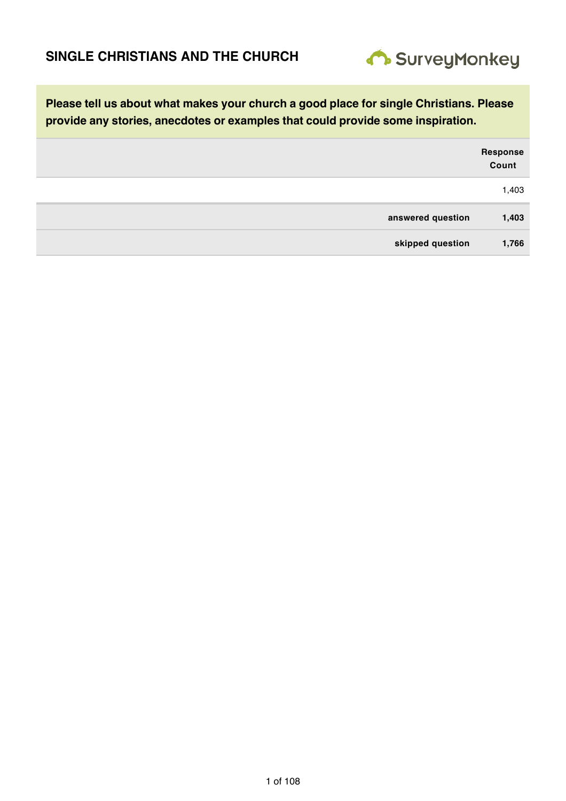

|                   | Response<br>Count |
|-------------------|-------------------|
|                   | 1,403             |
| answered question | 1,403             |
| skipped question  | 1,766             |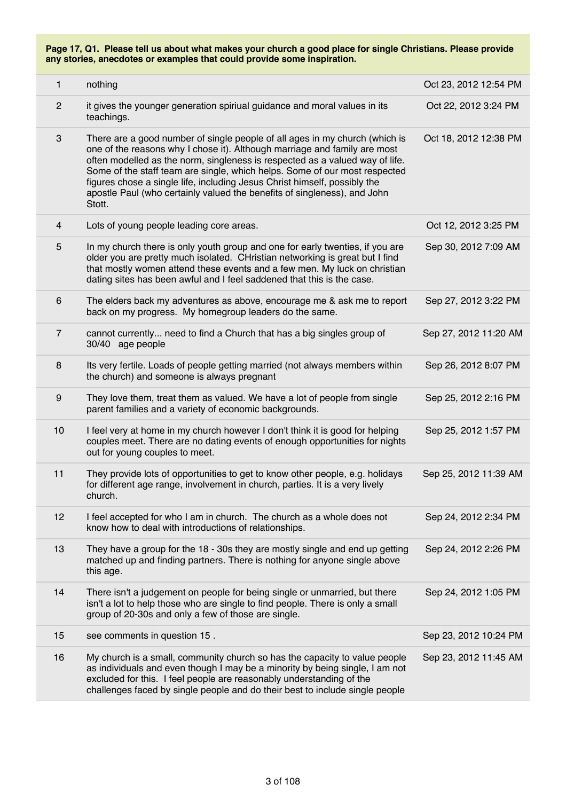| 1                | nothing                                                                                                                                                                                                                                                                                                                                                                                                                                                                                   | Oct 23, 2012 12:54 PM |
|------------------|-------------------------------------------------------------------------------------------------------------------------------------------------------------------------------------------------------------------------------------------------------------------------------------------------------------------------------------------------------------------------------------------------------------------------------------------------------------------------------------------|-----------------------|
| $\mathbf{2}$     | it gives the younger generation spiriual guidance and moral values in its<br>teachings.                                                                                                                                                                                                                                                                                                                                                                                                   | Oct 22, 2012 3:24 PM  |
| 3                | There are a good number of single people of all ages in my church (which is<br>one of the reasons why I chose it). Although marriage and family are most<br>often modelled as the norm, singleness is respected as a valued way of life.<br>Some of the staff team are single, which helps. Some of our most respected<br>figures chose a single life, including Jesus Christ himself, possibly the<br>apostle Paul (who certainly valued the benefits of singleness), and John<br>Stott. | Oct 18, 2012 12:38 PM |
| $\overline{4}$   | Lots of young people leading core areas.                                                                                                                                                                                                                                                                                                                                                                                                                                                  | Oct 12, 2012 3:25 PM  |
| 5                | In my church there is only youth group and one for early twenties, if you are<br>older you are pretty much isolated. CHristian networking is great but I find<br>that mostly women attend these events and a few men. My luck on christian<br>dating sites has been awful and I feel saddened that this is the case.                                                                                                                                                                      | Sep 30, 2012 7:09 AM  |
| 6                | The elders back my adventures as above, encourage me & ask me to report<br>back on my progress. My homegroup leaders do the same.                                                                                                                                                                                                                                                                                                                                                         | Sep 27, 2012 3:22 PM  |
| $\overline{7}$   | cannot currently need to find a Church that has a big singles group of<br>30/40 age people                                                                                                                                                                                                                                                                                                                                                                                                | Sep 27, 2012 11:20 AM |
| 8                | Its very fertile. Loads of people getting married (not always members within<br>the church) and someone is always pregnant                                                                                                                                                                                                                                                                                                                                                                | Sep 26, 2012 8:07 PM  |
| $\boldsymbol{9}$ | They love them, treat them as valued. We have a lot of people from single<br>parent families and a variety of economic backgrounds.                                                                                                                                                                                                                                                                                                                                                       | Sep 25, 2012 2:16 PM  |
| 10               | I feel very at home in my church however I don't think it is good for helping<br>couples meet. There are no dating events of enough opportunities for nights<br>out for young couples to meet.                                                                                                                                                                                                                                                                                            | Sep 25, 2012 1:57 PM  |
| 11               | They provide lots of opportunities to get to know other people, e.g. holidays<br>for different age range, involvement in church, parties. It is a very lively<br>church.                                                                                                                                                                                                                                                                                                                  | Sep 25, 2012 11:39 AM |
| 12               | I feel accepted for who I am in church. The church as a whole does not<br>know how to deal with introductions of relationships.                                                                                                                                                                                                                                                                                                                                                           | Sep 24, 2012 2:34 PM  |
| 13               | They have a group for the 18 - 30s they are mostly single and end up getting<br>matched up and finding partners. There is nothing for anyone single above<br>this age.                                                                                                                                                                                                                                                                                                                    | Sep 24, 2012 2:26 PM  |
| 14               | There isn't a judgement on people for being single or unmarried, but there<br>isn't a lot to help those who are single to find people. There is only a small<br>group of 20-30s and only a few of those are single.                                                                                                                                                                                                                                                                       | Sep 24, 2012 1:05 PM  |
| 15               | see comments in question 15.                                                                                                                                                                                                                                                                                                                                                                                                                                                              | Sep 23, 2012 10:24 PM |
| 16               | My church is a small, community church so has the capacity to value people<br>as individuals and even though I may be a minority by being single, I am not<br>excluded for this. I feel people are reasonably understanding of the<br>challenges faced by single people and do their best to include single people                                                                                                                                                                        | Sep 23, 2012 11:45 AM |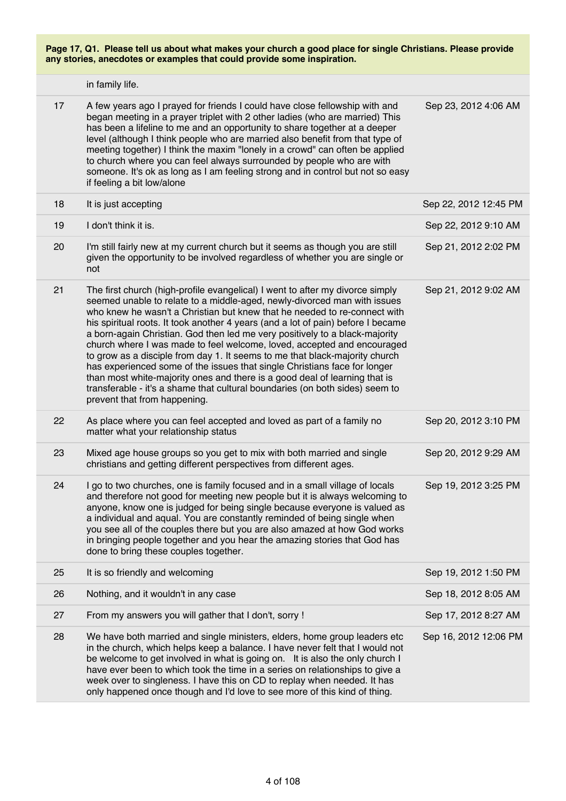**Page 17, Q1. Please tell us about what makes your church a good place for single Christians. Please provide any stories, anecdotes or examples that could provide some inspiration.** in family life. 17 A few years ago I prayed for friends I could have close fellowship with and began meeting in a prayer triplet with 2 other ladies (who are married) This has been a lifeline to me and an opportunity to share together at a deeper level (although I think people who are married also benefit from that type of meeting together) I think the maxim "lonely in a crowd" can often be applied to church where you can feel always surrounded by people who are with someone. It's ok as long as I am feeling strong and in control but not so easy if feeling a bit low/alone Sep 23, 2012 4:06 AM 18 It is just accepting Sep 22, 2012 12:45 PM 19 I don't think it is. Sep 22, 2012 9:10 AM 20 I'm still fairly new at my current church but it seems as though you are still given the opportunity to be involved regardless of whether you are single or not Sep 21, 2012 2:02 PM 21 The first church (high-profile evangelical) I went to after my divorce simply seemed unable to relate to a middle-aged, newly-divorced man with issues who knew he wasn't a Christian but knew that he needed to re-connect with his spiritual roots. It took another 4 years (and a lot of pain) before I became a born-again Christian. God then led me very positively to a black-majority church where I was made to feel welcome, loved, accepted and encouraged to grow as a disciple from day 1. It seems to me that black-majority church has experienced some of the issues that single Christians face for longer than most white-majority ones and there is a good deal of learning that is transferable - it's a shame that cultural boundaries (on both sides) seem to prevent that from happening. Sep 21, 2012 9:02 AM 22 As place where you can feel accepted and loved as part of a family no matter what your relationship status Sep 20, 2012 3:10 PM 23 Mixed age house groups so you get to mix with both married and single christians and getting different perspectives from different ages. Sep 20, 2012 9:29 AM 24 I go to two churches, one is family focused and in a small village of locals and therefore not good for meeting new people but it is always welcoming to anyone, know one is judged for being single because everyone is valued as a individual and aqual. You are constantly reminded of being single when you see all of the couples there but you are also amazed at how God works in bringing people together and you hear the amazing stories that God has done to bring these couples together. Sep 19, 2012 3:25 PM 25 It is so friendly and welcoming Sep 19, 2012 1:50 PM 26 Nothing, and it wouldn't in any case Sep 18, 2012 8:05 AM 27 From my answers you will gather that I don't, sorry ! Sep 17, 2012 8:27 AM 28 We have both married and single ministers, elders, home group leaders etc in the church, which helps keep a balance. I have never felt that I would not be welcome to get involved in what is going on. It is also the only church I have ever been to which took the time in a series on relationships to give a week over to singleness. I have this on CD to replay when needed. It has only happened once though and I'd love to see more of this kind of thing. Sep 16, 2012 12:06 PM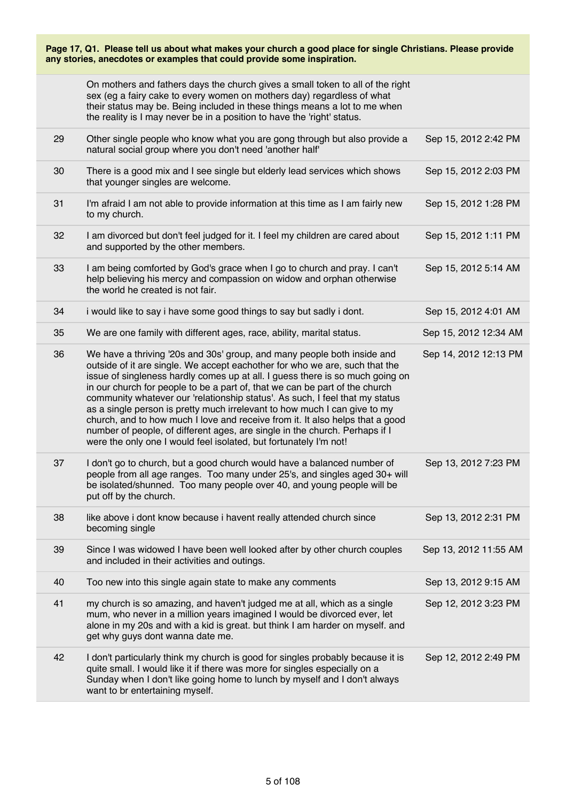|    | On mothers and fathers days the church gives a small token to all of the right<br>sex (eg a fairy cake to every women on mothers day) regardless of what<br>their status may be. Being included in these things means a lot to me when<br>the reality is I may never be in a position to have the 'right' status.                                                                                                                                                                                                                                                                                                                                                                                                        |                       |
|----|--------------------------------------------------------------------------------------------------------------------------------------------------------------------------------------------------------------------------------------------------------------------------------------------------------------------------------------------------------------------------------------------------------------------------------------------------------------------------------------------------------------------------------------------------------------------------------------------------------------------------------------------------------------------------------------------------------------------------|-----------------------|
| 29 | Other single people who know what you are gong through but also provide a<br>natural social group where you don't need 'another half'                                                                                                                                                                                                                                                                                                                                                                                                                                                                                                                                                                                    | Sep 15, 2012 2:42 PM  |
| 30 | There is a good mix and I see single but elderly lead services which shows<br>that younger singles are welcome.                                                                                                                                                                                                                                                                                                                                                                                                                                                                                                                                                                                                          | Sep 15, 2012 2:03 PM  |
| 31 | I'm afraid I am not able to provide information at this time as I am fairly new<br>to my church.                                                                                                                                                                                                                                                                                                                                                                                                                                                                                                                                                                                                                         | Sep 15, 2012 1:28 PM  |
| 32 | I am divorced but don't feel judged for it. I feel my children are cared about<br>and supported by the other members.                                                                                                                                                                                                                                                                                                                                                                                                                                                                                                                                                                                                    | Sep 15, 2012 1:11 PM  |
| 33 | I am being comforted by God's grace when I go to church and pray. I can't<br>help believing his mercy and compassion on widow and orphan otherwise<br>the world he created is not fair.                                                                                                                                                                                                                                                                                                                                                                                                                                                                                                                                  | Sep 15, 2012 5:14 AM  |
| 34 | i would like to say i have some good things to say but sadly i dont.                                                                                                                                                                                                                                                                                                                                                                                                                                                                                                                                                                                                                                                     | Sep 15, 2012 4:01 AM  |
| 35 | We are one family with different ages, race, ability, marital status.                                                                                                                                                                                                                                                                                                                                                                                                                                                                                                                                                                                                                                                    | Sep 15, 2012 12:34 AM |
| 36 | We have a thriving '20s and 30s' group, and many people both inside and<br>outside of it are single. We accept eachother for who we are, such that the<br>issue of singleness hardly comes up at all. I guess there is so much going on<br>in our church for people to be a part of, that we can be part of the church<br>community whatever our 'relationship status'. As such, I feel that my status<br>as a single person is pretty much irrelevant to how much I can give to my<br>church, and to how much I love and receive from it. It also helps that a good<br>number of people, of different ages, are single in the church. Perhaps if I<br>were the only one I would feel isolated, but fortunately I'm not! | Sep 14, 2012 12:13 PM |
| 37 | I don't go to church, but a good church would have a balanced number of<br>people from all age ranges. Too many under 25's, and singles aged 30+ will<br>be isolated/shunned. Too many people over 40, and young people will be<br>put off by the church.                                                                                                                                                                                                                                                                                                                                                                                                                                                                | Sep 13, 2012 7:23 PM  |
| 38 | like above i dont know because i havent really attended church since<br>becoming single                                                                                                                                                                                                                                                                                                                                                                                                                                                                                                                                                                                                                                  | Sep 13, 2012 2:31 PM  |
| 39 | Since I was widowed I have been well looked after by other church couples<br>and included in their activities and outings.                                                                                                                                                                                                                                                                                                                                                                                                                                                                                                                                                                                               | Sep 13, 2012 11:55 AM |
| 40 | Too new into this single again state to make any comments                                                                                                                                                                                                                                                                                                                                                                                                                                                                                                                                                                                                                                                                | Sep 13, 2012 9:15 AM  |
| 41 | my church is so amazing, and haven't judged me at all, which as a single<br>mum, who never in a million years imagined I would be divorced ever, let<br>alone in my 20s and with a kid is great. but think I am harder on myself. and<br>get why guys dont wanna date me.                                                                                                                                                                                                                                                                                                                                                                                                                                                | Sep 12, 2012 3:23 PM  |
| 42 | I don't particularly think my church is good for singles probably because it is<br>quite small. I would like it if there was more for singles especially on a<br>Sunday when I don't like going home to lunch by myself and I don't always<br>want to br entertaining myself.                                                                                                                                                                                                                                                                                                                                                                                                                                            | Sep 12, 2012 2:49 PM  |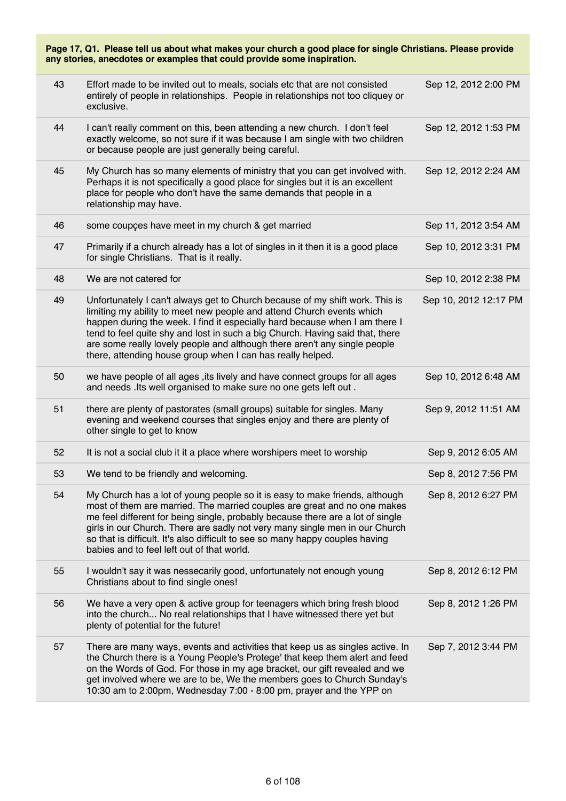| Page 17, Q1. Please tell us about what makes your church a good place for single Christians. Please provide<br>any stories, anecdotes or examples that could provide some inspiration. |                                                                                                                                                                                                                                                                                                                                                                                                                                                                  |                       |  |
|----------------------------------------------------------------------------------------------------------------------------------------------------------------------------------------|------------------------------------------------------------------------------------------------------------------------------------------------------------------------------------------------------------------------------------------------------------------------------------------------------------------------------------------------------------------------------------------------------------------------------------------------------------------|-----------------------|--|
| 43                                                                                                                                                                                     | Effort made to be invited out to meals, socials etc that are not consisted<br>entirely of people in relationships. People in relationships not too cliquey or<br>exclusive.                                                                                                                                                                                                                                                                                      | Sep 12, 2012 2:00 PM  |  |
| 44                                                                                                                                                                                     | I can't really comment on this, been attending a new church. I don't feel<br>exactly welcome, so not sure if it was because I am single with two children<br>or because people are just generally being careful.                                                                                                                                                                                                                                                 | Sep 12, 2012 1:53 PM  |  |
| 45                                                                                                                                                                                     | My Church has so many elements of ministry that you can get involved with.<br>Perhaps it is not specifically a good place for singles but it is an excellent<br>place for people who don't have the same demands that people in a<br>relationship may have.                                                                                                                                                                                                      | Sep 12, 2012 2:24 AM  |  |
| 46                                                                                                                                                                                     | some coupçes have meet in my church & get married                                                                                                                                                                                                                                                                                                                                                                                                                | Sep 11, 2012 3:54 AM  |  |
| 47                                                                                                                                                                                     | Primarily if a church already has a lot of singles in it then it is a good place<br>for single Christians. That is it really.                                                                                                                                                                                                                                                                                                                                    | Sep 10, 2012 3:31 PM  |  |
| 48                                                                                                                                                                                     | We are not catered for                                                                                                                                                                                                                                                                                                                                                                                                                                           | Sep 10, 2012 2:38 PM  |  |
| 49                                                                                                                                                                                     | Unfortunately I can't always get to Church because of my shift work. This is<br>limiting my ability to meet new people and attend Church events which<br>happen during the week. I find it especially hard because when I am there I<br>tend to feel quite shy and lost in such a big Church. Having said that, there<br>are some really lovely people and although there aren't any single people<br>there, attending house group when I can has really helped. | Sep 10, 2012 12:17 PM |  |
| 50                                                                                                                                                                                     | we have people of all ages, its lively and have connect groups for all ages<br>and needs .lts well organised to make sure no one gets left out.                                                                                                                                                                                                                                                                                                                  | Sep 10, 2012 6:48 AM  |  |
| 51                                                                                                                                                                                     | there are plenty of pastorates (small groups) suitable for singles. Many<br>evening and weekend courses that singles enjoy and there are plenty of<br>other single to get to know                                                                                                                                                                                                                                                                                | Sep 9, 2012 11:51 AM  |  |
| 52                                                                                                                                                                                     | It is not a social club it it a place where worshipers meet to worship                                                                                                                                                                                                                                                                                                                                                                                           | Sep 9, 2012 6:05 AM   |  |
| 53                                                                                                                                                                                     | We tend to be friendly and welcoming.                                                                                                                                                                                                                                                                                                                                                                                                                            | Sep 8, 2012 7:56 PM   |  |
| 54                                                                                                                                                                                     | My Church has a lot of young people so it is easy to make friends, although<br>most of them are married. The married couples are great and no one makes<br>me feel different for being single, probably because there are a lot of single<br>girls in our Church. There are sadly not very many single men in our Church<br>so that is difficult. It's also difficult to see so many happy couples having<br>babies and to feel left out of that world.          | Sep 8, 2012 6:27 PM   |  |
| 55                                                                                                                                                                                     | I wouldn't say it was nessecarily good, unfortunately not enough young<br>Christians about to find single ones!                                                                                                                                                                                                                                                                                                                                                  | Sep 8, 2012 6:12 PM   |  |
| 56                                                                                                                                                                                     | We have a very open & active group for teenagers which bring fresh blood<br>into the church No real relationships that I have witnessed there yet but<br>plenty of potential for the future!                                                                                                                                                                                                                                                                     | Sep 8, 2012 1:26 PM   |  |
| 57                                                                                                                                                                                     | There are many ways, events and activities that keep us as singles active. In<br>the Church there is a Young People's Protege' that keep them alert and feed<br>on the Words of God. For those in my age bracket, our gift revealed and we<br>get involved where we are to be, We the members goes to Church Sunday's<br>10:30 am to 2:00pm, Wednesday 7:00 - 8:00 pm, prayer and the YPP on                                                                     | Sep 7, 2012 3:44 PM   |  |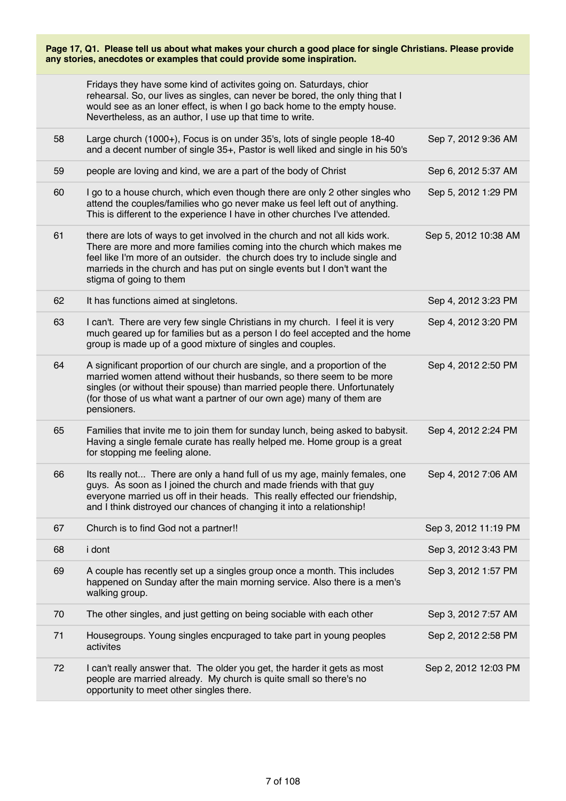|    | Fridays they have some kind of activites going on. Saturdays, chior<br>rehearsal. So, our lives as singles, can never be bored, the only thing that I<br>would see as an loner effect, is when I go back home to the empty house.<br>Nevertheless, as an author, I use up that time to write.                                                |                      |
|----|----------------------------------------------------------------------------------------------------------------------------------------------------------------------------------------------------------------------------------------------------------------------------------------------------------------------------------------------|----------------------|
| 58 | Large church (1000+), Focus is on under 35's, lots of single people 18-40<br>and a decent number of single 35+, Pastor is well liked and single in his 50's                                                                                                                                                                                  | Sep 7, 2012 9:36 AM  |
| 59 | people are loving and kind, we are a part of the body of Christ                                                                                                                                                                                                                                                                              | Sep 6, 2012 5:37 AM  |
| 60 | I go to a house church, which even though there are only 2 other singles who<br>attend the couples/families who go never make us feel left out of anything.<br>This is different to the experience I have in other churches I've attended.                                                                                                   | Sep 5, 2012 1:29 PM  |
| 61 | there are lots of ways to get involved in the church and not all kids work.<br>There are more and more families coming into the church which makes me<br>feel like I'm more of an outsider. the church does try to include single and<br>marrieds in the church and has put on single events but I don't want the<br>stigma of going to them | Sep 5, 2012 10:38 AM |
| 62 | It has functions aimed at singletons.                                                                                                                                                                                                                                                                                                        | Sep 4, 2012 3:23 PM  |
| 63 | I can't. There are very few single Christians in my church. I feel it is very<br>much geared up for families but as a person I do feel accepted and the home<br>group is made up of a good mixture of singles and couples.                                                                                                                   | Sep 4, 2012 3:20 PM  |
| 64 | A significant proportion of our church are single, and a proportion of the<br>married women attend without their husbands, so there seem to be more<br>singles (or without their spouse) than married people there. Unfortunately<br>(for those of us what want a partner of our own age) many of them are<br>pensioners.                    | Sep 4, 2012 2:50 PM  |
| 65 | Families that invite me to join them for sunday lunch, being asked to babysit.<br>Having a single female curate has really helped me. Home group is a great<br>for stopping me feeling alone.                                                                                                                                                | Sep 4, 2012 2:24 PM  |
| 66 | Its really not There are only a hand full of us my age, mainly females, one<br>guys. As soon as I joined the church and made friends with that guy<br>everyone married us off in their heads. This really effected our friendship,<br>and I think distroyed our chances of changing it into a relationship!                                  | Sep 4, 2012 7:06 AM  |
| 67 | Church is to find God not a partner!!                                                                                                                                                                                                                                                                                                        | Sep 3, 2012 11:19 PM |
| 68 | i dont                                                                                                                                                                                                                                                                                                                                       | Sep 3, 2012 3:43 PM  |
| 69 | A couple has recently set up a singles group once a month. This includes<br>happened on Sunday after the main morning service. Also there is a men's<br>walking group.                                                                                                                                                                       | Sep 3, 2012 1:57 PM  |
| 70 | The other singles, and just getting on being sociable with each other                                                                                                                                                                                                                                                                        | Sep 3, 2012 7:57 AM  |
| 71 | Housegroups. Young singles encpuraged to take part in young peoples<br>activites                                                                                                                                                                                                                                                             | Sep 2, 2012 2:58 PM  |
| 72 | I can't really answer that. The older you get, the harder it gets as most<br>people are married already. My church is quite small so there's no<br>opportunity to meet other singles there.                                                                                                                                                  | Sep 2, 2012 12:03 PM |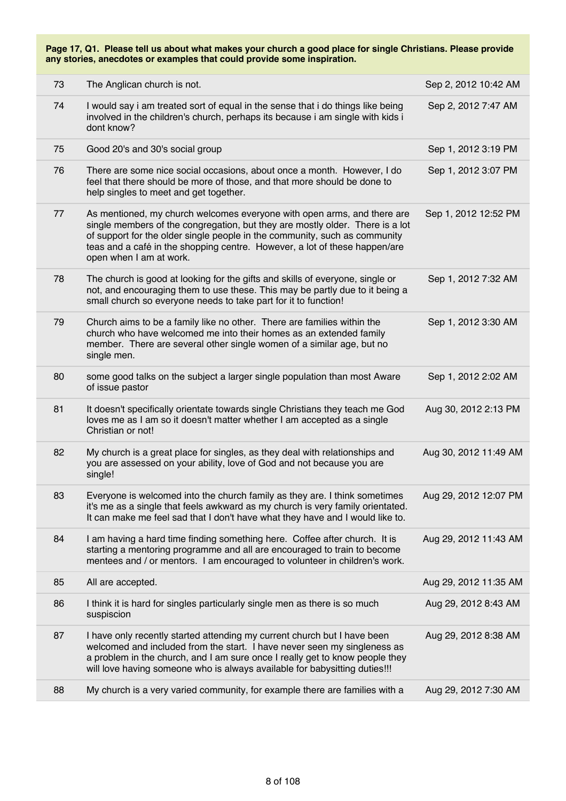| 73 | The Anglican church is not.                                                                                                                                                                                                                                                                                                                     | Sep 2, 2012 10:42 AM  |
|----|-------------------------------------------------------------------------------------------------------------------------------------------------------------------------------------------------------------------------------------------------------------------------------------------------------------------------------------------------|-----------------------|
| 74 | I would say i am treated sort of equal in the sense that i do things like being<br>involved in the children's church, perhaps its because i am single with kids i<br>dont know?                                                                                                                                                                 | Sep 2, 2012 7:47 AM   |
| 75 | Good 20's and 30's social group                                                                                                                                                                                                                                                                                                                 | Sep 1, 2012 3:19 PM   |
| 76 | There are some nice social occasions, about once a month. However, I do<br>feel that there should be more of those, and that more should be done to<br>help singles to meet and get together.                                                                                                                                                   | Sep 1, 2012 3:07 PM   |
| 77 | As mentioned, my church welcomes everyone with open arms, and there are<br>single members of the congregation, but they are mostly older. There is a lot<br>of support for the older single people in the community, such as community<br>teas and a café in the shopping centre. However, a lot of these happen/are<br>open when I am at work. | Sep 1, 2012 12:52 PM  |
| 78 | The church is good at looking for the gifts and skills of everyone, single or<br>not, and encouraging them to use these. This may be partly due to it being a<br>small church so everyone needs to take part for it to function!                                                                                                                | Sep 1, 2012 7:32 AM   |
| 79 | Church aims to be a family like no other. There are families within the<br>church who have welcomed me into their homes as an extended family<br>member. There are several other single women of a similar age, but no<br>single men.                                                                                                           | Sep 1, 2012 3:30 AM   |
| 80 | some good talks on the subject a larger single population than most Aware<br>of issue pastor                                                                                                                                                                                                                                                    | Sep 1, 2012 2:02 AM   |
| 81 | It doesn't specifically orientate towards single Christians they teach me God<br>loves me as I am so it doesn't matter whether I am accepted as a single<br>Christian or not!                                                                                                                                                                   | Aug 30, 2012 2:13 PM  |
| 82 | My church is a great place for singles, as they deal with relationships and<br>you are assessed on your ability, love of God and not because you are<br>single!                                                                                                                                                                                 | Aug 30, 2012 11:49 AM |
| 83 | Everyone is welcomed into the church family as they are. I think sometimes<br>it's me as a single that feels awkward as my church is very family orientated.<br>It can make me feel sad that I don't have what they have and I would like to.                                                                                                   | Aug 29, 2012 12:07 PM |
| 84 | I am having a hard time finding something here. Coffee after church. It is<br>starting a mentoring programme and all are encouraged to train to become<br>mentees and / or mentors. I am encouraged to volunteer in children's work.                                                                                                            | Aug 29, 2012 11:43 AM |
| 85 | All are accepted.                                                                                                                                                                                                                                                                                                                               | Aug 29, 2012 11:35 AM |
| 86 | I think it is hard for singles particularly single men as there is so much<br>suspiscion                                                                                                                                                                                                                                                        | Aug 29, 2012 8:43 AM  |
| 87 | I have only recently started attending my current church but I have been<br>welcomed and included from the start. I have never seen my singleness as<br>a problem in the church, and I am sure once I really get to know people they<br>will love having someone who is always available for babysitting duties!!!                              | Aug 29, 2012 8:38 AM  |
| 88 | My church is a very varied community, for example there are families with a                                                                                                                                                                                                                                                                     | Aug 29, 2012 7:30 AM  |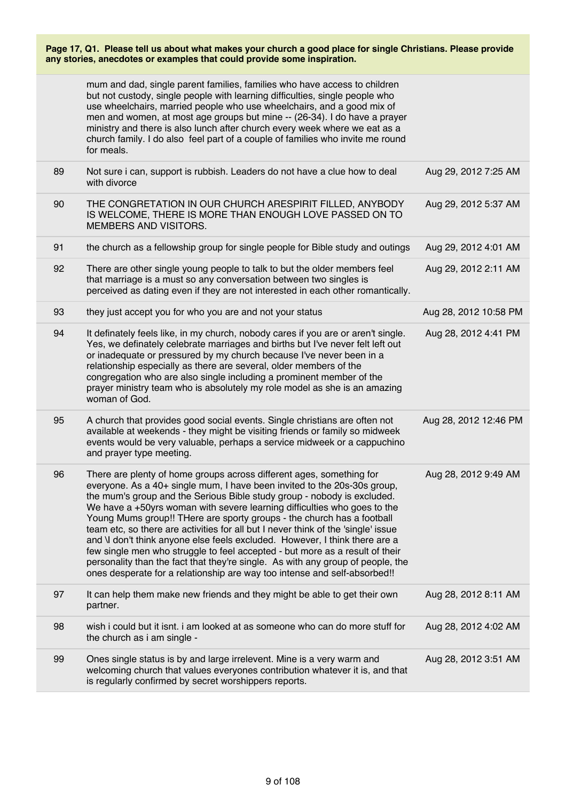|    | mum and dad, single parent families, families who have access to children<br>but not custody, single people with learning difficulties, single people who<br>use wheelchairs, married people who use wheelchairs, and a good mix of<br>men and women, at most age groups but mine -- (26-34). I do have a prayer<br>ministry and there is also lunch after church every week where we eat as a<br>church family. I do also feel part of a couple of families who invite me round<br>for meals.                                                                                                                                                                                                                                                                                                           |                       |
|----|----------------------------------------------------------------------------------------------------------------------------------------------------------------------------------------------------------------------------------------------------------------------------------------------------------------------------------------------------------------------------------------------------------------------------------------------------------------------------------------------------------------------------------------------------------------------------------------------------------------------------------------------------------------------------------------------------------------------------------------------------------------------------------------------------------|-----------------------|
| 89 | Not sure i can, support is rubbish. Leaders do not have a clue how to deal<br>with divorce                                                                                                                                                                                                                                                                                                                                                                                                                                                                                                                                                                                                                                                                                                               | Aug 29, 2012 7:25 AM  |
| 90 | THE CONGRETATION IN OUR CHURCH ARESPIRIT FILLED, ANYBODY<br>IS WELCOME, THERE IS MORE THAN ENOUGH LOVE PASSED ON TO<br>MEMBERS AND VISITORS.                                                                                                                                                                                                                                                                                                                                                                                                                                                                                                                                                                                                                                                             | Aug 29, 2012 5:37 AM  |
| 91 | the church as a fellowship group for single people for Bible study and outings                                                                                                                                                                                                                                                                                                                                                                                                                                                                                                                                                                                                                                                                                                                           | Aug 29, 2012 4:01 AM  |
| 92 | There are other single young people to talk to but the older members feel<br>that marriage is a must so any conversation between two singles is<br>perceived as dating even if they are not interested in each other romantically.                                                                                                                                                                                                                                                                                                                                                                                                                                                                                                                                                                       | Aug 29, 2012 2:11 AM  |
| 93 | they just accept you for who you are and not your status                                                                                                                                                                                                                                                                                                                                                                                                                                                                                                                                                                                                                                                                                                                                                 | Aug 28, 2012 10:58 PM |
| 94 | It definately feels like, in my church, nobody cares if you are or aren't single.<br>Yes, we definately celebrate marriages and births but I've never felt left out<br>or inadequate or pressured by my church because I've never been in a<br>relationship especially as there are several, older members of the<br>congregation who are also single including a prominent member of the<br>prayer ministry team who is absolutely my role model as she is an amazing<br>woman of God.                                                                                                                                                                                                                                                                                                                  | Aug 28, 2012 4:41 PM  |
| 95 | A church that provides good social events. Single christians are often not<br>available at weekends - they might be visiting friends or family so midweek<br>events would be very valuable, perhaps a service midweek or a cappuchino<br>and prayer type meeting.                                                                                                                                                                                                                                                                                                                                                                                                                                                                                                                                        | Aug 28, 2012 12:46 PM |
| 96 | There are plenty of home groups across different ages, something for<br>everyone. As a 40+ single mum, I have been invited to the 20s-30s group,<br>the mum's group and the Serious Bible study group - nobody is excluded.<br>We have a $+50$ yrs woman with severe learning difficulties who goes to the<br>Young Mums group!! THere are sporty groups - the church has a football<br>team etc, so there are activities for all but I never think of the 'single' issue<br>and \I don't think anyone else feels excluded. However, I think there are a<br>few single men who struggle to feel accepted - but more as a result of their<br>personality than the fact that they're single. As with any group of people, the<br>ones desperate for a relationship are way too intense and self-absorbed!! | Aug 28, 2012 9:49 AM  |
| 97 | It can help them make new friends and they might be able to get their own<br>partner.                                                                                                                                                                                                                                                                                                                                                                                                                                                                                                                                                                                                                                                                                                                    | Aug 28, 2012 8:11 AM  |
| 98 | wish i could but it isnt. i am looked at as someone who can do more stuff for<br>the church as i am single -                                                                                                                                                                                                                                                                                                                                                                                                                                                                                                                                                                                                                                                                                             | Aug 28, 2012 4:02 AM  |
| 99 | Ones single status is by and large irrelevent. Mine is a very warm and<br>welcoming church that values everyones contribution whatever it is, and that<br>is regularly confirmed by secret worshippers reports.                                                                                                                                                                                                                                                                                                                                                                                                                                                                                                                                                                                          | Aug 28, 2012 3:51 AM  |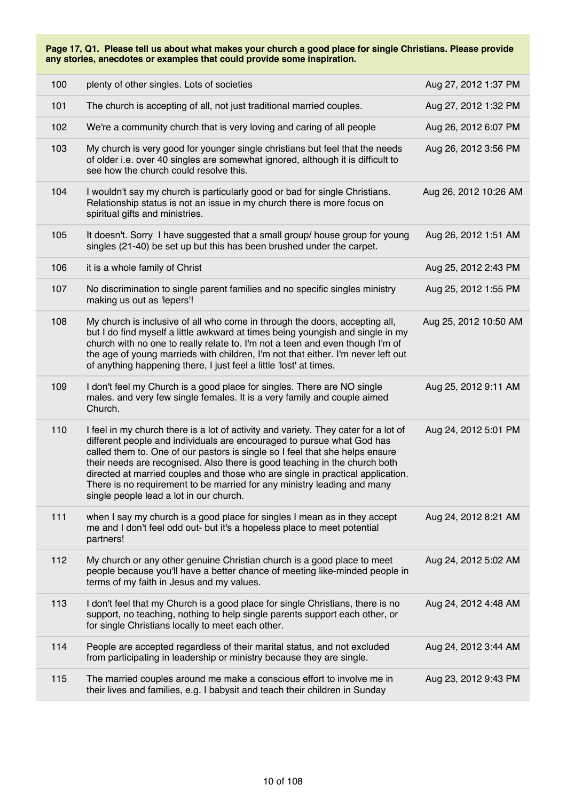| 100   | plenty of other singles. Lots of societies                                                                                                                                                                                                                                                                                                                                                                                                                                                                                          | Aug 27, 2012 1:37 PM  |
|-------|-------------------------------------------------------------------------------------------------------------------------------------------------------------------------------------------------------------------------------------------------------------------------------------------------------------------------------------------------------------------------------------------------------------------------------------------------------------------------------------------------------------------------------------|-----------------------|
| 101   | The church is accepting of all, not just traditional married couples.                                                                                                                                                                                                                                                                                                                                                                                                                                                               | Aug 27, 2012 1:32 PM  |
| 102   | We're a community church that is very loving and caring of all people                                                                                                                                                                                                                                                                                                                                                                                                                                                               | Aug 26, 2012 6:07 PM  |
| 103   | My church is very good for younger single christians but feel that the needs<br>of older i.e. over 40 singles are somewhat ignored, although it is difficult to<br>see how the church could resolve this.                                                                                                                                                                                                                                                                                                                           | Aug 26, 2012 3:56 PM  |
| 104   | I wouldn't say my church is particularly good or bad for single Christians.<br>Relationship status is not an issue in my church there is more focus on<br>spiritual gifts and ministries.                                                                                                                                                                                                                                                                                                                                           | Aug 26, 2012 10:26 AM |
| 105   | It doesn't. Sorry I have suggested that a small group/ house group for young<br>singles (21-40) be set up but this has been brushed under the carpet.                                                                                                                                                                                                                                                                                                                                                                               | Aug 26, 2012 1:51 AM  |
| 106   | it is a whole family of Christ                                                                                                                                                                                                                                                                                                                                                                                                                                                                                                      | Aug 25, 2012 2:43 PM  |
| 107   | No discrimination to single parent families and no specific singles ministry<br>making us out as 'lepers'!                                                                                                                                                                                                                                                                                                                                                                                                                          | Aug 25, 2012 1:55 PM  |
| 108   | My church is inclusive of all who come in through the doors, accepting all,<br>but I do find myself a little awkward at times being youngish and single in my<br>church with no one to really relate to. I'm not a teen and even though I'm of<br>the age of young marrieds with children, I'm not that either. I'm never left out<br>of anything happening there, I just feel a little 'lost' at times.                                                                                                                            | Aug 25, 2012 10:50 AM |
| 109   | I don't feel my Church is a good place for singles. There are NO single<br>males. and very few single females. It is a very family and couple aimed<br>Church.                                                                                                                                                                                                                                                                                                                                                                      | Aug 25, 2012 9:11 AM  |
| 110   | I feel in my church there is a lot of activity and variety. They cater for a lot of<br>different people and individuals are encouraged to pursue what God has<br>called them to. One of our pastors is single so I feel that she helps ensure<br>their needs are recognised. Also there is good teaching in the church both<br>directed at married couples and those who are single in practical application.<br>There is no requirement to be married for any ministry leading and many<br>single people lead a lot in our church. | Aug 24, 2012 5:01 PM  |
| $111$ | when I say my church is a good place for singles I mean as in they accept<br>me and I don't feel odd out- but it's a hopeless place to meet potential<br>partners!                                                                                                                                                                                                                                                                                                                                                                  | Aug 24, 2012 8:21 AM  |
| 112   | My church or any other genuine Christian church is a good place to meet<br>people because you'll have a better chance of meeting like-minded people in<br>terms of my faith in Jesus and my values.                                                                                                                                                                                                                                                                                                                                 | Aug 24, 2012 5:02 AM  |
| 113   | I don't feel that my Church is a good place for single Christians, there is no<br>support, no teaching, nothing to help single parents support each other, or<br>for single Christians locally to meet each other.                                                                                                                                                                                                                                                                                                                  | Aug 24, 2012 4:48 AM  |
| 114   | People are accepted regardless of their marital status, and not excluded<br>from participating in leadership or ministry because they are single.                                                                                                                                                                                                                                                                                                                                                                                   | Aug 24, 2012 3:44 AM  |
| 115   | The married couples around me make a conscious effort to involve me in<br>their lives and families, e.g. I babysit and teach their children in Sunday                                                                                                                                                                                                                                                                                                                                                                               | Aug 23, 2012 9:43 PM  |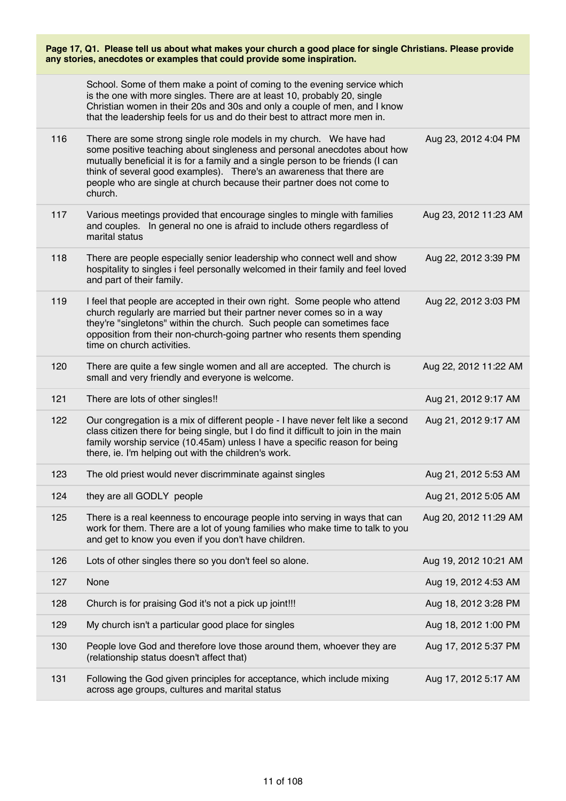| Page 17, Q1. Please tell us about what makes your church a good place for single Christians. Please provide<br>any stories, anecdotes or examples that could provide some inspiration. |                                                                                                                                                                                                                                                                                                                                                                                                |                       |
|----------------------------------------------------------------------------------------------------------------------------------------------------------------------------------------|------------------------------------------------------------------------------------------------------------------------------------------------------------------------------------------------------------------------------------------------------------------------------------------------------------------------------------------------------------------------------------------------|-----------------------|
|                                                                                                                                                                                        | School. Some of them make a point of coming to the evening service which<br>is the one with more singles. There are at least 10, probably 20, single<br>Christian women in their 20s and 30s and only a couple of men, and I know<br>that the leadership feels for us and do their best to attract more men in.                                                                                |                       |
| 116                                                                                                                                                                                    | There are some strong single role models in my church. We have had<br>some positive teaching about singleness and personal anecdotes about how<br>mutually beneficial it is for a family and a single person to be friends (I can<br>think of several good examples). There's an awareness that there are<br>people who are single at church because their partner does not come to<br>church. | Aug 23, 2012 4:04 PM  |
| 117                                                                                                                                                                                    | Various meetings provided that encourage singles to mingle with families<br>and couples. In general no one is afraid to include others regardless of<br>marital status                                                                                                                                                                                                                         | Aug 23, 2012 11:23 AM |
| 118                                                                                                                                                                                    | There are people especially senior leadership who connect well and show<br>hospitality to singles i feel personally welcomed in their family and feel loved<br>and part of their family.                                                                                                                                                                                                       | Aug 22, 2012 3:39 PM  |
| 119                                                                                                                                                                                    | I feel that people are accepted in their own right. Some people who attend<br>church regularly are married but their partner never comes so in a way<br>they're "singletons" within the church. Such people can sometimes face<br>opposition from their non-church-going partner who resents them spending<br>time on church activities.                                                       | Aug 22, 2012 3:03 PM  |
| 120                                                                                                                                                                                    | There are quite a few single women and all are accepted. The church is<br>small and very friendly and everyone is welcome.                                                                                                                                                                                                                                                                     | Aug 22, 2012 11:22 AM |
| 121                                                                                                                                                                                    | There are lots of other singles!!                                                                                                                                                                                                                                                                                                                                                              | Aug 21, 2012 9:17 AM  |
| 122                                                                                                                                                                                    | Our congregation is a mix of different people - I have never felt like a second<br>class citizen there for being single, but I do find it difficult to join in the main<br>family worship service (10.45am) unless I have a specific reason for being<br>there, ie. I'm helping out with the children's work.                                                                                  | Aug 21, 2012 9:17 AM  |
| 123                                                                                                                                                                                    | The old priest would never discrimminate against singles                                                                                                                                                                                                                                                                                                                                       | Aug 21, 2012 5:53 AM  |
| 124                                                                                                                                                                                    | they are all GODLY people                                                                                                                                                                                                                                                                                                                                                                      | Aug 21, 2012 5:05 AM  |
| 125                                                                                                                                                                                    | There is a real keenness to encourage people into serving in ways that can<br>work for them. There are a lot of young families who make time to talk to you<br>and get to know you even if you don't have children.                                                                                                                                                                            | Aug 20, 2012 11:29 AM |
| 126                                                                                                                                                                                    | Lots of other singles there so you don't feel so alone.                                                                                                                                                                                                                                                                                                                                        | Aug 19, 2012 10:21 AM |
| 127                                                                                                                                                                                    | None                                                                                                                                                                                                                                                                                                                                                                                           | Aug 19, 2012 4:53 AM  |
| 128                                                                                                                                                                                    | Church is for praising God it's not a pick up joint!!!                                                                                                                                                                                                                                                                                                                                         | Aug 18, 2012 3:28 PM  |
| 129                                                                                                                                                                                    | My church isn't a particular good place for singles                                                                                                                                                                                                                                                                                                                                            | Aug 18, 2012 1:00 PM  |
| 130                                                                                                                                                                                    | People love God and therefore love those around them, whoever they are<br>(relationship status doesn't affect that)                                                                                                                                                                                                                                                                            | Aug 17, 2012 5:37 PM  |
| 131                                                                                                                                                                                    | Following the God given principles for acceptance, which include mixing<br>across age groups, cultures and marital status                                                                                                                                                                                                                                                                      | Aug 17, 2012 5:17 AM  |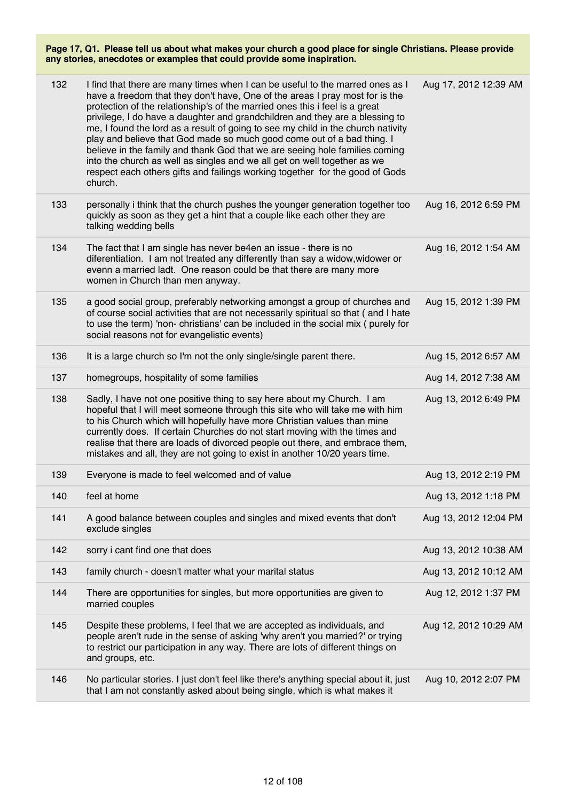| 132 | I find that there are many times when I can be useful to the marred ones as I<br>have a freedom that they don't have, One of the areas I pray most for is the<br>protection of the relationship's of the married ones this i feel is a great<br>privilege, I do have a daughter and grandchildren and they are a blessing to<br>me, I found the lord as a result of going to see my child in the church nativity<br>play and believe that God made so much good come out of a bad thing. I<br>believe in the family and thank God that we are seeing hole families coming<br>into the church as well as singles and we all get on well together as we<br>respect each others gifts and failings working together for the good of Gods<br>church. | Aug 17, 2012 12:39 AM |
|-----|--------------------------------------------------------------------------------------------------------------------------------------------------------------------------------------------------------------------------------------------------------------------------------------------------------------------------------------------------------------------------------------------------------------------------------------------------------------------------------------------------------------------------------------------------------------------------------------------------------------------------------------------------------------------------------------------------------------------------------------------------|-----------------------|
| 133 | personally i think that the church pushes the younger generation together too<br>quickly as soon as they get a hint that a couple like each other they are<br>talking wedding bells                                                                                                                                                                                                                                                                                                                                                                                                                                                                                                                                                              | Aug 16, 2012 6:59 PM  |
| 134 | The fact that I am single has never be4en an issue - there is no<br>diferentiation. I am not treated any differently than say a widow, widower or<br>evenn a married ladt. One reason could be that there are many more<br>women in Church than men anyway.                                                                                                                                                                                                                                                                                                                                                                                                                                                                                      | Aug 16, 2012 1:54 AM  |
| 135 | a good social group, preferably networking amongst a group of churches and<br>of course social activities that are not necessarily spiritual so that (and I hate<br>to use the term) 'non-christians' can be included in the social mix ( purely for<br>social reasons not for evangelistic events)                                                                                                                                                                                                                                                                                                                                                                                                                                              | Aug 15, 2012 1:39 PM  |
| 136 | It is a large church so I'm not the only single/single parent there.                                                                                                                                                                                                                                                                                                                                                                                                                                                                                                                                                                                                                                                                             | Aug 15, 2012 6:57 AM  |
| 137 | homegroups, hospitality of some families                                                                                                                                                                                                                                                                                                                                                                                                                                                                                                                                                                                                                                                                                                         | Aug 14, 2012 7:38 AM  |
| 138 | Sadly, I have not one positive thing to say here about my Church. I am<br>hopeful that I will meet someone through this site who will take me with him<br>to his Church which will hopefully have more Christian values than mine<br>currently does. If certain Churches do not start moving with the times and<br>realise that there are loads of divorced people out there, and embrace them,<br>mistakes and all, they are not going to exist in another 10/20 years time.                                                                                                                                                                                                                                                                    | Aug 13, 2012 6:49 PM  |
| 139 | Everyone is made to feel welcomed and of value                                                                                                                                                                                                                                                                                                                                                                                                                                                                                                                                                                                                                                                                                                   | Aug 13, 2012 2:19 PM  |
| 140 | feel at home                                                                                                                                                                                                                                                                                                                                                                                                                                                                                                                                                                                                                                                                                                                                     | Aug 13, 2012 1:18 PM  |
| 141 | A good balance between couples and singles and mixed events that don't<br>exclude singles                                                                                                                                                                                                                                                                                                                                                                                                                                                                                                                                                                                                                                                        | Aug 13, 2012 12:04 PM |
| 142 | sorry i cant find one that does                                                                                                                                                                                                                                                                                                                                                                                                                                                                                                                                                                                                                                                                                                                  | Aug 13, 2012 10:38 AM |
| 143 | family church - doesn't matter what your marital status                                                                                                                                                                                                                                                                                                                                                                                                                                                                                                                                                                                                                                                                                          | Aug 13, 2012 10:12 AM |
| 144 | There are opportunities for singles, but more opportunities are given to<br>married couples                                                                                                                                                                                                                                                                                                                                                                                                                                                                                                                                                                                                                                                      | Aug 12, 2012 1:37 PM  |
| 145 | Despite these problems, I feel that we are accepted as individuals, and<br>people aren't rude in the sense of asking 'why aren't you married?' or trying<br>to restrict our participation in any way. There are lots of different things on<br>and groups, etc.                                                                                                                                                                                                                                                                                                                                                                                                                                                                                  | Aug 12, 2012 10:29 AM |
| 146 | No particular stories. I just don't feel like there's anything special about it, just<br>that I am not constantly asked about being single, which is what makes it                                                                                                                                                                                                                                                                                                                                                                                                                                                                                                                                                                               | Aug 10, 2012 2:07 PM  |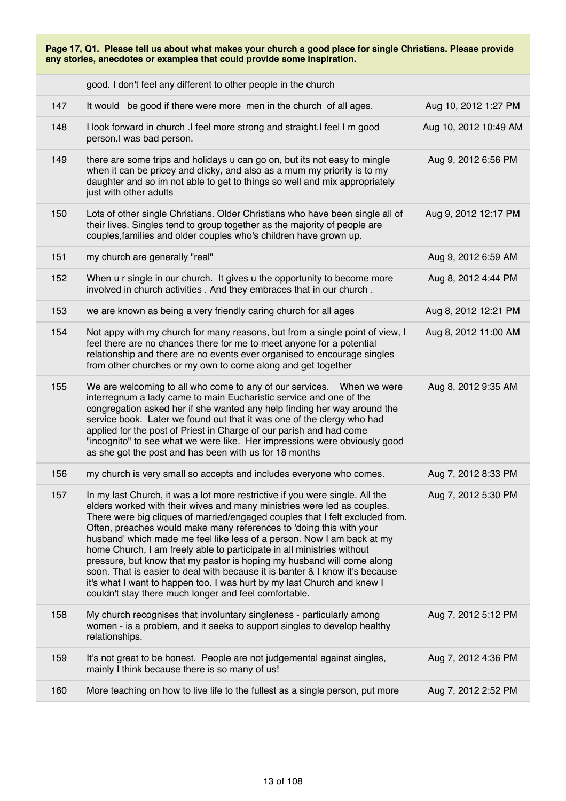| good. I don't feel any different to other people in the church |  |  |  |  |  |
|----------------------------------------------------------------|--|--|--|--|--|
|----------------------------------------------------------------|--|--|--|--|--|

| 147 | It would be good if there were more men in the church of all ages.                                                                                                                                                                                                                                                                                                                                                                                                                                                                                                                                                                                                                                                                                               | Aug 10, 2012 1:27 PM  |
|-----|------------------------------------------------------------------------------------------------------------------------------------------------------------------------------------------------------------------------------------------------------------------------------------------------------------------------------------------------------------------------------------------------------------------------------------------------------------------------------------------------------------------------------------------------------------------------------------------------------------------------------------------------------------------------------------------------------------------------------------------------------------------|-----------------------|
| 148 | I look forward in church .I feel more strong and straight.I feel I m good<br>person.I was bad person.                                                                                                                                                                                                                                                                                                                                                                                                                                                                                                                                                                                                                                                            | Aug 10, 2012 10:49 AM |
| 149 | there are some trips and holidays u can go on, but its not easy to mingle<br>when it can be pricey and clicky, and also as a mum my priority is to my<br>daughter and so im not able to get to things so well and mix appropriately<br>just with other adults                                                                                                                                                                                                                                                                                                                                                                                                                                                                                                    | Aug 9, 2012 6:56 PM   |
| 150 | Lots of other single Christians. Older Christians who have been single all of<br>their lives. Singles tend to group together as the majority of people are<br>couples, families and older couples who's children have grown up.                                                                                                                                                                                                                                                                                                                                                                                                                                                                                                                                  | Aug 9, 2012 12:17 PM  |
| 151 | my church are generally "real"                                                                                                                                                                                                                                                                                                                                                                                                                                                                                                                                                                                                                                                                                                                                   | Aug 9, 2012 6:59 AM   |
| 152 | When u r single in our church. It gives u the opportunity to become more<br>involved in church activities . And they embraces that in our church.                                                                                                                                                                                                                                                                                                                                                                                                                                                                                                                                                                                                                | Aug 8, 2012 4:44 PM   |
| 153 | we are known as being a very friendly caring church for all ages                                                                                                                                                                                                                                                                                                                                                                                                                                                                                                                                                                                                                                                                                                 | Aug 8, 2012 12:21 PM  |
| 154 | Not appy with my church for many reasons, but from a single point of view, I<br>feel there are no chances there for me to meet anyone for a potential<br>relationship and there are no events ever organised to encourage singles<br>from other churches or my own to come along and get together                                                                                                                                                                                                                                                                                                                                                                                                                                                                | Aug 8, 2012 11:00 AM  |
| 155 | We are welcoming to all who come to any of our services.  When we were<br>interregnum a lady came to main Eucharistic service and one of the<br>congregation asked her if she wanted any help finding her way around the<br>service book. Later we found out that it was one of the clergy who had<br>applied for the post of Priest in Charge of our parish and had come<br>"incognito" to see what we were like. Her impressions were obviously good<br>as she got the post and has been with us for 18 months                                                                                                                                                                                                                                                 | Aug 8, 2012 9:35 AM   |
| 156 | my church is very small so accepts and includes everyone who comes.                                                                                                                                                                                                                                                                                                                                                                                                                                                                                                                                                                                                                                                                                              | Aug 7, 2012 8:33 PM   |
| 157 | In my last Church, it was a lot more restrictive if you were single. All the<br>elders worked with their wives and many ministries were led as couples.<br>There were big cliques of married/engaged couples that I felt excluded from.<br>Often, preaches would make many references to 'doing this with your<br>husband' which made me feel like less of a person. Now I am back at my<br>home Church, I am freely able to participate in all ministries without<br>pressure, but know that my pastor is hoping my husband will come along<br>soon. That is easier to deal with because it is banter & I know it's because<br>it's what I want to happen too. I was hurt by my last Church and knew I<br>couldn't stay there much longer and feel comfortable. | Aug 7, 2012 5:30 PM   |
| 158 | My church recognises that involuntary singleness - particularly among<br>women - is a problem, and it seeks to support singles to develop healthy<br>relationships.                                                                                                                                                                                                                                                                                                                                                                                                                                                                                                                                                                                              | Aug 7, 2012 5:12 PM   |
| 159 | It's not great to be honest. People are not judgemental against singles,<br>mainly I think because there is so many of us!                                                                                                                                                                                                                                                                                                                                                                                                                                                                                                                                                                                                                                       | Aug 7, 2012 4:36 PM   |
| 160 | More teaching on how to live life to the fullest as a single person, put more                                                                                                                                                                                                                                                                                                                                                                                                                                                                                                                                                                                                                                                                                    | Aug 7, 2012 2:52 PM   |
|     |                                                                                                                                                                                                                                                                                                                                                                                                                                                                                                                                                                                                                                                                                                                                                                  |                       |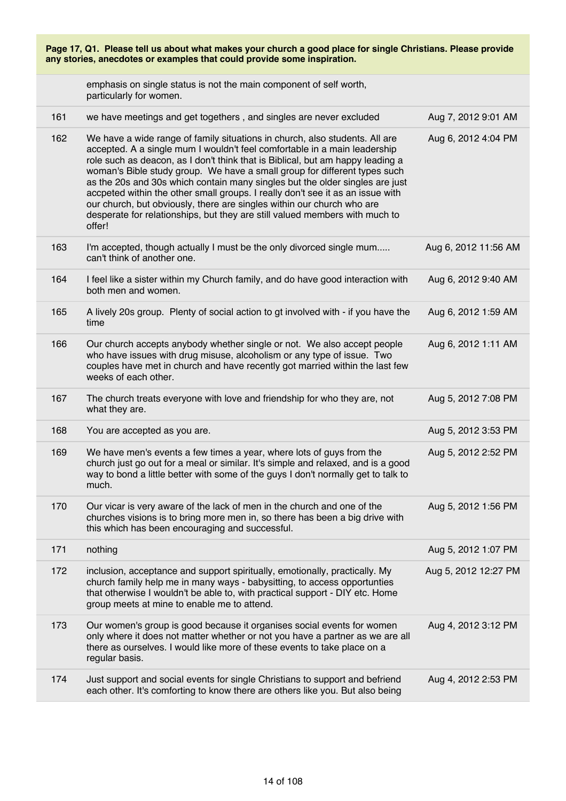| Page 17, Q1. Please tell us about what makes your church a good place for single Christians. Please provide<br>any stories, anecdotes or examples that could provide some inspiration. |                                                                                                                                                                                                                                                                                                                                                                                                                                                                                                                                                                                                                                                              |                      |
|----------------------------------------------------------------------------------------------------------------------------------------------------------------------------------------|--------------------------------------------------------------------------------------------------------------------------------------------------------------------------------------------------------------------------------------------------------------------------------------------------------------------------------------------------------------------------------------------------------------------------------------------------------------------------------------------------------------------------------------------------------------------------------------------------------------------------------------------------------------|----------------------|
|                                                                                                                                                                                        | emphasis on single status is not the main component of self worth,<br>particularly for women.                                                                                                                                                                                                                                                                                                                                                                                                                                                                                                                                                                |                      |
| 161                                                                                                                                                                                    | we have meetings and get togethers, and singles are never excluded                                                                                                                                                                                                                                                                                                                                                                                                                                                                                                                                                                                           | Aug 7, 2012 9:01 AM  |
| 162                                                                                                                                                                                    | We have a wide range of family situations in church, also students. All are<br>accepted. A a single mum I wouldn't feel comfortable in a main leadership<br>role such as deacon, as I don't think that is Biblical, but am happy leading a<br>woman's Bible study group. We have a small group for different types such<br>as the 20s and 30s which contain many singles but the older singles are just<br>accpeted within the other small groups. I really don't see it as an issue with<br>our church, but obviously, there are singles within our church who are<br>desperate for relationships, but they are still valued members with much to<br>offer! | Aug 6, 2012 4:04 PM  |
| 163                                                                                                                                                                                    | I'm accepted, though actually I must be the only divorced single mum<br>can't think of another one.                                                                                                                                                                                                                                                                                                                                                                                                                                                                                                                                                          | Aug 6, 2012 11:56 AM |
| 164                                                                                                                                                                                    | I feel like a sister within my Church family, and do have good interaction with<br>both men and women.                                                                                                                                                                                                                                                                                                                                                                                                                                                                                                                                                       | Aug 6, 2012 9:40 AM  |
| 165                                                                                                                                                                                    | A lively 20s group. Plenty of social action to gt involved with - if you have the<br>time                                                                                                                                                                                                                                                                                                                                                                                                                                                                                                                                                                    | Aug 6, 2012 1:59 AM  |
| 166                                                                                                                                                                                    | Our church accepts anybody whether single or not. We also accept people<br>who have issues with drug misuse, alcoholism or any type of issue. Two<br>couples have met in church and have recently got married within the last few<br>weeks of each other.                                                                                                                                                                                                                                                                                                                                                                                                    | Aug 6, 2012 1:11 AM  |
| 167                                                                                                                                                                                    | The church treats everyone with love and friendship for who they are, not<br>what they are.                                                                                                                                                                                                                                                                                                                                                                                                                                                                                                                                                                  | Aug 5, 2012 7:08 PM  |
| 168                                                                                                                                                                                    | You are accepted as you are.                                                                                                                                                                                                                                                                                                                                                                                                                                                                                                                                                                                                                                 | Aug 5, 2012 3:53 PM  |
| 169                                                                                                                                                                                    | We have men's events a few times a year, where lots of guys from the<br>church just go out for a meal or similar. It's simple and relaxed, and is a good<br>way to bond a little better with some of the guys I don't normally get to talk to<br>much.                                                                                                                                                                                                                                                                                                                                                                                                       | Aug 5, 2012 2:52 PM  |
| 170                                                                                                                                                                                    | Our vicar is very aware of the lack of men in the church and one of the<br>churches visions is to bring more men in, so there has been a big drive with<br>this which has been encouraging and successful.                                                                                                                                                                                                                                                                                                                                                                                                                                                   | Aug 5, 2012 1:56 PM  |
| 171                                                                                                                                                                                    | nothing                                                                                                                                                                                                                                                                                                                                                                                                                                                                                                                                                                                                                                                      | Aug 5, 2012 1:07 PM  |
| 172                                                                                                                                                                                    | inclusion, acceptance and support spiritually, emotionally, practically. My<br>church family help me in many ways - babysitting, to access opportunties<br>that otherwise I wouldn't be able to, with practical support - DIY etc. Home<br>group meets at mine to enable me to attend.                                                                                                                                                                                                                                                                                                                                                                       | Aug 5, 2012 12:27 PM |
| 173                                                                                                                                                                                    | Our women's group is good because it organises social events for women<br>only where it does not matter whether or not you have a partner as we are all<br>there as ourselves. I would like more of these events to take place on a<br>regular basis.                                                                                                                                                                                                                                                                                                                                                                                                        | Aug 4, 2012 3:12 PM  |
| 174                                                                                                                                                                                    | Just support and social events for single Christians to support and befriend<br>each other. It's comforting to know there are others like you. But also being                                                                                                                                                                                                                                                                                                                                                                                                                                                                                                | Aug 4, 2012 2:53 PM  |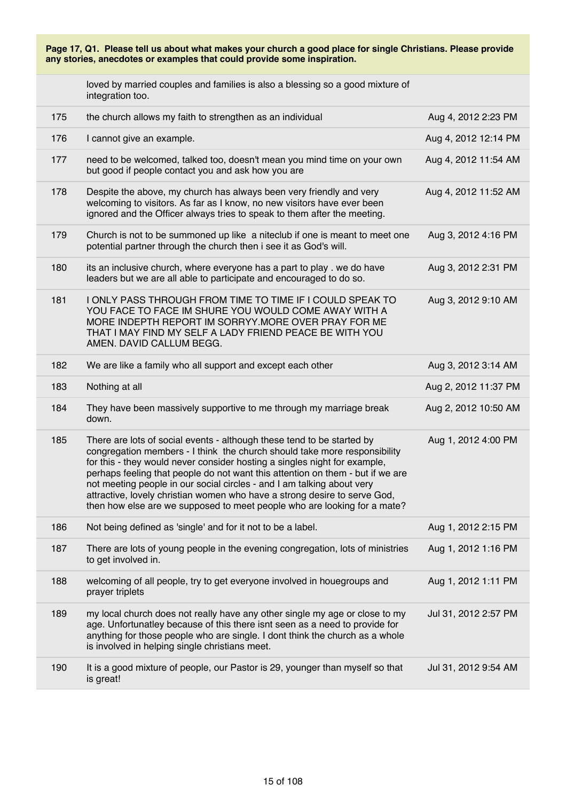loved by married couples and families is also a blessing so a good mixture of integration too.

| 175 | the church allows my faith to strengthen as an individual                                                                                                                                                                                                                                                                                                                                                                                                                                                                                             | Aug 4, 2012 2:23 PM  |
|-----|-------------------------------------------------------------------------------------------------------------------------------------------------------------------------------------------------------------------------------------------------------------------------------------------------------------------------------------------------------------------------------------------------------------------------------------------------------------------------------------------------------------------------------------------------------|----------------------|
| 176 | I cannot give an example.                                                                                                                                                                                                                                                                                                                                                                                                                                                                                                                             | Aug 4, 2012 12:14 PM |
| 177 | need to be welcomed, talked too, doesn't mean you mind time on your own<br>but good if people contact you and ask how you are                                                                                                                                                                                                                                                                                                                                                                                                                         | Aug 4, 2012 11:54 AM |
| 178 | Despite the above, my church has always been very friendly and very<br>welcoming to visitors. As far as I know, no new visitors have ever been<br>ignored and the Officer always tries to speak to them after the meeting.                                                                                                                                                                                                                                                                                                                            | Aug 4, 2012 11:52 AM |
| 179 | Church is not to be summoned up like a niteclub if one is meant to meet one<br>potential partner through the church then i see it as God's will.                                                                                                                                                                                                                                                                                                                                                                                                      | Aug 3, 2012 4:16 PM  |
| 180 | its an inclusive church, where everyone has a part to play. we do have<br>leaders but we are all able to participate and encouraged to do so.                                                                                                                                                                                                                                                                                                                                                                                                         | Aug 3, 2012 2:31 PM  |
| 181 | I ONLY PASS THROUGH FROM TIME TO TIME IF I COULD SPEAK TO<br>YOU FACE TO FACE IM SHURE YOU WOULD COME AWAY WITH A<br>MORE INDEPTH REPORT IM SORRYY.MORE OVER PRAY FOR ME<br>THAT I MAY FIND MY SELF A LADY FRIEND PEACE BE WITH YOU<br>AMEN. DAVID CALLUM BEGG.                                                                                                                                                                                                                                                                                       | Aug 3, 2012 9:10 AM  |
| 182 | We are like a family who all support and except each other                                                                                                                                                                                                                                                                                                                                                                                                                                                                                            | Aug 3, 2012 3:14 AM  |
| 183 | Nothing at all                                                                                                                                                                                                                                                                                                                                                                                                                                                                                                                                        | Aug 2, 2012 11:37 PM |
| 184 | They have been massively supportive to me through my marriage break<br>down.                                                                                                                                                                                                                                                                                                                                                                                                                                                                          | Aug 2, 2012 10:50 AM |
| 185 | There are lots of social events - although these tend to be started by<br>congregation members - I think the church should take more responsibility<br>for this - they would never consider hosting a singles night for example,<br>perhaps feeling that people do not want this attention on them - but if we are<br>not meeting people in our social circles - and I am talking about very<br>attractive, lovely christian women who have a strong desire to serve God,<br>then how else are we supposed to meet people who are looking for a mate? | Aug 1, 2012 4:00 PM  |
| 186 | Not being defined as 'single' and for it not to be a label.                                                                                                                                                                                                                                                                                                                                                                                                                                                                                           | Aug 1, 2012 2:15 PM  |
| 187 | There are lots of young people in the evening congregation, lots of ministries<br>to get involved in.                                                                                                                                                                                                                                                                                                                                                                                                                                                 | Aug 1, 2012 1:16 PM  |
| 188 | welcoming of all people, try to get everyone involved in houegroups and<br>prayer triplets                                                                                                                                                                                                                                                                                                                                                                                                                                                            | Aug 1, 2012 1:11 PM  |
| 189 | my local church does not really have any other single my age or close to my<br>age. Unfortunatley because of this there isnt seen as a need to provide for<br>anything for those people who are single. I dont think the church as a whole<br>is involved in helping single christians meet.                                                                                                                                                                                                                                                          | Jul 31, 2012 2:57 PM |
| 190 | It is a good mixture of people, our Pastor is 29, younger than myself so that<br>is great!                                                                                                                                                                                                                                                                                                                                                                                                                                                            | Jul 31, 2012 9:54 AM |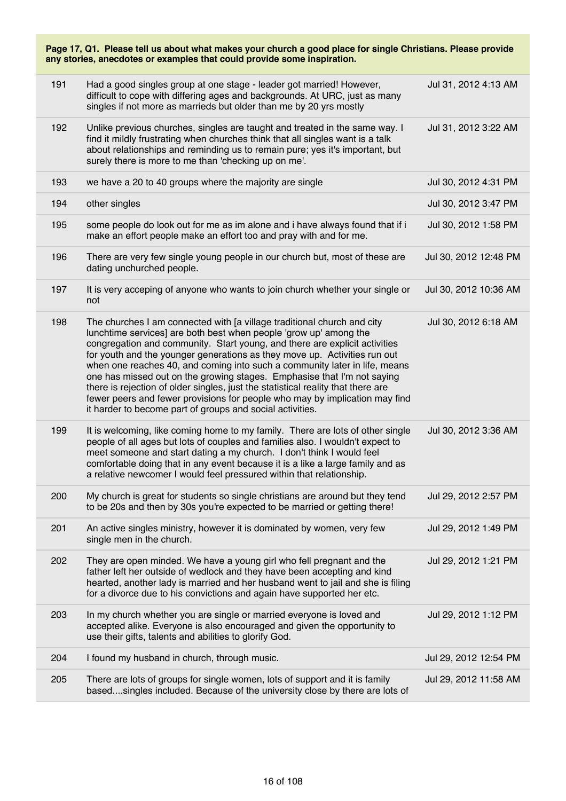| Page 17, Q1. Please tell us about what makes your church a good place for single Christians. Please provide<br>any stories, anecdotes or examples that could provide some inspiration. |                                                                                                                                                                                                                                                                                                                                                                                                                                                                                                                                                                                                                                                                                                  |                       |  |
|----------------------------------------------------------------------------------------------------------------------------------------------------------------------------------------|--------------------------------------------------------------------------------------------------------------------------------------------------------------------------------------------------------------------------------------------------------------------------------------------------------------------------------------------------------------------------------------------------------------------------------------------------------------------------------------------------------------------------------------------------------------------------------------------------------------------------------------------------------------------------------------------------|-----------------------|--|
| 191                                                                                                                                                                                    | Had a good singles group at one stage - leader got married! However,<br>difficult to cope with differing ages and backgrounds. At URC, just as many<br>singles if not more as marrieds but older than me by 20 yrs mostly                                                                                                                                                                                                                                                                                                                                                                                                                                                                        | Jul 31, 2012 4:13 AM  |  |
| 192                                                                                                                                                                                    | Unlike previous churches, singles are taught and treated in the same way. I<br>find it mildly frustrating when churches think that all singles want is a talk<br>about relationships and reminding us to remain pure; yes it's important, but<br>surely there is more to me than 'checking up on me'.                                                                                                                                                                                                                                                                                                                                                                                            | Jul 31, 2012 3:22 AM  |  |
| 193                                                                                                                                                                                    | we have a 20 to 40 groups where the majority are single                                                                                                                                                                                                                                                                                                                                                                                                                                                                                                                                                                                                                                          | Jul 30, 2012 4:31 PM  |  |
| 194                                                                                                                                                                                    | other singles                                                                                                                                                                                                                                                                                                                                                                                                                                                                                                                                                                                                                                                                                    | Jul 30, 2012 3:47 PM  |  |
| 195                                                                                                                                                                                    | some people do look out for me as im alone and i have always found that if i<br>make an effort people make an effort too and pray with and for me.                                                                                                                                                                                                                                                                                                                                                                                                                                                                                                                                               | Jul 30, 2012 1:58 PM  |  |
| 196                                                                                                                                                                                    | There are very few single young people in our church but, most of these are<br>dating unchurched people.                                                                                                                                                                                                                                                                                                                                                                                                                                                                                                                                                                                         | Jul 30, 2012 12:48 PM |  |
| 197                                                                                                                                                                                    | It is very acceping of anyone who wants to join church whether your single or<br>not                                                                                                                                                                                                                                                                                                                                                                                                                                                                                                                                                                                                             | Jul 30, 2012 10:36 AM |  |
| 198                                                                                                                                                                                    | The churches I am connected with [a village traditional church and city<br>lunchtime services] are both best when people 'grow up' among the<br>congregation and community. Start young, and there are explicit activities<br>for youth and the younger generations as they move up. Activities run out<br>when one reaches 40, and coming into such a community later in life, means<br>one has missed out on the growing stages. Emphasise that I'm not saying<br>there is rejection of older singles, just the statistical reality that there are<br>fewer peers and fewer provisions for people who may by implication may find<br>it harder to become part of groups and social activities. | Jul 30, 2012 6:18 AM  |  |
| 199                                                                                                                                                                                    | It is welcoming, like coming home to my family. There are lots of other single<br>people of all ages but lots of couples and families also. I wouldn't expect to<br>meet someone and start dating a my church. I don't think I would feel<br>comfortable doing that in any event because it is a like a large family and as<br>a relative newcomer I would feel pressured within that relationship.                                                                                                                                                                                                                                                                                              | Jul 30, 2012 3:36 AM  |  |
| 200                                                                                                                                                                                    | My church is great for students so single christians are around but they tend<br>to be 20s and then by 30s you're expected to be married or getting there!                                                                                                                                                                                                                                                                                                                                                                                                                                                                                                                                       | Jul 29, 2012 2:57 PM  |  |
| 201                                                                                                                                                                                    | An active singles ministry, however it is dominated by women, very few<br>single men in the church.                                                                                                                                                                                                                                                                                                                                                                                                                                                                                                                                                                                              | Jul 29, 2012 1:49 PM  |  |
| 202                                                                                                                                                                                    | They are open minded. We have a young girl who fell pregnant and the<br>father left her outside of wedlock and they have been accepting and kind<br>hearted, another lady is married and her husband went to jail and she is filing<br>for a divorce due to his convictions and again have supported her etc.                                                                                                                                                                                                                                                                                                                                                                                    | Jul 29, 2012 1:21 PM  |  |
| 203                                                                                                                                                                                    | In my church whether you are single or married everyone is loved and<br>accepted alike. Everyone is also encouraged and given the opportunity to<br>use their gifts, talents and abilities to glorify God.                                                                                                                                                                                                                                                                                                                                                                                                                                                                                       | Jul 29, 2012 1:12 PM  |  |
| 204                                                                                                                                                                                    | I found my husband in church, through music.                                                                                                                                                                                                                                                                                                                                                                                                                                                                                                                                                                                                                                                     | Jul 29, 2012 12:54 PM |  |
| 205                                                                                                                                                                                    | There are lots of groups for single women, lots of support and it is family<br>basedsingles included. Because of the university close by there are lots of                                                                                                                                                                                                                                                                                                                                                                                                                                                                                                                                       | Jul 29, 2012 11:58 AM |  |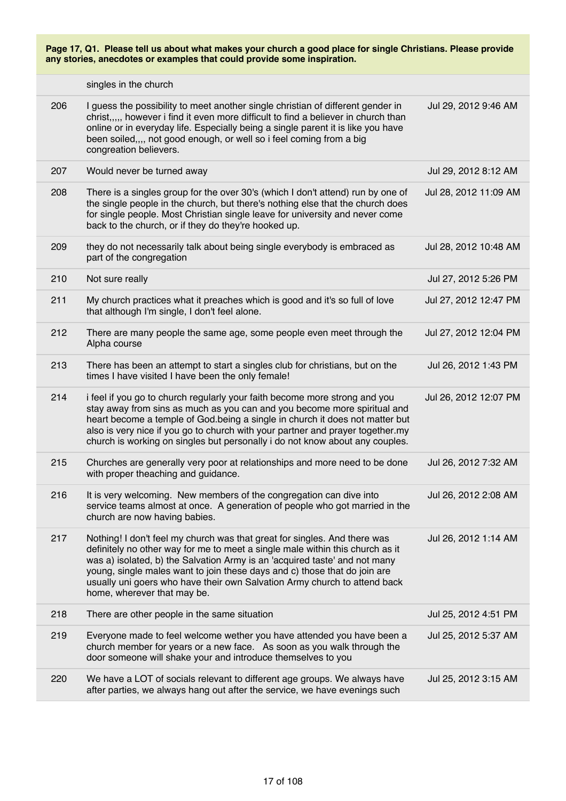|     | singles in the church                                                                                                                                                                                                                                                                                                                                                                                                             |                       |
|-----|-----------------------------------------------------------------------------------------------------------------------------------------------------------------------------------------------------------------------------------------------------------------------------------------------------------------------------------------------------------------------------------------------------------------------------------|-----------------------|
| 206 | I guess the possibility to meet another single christian of different gender in<br>christ, , however i find it even more difficult to find a believer in church than<br>online or in everyday life. Especially being a single parent it is like you have<br>been soiled,,,, not good enough, or well so i feel coming from a big<br>congreation believers.                                                                        | Jul 29, 2012 9:46 AM  |
| 207 | Would never be turned away                                                                                                                                                                                                                                                                                                                                                                                                        | Jul 29, 2012 8:12 AM  |
| 208 | There is a singles group for the over 30's (which I don't attend) run by one of<br>the single people in the church, but there's nothing else that the church does<br>for single people. Most Christian single leave for university and never come<br>back to the church, or if they do they're hooked up.                                                                                                                         | Jul 28, 2012 11:09 AM |
| 209 | they do not necessarily talk about being single everybody is embraced as<br>part of the congregation                                                                                                                                                                                                                                                                                                                              | Jul 28, 2012 10:48 AM |
| 210 | Not sure really                                                                                                                                                                                                                                                                                                                                                                                                                   | Jul 27, 2012 5:26 PM  |
| 211 | My church practices what it preaches which is good and it's so full of love<br>that although I'm single, I don't feel alone.                                                                                                                                                                                                                                                                                                      | Jul 27, 2012 12:47 PM |
| 212 | There are many people the same age, some people even meet through the<br>Alpha course                                                                                                                                                                                                                                                                                                                                             | Jul 27, 2012 12:04 PM |
| 213 | There has been an attempt to start a singles club for christians, but on the<br>times I have visited I have been the only female!                                                                                                                                                                                                                                                                                                 | Jul 26, 2012 1:43 PM  |
| 214 | i feel if you go to church regularly your faith become more strong and you<br>stay away from sins as much as you can and you become more spiritual and<br>heart become a temple of God being a single in church it does not matter but<br>also is very nice if you go to church with your partner and prayer together.my<br>church is working on singles but personally i do not know about any couples.                          | Jul 26, 2012 12:07 PM |
| 215 | Churches are generally very poor at relationships and more need to be done<br>with proper theaching and guidance.                                                                                                                                                                                                                                                                                                                 | Jul 26, 2012 7:32 AM  |
| 216 | It is very welcoming. New members of the congregation can dive into<br>service teams almost at once. A generation of people who got married in the<br>church are now having babies.                                                                                                                                                                                                                                               | Jul 26, 2012 2:08 AM  |
| 217 | Nothing! I don't feel my church was that great for singles. And there was<br>definitely no other way for me to meet a single male within this church as it<br>was a) isolated, b) the Salvation Army is an 'acquired taste' and not many<br>young, single males want to join these days and c) those that do join are<br>usually uni goers who have their own Salvation Army church to attend back<br>home, wherever that may be. | Jul 26, 2012 1:14 AM  |
| 218 | There are other people in the same situation                                                                                                                                                                                                                                                                                                                                                                                      | Jul 25, 2012 4:51 PM  |
| 219 | Everyone made to feel welcome wether you have attended you have been a<br>church member for years or a new face. As soon as you walk through the<br>door someone will shake your and introduce themselves to you                                                                                                                                                                                                                  | Jul 25, 2012 5:37 AM  |
| 220 | We have a LOT of socials relevant to different age groups. We always have<br>after parties, we always hang out after the service, we have evenings such                                                                                                                                                                                                                                                                           | Jul 25, 2012 3:15 AM  |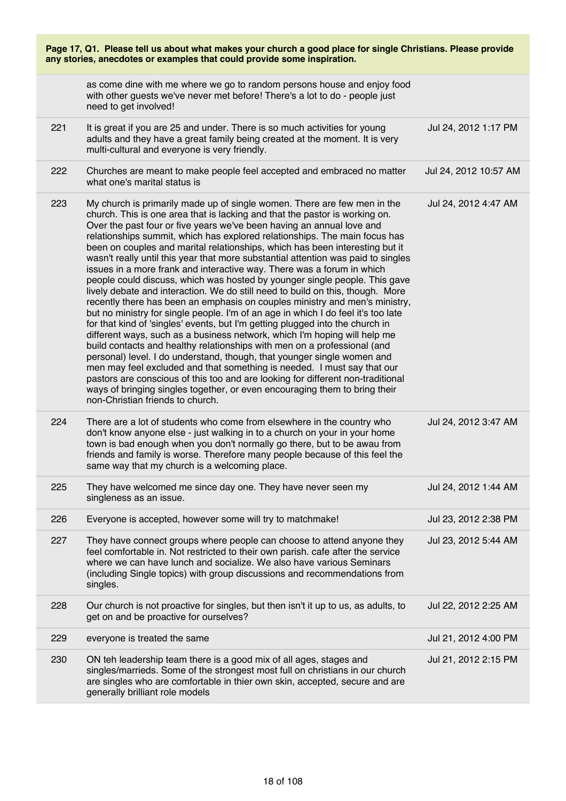| Page 17, Q1. Please tell us about what makes your church a good place for single Christians. Please provide<br>any stories, anecdotes or examples that could provide some inspiration. |                                                                                                                                                                                                                                                                                                                                                                                                                                                                                                                                                                                                                                                                                                                                                                                                                                                                                                                                                                                                                                                                                                                                                                                                                                                                                                                                                                                                                                                                                                        |                       |
|----------------------------------------------------------------------------------------------------------------------------------------------------------------------------------------|--------------------------------------------------------------------------------------------------------------------------------------------------------------------------------------------------------------------------------------------------------------------------------------------------------------------------------------------------------------------------------------------------------------------------------------------------------------------------------------------------------------------------------------------------------------------------------------------------------------------------------------------------------------------------------------------------------------------------------------------------------------------------------------------------------------------------------------------------------------------------------------------------------------------------------------------------------------------------------------------------------------------------------------------------------------------------------------------------------------------------------------------------------------------------------------------------------------------------------------------------------------------------------------------------------------------------------------------------------------------------------------------------------------------------------------------------------------------------------------------------------|-----------------------|
|                                                                                                                                                                                        | as come dine with me where we go to random persons house and enjoy food<br>with other guests we've never met before! There's a lot to do - people just<br>need to get involved!                                                                                                                                                                                                                                                                                                                                                                                                                                                                                                                                                                                                                                                                                                                                                                                                                                                                                                                                                                                                                                                                                                                                                                                                                                                                                                                        |                       |
| 221                                                                                                                                                                                    | It is great if you are 25 and under. There is so much activities for young<br>adults and they have a great family being created at the moment. It is very<br>multi-cultural and everyone is very friendly.                                                                                                                                                                                                                                                                                                                                                                                                                                                                                                                                                                                                                                                                                                                                                                                                                                                                                                                                                                                                                                                                                                                                                                                                                                                                                             | Jul 24, 2012 1:17 PM  |
| 222                                                                                                                                                                                    | Churches are meant to make people feel accepted and embraced no matter<br>what one's marital status is                                                                                                                                                                                                                                                                                                                                                                                                                                                                                                                                                                                                                                                                                                                                                                                                                                                                                                                                                                                                                                                                                                                                                                                                                                                                                                                                                                                                 | Jul 24, 2012 10:57 AM |
| 223                                                                                                                                                                                    | My church is primarily made up of single women. There are few men in the<br>church. This is one area that is lacking and that the pastor is working on.<br>Over the past four or five years we've been having an annual love and<br>relationships summit, which has explored relationships. The main focus has<br>been on couples and marital relationships, which has been interesting but it<br>wasn't really until this year that more substantial attention was paid to singles<br>issues in a more frank and interactive way. There was a forum in which<br>people could discuss, which was hosted by younger single people. This gave<br>lively debate and interaction. We do still need to build on this, though. More<br>recently there has been an emphasis on couples ministry and men's ministry,<br>but no ministry for single people. I'm of an age in which I do feel it's too late<br>for that kind of 'singles' events, but I'm getting plugged into the church in<br>different ways, such as a business network, which I'm hoping will help me<br>build contacts and healthy relationships with men on a professional (and<br>personal) level. I do understand, though, that younger single women and<br>men may feel excluded and that something is needed. I must say that our<br>pastors are conscious of this too and are looking for different non-traditional<br>ways of bringing singles together, or even encouraging them to bring their<br>non-Christian friends to church. | Jul 24, 2012 4:47 AM  |
| 224                                                                                                                                                                                    | There are a lot of students who come from elsewhere in the country who<br>don't know anyone else - just walking in to a church on your in your home<br>town is bad enough when you don't normally go there, but to be awau from<br>friends and family is worse. Therefore many people because of this feel the<br>same way that my church is a welcoming place.                                                                                                                                                                                                                                                                                                                                                                                                                                                                                                                                                                                                                                                                                                                                                                                                                                                                                                                                                                                                                                                                                                                                        | Jul 24, 2012 3:47 AM  |
| 225                                                                                                                                                                                    | They have welcomed me since day one. They have never seen my<br>singleness as an issue.                                                                                                                                                                                                                                                                                                                                                                                                                                                                                                                                                                                                                                                                                                                                                                                                                                                                                                                                                                                                                                                                                                                                                                                                                                                                                                                                                                                                                | Jul 24, 2012 1:44 AM  |
| 226                                                                                                                                                                                    | Everyone is accepted, however some will try to matchmake!                                                                                                                                                                                                                                                                                                                                                                                                                                                                                                                                                                                                                                                                                                                                                                                                                                                                                                                                                                                                                                                                                                                                                                                                                                                                                                                                                                                                                                              | Jul 23, 2012 2:38 PM  |
| 227                                                                                                                                                                                    | They have connect groups where people can choose to attend anyone they<br>feel comfortable in. Not restricted to their own parish. cafe after the service<br>where we can have lunch and socialize. We also have various Seminars<br>(including Single topics) with group discussions and recommendations from<br>singles.                                                                                                                                                                                                                                                                                                                                                                                                                                                                                                                                                                                                                                                                                                                                                                                                                                                                                                                                                                                                                                                                                                                                                                             | Jul 23, 2012 5:44 AM  |
| 228                                                                                                                                                                                    | Our church is not proactive for singles, but then isn't it up to us, as adults, to<br>get on and be proactive for ourselves?                                                                                                                                                                                                                                                                                                                                                                                                                                                                                                                                                                                                                                                                                                                                                                                                                                                                                                                                                                                                                                                                                                                                                                                                                                                                                                                                                                           | Jul 22, 2012 2:25 AM  |
| 229                                                                                                                                                                                    | everyone is treated the same                                                                                                                                                                                                                                                                                                                                                                                                                                                                                                                                                                                                                                                                                                                                                                                                                                                                                                                                                                                                                                                                                                                                                                                                                                                                                                                                                                                                                                                                           | Jul 21, 2012 4:00 PM  |
| 230                                                                                                                                                                                    | ON teh leadership team there is a good mix of all ages, stages and<br>singles/marrieds. Some of the strongest most full on christians in our church<br>are singles who are comfortable in thier own skin, accepted, secure and are<br>generally brilliant role models                                                                                                                                                                                                                                                                                                                                                                                                                                                                                                                                                                                                                                                                                                                                                                                                                                                                                                                                                                                                                                                                                                                                                                                                                                  | Jul 21, 2012 2:15 PM  |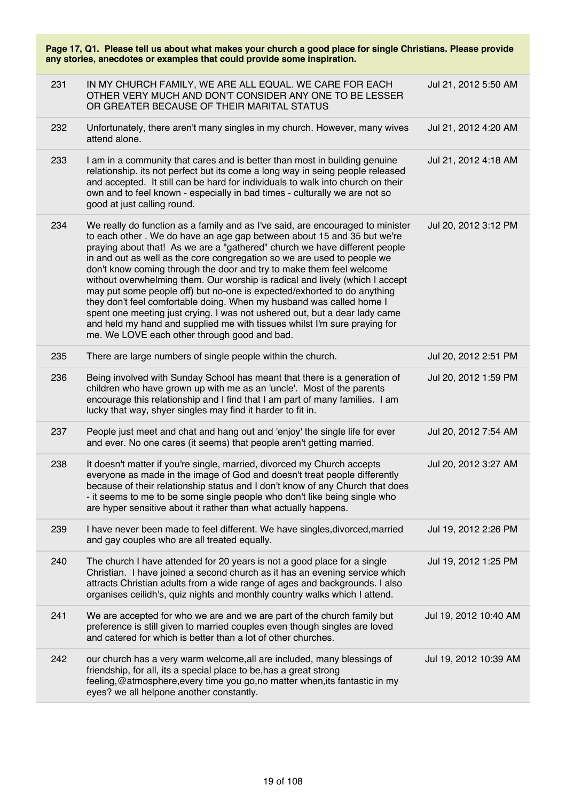| Page 17, Q1. Please tell us about what makes your church a good place for single Christians. Please provide<br>any stories, anecdotes or examples that could provide some inspiration. |                                                                                                                                                                                                                                                                                                                                                                                                                                                                                                                                                                                                                                                                                                                                                                                                                                         |                       |  |
|----------------------------------------------------------------------------------------------------------------------------------------------------------------------------------------|-----------------------------------------------------------------------------------------------------------------------------------------------------------------------------------------------------------------------------------------------------------------------------------------------------------------------------------------------------------------------------------------------------------------------------------------------------------------------------------------------------------------------------------------------------------------------------------------------------------------------------------------------------------------------------------------------------------------------------------------------------------------------------------------------------------------------------------------|-----------------------|--|
| 231                                                                                                                                                                                    | IN MY CHURCH FAMILY, WE ARE ALL EQUAL. WE CARE FOR EACH<br>OTHER VERY MUCH AND DON'T CONSIDER ANY ONE TO BE LESSER<br>OR GREATER BECAUSE OF THEIR MARITAL STATUS                                                                                                                                                                                                                                                                                                                                                                                                                                                                                                                                                                                                                                                                        | Jul 21, 2012 5:50 AM  |  |
| 232                                                                                                                                                                                    | Unfortunately, there aren't many singles in my church. However, many wives<br>attend alone.                                                                                                                                                                                                                                                                                                                                                                                                                                                                                                                                                                                                                                                                                                                                             | Jul 21, 2012 4:20 AM  |  |
| 233                                                                                                                                                                                    | I am in a community that cares and is better than most in building genuine<br>relationship. its not perfect but its come a long way in seing people released<br>and accepted. It still can be hard for individuals to walk into church on their<br>own and to feel known - especially in bad times - culturally we are not so<br>good at just calling round.                                                                                                                                                                                                                                                                                                                                                                                                                                                                            | Jul 21, 2012 4:18 AM  |  |
| 234                                                                                                                                                                                    | We really do function as a family and as I've said, are encouraged to minister<br>to each other. We do have an age gap between about 15 and 35 but we're<br>praying about that! As we are a "gathered" church we have different people<br>in and out as well as the core congregation so we are used to people we<br>don't know coming through the door and try to make them feel welcome<br>without overwhelming them. Our worship is radical and lively (which I accept<br>may put some people off) but no-one is expected/exhorted to do anything<br>they don't feel comfortable doing. When my husband was called home I<br>spent one meeting just crying. I was not ushered out, but a dear lady came<br>and held my hand and supplied me with tissues whilst I'm sure praying for<br>me. We LOVE each other through good and bad. | Jul 20, 2012 3:12 PM  |  |
| 235                                                                                                                                                                                    | There are large numbers of single people within the church.                                                                                                                                                                                                                                                                                                                                                                                                                                                                                                                                                                                                                                                                                                                                                                             | Jul 20, 2012 2:51 PM  |  |
| 236                                                                                                                                                                                    | Being involved with Sunday School has meant that there is a generation of<br>children who have grown up with me as an 'uncle'. Most of the parents<br>encourage this relationship and I find that I am part of many families. I am<br>lucky that way, shyer singles may find it harder to fit in.                                                                                                                                                                                                                                                                                                                                                                                                                                                                                                                                       | Jul 20, 2012 1:59 PM  |  |
| 237                                                                                                                                                                                    | People just meet and chat and hang out and 'enjoy' the single life for ever<br>and ever. No one cares (it seems) that people aren't getting married.                                                                                                                                                                                                                                                                                                                                                                                                                                                                                                                                                                                                                                                                                    | Jul 20, 2012 7:54 AM  |  |
| 238                                                                                                                                                                                    | It doesn't matter if you're single, married, divorced my Church accepts<br>everyone as made in the image of God and doesn't treat people differently<br>because of their relationship status and I don't know of any Church that does<br>- it seems to me to be some single people who don't like being single who<br>are hyper sensitive about it rather than what actually happens.                                                                                                                                                                                                                                                                                                                                                                                                                                                   | Jul 20, 2012 3:27 AM  |  |
| 239                                                                                                                                                                                    | I have never been made to feel different. We have singles, divorced, married<br>and gay couples who are all treated equally.                                                                                                                                                                                                                                                                                                                                                                                                                                                                                                                                                                                                                                                                                                            | Jul 19, 2012 2:26 PM  |  |
| 240                                                                                                                                                                                    | The church I have attended for 20 years is not a good place for a single<br>Christian. I have joined a second church as it has an evening service which<br>attracts Christian adults from a wide range of ages and backgrounds. I also<br>organises ceilidh's, quiz nights and monthly country walks which I attend.                                                                                                                                                                                                                                                                                                                                                                                                                                                                                                                    | Jul 19, 2012 1:25 PM  |  |
| 241                                                                                                                                                                                    | We are accepted for who we are and we are part of the church family but<br>preference is still given to married couples even though singles are loved<br>and catered for which is better than a lot of other churches.                                                                                                                                                                                                                                                                                                                                                                                                                                                                                                                                                                                                                  | Jul 19, 2012 10:40 AM |  |
| 242                                                                                                                                                                                    | our church has a very warm welcome, all are included, many blessings of<br>friendship, for all, its a special place to be, has a great strong<br>feeling, @atmosphere, every time you go, no matter when, its fantastic in my<br>eyes? we all helpone another constantly.                                                                                                                                                                                                                                                                                                                                                                                                                                                                                                                                                               | Jul 19, 2012 10:39 AM |  |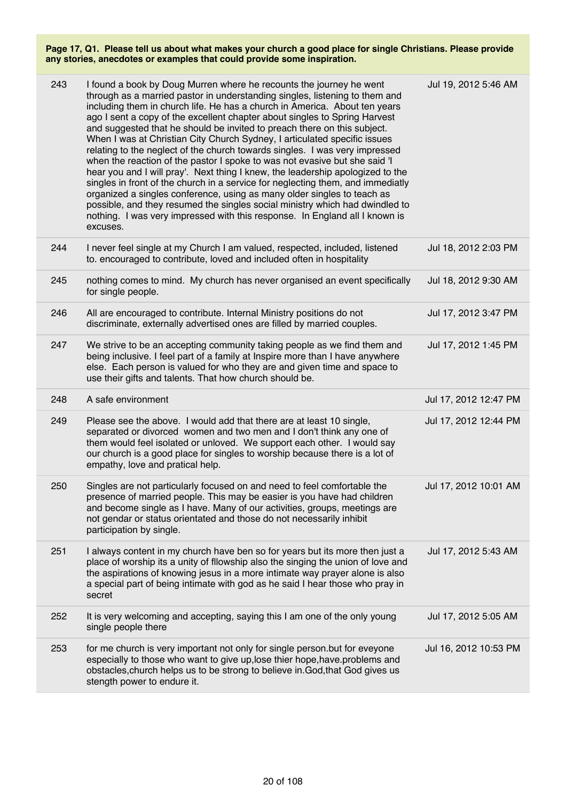| 243 |                                                                                                                                                                                                                                                                                                                                                                                                                                                                                                                                                                                                                                                                                                                                                                                                                                                                                                                                                                                                                                                                 |                       |
|-----|-----------------------------------------------------------------------------------------------------------------------------------------------------------------------------------------------------------------------------------------------------------------------------------------------------------------------------------------------------------------------------------------------------------------------------------------------------------------------------------------------------------------------------------------------------------------------------------------------------------------------------------------------------------------------------------------------------------------------------------------------------------------------------------------------------------------------------------------------------------------------------------------------------------------------------------------------------------------------------------------------------------------------------------------------------------------|-----------------------|
|     | I found a book by Doug Murren where he recounts the journey he went<br>through as a married pastor in understanding singles, listening to them and<br>including them in church life. He has a church in America. About ten years<br>ago I sent a copy of the excellent chapter about singles to Spring Harvest<br>and suggested that he should be invited to preach there on this subject.<br>When I was at Christian City Church Sydney, I articulated specific issues<br>relating to the neglect of the church towards singles. I was very impressed<br>when the reaction of the pastor I spoke to was not evasive but she said 'I<br>hear you and I will pray'. Next thing I knew, the leadership apologized to the<br>singles in front of the church in a service for neglecting them, and immediatly<br>organized a singles conference, using as many older singles to teach as<br>possible, and they resumed the singles social ministry which had dwindled to<br>nothing. I was very impressed with this response. In England all I known is<br>excuses. | Jul 19, 2012 5:46 AM  |
| 244 | I never feel single at my Church I am valued, respected, included, listened<br>to. encouraged to contribute, loved and included often in hospitality                                                                                                                                                                                                                                                                                                                                                                                                                                                                                                                                                                                                                                                                                                                                                                                                                                                                                                            | Jul 18, 2012 2:03 PM  |
| 245 | nothing comes to mind. My church has never organised an event specifically<br>for single people.                                                                                                                                                                                                                                                                                                                                                                                                                                                                                                                                                                                                                                                                                                                                                                                                                                                                                                                                                                | Jul 18, 2012 9:30 AM  |
| 246 | All are encouraged to contribute. Internal Ministry positions do not<br>discriminate, externally advertised ones are filled by married couples.                                                                                                                                                                                                                                                                                                                                                                                                                                                                                                                                                                                                                                                                                                                                                                                                                                                                                                                 | Jul 17, 2012 3:47 PM  |
| 247 | We strive to be an accepting community taking people as we find them and<br>being inclusive. I feel part of a family at Inspire more than I have anywhere<br>else. Each person is valued for who they are and given time and space to<br>use their gifts and talents. That how church should be.                                                                                                                                                                                                                                                                                                                                                                                                                                                                                                                                                                                                                                                                                                                                                                | Jul 17, 2012 1:45 PM  |
| 248 | A safe environment                                                                                                                                                                                                                                                                                                                                                                                                                                                                                                                                                                                                                                                                                                                                                                                                                                                                                                                                                                                                                                              |                       |
|     |                                                                                                                                                                                                                                                                                                                                                                                                                                                                                                                                                                                                                                                                                                                                                                                                                                                                                                                                                                                                                                                                 | Jul 17, 2012 12:47 PM |
| 249 | Please see the above. I would add that there are at least 10 single,<br>separated or divorced women and two men and I don't think any one of<br>them would feel isolated or unloved. We support each other. I would say<br>our church is a good place for singles to worship because there is a lot of<br>empathy, love and pratical help.                                                                                                                                                                                                                                                                                                                                                                                                                                                                                                                                                                                                                                                                                                                      | Jul 17, 2012 12:44 PM |
| 250 | Singles are not particularly focused on and need to feel comfortable the<br>presence of married people. This may be easier is you have had children<br>and become single as I have. Many of our activities, groups, meetings are<br>not gendar or status orientated and those do not necessarily inhibit<br>participation by single.                                                                                                                                                                                                                                                                                                                                                                                                                                                                                                                                                                                                                                                                                                                            | Jul 17, 2012 10:01 AM |
| 251 | I always content in my church have ben so for years but its more then just a<br>place of worship its a unity of fllowship also the singing the union of love and<br>the aspirations of knowing jesus in a more intimate way prayer alone is also<br>a special part of being intimate with god as he said I hear those who pray in<br>secret                                                                                                                                                                                                                                                                                                                                                                                                                                                                                                                                                                                                                                                                                                                     | Jul 17, 2012 5:43 AM  |
| 252 | It is very welcoming and accepting, saying this I am one of the only young<br>single people there                                                                                                                                                                                                                                                                                                                                                                                                                                                                                                                                                                                                                                                                                                                                                                                                                                                                                                                                                               | Jul 17, 2012 5:05 AM  |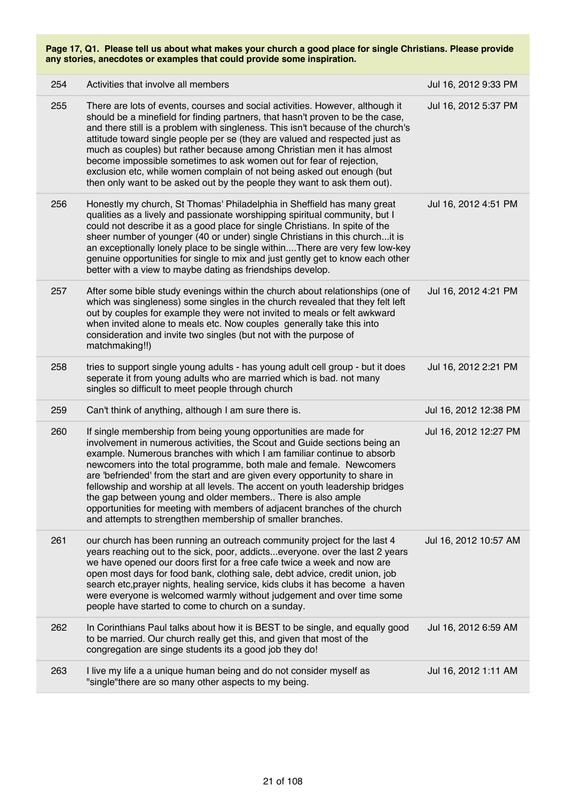| 254 | Activities that involve all members                                                                                                                                                                                                                                                                                                                                                                                                                                                                                                                                                                                                                                     | Jul 16, 2012 9:33 PM  |
|-----|-------------------------------------------------------------------------------------------------------------------------------------------------------------------------------------------------------------------------------------------------------------------------------------------------------------------------------------------------------------------------------------------------------------------------------------------------------------------------------------------------------------------------------------------------------------------------------------------------------------------------------------------------------------------------|-----------------------|
| 255 | There are lots of events, courses and social activities. However, although it<br>should be a minefield for finding partners, that hasn't proven to be the case,<br>and there still is a problem with singleness. This isn't because of the church's<br>attitude toward single people per se (they are valued and respected just as<br>much as couples) but rather because among Christian men it has almost<br>become impossible sometimes to ask women out for fear of rejection,<br>exclusion etc, while women complain of not being asked out enough (but<br>then only want to be asked out by the people they want to ask them out).                                | Jul 16, 2012 5:37 PM  |
| 256 | Honestly my church, St Thomas' Philadelphia in Sheffield has many great<br>qualities as a lively and passionate worshipping spiritual community, but I<br>could not describe it as a good place for single Christians. In spite of the<br>sheer number of younger (40 or under) single Christians in this church it is<br>an exceptionally lonely place to be single withinThere are very few low-key<br>genuine opportunities for single to mix and just gently get to know each other<br>better with a view to maybe dating as friendships develop.                                                                                                                   | Jul 16, 2012 4:51 PM  |
| 257 | After some bible study evenings within the church about relationships (one of<br>which was singleness) some singles in the church revealed that they felt left<br>out by couples for example they were not invited to meals or felt awkward<br>when invited alone to meals etc. Now couples generally take this into<br>consideration and invite two singles (but not with the purpose of<br>matchmaking!!)                                                                                                                                                                                                                                                             | Jul 16, 2012 4:21 PM  |
| 258 | tries to support single young adults - has young adult cell group - but it does<br>seperate it from young adults who are married which is bad. not many<br>singles so difficult to meet people through church                                                                                                                                                                                                                                                                                                                                                                                                                                                           | Jul 16, 2012 2:21 PM  |
| 259 | Can't think of anything, although I am sure there is.                                                                                                                                                                                                                                                                                                                                                                                                                                                                                                                                                                                                                   | Jul 16, 2012 12:38 PM |
| 260 | If single membership from being young opportunities are made for<br>involvement in numerous activities, the Scout and Guide sections being an<br>example. Numerous branches with which I am familiar continue to absorb<br>newcomers into the total programme, both male and female. Newcomers<br>are 'befriended' from the start and are given every opportunity to share in<br>fellowship and worship at all levels. The accent on youth leadership bridges<br>the gap between young and older members There is also ample<br>opportunities for meeting with members of adjacent branches of the church<br>and attempts to strengthen membership of smaller branches. | Jul 16, 2012 12:27 PM |
| 261 | our church has been running an outreach community project for the last 4<br>years reaching out to the sick, poor, addictseveryone. over the last 2 years<br>we have opened our doors first for a free cafe twice a week and now are<br>open most days for food bank, clothing sale, debt advice, credit union, job<br>search etc, prayer nights, healing service, kids clubs it has become a haven<br>were everyone is welcomed warmly without judgement and over time some<br>people have started to come to church on a sunday.                                                                                                                                       | Jul 16, 2012 10:57 AM |
| 262 | In Corinthians Paul talks about how it is BEST to be single, and equally good<br>to be married. Our church really get this, and given that most of the<br>congregation are singe students its a good job they do!                                                                                                                                                                                                                                                                                                                                                                                                                                                       | Jul 16, 2012 6:59 AM  |
| 263 | I live my life a a unique human being and do not consider myself as<br>"single"there are so many other aspects to my being.                                                                                                                                                                                                                                                                                                                                                                                                                                                                                                                                             | Jul 16, 2012 1:11 AM  |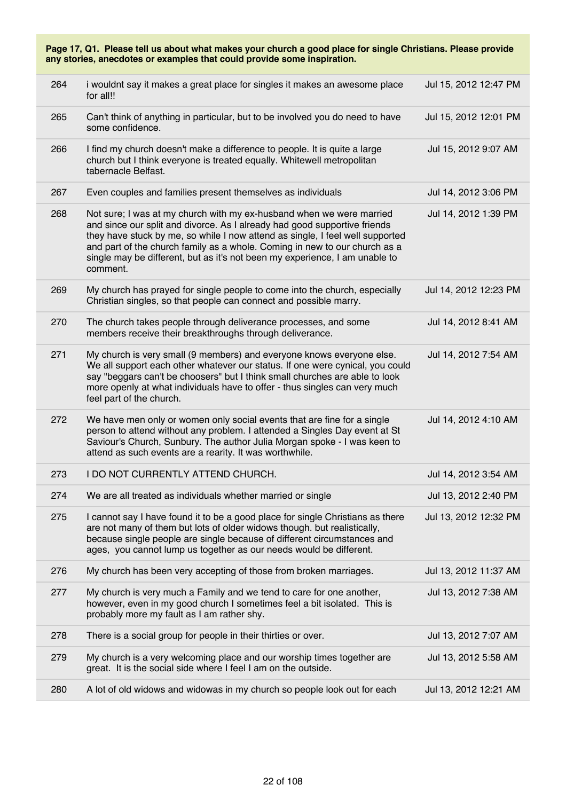|     | Page 17, Q1. Please tell us about what makes your church a good place for single Christians. Please provide<br>any stories, anecdotes or examples that could provide some inspiration.                                                                                                                                                                                                                      |                       |  |  |
|-----|-------------------------------------------------------------------------------------------------------------------------------------------------------------------------------------------------------------------------------------------------------------------------------------------------------------------------------------------------------------------------------------------------------------|-----------------------|--|--|
| 264 | i wouldnt say it makes a great place for singles it makes an awesome place<br>for all!!                                                                                                                                                                                                                                                                                                                     | Jul 15, 2012 12:47 PM |  |  |
| 265 | Can't think of anything in particular, but to be involved you do need to have<br>some confidence.                                                                                                                                                                                                                                                                                                           | Jul 15, 2012 12:01 PM |  |  |
| 266 | I find my church doesn't make a difference to people. It is quite a large<br>church but I think everyone is treated equally. Whitewell metropolitan<br>tabernacle Belfast.                                                                                                                                                                                                                                  | Jul 15, 2012 9:07 AM  |  |  |
| 267 | Even couples and families present themselves as individuals                                                                                                                                                                                                                                                                                                                                                 | Jul 14, 2012 3:06 PM  |  |  |
| 268 | Not sure; I was at my church with my ex-husband when we were married<br>and since our split and divorce. As I already had good supportive friends<br>they have stuck by me, so while I now attend as single, I feel well supported<br>and part of the church family as a whole. Coming in new to our church as a<br>single may be different, but as it's not been my experience, I am unable to<br>comment. | Jul 14, 2012 1:39 PM  |  |  |
| 269 | My church has prayed for single people to come into the church, especially<br>Christian singles, so that people can connect and possible marry.                                                                                                                                                                                                                                                             | Jul 14, 2012 12:23 PM |  |  |
| 270 | The church takes people through deliverance processes, and some<br>members receive their breakthroughs through deliverance.                                                                                                                                                                                                                                                                                 | Jul 14, 2012 8:41 AM  |  |  |
| 271 | My church is very small (9 members) and everyone knows everyone else.<br>We all support each other whatever our status. If one were cynical, you could<br>say "beggars can't be choosers" but I think small churches are able to look<br>more openly at what individuals have to offer - thus singles can very much<br>feel part of the church.                                                             | Jul 14, 2012 7:54 AM  |  |  |
| 272 | We have men only or women only social events that are fine for a single<br>person to attend without any problem. I attended a Singles Day event at St<br>Saviour's Church, Sunbury. The author Julia Morgan spoke - I was keen to<br>attend as such events are a rearity. It was worthwhile.                                                                                                                | Jul 14, 2012 4:10 AM  |  |  |
| 273 | I DO NOT CURRENTLY ATTEND CHURCH.                                                                                                                                                                                                                                                                                                                                                                           | Jul 14, 2012 3:54 AM  |  |  |
| 274 | We are all treated as individuals whether married or single                                                                                                                                                                                                                                                                                                                                                 | Jul 13, 2012 2:40 PM  |  |  |
| 275 | I cannot say I have found it to be a good place for single Christians as there<br>are not many of them but lots of older widows though. but realistically,<br>because single people are single because of different circumstances and<br>ages, you cannot lump us together as our needs would be different.                                                                                                 | Jul 13, 2012 12:32 PM |  |  |
| 276 | My church has been very accepting of those from broken marriages.                                                                                                                                                                                                                                                                                                                                           | Jul 13, 2012 11:37 AM |  |  |
| 277 | My church is very much a Family and we tend to care for one another,<br>however, even in my good church I sometimes feel a bit isolated. This is<br>probably more my fault as I am rather shy.                                                                                                                                                                                                              | Jul 13, 2012 7:38 AM  |  |  |
| 278 | There is a social group for people in their thirties or over.                                                                                                                                                                                                                                                                                                                                               | Jul 13, 2012 7:07 AM  |  |  |
| 279 | My church is a very welcoming place and our worship times together are<br>great. It is the social side where I feel I am on the outside.                                                                                                                                                                                                                                                                    | Jul 13, 2012 5:58 AM  |  |  |
| 280 | A lot of old widows and widowas in my church so people look out for each                                                                                                                                                                                                                                                                                                                                    | Jul 13, 2012 12:21 AM |  |  |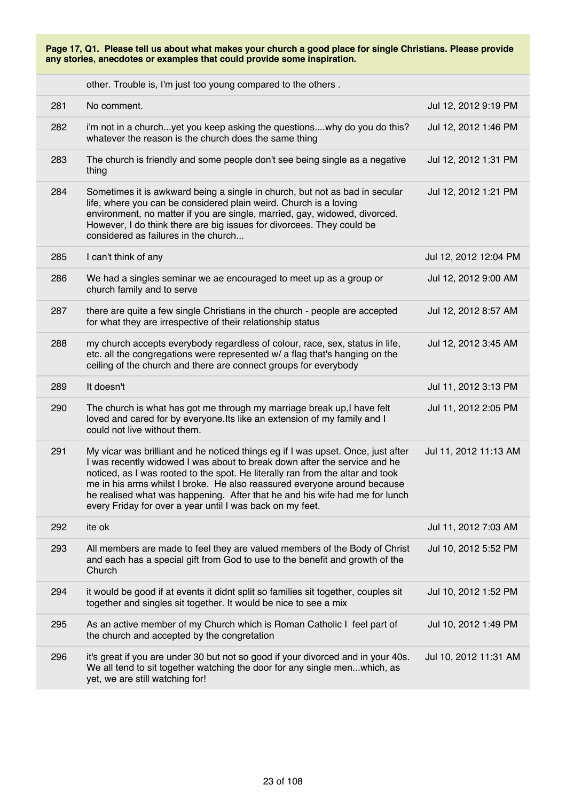other. Trouble is, I'm just too young compared to the others .

| 281 | No comment.                                                                                                                                                                                                                                                                                                                                                                                                                                                             | Jul 12, 2012 9:19 PM  |
|-----|-------------------------------------------------------------------------------------------------------------------------------------------------------------------------------------------------------------------------------------------------------------------------------------------------------------------------------------------------------------------------------------------------------------------------------------------------------------------------|-----------------------|
| 282 | i'm not in a churchyet you keep asking the questionswhy do you do this?<br>whatever the reason is the church does the same thing                                                                                                                                                                                                                                                                                                                                        | Jul 12, 2012 1:46 PM  |
| 283 | The church is friendly and some people don't see being single as a negative<br>thing                                                                                                                                                                                                                                                                                                                                                                                    | Jul 12, 2012 1:31 PM  |
| 284 | Sometimes it is awkward being a single in church, but not as bad in secular<br>life, where you can be considered plain weird. Church is a loving<br>environment, no matter if you are single, married, gay, widowed, divorced.<br>However, I do think there are big issues for divorcees. They could be<br>considered as failures in the church                                                                                                                         | Jul 12, 2012 1:21 PM  |
| 285 | I can't think of any                                                                                                                                                                                                                                                                                                                                                                                                                                                    | Jul 12, 2012 12:04 PM |
| 286 | We had a singles seminar we ae encouraged to meet up as a group or<br>church family and to serve                                                                                                                                                                                                                                                                                                                                                                        | Jul 12, 2012 9:00 AM  |
| 287 | there are quite a few single Christians in the church - people are accepted<br>for what they are irrespective of their relationship status                                                                                                                                                                                                                                                                                                                              | Jul 12, 2012 8:57 AM  |
| 288 | my church accepts everybody regardless of colour, race, sex, status in life,<br>etc. all the congregations were represented w/ a flag that's hanging on the<br>ceiling of the church and there are connect groups for everybody                                                                                                                                                                                                                                         | Jul 12, 2012 3:45 AM  |
| 289 | It doesn't                                                                                                                                                                                                                                                                                                                                                                                                                                                              | Jul 11, 2012 3:13 PM  |
| 290 | The church is what has got me through my marriage break up, I have felt<br>loved and cared for by everyone. Its like an extension of my family and I<br>could not live without them.                                                                                                                                                                                                                                                                                    | Jul 11, 2012 2:05 PM  |
| 291 | My vicar was brilliant and he noticed things eg if I was upset. Once, just after<br>I was recently widowed I was about to break down after the service and he<br>noticed, as I was rooted to the spot. He literally ran from the altar and took<br>me in his arms whilst I broke. He also reassured everyone around because<br>he realised what was happening. After that he and his wife had me for lunch<br>every Friday for over a year until I was back on my feet. | Jul 11, 2012 11:13 AM |
| 292 | ite ok                                                                                                                                                                                                                                                                                                                                                                                                                                                                  | Jul 11, 2012 7:03 AM  |
| 293 | All members are made to feel they are valued members of the Body of Christ<br>and each has a special gift from God to use to the benefit and growth of the<br>Church                                                                                                                                                                                                                                                                                                    | Jul 10, 2012 5:52 PM  |
| 294 | it would be good if at events it didnt split so families sit together, couples sit<br>together and singles sit together. It would be nice to see a mix                                                                                                                                                                                                                                                                                                                  | Jul 10, 2012 1:52 PM  |
| 295 | As an active member of my Church which is Roman Catholic I feel part of<br>the church and accepted by the congretation                                                                                                                                                                                                                                                                                                                                                  | Jul 10, 2012 1:49 PM  |
| 296 | it's great if you are under 30 but not so good if your divorced and in your 40s.<br>We all tend to sit together watching the door for any single menwhich, as<br>yet, we are still watching for!                                                                                                                                                                                                                                                                        | Jul 10, 2012 11:31 AM |
|     |                                                                                                                                                                                                                                                                                                                                                                                                                                                                         |                       |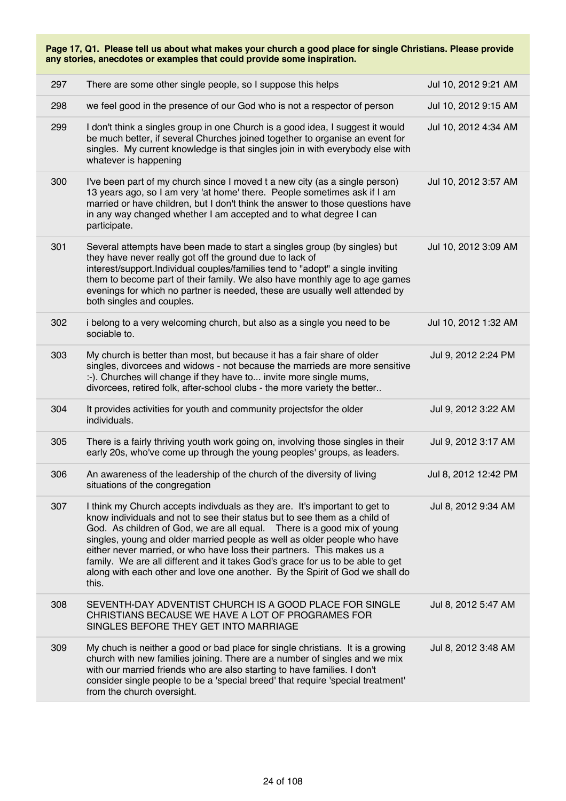| 297 | There are some other single people, so I suppose this helps                                                                                                                                                                                                                                                                                                                                                                                                                                                                                                          | Jul 10, 2012 9:21 AM |
|-----|----------------------------------------------------------------------------------------------------------------------------------------------------------------------------------------------------------------------------------------------------------------------------------------------------------------------------------------------------------------------------------------------------------------------------------------------------------------------------------------------------------------------------------------------------------------------|----------------------|
| 298 | we feel good in the presence of our God who is not a respector of person                                                                                                                                                                                                                                                                                                                                                                                                                                                                                             | Jul 10, 2012 9:15 AM |
| 299 | I don't think a singles group in one Church is a good idea, I suggest it would<br>be much better, if several Churches joined together to organise an event for<br>singles. My current knowledge is that singles join in with everybody else with<br>whatever is happening                                                                                                                                                                                                                                                                                            | Jul 10, 2012 4:34 AM |
| 300 | I've been part of my church since I moved t a new city (as a single person)<br>13 years ago, so I am very 'at home' there. People sometimes ask if I am<br>married or have children, but I don't think the answer to those questions have<br>in any way changed whether I am accepted and to what degree I can<br>participate.                                                                                                                                                                                                                                       | Jul 10, 2012 3:57 AM |
| 301 | Several attempts have been made to start a singles group (by singles) but<br>they have never really got off the ground due to lack of<br>interest/support.Individual couples/families tend to "adopt" a single inviting<br>them to become part of their family. We also have monthly age to age games<br>evenings for which no partner is needed, these are usually well attended by<br>both singles and couples.                                                                                                                                                    | Jul 10, 2012 3:09 AM |
| 302 | i belong to a very welcoming church, but also as a single you need to be<br>sociable to.                                                                                                                                                                                                                                                                                                                                                                                                                                                                             | Jul 10, 2012 1:32 AM |
| 303 | My church is better than most, but because it has a fair share of older<br>singles, divorcees and widows - not because the marrieds are more sensitive<br>:-). Churches will change if they have to invite more single mums,<br>divorcees, retired folk, after-school clubs - the more variety the better                                                                                                                                                                                                                                                            | Jul 9, 2012 2:24 PM  |
| 304 | It provides activities for youth and community projectsfor the older<br>individuals.                                                                                                                                                                                                                                                                                                                                                                                                                                                                                 | Jul 9, 2012 3:22 AM  |
| 305 | There is a fairly thriving youth work going on, involving those singles in their<br>early 20s, who've come up through the young peoples' groups, as leaders.                                                                                                                                                                                                                                                                                                                                                                                                         | Jul 9, 2012 3:17 AM  |
| 306 | An awareness of the leadership of the church of the diversity of living<br>situations of the congregation                                                                                                                                                                                                                                                                                                                                                                                                                                                            | Jul 8, 2012 12:42 PM |
| 307 | I think my Church accepts indivduals as they are. It's important to get to<br>know individuals and not to see their status but to see them as a child of<br>God. As children of God, we are all equal. There is a good mix of young<br>singles, young and older married people as well as older people who have<br>either never married, or who have loss their partners. This makes us a<br>family. We are all different and it takes God's grace for us to be able to get<br>along with each other and love one another. By the Spirit of God we shall do<br>this. | Jul 8, 2012 9:34 AM  |
| 308 | SEVENTH-DAY ADVENTIST CHURCH IS A GOOD PLACE FOR SINGLE<br>CHRISTIANS BECAUSE WE HAVE A LOT OF PROGRAMES FOR<br>SINGLES BEFORE THEY GET INTO MARRIAGE                                                                                                                                                                                                                                                                                                                                                                                                                | Jul 8, 2012 5:47 AM  |
| 309 | My chuch is neither a good or bad place for single christians. It is a growing<br>church with new families joining. There are a number of singles and we mix<br>with our married friends who are also starting to have families. I don't<br>consider single people to be a 'special breed' that require 'special treatment'<br>from the church oversight.                                                                                                                                                                                                            | Jul 8, 2012 3:48 AM  |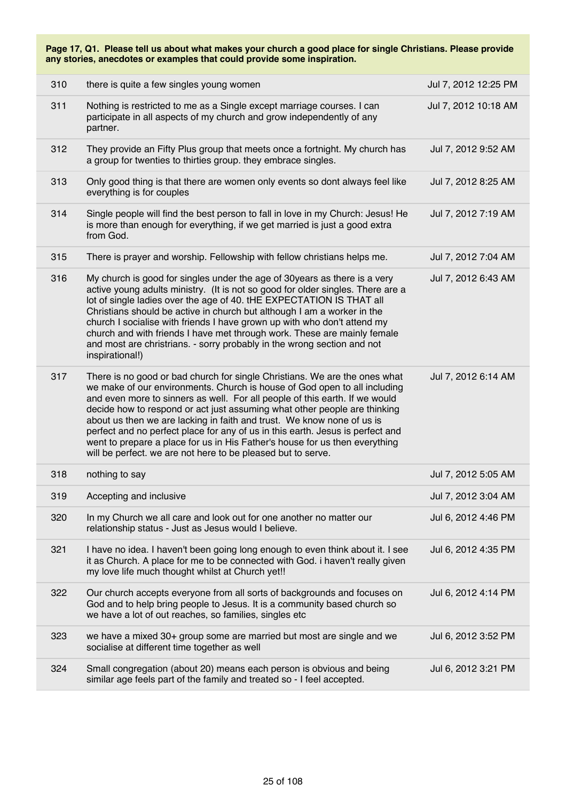| 310 | there is quite a few singles young women                                                                                                                                                                                                                                                                                                                                                                                                                                                                                                                                                                                       | Jul 7, 2012 12:25 PM |
|-----|--------------------------------------------------------------------------------------------------------------------------------------------------------------------------------------------------------------------------------------------------------------------------------------------------------------------------------------------------------------------------------------------------------------------------------------------------------------------------------------------------------------------------------------------------------------------------------------------------------------------------------|----------------------|
| 311 | Nothing is restricted to me as a Single except marriage courses. I can<br>participate in all aspects of my church and grow independently of any<br>partner.                                                                                                                                                                                                                                                                                                                                                                                                                                                                    | Jul 7, 2012 10:18 AM |
| 312 | They provide an Fifty Plus group that meets once a fortnight. My church has<br>a group for twenties to thirties group. they embrace singles.                                                                                                                                                                                                                                                                                                                                                                                                                                                                                   | Jul 7, 2012 9:52 AM  |
| 313 | Only good thing is that there are women only events so dont always feel like<br>everything is for couples                                                                                                                                                                                                                                                                                                                                                                                                                                                                                                                      | Jul 7, 2012 8:25 AM  |
| 314 | Single people will find the best person to fall in love in my Church: Jesus! He<br>is more than enough for everything, if we get married is just a good extra<br>from God.                                                                                                                                                                                                                                                                                                                                                                                                                                                     | Jul 7, 2012 7:19 AM  |
| 315 | There is prayer and worship. Fellowship with fellow christians helps me.                                                                                                                                                                                                                                                                                                                                                                                                                                                                                                                                                       | Jul 7, 2012 7:04 AM  |
| 316 | My church is good for singles under the age of 30years as there is a very<br>active young adults ministry. (It is not so good for older singles. There are a<br>lot of single ladies over the age of 40. tHE EXPECTATION IS THAT all<br>Christians should be active in church but although I am a worker in the<br>church I socialise with friends I have grown up with who don't attend my<br>church and with friends I have met through work. These are mainly female<br>and most are christrians. - sorry probably in the wrong section and not<br>inspirational!)                                                          | Jul 7, 2012 6:43 AM  |
| 317 | There is no good or bad church for single Christians. We are the ones what<br>we make of our environments. Church is house of God open to all including<br>and even more to sinners as well. For all people of this earth. If we would<br>decide how to respond or act just assuming what other people are thinking<br>about us then we are lacking in faith and trust. We know none of us is<br>perfect and no perfect place for any of us in this earth. Jesus is perfect and<br>went to prepare a place for us in His Father's house for us then everything<br>will be perfect. we are not here to be pleased but to serve. | Jul 7, 2012 6:14 AM  |
| 318 | nothing to say                                                                                                                                                                                                                                                                                                                                                                                                                                                                                                                                                                                                                 | Jul 7, 2012 5:05 AM  |
| 319 | Accepting and inclusive                                                                                                                                                                                                                                                                                                                                                                                                                                                                                                                                                                                                        | Jul 7, 2012 3:04 AM  |
| 320 | In my Church we all care and look out for one another no matter our<br>relationship status - Just as Jesus would I believe.                                                                                                                                                                                                                                                                                                                                                                                                                                                                                                    | Jul 6, 2012 4:46 PM  |
| 321 | I have no idea. I haven't been going long enough to even think about it. I see<br>it as Church. A place for me to be connected with God. i haven't really given<br>my love life much thought whilst at Church yet!!                                                                                                                                                                                                                                                                                                                                                                                                            | Jul 6, 2012 4:35 PM  |
| 322 | Our church accepts everyone from all sorts of backgrounds and focuses on<br>God and to help bring people to Jesus. It is a community based church so<br>we have a lot of out reaches, so families, singles etc                                                                                                                                                                                                                                                                                                                                                                                                                 | Jul 6, 2012 4:14 PM  |
| 323 | we have a mixed 30+ group some are married but most are single and we<br>socialise at different time together as well                                                                                                                                                                                                                                                                                                                                                                                                                                                                                                          | Jul 6, 2012 3:52 PM  |
| 324 | Small congregation (about 20) means each person is obvious and being<br>similar age feels part of the family and treated so - I feel accepted.                                                                                                                                                                                                                                                                                                                                                                                                                                                                                 | Jul 6, 2012 3:21 PM  |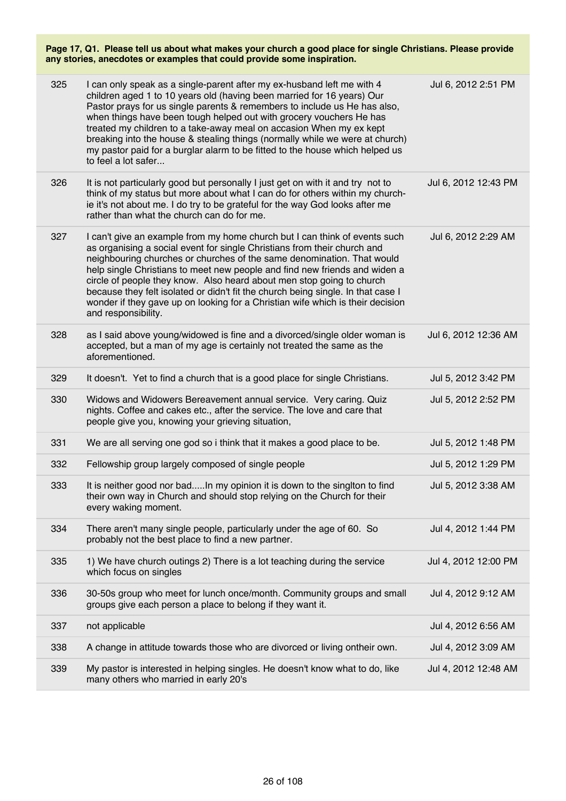| 325 | I can only speak as a single-parent after my ex-husband left me with 4<br>children aged 1 to 10 years old (having been married for 16 years) Our<br>Pastor prays for us single parents & remembers to include us He has also,<br>when things have been tough helped out with grocery vouchers He has<br>treated my children to a take-away meal on accasion When my ex kept<br>breaking into the house & stealing things (normally while we were at church)<br>my pastor paid for a burglar alarm to be fitted to the house which helped us<br>to feel a lot safer                   | Jul 6, 2012 2:51 PM  |
|-----|--------------------------------------------------------------------------------------------------------------------------------------------------------------------------------------------------------------------------------------------------------------------------------------------------------------------------------------------------------------------------------------------------------------------------------------------------------------------------------------------------------------------------------------------------------------------------------------|----------------------|
| 326 | It is not particularly good but personally I just get on with it and try not to<br>think of my status but more about what I can do for others within my church-<br>ie it's not about me. I do try to be grateful for the way God looks after me<br>rather than what the church can do for me.                                                                                                                                                                                                                                                                                        | Jul 6, 2012 12:43 PM |
| 327 | I can't give an example from my home church but I can think of events such<br>as organising a social event for single Christians from their church and<br>neighbouring churches or churches of the same denomination. That would<br>help single Christians to meet new people and find new friends and widen a<br>circle of people they know. Also heard about men stop going to church<br>because they felt isolated or didn't fit the church being single. In that case I<br>wonder if they gave up on looking for a Christian wife which is their decision<br>and responsibility. | Jul 6, 2012 2:29 AM  |
| 328 | as I said above young/widowed is fine and a divorced/single older woman is<br>accepted, but a man of my age is certainly not treated the same as the<br>aforementioned.                                                                                                                                                                                                                                                                                                                                                                                                              | Jul 6, 2012 12:36 AM |
| 329 | It doesn't. Yet to find a church that is a good place for single Christians.                                                                                                                                                                                                                                                                                                                                                                                                                                                                                                         | Jul 5, 2012 3:42 PM  |
| 330 | Widows and Widowers Bereavement annual service. Very caring. Quiz<br>nights. Coffee and cakes etc., after the service. The love and care that<br>people give you, knowing your grieving situation,                                                                                                                                                                                                                                                                                                                                                                                   | Jul 5, 2012 2:52 PM  |
| 331 | We are all serving one god so i think that it makes a good place to be.                                                                                                                                                                                                                                                                                                                                                                                                                                                                                                              | Jul 5, 2012 1:48 PM  |
| 332 | Fellowship group largely composed of single people                                                                                                                                                                                                                                                                                                                                                                                                                                                                                                                                   | Jul 5, 2012 1:29 PM  |
| 333 | It is neither good nor badIn my opinion it is down to the singlton to find<br>their own way in Church and should stop relying on the Church for their<br>every waking moment.                                                                                                                                                                                                                                                                                                                                                                                                        | Jul 5, 2012 3:38 AM  |
| 334 | There aren't many single people, particularly under the age of 60. So<br>probably not the best place to find a new partner.                                                                                                                                                                                                                                                                                                                                                                                                                                                          | Jul 4, 2012 1:44 PM  |
| 335 | 1) We have church outings 2) There is a lot teaching during the service<br>which focus on singles                                                                                                                                                                                                                                                                                                                                                                                                                                                                                    | Jul 4, 2012 12:00 PM |
| 336 | 30-50s group who meet for lunch once/month. Community groups and small<br>groups give each person a place to belong if they want it.                                                                                                                                                                                                                                                                                                                                                                                                                                                 | Jul 4, 2012 9:12 AM  |
| 337 | not applicable                                                                                                                                                                                                                                                                                                                                                                                                                                                                                                                                                                       | Jul 4, 2012 6:56 AM  |
| 338 | A change in attitude towards those who are divorced or living ontheir own.                                                                                                                                                                                                                                                                                                                                                                                                                                                                                                           | Jul 4, 2012 3:09 AM  |
| 339 | My pastor is interested in helping singles. He doesn't know what to do, like<br>many others who married in early 20's                                                                                                                                                                                                                                                                                                                                                                                                                                                                | Jul 4, 2012 12:48 AM |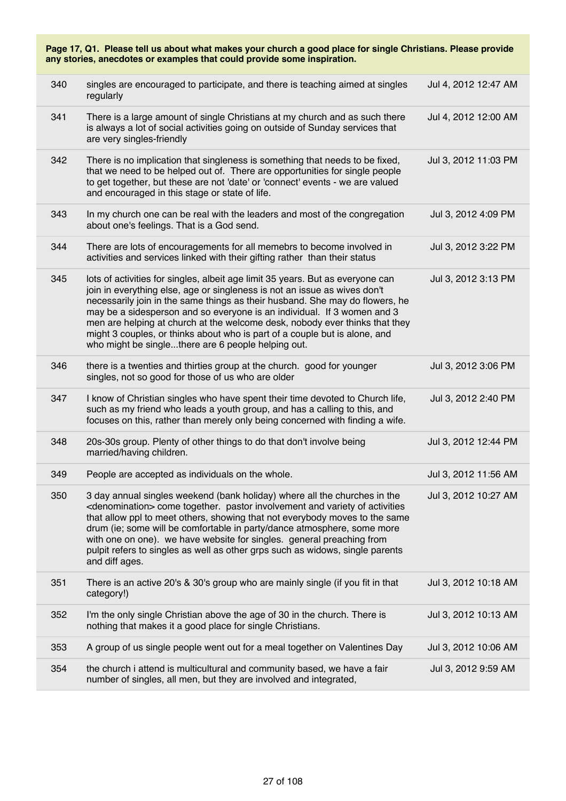| Page 17, Q1. Please tell us about what makes your church a good place for single Christians. Please provide<br>any stories, anecdotes or examples that could provide some inspiration. |                                                                                                                                                                                                                                                                                                                                                                                                                                                                                                                                           |                      |  |
|----------------------------------------------------------------------------------------------------------------------------------------------------------------------------------------|-------------------------------------------------------------------------------------------------------------------------------------------------------------------------------------------------------------------------------------------------------------------------------------------------------------------------------------------------------------------------------------------------------------------------------------------------------------------------------------------------------------------------------------------|----------------------|--|
| 340                                                                                                                                                                                    | singles are encouraged to participate, and there is teaching aimed at singles<br>regularly                                                                                                                                                                                                                                                                                                                                                                                                                                                | Jul 4, 2012 12:47 AM |  |
| 341                                                                                                                                                                                    | There is a large amount of single Christians at my church and as such there<br>is always a lot of social activities going on outside of Sunday services that<br>are very singles-friendly                                                                                                                                                                                                                                                                                                                                                 | Jul 4, 2012 12:00 AM |  |
| 342                                                                                                                                                                                    | There is no implication that singleness is something that needs to be fixed,<br>that we need to be helped out of. There are opportunities for single people<br>to get together, but these are not 'date' or 'connect' events - we are valued<br>and encouraged in this stage or state of life.                                                                                                                                                                                                                                            | Jul 3, 2012 11:03 PM |  |
| 343                                                                                                                                                                                    | In my church one can be real with the leaders and most of the congregation<br>about one's feelings. That is a God send.                                                                                                                                                                                                                                                                                                                                                                                                                   | Jul 3, 2012 4:09 PM  |  |
| 344                                                                                                                                                                                    | There are lots of encouragements for all memebrs to become involved in<br>activities and services linked with their gifting rather than their status                                                                                                                                                                                                                                                                                                                                                                                      | Jul 3, 2012 3:22 PM  |  |
| 345                                                                                                                                                                                    | lots of activities for singles, albeit age limit 35 years. But as everyone can<br>join in everything else, age or singleness is not an issue as wives don't<br>necessarily join in the same things as their husband. She may do flowers, he<br>may be a sidesperson and so everyone is an individual. If 3 women and 3<br>men are helping at church at the welcome desk, nobody ever thinks that they<br>might 3 couples, or thinks about who is part of a couple but is alone, and<br>who might be singlethere are 6 people helping out. | Jul 3, 2012 3:13 PM  |  |
| 346                                                                                                                                                                                    | there is a twenties and thirties group at the church. good for younger<br>singles, not so good for those of us who are older                                                                                                                                                                                                                                                                                                                                                                                                              | Jul 3, 2012 3:06 PM  |  |
| 347                                                                                                                                                                                    | I know of Christian singles who have spent their time devoted to Church life,<br>such as my friend who leads a youth group, and has a calling to this, and<br>focuses on this, rather than merely only being concerned with finding a wife.                                                                                                                                                                                                                                                                                               | Jul 3, 2012 2:40 PM  |  |
| 348                                                                                                                                                                                    | 20s-30s group. Plenty of other things to do that don't involve being<br>married/having children.                                                                                                                                                                                                                                                                                                                                                                                                                                          | Jul 3, 2012 12:44 PM |  |
| 349                                                                                                                                                                                    | People are accepted as individuals on the whole.                                                                                                                                                                                                                                                                                                                                                                                                                                                                                          | Jul 3, 2012 11:56 AM |  |
| 350                                                                                                                                                                                    | 3 day annual singles weekend (bank holiday) where all the churches in the<br><denomination> come together. pastor involvement and variety of activities<br/>that allow ppl to meet others, showing that not everybody moves to the same<br/>drum (ie; some will be comfortable in party/dance atmosphere, some more<br/>with one on one). we have website for singles. general preaching from<br/>pulpit refers to singles as well as other grps such as widows, single parents<br/>and diff ages.</denomination>                         | Jul 3, 2012 10:27 AM |  |
| 351                                                                                                                                                                                    | There is an active 20's & 30's group who are mainly single (if you fit in that<br>category!)                                                                                                                                                                                                                                                                                                                                                                                                                                              | Jul 3, 2012 10:18 AM |  |
| 352                                                                                                                                                                                    | I'm the only single Christian above the age of 30 in the church. There is<br>nothing that makes it a good place for single Christians.                                                                                                                                                                                                                                                                                                                                                                                                    | Jul 3, 2012 10:13 AM |  |
| 353                                                                                                                                                                                    | A group of us single people went out for a meal together on Valentines Day                                                                                                                                                                                                                                                                                                                                                                                                                                                                | Jul 3, 2012 10:06 AM |  |
| 354                                                                                                                                                                                    | the church i attend is multicultural and community based, we have a fair<br>number of singles, all men, but they are involved and integrated,                                                                                                                                                                                                                                                                                                                                                                                             | Jul 3, 2012 9:59 AM  |  |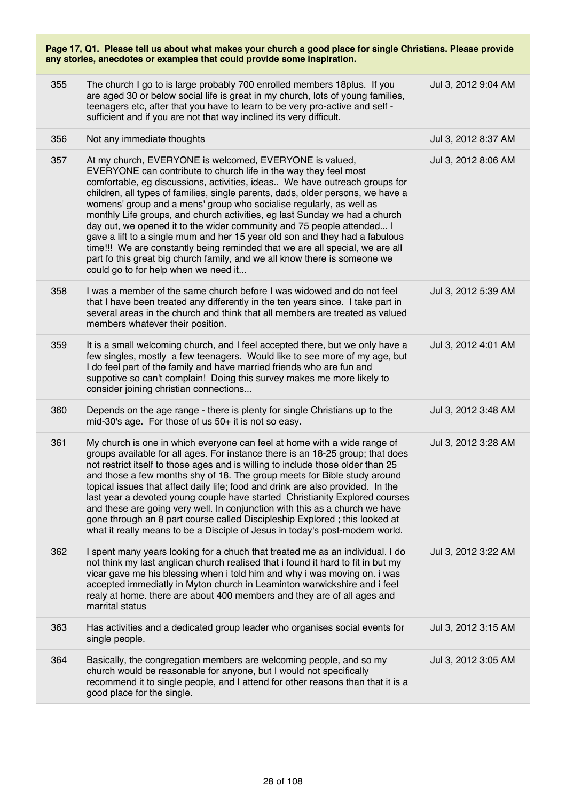| Page 17, Q1. Please tell us about what makes your church a good place for single Christians. Please provide<br>any stories, anecdotes or examples that could provide some inspiration. |                                                                                                                                                                                                                                                                                                                                                                                                                                                                                                                                                                                                                                                                                                                                                                                                                |                     |
|----------------------------------------------------------------------------------------------------------------------------------------------------------------------------------------|----------------------------------------------------------------------------------------------------------------------------------------------------------------------------------------------------------------------------------------------------------------------------------------------------------------------------------------------------------------------------------------------------------------------------------------------------------------------------------------------------------------------------------------------------------------------------------------------------------------------------------------------------------------------------------------------------------------------------------------------------------------------------------------------------------------|---------------------|
| 355                                                                                                                                                                                    | The church I go to is large probably 700 enrolled members 18 plus. If you<br>are aged 30 or below social life is great in my church, lots of young families,<br>teenagers etc, after that you have to learn to be very pro-active and self -<br>sufficient and if you are not that way inclined its very difficult.                                                                                                                                                                                                                                                                                                                                                                                                                                                                                            | Jul 3, 2012 9:04 AM |
| 356                                                                                                                                                                                    | Not any immediate thoughts                                                                                                                                                                                                                                                                                                                                                                                                                                                                                                                                                                                                                                                                                                                                                                                     | Jul 3, 2012 8:37 AM |
| 357                                                                                                                                                                                    | At my church, EVERYONE is welcomed, EVERYONE is valued,<br>EVERYONE can contribute to church life in the way they feel most<br>comfortable, eg discussions, activities, ideas We have outreach groups for<br>children, all types of families, single parents, dads, older persons, we have a<br>womens' group and a mens' group who socialise regularly, as well as<br>monthly Life groups, and church activities, eg last Sunday we had a church<br>day out, we opened it to the wider community and 75 people attended I<br>gave a lift to a single mum and her 15 year old son and they had a fabulous<br>time!!! We are constantly being reminded that we are all special, we are all<br>part fo this great big church family, and we all know there is someone we<br>could go to for help when we need it | Jul 3, 2012 8:06 AM |
| 358                                                                                                                                                                                    | I was a member of the same church before I was widowed and do not feel<br>that I have been treated any differently in the ten years since. I take part in<br>several areas in the church and think that all members are treated as valued<br>members whatever their position.                                                                                                                                                                                                                                                                                                                                                                                                                                                                                                                                  | Jul 3, 2012 5:39 AM |
| 359                                                                                                                                                                                    | It is a small welcoming church, and I feel accepted there, but we only have a<br>few singles, mostly a few teenagers. Would like to see more of my age, but<br>I do feel part of the family and have married friends who are fun and<br>suppotive so can't complain! Doing this survey makes me more likely to<br>consider joining christian connections                                                                                                                                                                                                                                                                                                                                                                                                                                                       | Jul 3, 2012 4:01 AM |
| 360                                                                                                                                                                                    | Depends on the age range - there is plenty for single Christians up to the<br>mid-30's age. For those of us 50+ it is not so easy.                                                                                                                                                                                                                                                                                                                                                                                                                                                                                                                                                                                                                                                                             | Jul 3, 2012 3:48 AM |
| 361                                                                                                                                                                                    | My church is one in which everyone can feel at home with a wide range of<br>groups available for all ages. For instance there is an 18-25 group; that does<br>not restrict itself to those ages and is willing to include those older than 25<br>and those a few months shy of 18. The group meets for Bible study around<br>topical issues that affect daily life; food and drink are also provided. In the<br>last year a devoted young couple have started Christianity Explored courses<br>and these are going very well. In conjunction with this as a church we have<br>gone through an 8 part course called Discipleship Explored; this looked at<br>what it really means to be a Disciple of Jesus in today's post-modern world.                                                                       | Jul 3, 2012 3:28 AM |
| 362                                                                                                                                                                                    | I spent many years looking for a chuch that treated me as an individual. I do<br>not think my last anglican church realised that i found it hard to fit in but my<br>vicar gave me his blessing when i told him and why i was moving on. i was<br>accepted immediatly in Myton church in Leaminton warwickshire and i feel<br>realy at home. there are about 400 members and they are of all ages and<br>marrital status                                                                                                                                                                                                                                                                                                                                                                                       | Jul 3, 2012 3:22 AM |
| 363                                                                                                                                                                                    | Has activities and a dedicated group leader who organises social events for<br>single people.                                                                                                                                                                                                                                                                                                                                                                                                                                                                                                                                                                                                                                                                                                                  | Jul 3, 2012 3:15 AM |
| 364                                                                                                                                                                                    | Basically, the congregation members are welcoming people, and so my<br>church would be reasonable for anyone, but I would not specifically<br>recommend it to single people, and I attend for other reasons than that it is a<br>good place for the single.                                                                                                                                                                                                                                                                                                                                                                                                                                                                                                                                                    | Jul 3, 2012 3:05 AM |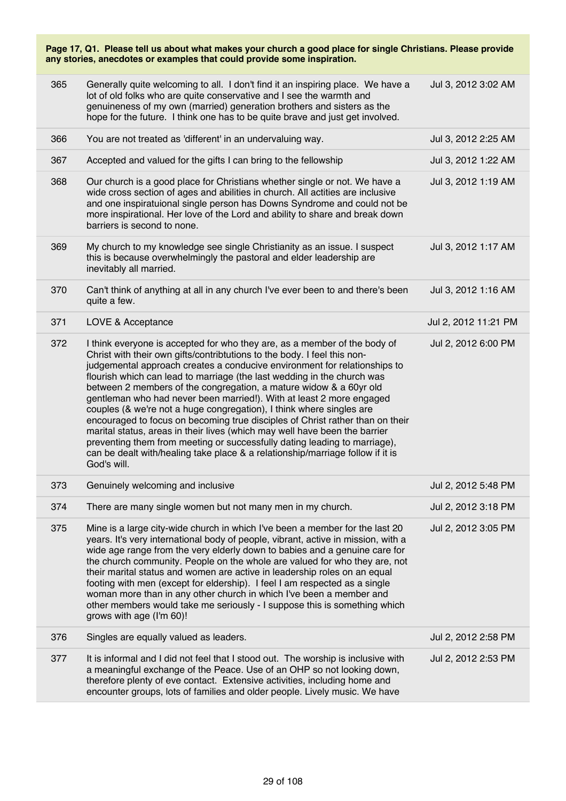| 365 | Generally quite welcoming to all. I don't find it an inspiring place. We have a<br>lot of old folks who are quite conservative and I see the warmth and<br>genuineness of my own (married) generation brothers and sisters as the<br>hope for the future. I think one has to be quite brave and just get involved.                                                                                                                                                                                                                                                                                                                                                                                                                                                                                                                                                               | Jul 3, 2012 3:02 AM  |
|-----|----------------------------------------------------------------------------------------------------------------------------------------------------------------------------------------------------------------------------------------------------------------------------------------------------------------------------------------------------------------------------------------------------------------------------------------------------------------------------------------------------------------------------------------------------------------------------------------------------------------------------------------------------------------------------------------------------------------------------------------------------------------------------------------------------------------------------------------------------------------------------------|----------------------|
| 366 | You are not treated as 'different' in an undervaluing way.                                                                                                                                                                                                                                                                                                                                                                                                                                                                                                                                                                                                                                                                                                                                                                                                                       | Jul 3, 2012 2:25 AM  |
| 367 | Accepted and valued for the gifts I can bring to the fellowship                                                                                                                                                                                                                                                                                                                                                                                                                                                                                                                                                                                                                                                                                                                                                                                                                  | Jul 3, 2012 1:22 AM  |
| 368 | Our church is a good place for Christians whether single or not. We have a<br>wide cross section of ages and abilities in church. All actities are inclusive<br>and one inspiratuional single person has Downs Syndrome and could not be<br>more inspirational. Her love of the Lord and ability to share and break down<br>barriers is second to none.                                                                                                                                                                                                                                                                                                                                                                                                                                                                                                                          | Jul 3, 2012 1:19 AM  |
| 369 | My church to my knowledge see single Christianity as an issue. I suspect<br>this is because overwhelmingly the pastoral and elder leadership are<br>inevitably all married.                                                                                                                                                                                                                                                                                                                                                                                                                                                                                                                                                                                                                                                                                                      | Jul 3, 2012 1:17 AM  |
| 370 | Can't think of anything at all in any church I've ever been to and there's been<br>quite a few.                                                                                                                                                                                                                                                                                                                                                                                                                                                                                                                                                                                                                                                                                                                                                                                  | Jul 3, 2012 1:16 AM  |
| 371 | LOVE & Acceptance                                                                                                                                                                                                                                                                                                                                                                                                                                                                                                                                                                                                                                                                                                                                                                                                                                                                | Jul 2, 2012 11:21 PM |
| 372 | I think everyone is accepted for who they are, as a member of the body of<br>Christ with their own gifts/contribtutions to the body. I feel this non-<br>judgemental approach creates a conducive environment for relationships to<br>flourish which can lead to marriage (the last wedding in the church was<br>between 2 members of the congregation, a mature widow & a 60yr old<br>gentleman who had never been married!). With at least 2 more engaged<br>couples (& we're not a huge congregation), I think where singles are<br>encouraged to focus on becoming true disciples of Christ rather than on their<br>marital status, areas in their lives (which may well have been the barrier<br>preventing them from meeting or successfully dating leading to marriage),<br>can be dealt with/healing take place & a relationship/marriage follow if it is<br>God's will. | Jul 2, 2012 6:00 PM  |
| 373 | Genuinely welcoming and inclusive                                                                                                                                                                                                                                                                                                                                                                                                                                                                                                                                                                                                                                                                                                                                                                                                                                                | Jul 2, 2012 5:48 PM  |
| 374 | There are many single women but not many men in my church.                                                                                                                                                                                                                                                                                                                                                                                                                                                                                                                                                                                                                                                                                                                                                                                                                       | Jul 2, 2012 3:18 PM  |
| 375 | Mine is a large city-wide church in which I've been a member for the last 20<br>years. It's very international body of people, vibrant, active in mission, with a<br>wide age range from the very elderly down to babies and a genuine care for<br>the church community. People on the whole are valued for who they are, not<br>their marital status and women are active in leadership roles on an equal<br>footing with men (except for eldership). I feel I am respected as a single<br>woman more than in any other church in which I've been a member and<br>other members would take me seriously - I suppose this is something which<br>grows with age (I'm 60)!                                                                                                                                                                                                         | Jul 2, 2012 3:05 PM  |
| 376 | Singles are equally valued as leaders.                                                                                                                                                                                                                                                                                                                                                                                                                                                                                                                                                                                                                                                                                                                                                                                                                                           | Jul 2, 2012 2:58 PM  |
| 377 | It is informal and I did not feel that I stood out. The worship is inclusive with<br>a meaningful exchange of the Peace. Use of an OHP so not looking down,<br>therefore plenty of eve contact. Extensive activities, including home and<br>encounter groups, lots of families and older people. Lively music. We have                                                                                                                                                                                                                                                                                                                                                                                                                                                                                                                                                           | Jul 2, 2012 2:53 PM  |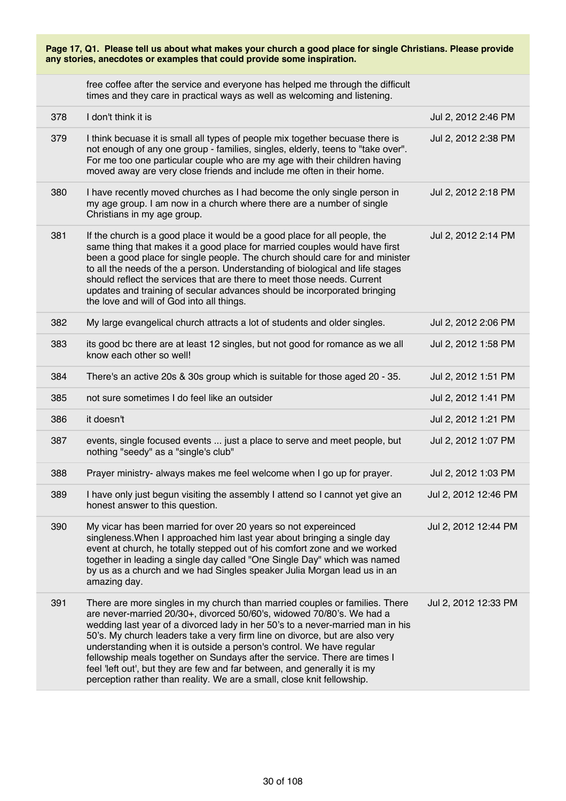| Page 17, Q1. Please tell us about what makes your church a good place for single Christians. Please provide<br>any stories, anecdotes or examples that could provide some inspiration. |                                                                                                                                                                                                                                                                                                                                                                                                                                                                                                                                                                                                                                   |                      |
|----------------------------------------------------------------------------------------------------------------------------------------------------------------------------------------|-----------------------------------------------------------------------------------------------------------------------------------------------------------------------------------------------------------------------------------------------------------------------------------------------------------------------------------------------------------------------------------------------------------------------------------------------------------------------------------------------------------------------------------------------------------------------------------------------------------------------------------|----------------------|
|                                                                                                                                                                                        | free coffee after the service and everyone has helped me through the difficult<br>times and they care in practical ways as well as welcoming and listening.                                                                                                                                                                                                                                                                                                                                                                                                                                                                       |                      |
| 378                                                                                                                                                                                    | I don't think it is                                                                                                                                                                                                                                                                                                                                                                                                                                                                                                                                                                                                               | Jul 2, 2012 2:46 PM  |
| 379                                                                                                                                                                                    | I think becuase it is small all types of people mix together becuase there is<br>not enough of any one group - families, singles, elderly, teens to "take over".<br>For me too one particular couple who are my age with their children having<br>moved away are very close friends and include me often in their home.                                                                                                                                                                                                                                                                                                           | Jul 2, 2012 2:38 PM  |
| 380                                                                                                                                                                                    | I have recently moved churches as I had become the only single person in<br>my age group. I am now in a church where there are a number of single<br>Christians in my age group.                                                                                                                                                                                                                                                                                                                                                                                                                                                  | Jul 2, 2012 2:18 PM  |
| 381                                                                                                                                                                                    | If the church is a good place it would be a good place for all people, the<br>same thing that makes it a good place for married couples would have first<br>been a good place for single people. The church should care for and minister<br>to all the needs of the a person. Understanding of biological and life stages<br>should reflect the services that are there to meet those needs. Current<br>updates and training of secular advances should be incorporated bringing<br>the love and will of God into all things.                                                                                                     | Jul 2, 2012 2:14 PM  |
| 382                                                                                                                                                                                    | My large evangelical church attracts a lot of students and older singles.                                                                                                                                                                                                                                                                                                                                                                                                                                                                                                                                                         | Jul 2, 2012 2:06 PM  |
| 383                                                                                                                                                                                    | its good bc there are at least 12 singles, but not good for romance as we all<br>know each other so well!                                                                                                                                                                                                                                                                                                                                                                                                                                                                                                                         | Jul 2, 2012 1:58 PM  |
| 384                                                                                                                                                                                    | There's an active 20s & 30s group which is suitable for those aged 20 - 35.                                                                                                                                                                                                                                                                                                                                                                                                                                                                                                                                                       | Jul 2, 2012 1:51 PM  |
| 385                                                                                                                                                                                    | not sure sometimes I do feel like an outsider                                                                                                                                                                                                                                                                                                                                                                                                                                                                                                                                                                                     | Jul 2, 2012 1:41 PM  |
| 386                                                                                                                                                                                    | it doesn't                                                                                                                                                                                                                                                                                                                                                                                                                                                                                                                                                                                                                        | Jul 2, 2012 1:21 PM  |
| 387                                                                                                                                                                                    | events, single focused events  just a place to serve and meet people, but<br>nothing "seedy" as a "single's club"                                                                                                                                                                                                                                                                                                                                                                                                                                                                                                                 | Jul 2, 2012 1:07 PM  |
| 388                                                                                                                                                                                    | Prayer ministry- always makes me feel welcome when I go up for prayer.                                                                                                                                                                                                                                                                                                                                                                                                                                                                                                                                                            | Jul 2, 2012 1:03 PM  |
| 389                                                                                                                                                                                    | I have only just begun visiting the assembly I attend so I cannot yet give an<br>honest answer to this question.                                                                                                                                                                                                                                                                                                                                                                                                                                                                                                                  | Jul 2, 2012 12:46 PM |
| 390                                                                                                                                                                                    | My vicar has been married for over 20 years so not expereinced<br>singleness. When I approached him last year about bringing a single day<br>event at church, he totally stepped out of his comfort zone and we worked<br>together in leading a single day called "One Single Day" which was named<br>by us as a church and we had Singles speaker Julia Morgan lead us in an<br>amazing day.                                                                                                                                                                                                                                     | Jul 2, 2012 12:44 PM |
| 391                                                                                                                                                                                    | There are more singles in my church than married couples or families. There<br>are never-married 20/30+, divorced 50/60's, widowed 70/80's. We had a<br>wedding last year of a divorced lady in her 50's to a never-married man in his<br>50's. My church leaders take a very firm line on divorce, but are also very<br>understanding when it is outside a person's control. We have regular<br>fellowship meals together on Sundays after the service. There are times I<br>feel 'left out', but they are few and far between, and generally it is my<br>perception rather than reality. We are a small, close knit fellowship. | Jul 2, 2012 12:33 PM |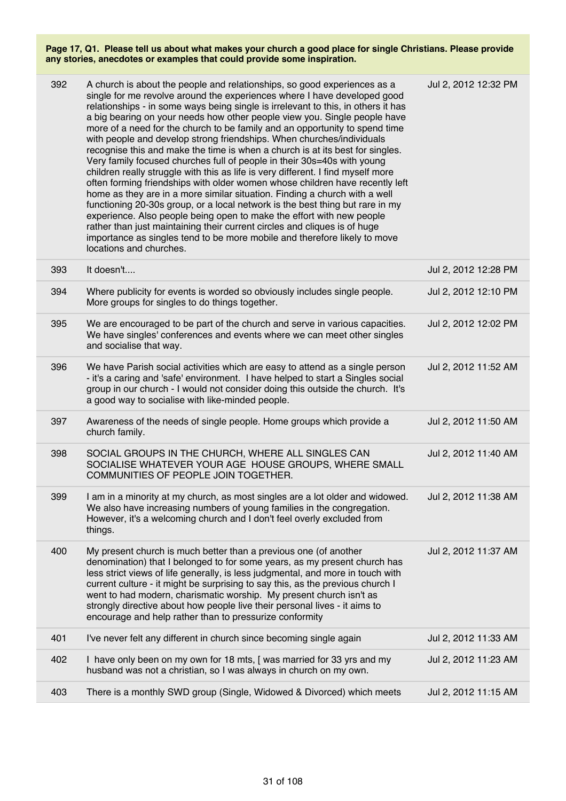| 392 | A church is about the people and relationships, so good experiences as a<br>single for me revolve around the experiences where I have developed good<br>relationships - in some ways being single is irrelevant to this, in others it has<br>a big bearing on your needs how other people view you. Single people have<br>more of a need for the church to be family and an opportunity to spend time<br>with people and develop strong friendships. When churches/individuals<br>recognise this and make the time is when a church is at its best for singles.<br>Very family focused churches full of people in their 30s=40s with young<br>children really struggle with this as life is very different. I find myself more<br>often forming friendships with older women whose children have recently left<br>home as they are in a more similar situation. Finding a church with a well<br>functioning 20-30s group, or a local network is the best thing but rare in my<br>experience. Also people being open to make the effort with new people<br>rather than just maintaining their current circles and cliques is of huge<br>importance as singles tend to be more mobile and therefore likely to move<br>locations and churches. | Jul 2, 2012 12:32 PM |
|-----|---------------------------------------------------------------------------------------------------------------------------------------------------------------------------------------------------------------------------------------------------------------------------------------------------------------------------------------------------------------------------------------------------------------------------------------------------------------------------------------------------------------------------------------------------------------------------------------------------------------------------------------------------------------------------------------------------------------------------------------------------------------------------------------------------------------------------------------------------------------------------------------------------------------------------------------------------------------------------------------------------------------------------------------------------------------------------------------------------------------------------------------------------------------------------------------------------------------------------------------------|----------------------|
| 393 | It doesn't                                                                                                                                                                                                                                                                                                                                                                                                                                                                                                                                                                                                                                                                                                                                                                                                                                                                                                                                                                                                                                                                                                                                                                                                                                  | Jul 2, 2012 12:28 PM |
| 394 | Where publicity for events is worded so obviously includes single people.<br>More groups for singles to do things together.                                                                                                                                                                                                                                                                                                                                                                                                                                                                                                                                                                                                                                                                                                                                                                                                                                                                                                                                                                                                                                                                                                                 | Jul 2, 2012 12:10 PM |
| 395 | We are encouraged to be part of the church and serve in various capacities.<br>We have singles' conferences and events where we can meet other singles<br>and socialise that way.                                                                                                                                                                                                                                                                                                                                                                                                                                                                                                                                                                                                                                                                                                                                                                                                                                                                                                                                                                                                                                                           | Jul 2, 2012 12:02 PM |
| 396 | We have Parish social activities which are easy to attend as a single person<br>- it's a caring and 'safe' environment. I have helped to start a Singles social<br>group in our church - I would not consider doing this outside the church. It's<br>a good way to socialise with like-minded people.                                                                                                                                                                                                                                                                                                                                                                                                                                                                                                                                                                                                                                                                                                                                                                                                                                                                                                                                       | Jul 2, 2012 11:52 AM |
| 397 | Awareness of the needs of single people. Home groups which provide a<br>church family.                                                                                                                                                                                                                                                                                                                                                                                                                                                                                                                                                                                                                                                                                                                                                                                                                                                                                                                                                                                                                                                                                                                                                      | Jul 2, 2012 11:50 AM |
| 398 | SOCIAL GROUPS IN THE CHURCH, WHERE ALL SINGLES CAN<br>SOCIALISE WHATEVER YOUR AGE HOUSE GROUPS, WHERE SMALL<br>COMMUNITIES OF PEOPLE JOIN TOGETHER.                                                                                                                                                                                                                                                                                                                                                                                                                                                                                                                                                                                                                                                                                                                                                                                                                                                                                                                                                                                                                                                                                         | Jul 2, 2012 11:40 AM |
| 399 | I am in a minority at my church, as most singles are a lot older and widowed.<br>We also have increasing numbers of young families in the congregation.<br>However, it's a welcoming church and I don't feel overly excluded from<br>things.                                                                                                                                                                                                                                                                                                                                                                                                                                                                                                                                                                                                                                                                                                                                                                                                                                                                                                                                                                                                | Jul 2, 2012 11:38 AM |
| 400 | My present church is much better than a previous one (of another<br>denomination) that I belonged to for some years, as my present church has<br>less strict views of life generally, is less judgmental, and more in touch with<br>current culture - it might be surprising to say this, as the previous church I<br>went to had modern, charismatic worship. My present church isn't as<br>strongly directive about how people live their personal lives - it aims to<br>encourage and help rather than to pressurize conformity                                                                                                                                                                                                                                                                                                                                                                                                                                                                                                                                                                                                                                                                                                          | Jul 2, 2012 11:37 AM |
| 401 | I've never felt any different in church since becoming single again                                                                                                                                                                                                                                                                                                                                                                                                                                                                                                                                                                                                                                                                                                                                                                                                                                                                                                                                                                                                                                                                                                                                                                         | Jul 2, 2012 11:33 AM |
| 402 | I have only been on my own for 18 mts, [ was married for 33 yrs and my<br>husband was not a christian, so I was always in church on my own.                                                                                                                                                                                                                                                                                                                                                                                                                                                                                                                                                                                                                                                                                                                                                                                                                                                                                                                                                                                                                                                                                                 | Jul 2, 2012 11:23 AM |
| 403 | There is a monthly SWD group (Single, Widowed & Divorced) which meets                                                                                                                                                                                                                                                                                                                                                                                                                                                                                                                                                                                                                                                                                                                                                                                                                                                                                                                                                                                                                                                                                                                                                                       | Jul 2, 2012 11:15 AM |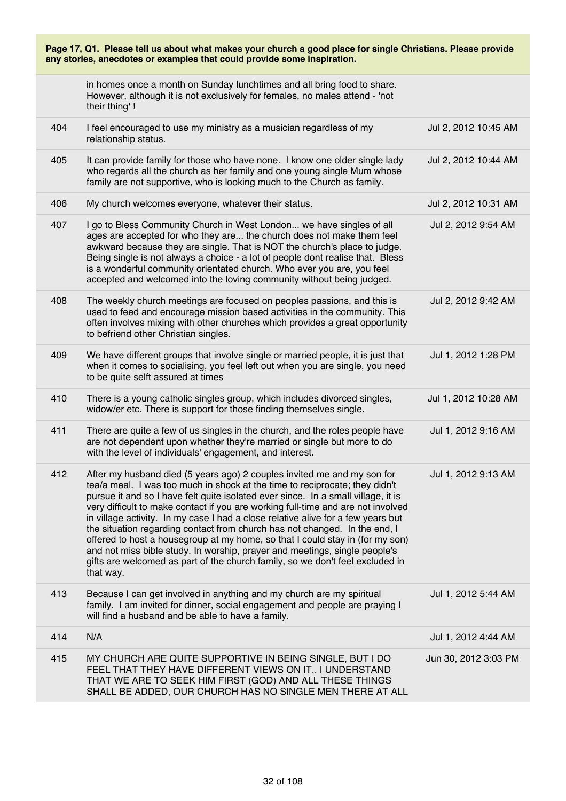| Page 17, Q1. Please tell us about what makes your church a good place for single Christians. Please provide<br>any stories, anecdotes or examples that could provide some inspiration. |                                                                                                                                                                                                                                                                                                                                                                                                                                                                                                                                                                                                                                                                                                                                                                |                      |
|----------------------------------------------------------------------------------------------------------------------------------------------------------------------------------------|----------------------------------------------------------------------------------------------------------------------------------------------------------------------------------------------------------------------------------------------------------------------------------------------------------------------------------------------------------------------------------------------------------------------------------------------------------------------------------------------------------------------------------------------------------------------------------------------------------------------------------------------------------------------------------------------------------------------------------------------------------------|----------------------|
|                                                                                                                                                                                        | in homes once a month on Sunday lunchtimes and all bring food to share.<br>However, although it is not exclusively for females, no males attend - 'not<br>their thing'!                                                                                                                                                                                                                                                                                                                                                                                                                                                                                                                                                                                        |                      |
| 404                                                                                                                                                                                    | I feel encouraged to use my ministry as a musician regardless of my<br>relationship status.                                                                                                                                                                                                                                                                                                                                                                                                                                                                                                                                                                                                                                                                    | Jul 2, 2012 10:45 AM |
| 405                                                                                                                                                                                    | It can provide family for those who have none. I know one older single lady<br>who regards all the church as her family and one young single Mum whose<br>family are not supportive, who is looking much to the Church as family.                                                                                                                                                                                                                                                                                                                                                                                                                                                                                                                              | Jul 2, 2012 10:44 AM |
| 406                                                                                                                                                                                    | My church welcomes everyone, whatever their status.                                                                                                                                                                                                                                                                                                                                                                                                                                                                                                                                                                                                                                                                                                            | Jul 2, 2012 10:31 AM |
| 407                                                                                                                                                                                    | I go to Bless Community Church in West London we have singles of all<br>ages are accepted for who they are the church does not make them feel<br>awkward because they are single. That is NOT the church's place to judge.<br>Being single is not always a choice - a lot of people dont realise that. Bless<br>is a wonderful community orientated church. Who ever you are, you feel<br>accepted and welcomed into the loving community without being judged.                                                                                                                                                                                                                                                                                                | Jul 2, 2012 9:54 AM  |
| 408                                                                                                                                                                                    | The weekly church meetings are focused on peoples passions, and this is<br>used to feed and encourage mission based activities in the community. This<br>often involves mixing with other churches which provides a great opportunity<br>to befriend other Christian singles.                                                                                                                                                                                                                                                                                                                                                                                                                                                                                  | Jul 2, 2012 9:42 AM  |
| 409                                                                                                                                                                                    | We have different groups that involve single or married people, it is just that<br>when it comes to socialising, you feel left out when you are single, you need<br>to be quite selft assured at times                                                                                                                                                                                                                                                                                                                                                                                                                                                                                                                                                         | Jul 1, 2012 1:28 PM  |
| 410                                                                                                                                                                                    | There is a young catholic singles group, which includes divorced singles,<br>widow/er etc. There is support for those finding themselves single.                                                                                                                                                                                                                                                                                                                                                                                                                                                                                                                                                                                                               | Jul 1, 2012 10:28 AM |
| 411                                                                                                                                                                                    | There are quite a few of us singles in the church, and the roles people have<br>are not dependent upon whether they're married or single but more to do<br>with the level of individuals' engagement, and interest.                                                                                                                                                                                                                                                                                                                                                                                                                                                                                                                                            | Jul 1, 2012 9:16 AM  |
| 412                                                                                                                                                                                    | After my husband died (5 years ago) 2 couples invited me and my son for<br>tea/a meal. I was too much in shock at the time to reciprocate; they didn't<br>pursue it and so I have felt quite isolated ever since. In a small village, it is<br>very difficult to make contact if you are working full-time and are not involved<br>in village activity. In my case I had a close relative alive for a few years but<br>the situation regarding contact from church has not changed. In the end, I<br>offered to host a housegroup at my home, so that I could stay in (for my son)<br>and not miss bible study. In worship, prayer and meetings, single people's<br>gifts are welcomed as part of the church family, so we don't feel excluded in<br>that way. | Jul 1, 2012 9:13 AM  |
| 413                                                                                                                                                                                    | Because I can get involved in anything and my church are my spiritual<br>family. I am invited for dinner, social engagement and people are praying I<br>will find a husband and be able to have a family.                                                                                                                                                                                                                                                                                                                                                                                                                                                                                                                                                      | Jul 1, 2012 5:44 AM  |
| 414                                                                                                                                                                                    | N/A                                                                                                                                                                                                                                                                                                                                                                                                                                                                                                                                                                                                                                                                                                                                                            | Jul 1, 2012 4:44 AM  |
| 415                                                                                                                                                                                    | MY CHURCH ARE QUITE SUPPORTIVE IN BEING SINGLE, BUT I DO<br>FEEL THAT THEY HAVE DIFFERENT VIEWS ON IT I UNDERSTAND<br>THAT WE ARE TO SEEK HIM FIRST (GOD) AND ALL THESE THINGS<br>SHALL BE ADDED, OUR CHURCH HAS NO SINGLE MEN THERE AT ALL                                                                                                                                                                                                                                                                                                                                                                                                                                                                                                                    | Jun 30, 2012 3:03 PM |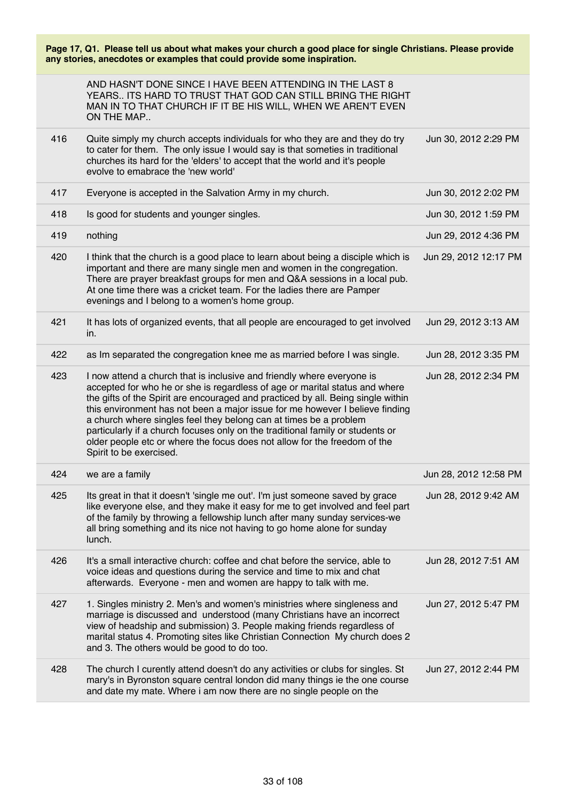| Page 17, Q1. Please tell us about what makes your church a good place for single Christians. Please provide<br>any stories, anecdotes or examples that could provide some inspiration. |                                                                                                                                                                                                                                                                                                                                                                                                                                                                                                                                                                                          |                       |
|----------------------------------------------------------------------------------------------------------------------------------------------------------------------------------------|------------------------------------------------------------------------------------------------------------------------------------------------------------------------------------------------------------------------------------------------------------------------------------------------------------------------------------------------------------------------------------------------------------------------------------------------------------------------------------------------------------------------------------------------------------------------------------------|-----------------------|
|                                                                                                                                                                                        | AND HASN'T DONE SINCE I HAVE BEEN ATTENDING IN THE LAST 8<br>YEARS ITS HARD TO TRUST THAT GOD CAN STILL BRING THE RIGHT<br>MAN IN TO THAT CHURCH IF IT BE HIS WILL, WHEN WE AREN'T EVEN<br>ON THE MAP                                                                                                                                                                                                                                                                                                                                                                                    |                       |
| 416                                                                                                                                                                                    | Quite simply my church accepts individuals for who they are and they do try<br>to cater for them. The only issue I would say is that someties in traditional<br>churches its hard for the 'elders' to accept that the world and it's people<br>evolve to emabrace the 'new world'                                                                                                                                                                                                                                                                                                        | Jun 30, 2012 2:29 PM  |
| 417                                                                                                                                                                                    | Everyone is accepted in the Salvation Army in my church.                                                                                                                                                                                                                                                                                                                                                                                                                                                                                                                                 | Jun 30, 2012 2:02 PM  |
| 418                                                                                                                                                                                    | Is good for students and younger singles.                                                                                                                                                                                                                                                                                                                                                                                                                                                                                                                                                | Jun 30, 2012 1:59 PM  |
| 419                                                                                                                                                                                    | nothing                                                                                                                                                                                                                                                                                                                                                                                                                                                                                                                                                                                  | Jun 29, 2012 4:36 PM  |
| 420                                                                                                                                                                                    | I think that the church is a good place to learn about being a disciple which is<br>important and there are many single men and women in the congregation.<br>There are prayer breakfast groups for men and Q&A sessions in a local pub.<br>At one time there was a cricket team. For the ladies there are Pamper<br>evenings and I belong to a women's home group.                                                                                                                                                                                                                      | Jun 29, 2012 12:17 PM |
| 421                                                                                                                                                                                    | It has lots of organized events, that all people are encouraged to get involved<br>in.                                                                                                                                                                                                                                                                                                                                                                                                                                                                                                   | Jun 29, 2012 3:13 AM  |
| 422                                                                                                                                                                                    | as Im separated the congregation knee me as married before I was single.                                                                                                                                                                                                                                                                                                                                                                                                                                                                                                                 | Jun 28, 2012 3:35 PM  |
| 423                                                                                                                                                                                    | I now attend a church that is inclusive and friendly where everyone is<br>accepted for who he or she is regardless of age or marital status and where<br>the gifts of the Spirit are encouraged and practiced by all. Being single within<br>this environment has not been a major issue for me however I believe finding<br>a church where singles feel they belong can at times be a problem<br>particularly if a church focuses only on the traditional family or students or<br>older people etc or where the focus does not allow for the freedom of the<br>Spirit to be exercised. | Jun 28, 2012 2:34 PM  |
| 424                                                                                                                                                                                    | we are a family                                                                                                                                                                                                                                                                                                                                                                                                                                                                                                                                                                          | Jun 28, 2012 12:58 PM |
| 425                                                                                                                                                                                    | Its great in that it doesn't 'single me out'. I'm just someone saved by grace<br>like everyone else, and they make it easy for me to get involved and feel part<br>of the family by throwing a fellowship lunch after many sunday services-we<br>all bring something and its nice not having to go home alone for sunday<br>lunch.                                                                                                                                                                                                                                                       | Jun 28, 2012 9:42 AM  |
| 426                                                                                                                                                                                    | It's a small interactive church: coffee and chat before the service, able to<br>voice ideas and questions during the service and time to mix and chat<br>afterwards. Everyone - men and women are happy to talk with me.                                                                                                                                                                                                                                                                                                                                                                 | Jun 28, 2012 7:51 AM  |
| 427                                                                                                                                                                                    | 1. Singles ministry 2. Men's and women's ministries where singleness and<br>marriage is discussed and understood (many Christians have an incorrect<br>view of headship and submission) 3. People making friends regardless of<br>marital status 4. Promoting sites like Christian Connection My church does 2<br>and 3. The others would be good to do too.                                                                                                                                                                                                                             | Jun 27, 2012 5:47 PM  |
| 428                                                                                                                                                                                    | The church I curently attend doesn't do any activities or clubs for singles. St<br>mary's in Byronston square central london did many things ie the one course<br>and date my mate. Where i am now there are no single people on the                                                                                                                                                                                                                                                                                                                                                     | Jun 27, 2012 2:44 PM  |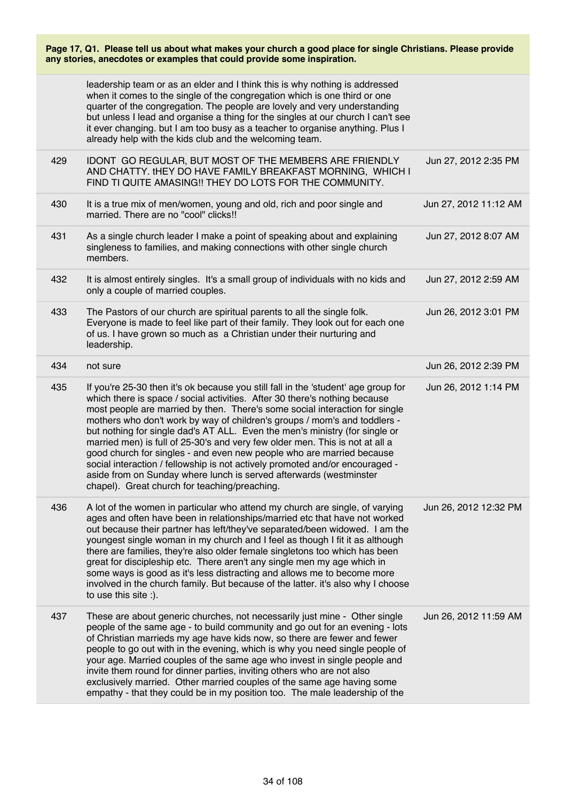| Page 17, Q1. Please tell us about what makes your church a good place for single Christians. Please provide |  |  |
|-------------------------------------------------------------------------------------------------------------|--|--|
| any stories, anecdotes or examples that could provide some inspiration.                                     |  |  |

|     | leadership team or as an elder and I think this is why nothing is addressed<br>when it comes to the single of the congregation which is one third or one<br>quarter of the congregation. The people are lovely and very understanding<br>but unless I lead and organise a thing for the singles at our church I can't see<br>it ever changing. but I am too busy as a teacher to organise anything. Plus I<br>already help with the kids club and the welcoming team.                                                                                                                                                                                                                                                                                                       |                       |
|-----|-----------------------------------------------------------------------------------------------------------------------------------------------------------------------------------------------------------------------------------------------------------------------------------------------------------------------------------------------------------------------------------------------------------------------------------------------------------------------------------------------------------------------------------------------------------------------------------------------------------------------------------------------------------------------------------------------------------------------------------------------------------------------------|-----------------------|
| 429 | IDONT GO REGULAR, BUT MOST OF THE MEMBERS ARE FRIENDLY<br>AND CHATTY. tHEY DO HAVE FAMILY BREAKFAST MORNING, WHICH I<br>FIND TI QUITE AMASING!! THEY DO LOTS FOR THE COMMUNITY.                                                                                                                                                                                                                                                                                                                                                                                                                                                                                                                                                                                             | Jun 27, 2012 2:35 PM  |
| 430 | It is a true mix of men/women, young and old, rich and poor single and<br>married. There are no "cool" clicks!!                                                                                                                                                                                                                                                                                                                                                                                                                                                                                                                                                                                                                                                             | Jun 27, 2012 11:12 AM |
| 431 | As a single church leader I make a point of speaking about and explaining<br>singleness to families, and making connections with other single church<br>members.                                                                                                                                                                                                                                                                                                                                                                                                                                                                                                                                                                                                            | Jun 27, 2012 8:07 AM  |
| 432 | It is almost entirely singles. It's a small group of individuals with no kids and<br>only a couple of married couples.                                                                                                                                                                                                                                                                                                                                                                                                                                                                                                                                                                                                                                                      | Jun 27, 2012 2:59 AM  |
| 433 | The Pastors of our church are spiritual parents to all the single folk.<br>Everyone is made to feel like part of their family. They look out for each one<br>of us. I have grown so much as a Christian under their nurturing and<br>leadership.                                                                                                                                                                                                                                                                                                                                                                                                                                                                                                                            | Jun 26, 2012 3:01 PM  |
| 434 | not sure                                                                                                                                                                                                                                                                                                                                                                                                                                                                                                                                                                                                                                                                                                                                                                    | Jun 26, 2012 2:39 PM  |
| 435 | If you're 25-30 then it's ok because you still fall in the 'student' age group for<br>which there is space / social activities. After 30 there's nothing because<br>most people are married by then. There's some social interaction for single<br>mothers who don't work by way of children's groups / mom's and toddlers -<br>but nothing for single dad's AT ALL. Even the men's ministry (for single or<br>married men) is full of 25-30's and very few older men. This is not at all a<br>good church for singles - and even new people who are married because<br>social interaction / fellowship is not actively promoted and/or encouraged -<br>aside from on Sunday where lunch is served afterwards (westminster<br>chapel). Great church for teaching/preaching. | Jun 26, 2012 1:14 PM  |
| 436 | A lot of the women in particular who attend my church are single, of varying<br>ages and often have been in relationships/married etc that have not worked<br>out because their partner has left/they've separated/been widowed. I am the<br>youngest single woman in my church and I feel as though I fit it as although<br>there are families, they're also older female singletons too which has been<br>great for discipleship etc. There aren't any single men my age which in<br>some ways is good as it's less distracting and allows me to become more<br>involved in the church family. But because of the latter. it's also why I choose<br>to use this site :).                                                                                                  | Jun 26, 2012 12:32 PM |
| 437 | These are about generic churches, not necessarily just mine - Other single<br>people of the same age - to build community and go out for an evening - lots<br>of Christian marrieds my age have kids now, so there are fewer and fewer<br>people to go out with in the evening, which is why you need single people of<br>your age. Married couples of the same age who invest in single people and<br>invite them round for dinner parties, inviting others who are not also<br>exclusively married. Other married couples of the same age having some<br>empathy - that they could be in my position too. The male leadership of the                                                                                                                                      | Jun 26, 2012 11:59 AM |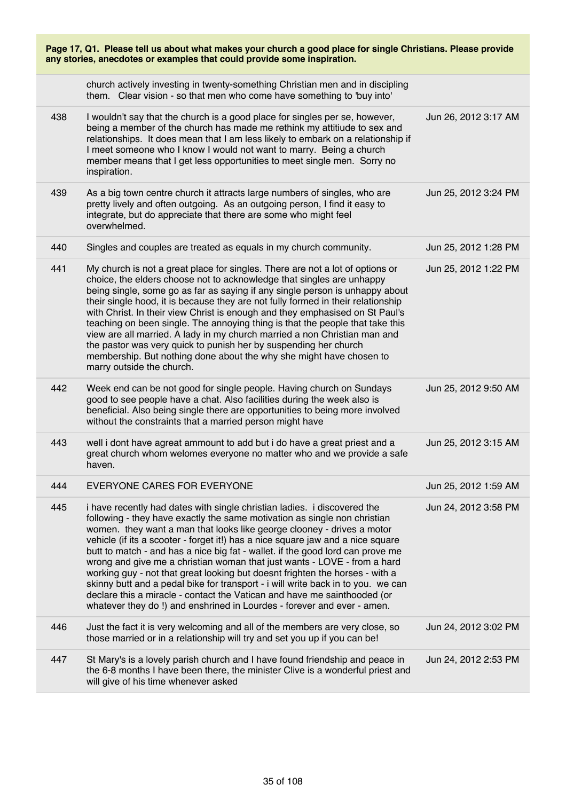| Page 17, Q1. Please tell us about what makes your church a good place for single Christians. Please provide<br>any stories, anecdotes or examples that could provide some inspiration. |                                                                                                                                                                                                                                                                                                                                                                                                                                                                                                                                                                                                                                                                                                                                                                                                            |                      |
|----------------------------------------------------------------------------------------------------------------------------------------------------------------------------------------|------------------------------------------------------------------------------------------------------------------------------------------------------------------------------------------------------------------------------------------------------------------------------------------------------------------------------------------------------------------------------------------------------------------------------------------------------------------------------------------------------------------------------------------------------------------------------------------------------------------------------------------------------------------------------------------------------------------------------------------------------------------------------------------------------------|----------------------|
|                                                                                                                                                                                        | church actively investing in twenty-something Christian men and in discipling<br>them. Clear vision - so that men who come have something to 'buy into'                                                                                                                                                                                                                                                                                                                                                                                                                                                                                                                                                                                                                                                    |                      |
| 438                                                                                                                                                                                    | I wouldn't say that the church is a good place for singles per se, however,<br>being a member of the church has made me rethink my attitiude to sex and<br>relationships. It does mean that I am less likely to embark on a relationship if<br>I meet someone who I know I would not want to marry. Being a church<br>member means that I get less opportunities to meet single men. Sorry no<br>inspiration.                                                                                                                                                                                                                                                                                                                                                                                              | Jun 26, 2012 3:17 AM |
| 439                                                                                                                                                                                    | As a big town centre church it attracts large numbers of singles, who are<br>pretty lively and often outgoing. As an outgoing person, I find it easy to<br>integrate, but do appreciate that there are some who might feel<br>overwhelmed.                                                                                                                                                                                                                                                                                                                                                                                                                                                                                                                                                                 | Jun 25, 2012 3:24 PM |
| 440                                                                                                                                                                                    | Singles and couples are treated as equals in my church community.                                                                                                                                                                                                                                                                                                                                                                                                                                                                                                                                                                                                                                                                                                                                          | Jun 25, 2012 1:28 PM |
| 441                                                                                                                                                                                    | My church is not a great place for singles. There are not a lot of options or<br>choice, the elders choose not to acknowledge that singles are unhappy<br>being single, some go as far as saying if any single person is unhappy about<br>their single hood, it is because they are not fully formed in their relationship<br>with Christ. In their view Christ is enough and they emphasised on St Paul's<br>teaching on been single. The annoying thing is that the people that take this<br>view are all married. A lady in my church married a non Christian man and<br>the pastor was very quick to punish her by suspending her church<br>membership. But nothing done about the why she might have chosen to<br>marry outside the church.                                                           | Jun 25, 2012 1:22 PM |
| 442                                                                                                                                                                                    | Week end can be not good for single people. Having church on Sundays<br>good to see people have a chat. Also facilities during the week also is<br>beneficial. Also being single there are opportunities to being more involved<br>without the constraints that a married person might have                                                                                                                                                                                                                                                                                                                                                                                                                                                                                                                | Jun 25, 2012 9:50 AM |
| 443                                                                                                                                                                                    | well i dont have agreat ammount to add but i do have a great priest and a<br>great church whom welomes everyone no matter who and we provide a safe<br>haven.                                                                                                                                                                                                                                                                                                                                                                                                                                                                                                                                                                                                                                              | Jun 25, 2012 3:15 AM |
| 444                                                                                                                                                                                    | EVERYONE CARES FOR EVERYONE                                                                                                                                                                                                                                                                                                                                                                                                                                                                                                                                                                                                                                                                                                                                                                                | Jun 25, 2012 1:59 AM |
| 445                                                                                                                                                                                    | i have recently had dates with single christian ladies. i discovered the<br>following - they have exactly the same motivation as single non christian<br>women. they want a man that looks like george clooney - drives a motor<br>vehicle (if its a scooter - forget it!) has a nice square jaw and a nice square<br>butt to match - and has a nice big fat - wallet. if the good lord can prove me<br>wrong and give me a christian woman that just wants - LOVE - from a hard<br>working guy - not that great looking but doesnt frighten the horses - with a<br>skinny butt and a pedal bike for transport - i will write back in to you. we can<br>declare this a miracle - contact the Vatican and have me sainthooded (or<br>whatever they do!) and enshrined in Lourdes - forever and ever - amen. | Jun 24, 2012 3:58 PM |
| 446                                                                                                                                                                                    | Just the fact it is very welcoming and all of the members are very close, so<br>those married or in a relationship will try and set you up if you can be!                                                                                                                                                                                                                                                                                                                                                                                                                                                                                                                                                                                                                                                  | Jun 24, 2012 3:02 PM |
| 447                                                                                                                                                                                    | St Mary's is a lovely parish church and I have found friendship and peace in<br>the 6-8 months I have been there, the minister Clive is a wonderful priest and<br>will give of his time whenever asked                                                                                                                                                                                                                                                                                                                                                                                                                                                                                                                                                                                                     | Jun 24, 2012 2:53 PM |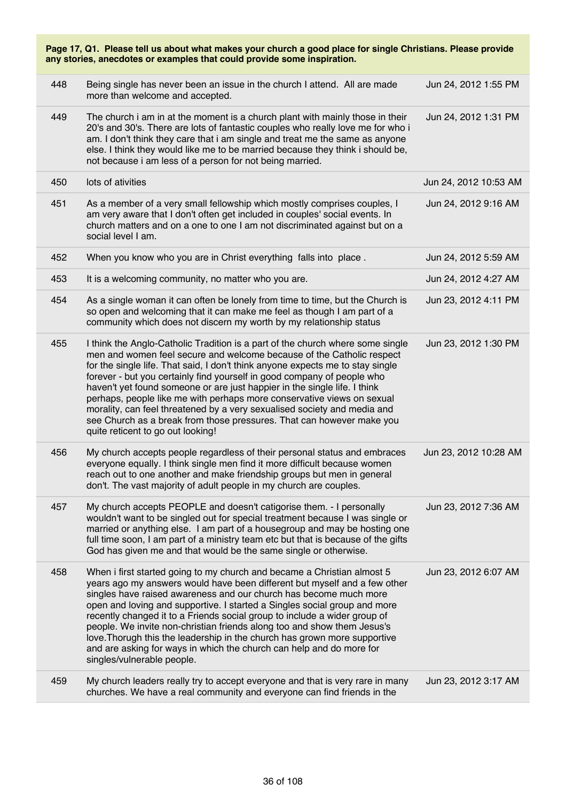| Page 17, Q1. Please tell us about what makes your church a good place for single Christians. Please provide<br>any stories, anecdotes or examples that could provide some inspiration. |                                                                                                                                                                                                                                                                                                                                                                                                                                                                                                                                                                                                                                                                       |                       |  |
|----------------------------------------------------------------------------------------------------------------------------------------------------------------------------------------|-----------------------------------------------------------------------------------------------------------------------------------------------------------------------------------------------------------------------------------------------------------------------------------------------------------------------------------------------------------------------------------------------------------------------------------------------------------------------------------------------------------------------------------------------------------------------------------------------------------------------------------------------------------------------|-----------------------|--|
| 448                                                                                                                                                                                    | Being single has never been an issue in the church I attend. All are made<br>more than welcome and accepted.                                                                                                                                                                                                                                                                                                                                                                                                                                                                                                                                                          | Jun 24, 2012 1:55 PM  |  |
| 449                                                                                                                                                                                    | The church i am in at the moment is a church plant with mainly those in their<br>20's and 30's. There are lots of fantastic couples who really love me for who i<br>am. I don't think they care that i am single and treat me the same as anyone<br>else. I think they would like me to be married because they think i should be,<br>not because i am less of a person for not being married.                                                                                                                                                                                                                                                                        | Jun 24, 2012 1:31 PM  |  |
| 450                                                                                                                                                                                    | lots of ativities                                                                                                                                                                                                                                                                                                                                                                                                                                                                                                                                                                                                                                                     | Jun 24, 2012 10:53 AM |  |
| 451                                                                                                                                                                                    | As a member of a very small fellowship which mostly comprises couples, I<br>am very aware that I don't often get included in couples' social events. In<br>church matters and on a one to one I am not discriminated against but on a<br>social level I am.                                                                                                                                                                                                                                                                                                                                                                                                           | Jun 24, 2012 9:16 AM  |  |
| 452                                                                                                                                                                                    | When you know who you are in Christ everything falls into place.                                                                                                                                                                                                                                                                                                                                                                                                                                                                                                                                                                                                      | Jun 24, 2012 5:59 AM  |  |
| 453                                                                                                                                                                                    | It is a welcoming community, no matter who you are.                                                                                                                                                                                                                                                                                                                                                                                                                                                                                                                                                                                                                   | Jun 24, 2012 4:27 AM  |  |
| 454                                                                                                                                                                                    | As a single woman it can often be lonely from time to time, but the Church is<br>so open and welcoming that it can make me feel as though I am part of a<br>community which does not discern my worth by my relationship status                                                                                                                                                                                                                                                                                                                                                                                                                                       | Jun 23, 2012 4:11 PM  |  |
| 455                                                                                                                                                                                    | I think the Anglo-Catholic Tradition is a part of the church where some single<br>men and women feel secure and welcome because of the Catholic respect<br>for the single life. That said, I don't think anyone expects me to stay single<br>forever - but you certainly find yourself in good company of people who<br>haven't yet found someone or are just happier in the single life. I think<br>perhaps, people like me with perhaps more conservative views on sexual<br>morality, can feel threatened by a very sexualised society and media and<br>see Church as a break from those pressures. That can however make you<br>quite reticent to go out looking! | Jun 23, 2012 1:30 PM  |  |
| 456                                                                                                                                                                                    | My church accepts people regardless of their personal status and embraces<br>everyone equally. I think single men find it more difficult because women<br>reach out to one another and make friendship groups but men in general<br>don't. The vast majority of adult people in my church are couples.                                                                                                                                                                                                                                                                                                                                                                | Jun 23, 2012 10:28 AM |  |
| 457                                                                                                                                                                                    | My church accepts PEOPLE and doesn't catigorise them. - I personally<br>wouldn't want to be singled out for special treatment because I was single or<br>married or anything else. I am part of a housegroup and may be hosting one<br>full time soon, I am part of a ministry team etc but that is because of the gifts<br>God has given me and that would be the same single or otherwise.                                                                                                                                                                                                                                                                          | Jun 23, 2012 7:36 AM  |  |
| 458                                                                                                                                                                                    | When i first started going to my church and became a Christian almost 5<br>years ago my answers would have been different but myself and a few other<br>singles have raised awareness and our church has become much more<br>open and loving and supportive. I started a Singles social group and more<br>recently changed it to a Friends social group to include a wider group of<br>people. We invite non-christian friends along too and show them Jesus's<br>love. Thorugh this the leadership in the church has grown more supportive<br>and are asking for ways in which the church can help and do more for<br>singles/vulnerable people.                     | Jun 23, 2012 6:07 AM  |  |
| 459                                                                                                                                                                                    | My church leaders really try to accept everyone and that is very rare in many<br>churches. We have a real community and everyone can find friends in the                                                                                                                                                                                                                                                                                                                                                                                                                                                                                                              | Jun 23, 2012 3:17 AM  |  |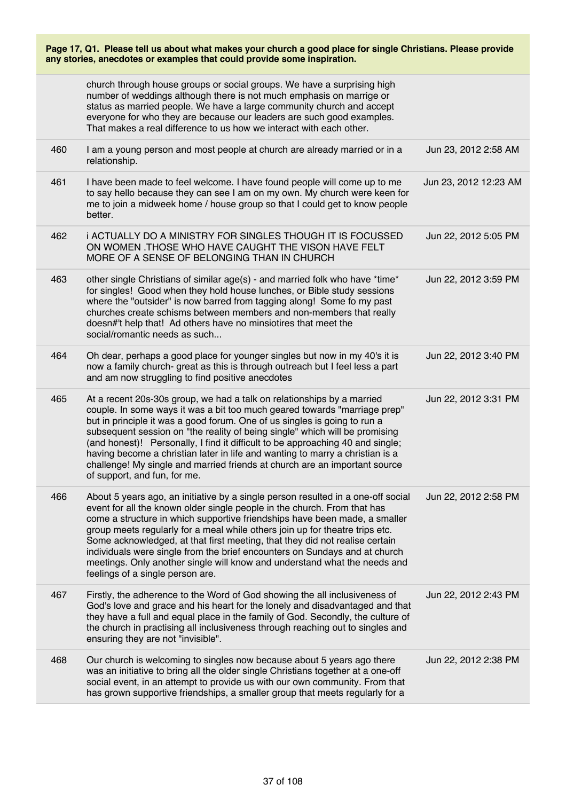| Page 17, Q1. Please tell us about what makes your church a good place for single Christians. Please provide |  |  |
|-------------------------------------------------------------------------------------------------------------|--|--|
| any stories, anecdotes or examples that could provide some inspiration.                                     |  |  |

|     | church through house groups or social groups. We have a surprising high<br>number of weddings although there is not much emphasis on marrige or<br>status as married people. We have a large community church and accept<br>everyone for who they are because our leaders are such good examples.<br>That makes a real difference to us how we interact with each other.                                                                                                                                                                                                                                 |                       |
|-----|----------------------------------------------------------------------------------------------------------------------------------------------------------------------------------------------------------------------------------------------------------------------------------------------------------------------------------------------------------------------------------------------------------------------------------------------------------------------------------------------------------------------------------------------------------------------------------------------------------|-----------------------|
| 460 | I am a young person and most people at church are already married or in a<br>relationship.                                                                                                                                                                                                                                                                                                                                                                                                                                                                                                               | Jun 23, 2012 2:58 AM  |
| 461 | I have been made to feel welcome. I have found people will come up to me<br>to say hello because they can see I am on my own. My church were keen for<br>me to join a midweek home / house group so that I could get to know people<br>better.                                                                                                                                                                                                                                                                                                                                                           | Jun 23, 2012 12:23 AM |
| 462 | i ACTUALLY DO A MINISTRY FOR SINGLES THOUGH IT IS FOCUSSED<br>ON WOMEN . THOSE WHO HAVE CAUGHT THE VISON HAVE FELT<br>MORE OF A SENSE OF BELONGING THAN IN CHURCH                                                                                                                                                                                                                                                                                                                                                                                                                                        | Jun 22, 2012 5:05 PM  |
| 463 | other single Christians of similar age(s) - and married folk who have *time*<br>for singles! Good when they hold house lunches, or Bible study sessions<br>where the "outsider" is now barred from tagging along! Some fo my past<br>churches create schisms between members and non-members that really<br>doesn#'t help that! Ad others have no minsiotires that meet the<br>social/romantic needs as such                                                                                                                                                                                             | Jun 22, 2012 3:59 PM  |
| 464 | Oh dear, perhaps a good place for younger singles but now in my 40's it is<br>now a family church- great as this is through outreach but I feel less a part<br>and am now struggling to find positive anecdotes                                                                                                                                                                                                                                                                                                                                                                                          | Jun 22, 2012 3:40 PM  |
| 465 | At a recent 20s-30s group, we had a talk on relationships by a married<br>couple. In some ways it was a bit too much geared towards "marriage prep"<br>but in principle it was a good forum. One of us singles is going to run a<br>subsequent session on "the reality of being single" which will be promising<br>(and honest)! Personally, I find it difficult to be approaching 40 and single;<br>having become a christian later in life and wanting to marry a christian is a<br>challenge! My single and married friends at church are an important source<br>of support, and fun, for me.         | Jun 22, 2012 3:31 PM  |
| 466 | About 5 years ago, an initiative by a single person resulted in a one-off social<br>event for all the known older single people in the church. From that has<br>come a structure in which supportive friendships have been made, a smaller<br>group meets regularly for a meal while others join up for theatre trips etc.<br>Some acknowledged, at that first meeting, that they did not realise certain<br>individuals were single from the brief encounters on Sundays and at church<br>meetings. Only another single will know and understand what the needs and<br>feelings of a single person are. | Jun 22, 2012 2:58 PM  |
| 467 | Firstly, the adherence to the Word of God showing the all inclusiveness of<br>God's love and grace and his heart for the lonely and disadvantaged and that<br>they have a full and equal place in the family of God. Secondly, the culture of<br>the church in practising all inclusiveness through reaching out to singles and<br>ensuring they are not "invisible".                                                                                                                                                                                                                                    | Jun 22, 2012 2:43 PM  |
| 468 | Our church is welcoming to singles now because about 5 years ago there<br>was an initiative to bring all the older single Christians together at a one-off<br>social event, in an attempt to provide us with our own community. From that<br>has grown supportive friendships, a smaller group that meets regularly for a                                                                                                                                                                                                                                                                                | Jun 22, 2012 2:38 PM  |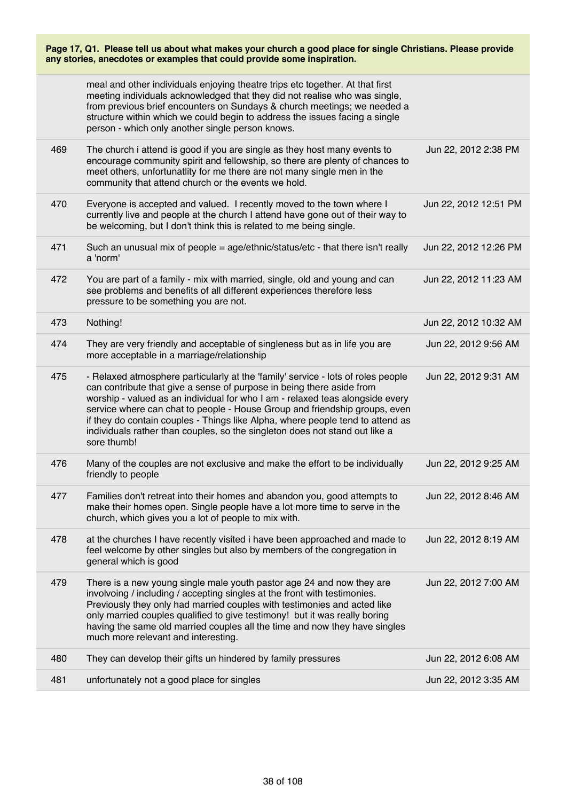| Page 17, Q1. Please tell us about what makes your church a good place for single Christians. Please provide<br>any stories, anecdotes or examples that could provide some inspiration. |                                                                                                                                                                                                                                                                                                                                                                                                                                                                                                          |                       |  |
|----------------------------------------------------------------------------------------------------------------------------------------------------------------------------------------|----------------------------------------------------------------------------------------------------------------------------------------------------------------------------------------------------------------------------------------------------------------------------------------------------------------------------------------------------------------------------------------------------------------------------------------------------------------------------------------------------------|-----------------------|--|
|                                                                                                                                                                                        | meal and other individuals enjoying theatre trips etc together. At that first<br>meeting individuals acknowledged that they did not realise who was single,<br>from previous brief encounters on Sundays & church meetings; we needed a<br>structure within which we could begin to address the issues facing a single<br>person - which only another single person knows.                                                                                                                               |                       |  |
| 469                                                                                                                                                                                    | The church i attend is good if you are single as they host many events to<br>encourage community spirit and fellowship, so there are plenty of chances to<br>meet others, unfortunatlity for me there are not many single men in the<br>community that attend church or the events we hold.                                                                                                                                                                                                              | Jun 22, 2012 2:38 PM  |  |
| 470                                                                                                                                                                                    | Everyone is accepted and valued. I recently moved to the town where I<br>currently live and people at the church I attend have gone out of their way to<br>be welcoming, but I don't think this is related to me being single.                                                                                                                                                                                                                                                                           | Jun 22, 2012 12:51 PM |  |
| 471                                                                                                                                                                                    | Such an unusual mix of people = age/ethnic/status/etc - that there isn't really<br>a 'norm'                                                                                                                                                                                                                                                                                                                                                                                                              | Jun 22, 2012 12:26 PM |  |
| 472                                                                                                                                                                                    | You are part of a family - mix with married, single, old and young and can<br>see problems and benefits of all different experiences therefore less<br>pressure to be something you are not.                                                                                                                                                                                                                                                                                                             | Jun 22, 2012 11:23 AM |  |
| 473                                                                                                                                                                                    | Nothing!                                                                                                                                                                                                                                                                                                                                                                                                                                                                                                 | Jun 22, 2012 10:32 AM |  |
| 474                                                                                                                                                                                    | They are very friendly and acceptable of singleness but as in life you are<br>more acceptable in a marriage/relationship                                                                                                                                                                                                                                                                                                                                                                                 | Jun 22, 2012 9:56 AM  |  |
| 475                                                                                                                                                                                    | - Relaxed atmosphere particularly at the 'family' service - lots of roles people<br>can contribute that give a sense of purpose in being there aside from<br>worship - valued as an individual for who I am - relaxed teas alongside every<br>service where can chat to people - House Group and friendship groups, even<br>if they do contain couples - Things like Alpha, where people tend to attend as<br>individuals rather than couples, so the singleton does not stand out like a<br>sore thumb! | Jun 22, 2012 9:31 AM  |  |
| 476                                                                                                                                                                                    | Many of the couples are not exclusive and make the effort to be individually<br>friendly to people                                                                                                                                                                                                                                                                                                                                                                                                       | Jun 22, 2012 9:25 AM  |  |
| 477                                                                                                                                                                                    | Families don't retreat into their homes and abandon you, good attempts to<br>make their homes open. Single people have a lot more time to serve in the<br>church, which gives you a lot of people to mix with.                                                                                                                                                                                                                                                                                           | Jun 22, 2012 8:46 AM  |  |
| 478                                                                                                                                                                                    | at the churches I have recently visited i have been approached and made to<br>feel welcome by other singles but also by members of the congregation in<br>general which is good                                                                                                                                                                                                                                                                                                                          | Jun 22, 2012 8:19 AM  |  |
| 479                                                                                                                                                                                    | There is a new young single male youth pastor age 24 and now they are<br>involvoing / including / accepting singles at the front with testimonies.<br>Previously they only had married couples with testimonies and acted like<br>only married couples qualified to give testimony! but it was really boring<br>having the same old married couples all the time and now they have singles<br>much more relevant and interesting.                                                                        | Jun 22, 2012 7:00 AM  |  |
| 480                                                                                                                                                                                    | They can develop their gifts un hindered by family pressures                                                                                                                                                                                                                                                                                                                                                                                                                                             | Jun 22, 2012 6:08 AM  |  |
| 481                                                                                                                                                                                    | unfortunately not a good place for singles                                                                                                                                                                                                                                                                                                                                                                                                                                                               | Jun 22, 2012 3:35 AM  |  |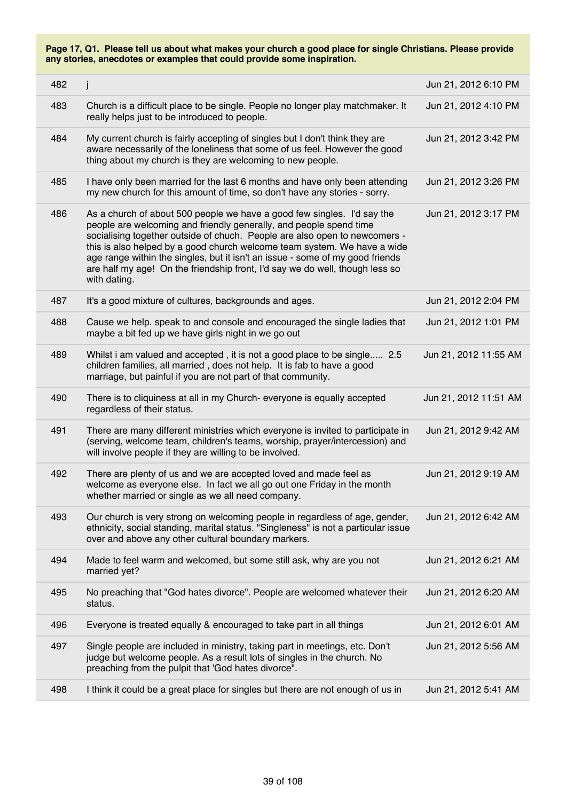| 482 | j                                                                                                                                                                                                                                                                                                                                                                                                                                                                                        | Jun 21, 2012 6:10 PM  |
|-----|------------------------------------------------------------------------------------------------------------------------------------------------------------------------------------------------------------------------------------------------------------------------------------------------------------------------------------------------------------------------------------------------------------------------------------------------------------------------------------------|-----------------------|
| 483 | Church is a difficult place to be single. People no longer play matchmaker. It<br>really helps just to be introduced to people.                                                                                                                                                                                                                                                                                                                                                          | Jun 21, 2012 4:10 PM  |
| 484 | My current church is fairly accepting of singles but I don't think they are<br>aware necessarily of the loneliness that some of us feel. However the good<br>thing about my church is they are welcoming to new people.                                                                                                                                                                                                                                                                  | Jun 21, 2012 3:42 PM  |
| 485 | I have only been married for the last 6 months and have only been attending<br>my new church for this amount of time, so don't have any stories - sorry.                                                                                                                                                                                                                                                                                                                                 | Jun 21, 2012 3:26 PM  |
| 486 | As a church of about 500 people we have a good few singles. I'd say the<br>people are welcoming and friendly generally, and people spend time<br>socialising together outside of chuch. People are also open to newcomers -<br>this is also helped by a good church welcome team system. We have a wide<br>age range within the singles, but it isn't an issue - some of my good friends<br>are half my age! On the friendship front, I'd say we do well, though less so<br>with dating. | Jun 21, 2012 3:17 PM  |
| 487 | It's a good mixture of cultures, backgrounds and ages.                                                                                                                                                                                                                                                                                                                                                                                                                                   | Jun 21, 2012 2:04 PM  |
| 488 | Cause we help. speak to and console and encouraged the single ladies that<br>maybe a bit fed up we have girls night in we go out                                                                                                                                                                                                                                                                                                                                                         | Jun 21, 2012 1:01 PM  |
| 489 | Whilst i am valued and accepted, it is not a good place to be single 2.5<br>children families, all married, does not help. It is fab to have a good<br>marriage, but painful if you are not part of that community.                                                                                                                                                                                                                                                                      | Jun 21, 2012 11:55 AM |
| 490 | There is to cliquiness at all in my Church-everyone is equally accepted<br>regardless of their status.                                                                                                                                                                                                                                                                                                                                                                                   | Jun 21, 2012 11:51 AM |
| 491 | There are many different ministries which everyone is invited to participate in<br>(serving, welcome team, children's teams, worship, prayer/intercession) and<br>will involve people if they are willing to be involved.                                                                                                                                                                                                                                                                | Jun 21, 2012 9:42 AM  |
| 492 | There are plenty of us and we are accepted loved and made feel as<br>welcome as everyone else. In fact we all go out one Friday in the month<br>whether married or single as we all need company.                                                                                                                                                                                                                                                                                        | Jun 21, 2012 9:19 AM  |
| 493 | Our church is very strong on welcoming people in regardless of age, gender,<br>ethnicity, social standing, marital status. "Singleness" is not a particular issue<br>over and above any other cultural boundary markers.                                                                                                                                                                                                                                                                 | Jun 21, 2012 6:42 AM  |
| 494 | Made to feel warm and welcomed, but some still ask, why are you not<br>married yet?                                                                                                                                                                                                                                                                                                                                                                                                      | Jun 21, 2012 6:21 AM  |
| 495 | No preaching that "God hates divorce". People are welcomed whatever their<br>status.                                                                                                                                                                                                                                                                                                                                                                                                     | Jun 21, 2012 6:20 AM  |
| 496 | Everyone is treated equally & encouraged to take part in all things                                                                                                                                                                                                                                                                                                                                                                                                                      | Jun 21, 2012 6:01 AM  |
| 497 | Single people are included in ministry, taking part in meetings, etc. Don't<br>judge but welcome people. As a result lots of singles in the church. No<br>preaching from the pulpit that 'God hates divorce".                                                                                                                                                                                                                                                                            | Jun 21, 2012 5:56 AM  |
| 498 | I think it could be a great place for singles but there are not enough of us in                                                                                                                                                                                                                                                                                                                                                                                                          | Jun 21, 2012 5:41 AM  |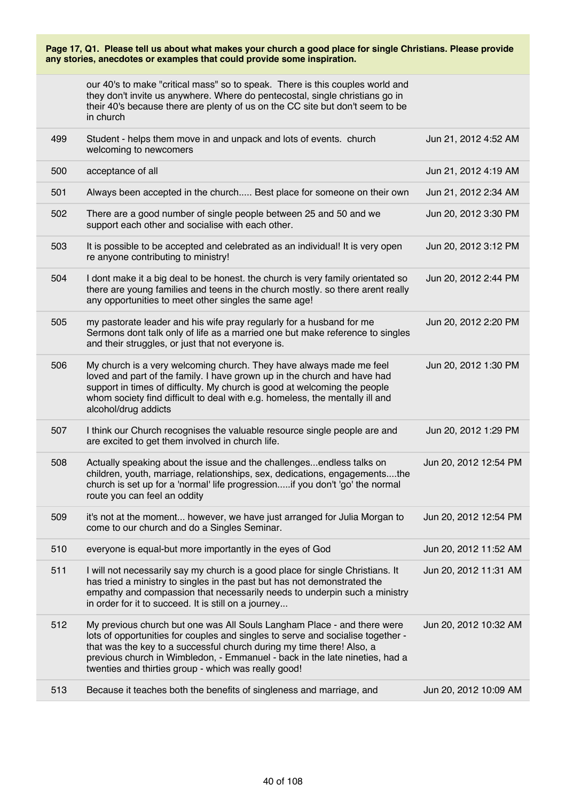$J = 21, 201, 201, 452, 414$ 

our 40's to make "critical mass" so to speak. There is this couples world and they don't invite us anywhere. Where do pentecostal, single christians go in their 40's because there are plenty of us on the CC site but don't seem to be in church

| 499 | Student - helps them move in and unpack and lots of events. church<br>welcoming to newcomers                                                                                                                                                                                                                                                                               | Jun 21, 2012 4:52 AM  |
|-----|----------------------------------------------------------------------------------------------------------------------------------------------------------------------------------------------------------------------------------------------------------------------------------------------------------------------------------------------------------------------------|-----------------------|
| 500 | acceptance of all                                                                                                                                                                                                                                                                                                                                                          | Jun 21, 2012 4:19 AM  |
| 501 | Always been accepted in the church Best place for someone on their own                                                                                                                                                                                                                                                                                                     | Jun 21, 2012 2:34 AM  |
| 502 | There are a good number of single people between 25 and 50 and we<br>support each other and socialise with each other.                                                                                                                                                                                                                                                     | Jun 20, 2012 3:30 PM  |
| 503 | It is possible to be accepted and celebrated as an individual! It is very open<br>re anyone contributing to ministry!                                                                                                                                                                                                                                                      | Jun 20, 2012 3:12 PM  |
| 504 | I dont make it a big deal to be honest. the church is very family orientated so<br>there are young families and teens in the church mostly. so there arent really<br>any opportunities to meet other singles the same age!                                                                                                                                                 | Jun 20, 2012 2:44 PM  |
| 505 | my pastorate leader and his wife pray regularly for a husband for me<br>Sermons dont talk only of life as a married one but make reference to singles<br>and their struggles, or just that not everyone is.                                                                                                                                                                | Jun 20, 2012 2:20 PM  |
| 506 | My church is a very welcoming church. They have always made me feel<br>loved and part of the family. I have grown up in the church and have had<br>support in times of difficulty. My church is good at welcoming the people<br>whom society find difficult to deal with e.g. homeless, the mentally ill and<br>alcohol/drug addicts                                       | Jun 20, 2012 1:30 PM  |
| 507 | I think our Church recognises the valuable resource single people are and<br>are excited to get them involved in church life.                                                                                                                                                                                                                                              | Jun 20, 2012 1:29 PM  |
| 508 | Actually speaking about the issue and the challengesendless talks on<br>children, youth, marriage, relationships, sex, dedications, engagementsthe<br>church is set up for a 'normal' life progressionif you don't 'go' the normal<br>route you can feel an oddity                                                                                                         | Jun 20, 2012 12:54 PM |
| 509 | it's not at the moment however, we have just arranged for Julia Morgan to<br>come to our church and do a Singles Seminar.                                                                                                                                                                                                                                                  | Jun 20, 2012 12:54 PM |
| 510 | everyone is equal-but more importantly in the eyes of God                                                                                                                                                                                                                                                                                                                  | Jun 20, 2012 11:52 AM |
| 511 | I will not necessarily say my church is a good place for single Christians. It<br>has tried a ministry to singles in the past but has not demonstrated the<br>empathy and compassion that necessarily needs to underpin such a ministry<br>in order for it to succeed. It is still on a journey                                                                            | Jun 20, 2012 11:31 AM |
| 512 | My previous church but one was All Souls Langham Place - and there were<br>lots of opportunities for couples and singles to serve and socialise together -<br>that was the key to a successful church during my time there! Also, a<br>previous church in Wimbledon, - Emmanuel - back in the late nineties, had a<br>twenties and thirties group - which was really good! | Jun 20, 2012 10:32 AM |
| 513 | Because it teaches both the benefits of singleness and marriage, and                                                                                                                                                                                                                                                                                                       | Jun 20, 2012 10:09 AM |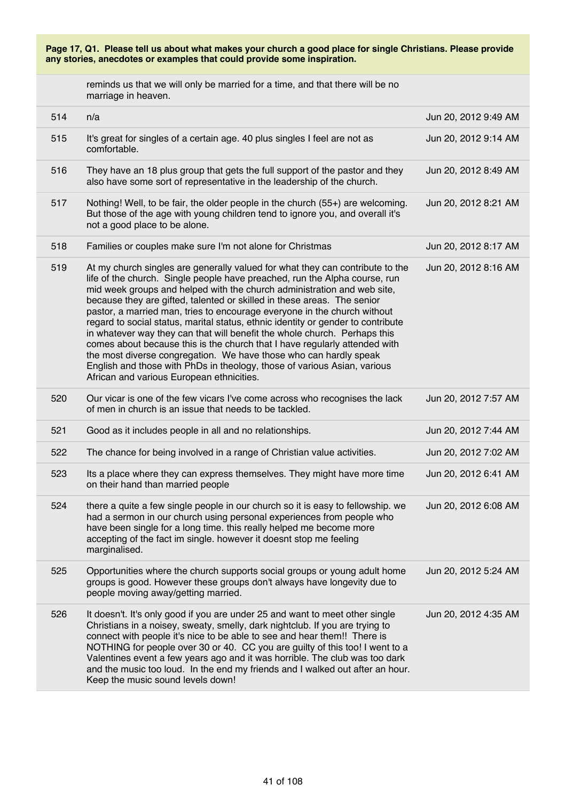reminds us that we will only be married for a time, and that there will be no marriage in heaven.

| 514 | n/a                                                                                                                                                                                                                                                                                                                                                                                                                                                                                                                                                                                                                                                                                                                                                                                                                                        | Jun 20, 2012 9:49 AM |
|-----|--------------------------------------------------------------------------------------------------------------------------------------------------------------------------------------------------------------------------------------------------------------------------------------------------------------------------------------------------------------------------------------------------------------------------------------------------------------------------------------------------------------------------------------------------------------------------------------------------------------------------------------------------------------------------------------------------------------------------------------------------------------------------------------------------------------------------------------------|----------------------|
| 515 | It's great for singles of a certain age. 40 plus singles I feel are not as<br>comfortable.                                                                                                                                                                                                                                                                                                                                                                                                                                                                                                                                                                                                                                                                                                                                                 | Jun 20, 2012 9:14 AM |
| 516 | They have an 18 plus group that gets the full support of the pastor and they<br>also have some sort of representative in the leadership of the church.                                                                                                                                                                                                                                                                                                                                                                                                                                                                                                                                                                                                                                                                                     | Jun 20, 2012 8:49 AM |
| 517 | Nothing! Well, to be fair, the older people in the church (55+) are welcoming.<br>But those of the age with young children tend to ignore you, and overall it's<br>not a good place to be alone.                                                                                                                                                                                                                                                                                                                                                                                                                                                                                                                                                                                                                                           | Jun 20, 2012 8:21 AM |
| 518 | Families or couples make sure I'm not alone for Christmas                                                                                                                                                                                                                                                                                                                                                                                                                                                                                                                                                                                                                                                                                                                                                                                  | Jun 20, 2012 8:17 AM |
| 519 | At my church singles are generally valued for what they can contribute to the<br>life of the church. Single people have preached, run the Alpha course, run<br>mid week groups and helped with the church administration and web site,<br>because they are gifted, talented or skilled in these areas. The senior<br>pastor, a married man, tries to encourage everyone in the church without<br>regard to social status, marital status, ethnic identity or gender to contribute<br>in whatever way they can that will benefit the whole church. Perhaps this<br>comes about because this is the church that I have regularly attended with<br>the most diverse congregation. We have those who can hardly speak<br>English and those with PhDs in theology, those of various Asian, various<br>African and various European ethnicities. | Jun 20, 2012 8:16 AM |
| 520 | Our vicar is one of the few vicars I've come across who recognises the lack<br>of men in church is an issue that needs to be tackled.                                                                                                                                                                                                                                                                                                                                                                                                                                                                                                                                                                                                                                                                                                      | Jun 20, 2012 7:57 AM |
| 521 | Good as it includes people in all and no relationships.                                                                                                                                                                                                                                                                                                                                                                                                                                                                                                                                                                                                                                                                                                                                                                                    | Jun 20, 2012 7:44 AM |
| 522 | The chance for being involved in a range of Christian value activities.                                                                                                                                                                                                                                                                                                                                                                                                                                                                                                                                                                                                                                                                                                                                                                    | Jun 20, 2012 7:02 AM |
| 523 | Its a place where they can express themselves. They might have more time<br>on their hand than married people                                                                                                                                                                                                                                                                                                                                                                                                                                                                                                                                                                                                                                                                                                                              | Jun 20, 2012 6:41 AM |
| 524 | there a quite a few single people in our church so it is easy to fellowship. we<br>had a sermon in our church using personal experiences from people who<br>have been single for a long time. this really helped me become more<br>accepting of the fact im single. however it doesnt stop me feeling<br>marginalised.                                                                                                                                                                                                                                                                                                                                                                                                                                                                                                                     | Jun 20, 2012 6:08 AM |
| 525 | Opportunities where the church supports social groups or young adult home<br>groups is good. However these groups don't always have longevity due to<br>people moving away/getting married.                                                                                                                                                                                                                                                                                                                                                                                                                                                                                                                                                                                                                                                | Jun 20, 2012 5:24 AM |
| 526 | It doesn't. It's only good if you are under 25 and want to meet other single<br>Christians in a noisey, sweaty, smelly, dark nightclub. If you are trying to<br>connect with people it's nice to be able to see and hear them!! There is<br>NOTHING for people over 30 or 40. CC you are guilty of this too! I went to a<br>Valentines event a few years ago and it was horrible. The club was too dark<br>and the music too loud. In the end my friends and I walked out after an hour.<br>Keep the music sound levels down!                                                                                                                                                                                                                                                                                                              | Jun 20, 2012 4:35 AM |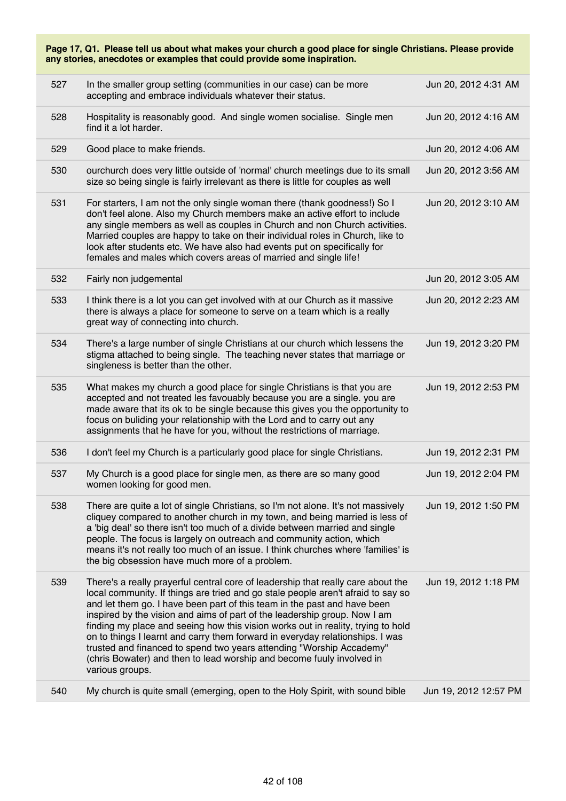| any stories, anecdotes or examples that could provide some inspiration. |                                                                                                                                                                                                                                                                                                                                                                                                                                                                                                                                                                                                                                                                        |                       |
|-------------------------------------------------------------------------|------------------------------------------------------------------------------------------------------------------------------------------------------------------------------------------------------------------------------------------------------------------------------------------------------------------------------------------------------------------------------------------------------------------------------------------------------------------------------------------------------------------------------------------------------------------------------------------------------------------------------------------------------------------------|-----------------------|
| 527                                                                     | In the smaller group setting (communities in our case) can be more<br>accepting and embrace individuals whatever their status.                                                                                                                                                                                                                                                                                                                                                                                                                                                                                                                                         | Jun 20, 2012 4:31 AM  |
| 528                                                                     | Hospitality is reasonably good. And single women socialise. Single men<br>find it a lot harder.                                                                                                                                                                                                                                                                                                                                                                                                                                                                                                                                                                        | Jun 20, 2012 4:16 AM  |
| 529                                                                     | Good place to make friends.                                                                                                                                                                                                                                                                                                                                                                                                                                                                                                                                                                                                                                            | Jun 20, 2012 4:06 AM  |
| 530                                                                     | ourchurch does very little outside of 'normal' church meetings due to its small<br>size so being single is fairly irrelevant as there is little for couples as well                                                                                                                                                                                                                                                                                                                                                                                                                                                                                                    | Jun 20, 2012 3:56 AM  |
| 531                                                                     | For starters, I am not the only single woman there (thank goodness!) So I<br>don't feel alone. Also my Church members make an active effort to include<br>any single members as well as couples in Church and non Church activities.<br>Married couples are happy to take on their individual roles in Church, like to<br>look after students etc. We have also had events put on specifically for<br>females and males which covers areas of married and single life!                                                                                                                                                                                                 | Jun 20, 2012 3:10 AM  |
| 532                                                                     | Fairly non judgemental                                                                                                                                                                                                                                                                                                                                                                                                                                                                                                                                                                                                                                                 | Jun 20, 2012 3:05 AM  |
| 533                                                                     | I think there is a lot you can get involved with at our Church as it massive<br>there is always a place for someone to serve on a team which is a really<br>great way of connecting into church.                                                                                                                                                                                                                                                                                                                                                                                                                                                                       | Jun 20, 2012 2:23 AM  |
| 534                                                                     | There's a large number of single Christians at our church which lessens the<br>stigma attached to being single. The teaching never states that marriage or<br>singleness is better than the other.                                                                                                                                                                                                                                                                                                                                                                                                                                                                     | Jun 19, 2012 3:20 PM  |
| 535                                                                     | What makes my church a good place for single Christians is that you are<br>accepted and not treated les favouably because you are a single. you are<br>made aware that its ok to be single because this gives you the opportunity to<br>focus on buliding your relationship with the Lord and to carry out any<br>assignments that he have for you, without the restrictions of marriage.                                                                                                                                                                                                                                                                              | Jun 19, 2012 2:53 PM  |
| 536                                                                     | I don't feel my Church is a particularly good place for single Christians.                                                                                                                                                                                                                                                                                                                                                                                                                                                                                                                                                                                             | Jun 19, 2012 2:31 PM  |
| 537                                                                     | My Church is a good place for single men, as there are so many good<br>women looking for good men.                                                                                                                                                                                                                                                                                                                                                                                                                                                                                                                                                                     | Jun 19, 2012 2:04 PM  |
| 538                                                                     | There are quite a lot of single Christians, so I'm not alone. It's not massively<br>cliquey compared to another church in my town, and being married is less of<br>a 'big deal' so there isn't too much of a divide between married and single<br>people. The focus is largely on outreach and community action, which<br>means it's not really too much of an issue. I think churches where 'families' is<br>the big obsession have much more of a problem.                                                                                                                                                                                                           | Jun 19, 2012 1:50 PM  |
| 539                                                                     | There's a really prayerful central core of leadership that really care about the<br>local community. If things are tried and go stale people aren't afraid to say so<br>and let them go. I have been part of this team in the past and have been<br>inspired by the vision and aims of part of the leadership group. Now I am<br>finding my place and seeing how this vision works out in reality, trying to hold<br>on to things I learnt and carry them forward in everyday relationships. I was<br>trusted and financed to spend two years attending "Worship Accademy"<br>(chris Bowater) and then to lead worship and become fuuly involved in<br>various groups. | Jun 19, 2012 1:18 PM  |
| 540                                                                     | My church is quite small (emerging, open to the Holy Spirit, with sound bible                                                                                                                                                                                                                                                                                                                                                                                                                                                                                                                                                                                          | Jun 19, 2012 12:57 PM |

**Page 17, Q1. Please tell us about what makes your church a good place for single Christians. Please provide**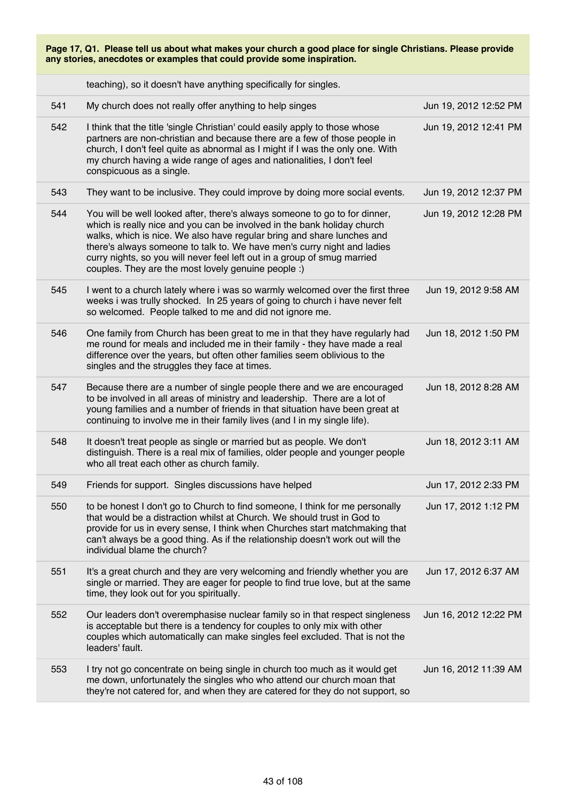| Page 17, Q1. Please tell us about what makes your church a good place for single Christians. Please provide<br>any stories, anecdotes or examples that could provide some inspiration. |                                                                                                                                                                                                                                                                                                                                                                                                                                               |                       |  |
|----------------------------------------------------------------------------------------------------------------------------------------------------------------------------------------|-----------------------------------------------------------------------------------------------------------------------------------------------------------------------------------------------------------------------------------------------------------------------------------------------------------------------------------------------------------------------------------------------------------------------------------------------|-----------------------|--|
|                                                                                                                                                                                        | teaching), so it doesn't have anything specifically for singles.                                                                                                                                                                                                                                                                                                                                                                              |                       |  |
| 541                                                                                                                                                                                    | My church does not really offer anything to help singes                                                                                                                                                                                                                                                                                                                                                                                       | Jun 19, 2012 12:52 PM |  |
| 542                                                                                                                                                                                    | I think that the title 'single Christian' could easily apply to those whose<br>partners are non-christian and because there are a few of those people in<br>church, I don't feel quite as abnormal as I might if I was the only one. With<br>my church having a wide range of ages and nationalities, I don't feel<br>conspicuous as a single.                                                                                                | Jun 19, 2012 12:41 PM |  |
| 543                                                                                                                                                                                    | They want to be inclusive. They could improve by doing more social events.                                                                                                                                                                                                                                                                                                                                                                    | Jun 19, 2012 12:37 PM |  |
| 544                                                                                                                                                                                    | You will be well looked after, there's always someone to go to for dinner,<br>which is really nice and you can be involved in the bank holiday church<br>walks, which is nice. We also have regular bring and share lunches and<br>there's always someone to talk to. We have men's curry night and ladies<br>curry nights, so you will never feel left out in a group of smug married<br>couples. They are the most lovely genuine people :) | Jun 19, 2012 12:28 PM |  |
| 545                                                                                                                                                                                    | I went to a church lately where i was so warmly welcomed over the first three<br>weeks i was trully shocked. In 25 years of going to church i have never felt<br>so welcomed. People talked to me and did not ignore me.                                                                                                                                                                                                                      | Jun 19, 2012 9:58 AM  |  |
| 546                                                                                                                                                                                    | One family from Church has been great to me in that they have regularly had<br>me round for meals and included me in their family - they have made a real<br>difference over the years, but often other families seem oblivious to the<br>singles and the struggles they face at times.                                                                                                                                                       | Jun 18, 2012 1:50 PM  |  |
| 547                                                                                                                                                                                    | Because there are a number of single people there and we are encouraged<br>to be involved in all areas of ministry and leadership. There are a lot of<br>young families and a number of friends in that situation have been great at<br>continuing to involve me in their family lives (and I in my single life).                                                                                                                             | Jun 18, 2012 8:28 AM  |  |
| 548                                                                                                                                                                                    | It doesn't treat people as single or married but as people. We don't<br>distinguish. There is a real mix of families, older people and younger people<br>who all treat each other as church family.                                                                                                                                                                                                                                           | Jun 18, 2012 3:11 AM  |  |
| 549                                                                                                                                                                                    | Friends for support. Singles discussions have helped                                                                                                                                                                                                                                                                                                                                                                                          | Jun 17, 2012 2:33 PM  |  |
| 550                                                                                                                                                                                    | to be honest I don't go to Church to find someone, I think for me personally<br>that would be a distraction whilst at Church. We should trust in God to<br>provide for us in every sense, I think when Churches start matchmaking that<br>can't always be a good thing. As if the relationship doesn't work out will the<br>individual blame the church?                                                                                      | Jun 17, 2012 1:12 PM  |  |
| 551                                                                                                                                                                                    | It's a great church and they are very welcoming and friendly whether you are<br>single or married. They are eager for people to find true love, but at the same<br>time, they look out for you spiritually.                                                                                                                                                                                                                                   | Jun 17, 2012 6:37 AM  |  |
| 552                                                                                                                                                                                    | Our leaders don't overemphasise nuclear family so in that respect singleness<br>is acceptable but there is a tendency for couples to only mix with other<br>couples which automatically can make singles feel excluded. That is not the<br>leaders' fault.                                                                                                                                                                                    | Jun 16, 2012 12:22 PM |  |
| 553                                                                                                                                                                                    | I try not go concentrate on being single in church too much as it would get<br>me down, unfortunately the singles who who attend our church moan that<br>they're not catered for, and when they are catered for they do not support, so                                                                                                                                                                                                       | Jun 16, 2012 11:39 AM |  |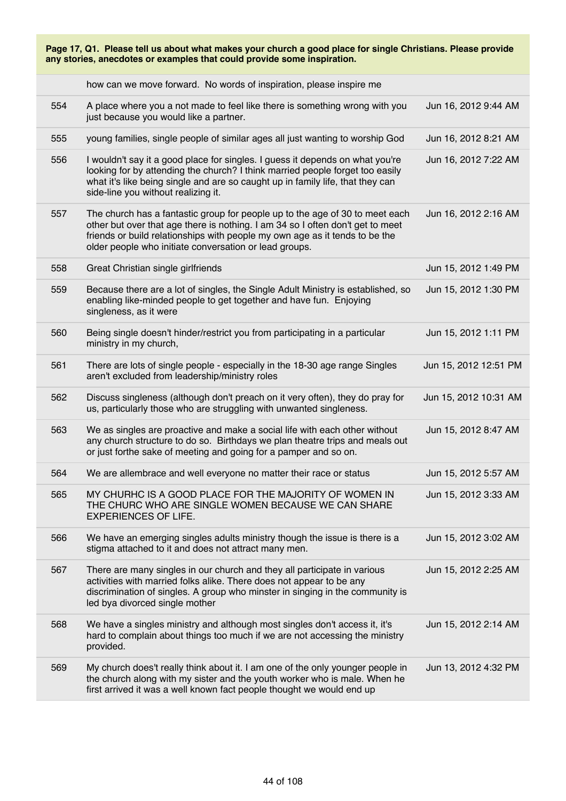| Page 17, Q1. Please tell us about what makes your church a good place for single Christians. Please provide<br>any stories, anecdotes or examples that could provide some inspiration. |                                                                                                                                                                                                                                                                                                         |                       |  |
|----------------------------------------------------------------------------------------------------------------------------------------------------------------------------------------|---------------------------------------------------------------------------------------------------------------------------------------------------------------------------------------------------------------------------------------------------------------------------------------------------------|-----------------------|--|
|                                                                                                                                                                                        | how can we move forward. No words of inspiration, please inspire me                                                                                                                                                                                                                                     |                       |  |
| 554                                                                                                                                                                                    | A place where you a not made to feel like there is something wrong with you<br>just because you would like a partner.                                                                                                                                                                                   | Jun 16, 2012 9:44 AM  |  |
| 555                                                                                                                                                                                    | young families, single people of similar ages all just wanting to worship God                                                                                                                                                                                                                           | Jun 16, 2012 8:21 AM  |  |
| 556                                                                                                                                                                                    | I wouldn't say it a good place for singles. I guess it depends on what you're<br>looking for by attending the church? I think married people forget too easily<br>what it's like being single and are so caught up in family life, that they can<br>side-line you without realizing it.                 | Jun 16, 2012 7:22 AM  |  |
| 557                                                                                                                                                                                    | The church has a fantastic group for people up to the age of 30 to meet each<br>other but over that age there is nothing. I am 34 so I often don't get to meet<br>friends or build relationships with people my own age as it tends to be the<br>older people who initiate conversation or lead groups. | Jun 16, 2012 2:16 AM  |  |
| 558                                                                                                                                                                                    | Great Christian single girlfriends                                                                                                                                                                                                                                                                      | Jun 15, 2012 1:49 PM  |  |
| 559                                                                                                                                                                                    | Because there are a lot of singles, the Single Adult Ministry is established, so<br>enabling like-minded people to get together and have fun. Enjoying<br>singleness, as it were                                                                                                                        | Jun 15, 2012 1:30 PM  |  |
| 560                                                                                                                                                                                    | Being single doesn't hinder/restrict you from participating in a particular<br>ministry in my church,                                                                                                                                                                                                   | Jun 15, 2012 1:11 PM  |  |
| 561                                                                                                                                                                                    | There are lots of single people - especially in the 18-30 age range Singles<br>aren't excluded from leadership/ministry roles                                                                                                                                                                           | Jun 15, 2012 12:51 PM |  |
| 562                                                                                                                                                                                    | Discuss singleness (although don't preach on it very often), they do pray for<br>us, particularly those who are struggling with unwanted singleness.                                                                                                                                                    | Jun 15, 2012 10:31 AM |  |
| 563                                                                                                                                                                                    | We as singles are proactive and make a social life with each other without<br>any church structure to do so. Birthdays we plan theatre trips and meals out<br>or just forthe sake of meeting and going for a pamper and so on.                                                                          | Jun 15, 2012 8:47 AM  |  |
| 564                                                                                                                                                                                    | We are allembrace and well everyone no matter their race or status                                                                                                                                                                                                                                      | Jun 15, 2012 5:57 AM  |  |
| 565                                                                                                                                                                                    | MY CHURHC IS A GOOD PLACE FOR THE MAJORITY OF WOMEN IN<br>THE CHURC WHO ARE SINGLE WOMEN BECAUSE WE CAN SHARE<br><b>EXPERIENCES OF LIFE.</b>                                                                                                                                                            | Jun 15, 2012 3:33 AM  |  |
| 566                                                                                                                                                                                    | We have an emerging singles adults ministry though the issue is there is a<br>stigma attached to it and does not attract many men.                                                                                                                                                                      | Jun 15, 2012 3:02 AM  |  |
| 567                                                                                                                                                                                    | There are many singles in our church and they all participate in various<br>activities with married folks alike. There does not appear to be any<br>discrimination of singles. A group who minster in singing in the community is<br>led bya divorced single mother                                     | Jun 15, 2012 2:25 AM  |  |
| 568                                                                                                                                                                                    | We have a singles ministry and although most singles don't access it, it's<br>hard to complain about things too much if we are not accessing the ministry<br>provided.                                                                                                                                  | Jun 15, 2012 2:14 AM  |  |
| 569                                                                                                                                                                                    | My church does't really think about it. I am one of the only younger people in<br>the church along with my sister and the youth worker who is male. When he<br>first arrived it was a well known fact people thought we would end up                                                                    | Jun 13, 2012 4:32 PM  |  |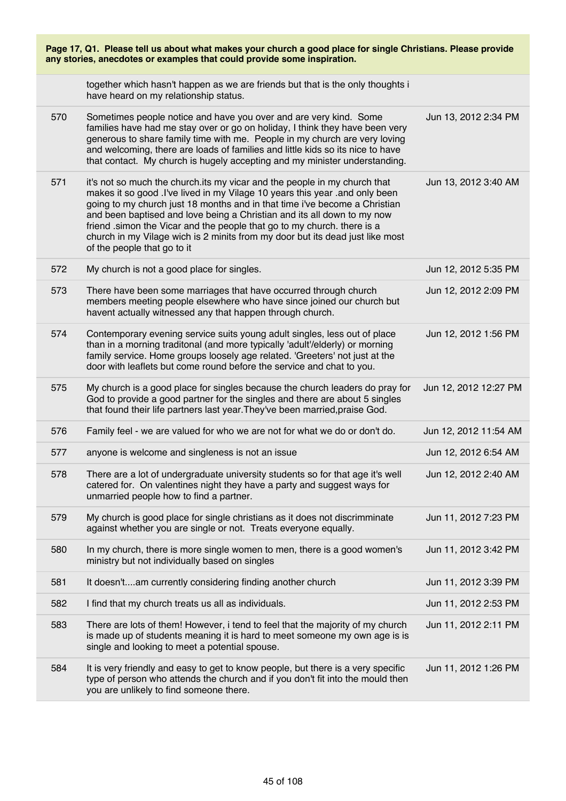| Page 17, Q1. Please tell us about what makes your church a good place for single Christians. Please provide<br>any stories, anecdotes or examples that could provide some inspiration. |                                                                                                                                                                                                                                                                                                                                                                                                                                                                                                                |                       |  |
|----------------------------------------------------------------------------------------------------------------------------------------------------------------------------------------|----------------------------------------------------------------------------------------------------------------------------------------------------------------------------------------------------------------------------------------------------------------------------------------------------------------------------------------------------------------------------------------------------------------------------------------------------------------------------------------------------------------|-----------------------|--|
|                                                                                                                                                                                        | together which hasn't happen as we are friends but that is the only thoughts i<br>have heard on my relationship status.                                                                                                                                                                                                                                                                                                                                                                                        |                       |  |
| 570                                                                                                                                                                                    | Sometimes people notice and have you over and are very kind. Some<br>families have had me stay over or go on holiday, I think they have been very<br>generous to share family time with me. People in my church are very loving<br>and welcoming, there are loads of families and little kids so its nice to have<br>that contact. My church is hugely accepting and my minister understanding.                                                                                                                | Jun 13, 2012 2:34 PM  |  |
| 571                                                                                                                                                                                    | it's not so much the church its my vicar and the people in my church that<br>makes it so good . I've lived in my Vilage 10 years this year . and only been<br>going to my church just 18 months and in that time i've become a Christian<br>and been baptised and love being a Christian and its all down to my now<br>friend .simon the Vicar and the people that go to my church. there is a<br>church in my Vilage wich is 2 minits from my door but its dead just like most<br>of the people that go to it | Jun 13, 2012 3:40 AM  |  |
| 572                                                                                                                                                                                    | My church is not a good place for singles.                                                                                                                                                                                                                                                                                                                                                                                                                                                                     | Jun 12, 2012 5:35 PM  |  |
| 573                                                                                                                                                                                    | There have been some marriages that have occurred through church<br>members meeting people elsewhere who have since joined our church but<br>havent actually witnessed any that happen through church.                                                                                                                                                                                                                                                                                                         | Jun 12, 2012 2:09 PM  |  |
| 574                                                                                                                                                                                    | Contemporary evening service suits young adult singles, less out of place<br>than in a morning traditonal (and more typically 'adult'/elderly) or morning<br>family service. Home groups loosely age related. 'Greeters' not just at the<br>door with leaflets but come round before the service and chat to you.                                                                                                                                                                                              | Jun 12, 2012 1:56 PM  |  |
| 575                                                                                                                                                                                    | My church is a good place for singles because the church leaders do pray for<br>God to provide a good partner for the singles and there are about 5 singles<br>that found their life partners last year. They've been married, praise God.                                                                                                                                                                                                                                                                     | Jun 12, 2012 12:27 PM |  |
| 576                                                                                                                                                                                    | Family feel - we are valued for who we are not for what we do or don't do.                                                                                                                                                                                                                                                                                                                                                                                                                                     | Jun 12, 2012 11:54 AM |  |
| 577                                                                                                                                                                                    | anyone is welcome and singleness is not an issue                                                                                                                                                                                                                                                                                                                                                                                                                                                               | Jun 12, 2012 6:54 AM  |  |
| 578                                                                                                                                                                                    | There are a lot of undergraduate university students so for that age it's well<br>catered for. On valentines night they have a party and suggest ways for<br>unmarried people how to find a partner.                                                                                                                                                                                                                                                                                                           | Jun 12, 2012 2:40 AM  |  |
| 579                                                                                                                                                                                    | My church is good place for single christians as it does not discrimminate<br>against whether you are single or not. Treats everyone equally.                                                                                                                                                                                                                                                                                                                                                                  | Jun 11, 2012 7:23 PM  |  |
| 580                                                                                                                                                                                    | In my church, there is more single women to men, there is a good women's<br>ministry but not individually based on singles                                                                                                                                                                                                                                                                                                                                                                                     | Jun 11, 2012 3:42 PM  |  |
| 581                                                                                                                                                                                    | It doesn'tam currently considering finding another church                                                                                                                                                                                                                                                                                                                                                                                                                                                      | Jun 11, 2012 3:39 PM  |  |
| 582                                                                                                                                                                                    | I find that my church treats us all as individuals.                                                                                                                                                                                                                                                                                                                                                                                                                                                            | Jun 11, 2012 2:53 PM  |  |
| 583                                                                                                                                                                                    | There are lots of them! However, i tend to feel that the majority of my church<br>is made up of students meaning it is hard to meet someone my own age is is<br>single and looking to meet a potential spouse.                                                                                                                                                                                                                                                                                                 | Jun 11, 2012 2:11 PM  |  |
| 584                                                                                                                                                                                    | It is very friendly and easy to get to know people, but there is a very specific<br>type of person who attends the church and if you don't fit into the mould then<br>you are unlikely to find someone there.                                                                                                                                                                                                                                                                                                  | Jun 11, 2012 1:26 PM  |  |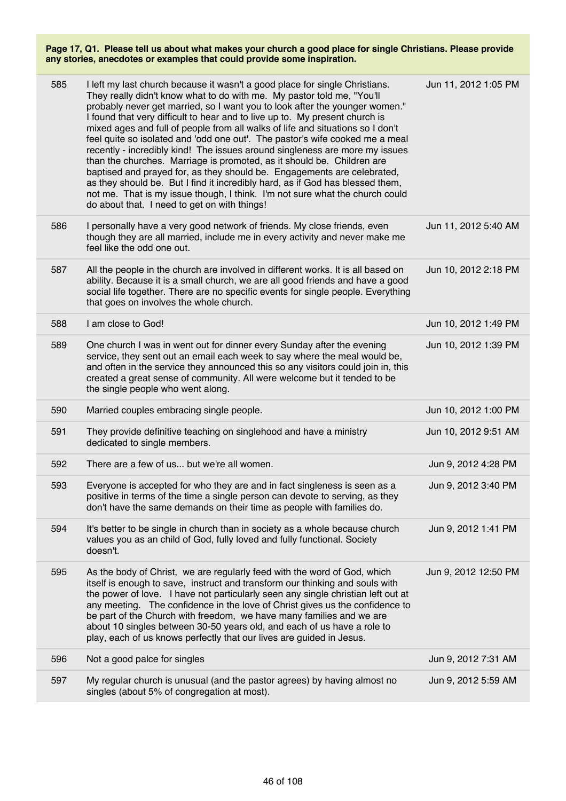| 585 | I left my last church because it wasn't a good place for single Christians.<br>They really didn't know what to do with me. My pastor told me, "You'll<br>probably never get married, so I want you to look after the younger women."<br>I found that very difficult to hear and to live up to. My present church is<br>mixed ages and full of people from all walks of life and situations so I don't<br>feel quite so isolated and 'odd one out'. The pastor's wife cooked me a meal<br>recently - incredibly kind! The issues around singleness are more my issues<br>than the churches. Marriage is promoted, as it should be. Children are<br>baptised and prayed for, as they should be. Engagements are celebrated,<br>as they should be. But I find it incredibly hard, as if God has blessed them,<br>not me. That is my issue though, I think. I'm not sure what the church could<br>do about that. I need to get on with things! | Jun 11, 2012 1:05 PM |
|-----|--------------------------------------------------------------------------------------------------------------------------------------------------------------------------------------------------------------------------------------------------------------------------------------------------------------------------------------------------------------------------------------------------------------------------------------------------------------------------------------------------------------------------------------------------------------------------------------------------------------------------------------------------------------------------------------------------------------------------------------------------------------------------------------------------------------------------------------------------------------------------------------------------------------------------------------------|----------------------|
| 586 | I personally have a very good network of friends. My close friends, even<br>though they are all married, include me in every activity and never make me<br>feel like the odd one out.                                                                                                                                                                                                                                                                                                                                                                                                                                                                                                                                                                                                                                                                                                                                                      | Jun 11, 2012 5:40 AM |
| 587 | All the people in the church are involved in different works. It is all based on<br>ability. Because it is a small church, we are all good friends and have a good<br>social life together. There are no specific events for single people. Everything<br>that goes on involves the whole church.                                                                                                                                                                                                                                                                                                                                                                                                                                                                                                                                                                                                                                          | Jun 10, 2012 2:18 PM |
| 588 | I am close to God!                                                                                                                                                                                                                                                                                                                                                                                                                                                                                                                                                                                                                                                                                                                                                                                                                                                                                                                         | Jun 10, 2012 1:49 PM |
| 589 | One church I was in went out for dinner every Sunday after the evening<br>service, they sent out an email each week to say where the meal would be,<br>and often in the service they announced this so any visitors could join in, this<br>created a great sense of community. All were welcome but it tended to be<br>the single people who went along.                                                                                                                                                                                                                                                                                                                                                                                                                                                                                                                                                                                   | Jun 10, 2012 1:39 PM |
| 590 | Married couples embracing single people.                                                                                                                                                                                                                                                                                                                                                                                                                                                                                                                                                                                                                                                                                                                                                                                                                                                                                                   | Jun 10, 2012 1:00 PM |
| 591 | They provide definitive teaching on singlehood and have a ministry<br>dedicated to single members.                                                                                                                                                                                                                                                                                                                                                                                                                                                                                                                                                                                                                                                                                                                                                                                                                                         | Jun 10, 2012 9:51 AM |
| 592 | There are a few of us but we're all women.                                                                                                                                                                                                                                                                                                                                                                                                                                                                                                                                                                                                                                                                                                                                                                                                                                                                                                 | Jun 9, 2012 4:28 PM  |
| 593 | Everyone is accepted for who they are and in fact singleness is seen as a<br>positive in terms of the time a single person can devote to serving, as they<br>don't have the same demands on their time as people with families do.                                                                                                                                                                                                                                                                                                                                                                                                                                                                                                                                                                                                                                                                                                         | Jun 9, 2012 3:40 PM  |
| 594 | It's better to be single in church than in society as a whole because church<br>values you as an child of God, fully loved and fully functional. Society<br>doesn't.                                                                                                                                                                                                                                                                                                                                                                                                                                                                                                                                                                                                                                                                                                                                                                       | Jun 9, 2012 1:41 PM  |
| 595 | As the body of Christ, we are regularly feed with the word of God, which<br>itself is enough to save, instruct and transform our thinking and souls with<br>the power of love. I have not particularly seen any single christian left out at<br>any meeting. The confidence in the love of Christ gives us the confidence to<br>be part of the Church with freedom, we have many families and we are<br>about 10 singles between 30-50 years old, and each of us have a role to<br>play, each of us knows perfectly that our lives are guided in Jesus.                                                                                                                                                                                                                                                                                                                                                                                    | Jun 9, 2012 12:50 PM |
| 596 | Not a good palce for singles                                                                                                                                                                                                                                                                                                                                                                                                                                                                                                                                                                                                                                                                                                                                                                                                                                                                                                               | Jun 9, 2012 7:31 AM  |
| 597 | My regular church is unusual (and the pastor agrees) by having almost no<br>singles (about 5% of congregation at most).                                                                                                                                                                                                                                                                                                                                                                                                                                                                                                                                                                                                                                                                                                                                                                                                                    | Jun 9, 2012 5:59 AM  |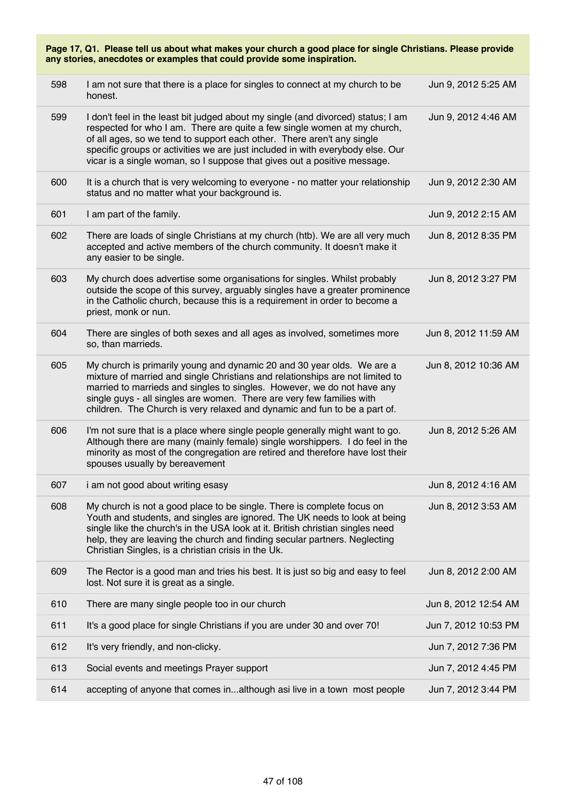| Page 17, Q1. Please tell us about what makes your church a good place for single Christians. Please provide<br>any stories, anecdotes or examples that could provide some inspiration. |                                                                                                                                                                                                                                                                                                                                                                                                      |                      |  |
|----------------------------------------------------------------------------------------------------------------------------------------------------------------------------------------|------------------------------------------------------------------------------------------------------------------------------------------------------------------------------------------------------------------------------------------------------------------------------------------------------------------------------------------------------------------------------------------------------|----------------------|--|
| 598                                                                                                                                                                                    | I am not sure that there is a place for singles to connect at my church to be<br>honest.                                                                                                                                                                                                                                                                                                             | Jun 9, 2012 5:25 AM  |  |
| 599                                                                                                                                                                                    | I don't feel in the least bit judged about my single (and divorced) status; I am<br>respected for who I am. There are quite a few single women at my church,<br>of all ages, so we tend to support each other. There aren't any single<br>specific groups or activities we are just included in with everybody else. Our<br>vicar is a single woman, so I suppose that gives out a positive message. | Jun 9, 2012 4:46 AM  |  |
| 600                                                                                                                                                                                    | It is a church that is very welcoming to everyone - no matter your relationship<br>status and no matter what your background is.                                                                                                                                                                                                                                                                     | Jun 9, 2012 2:30 AM  |  |
| 601                                                                                                                                                                                    | I am part of the family.                                                                                                                                                                                                                                                                                                                                                                             | Jun 9, 2012 2:15 AM  |  |
| 602                                                                                                                                                                                    | There are loads of single Christians at my church (htb). We are all very much<br>accepted and active members of the church community. It doesn't make it<br>any easier to be single.                                                                                                                                                                                                                 | Jun 8, 2012 8:35 PM  |  |
| 603                                                                                                                                                                                    | My church does advertise some organisations for singles. Whilst probably<br>outside the scope of this survey, arguably singles have a greater prominence<br>in the Catholic church, because this is a requirement in order to become a<br>priest, monk or nun.                                                                                                                                       | Jun 8, 2012 3:27 PM  |  |
| 604                                                                                                                                                                                    | There are singles of both sexes and all ages as involved, sometimes more<br>so, than marrieds.                                                                                                                                                                                                                                                                                                       | Jun 8, 2012 11:59 AM |  |
| 605                                                                                                                                                                                    | My church is primarily young and dynamic 20 and 30 year olds. We are a<br>mixture of married and single Christians and relationships are not limited to<br>married to marrieds and singles to singles. However, we do not have any<br>single guys - all singles are women. There are very few families with<br>children. The Church is very relaxed and dynamic and fun to be a part of.             | Jun 8, 2012 10:36 AM |  |
| 606                                                                                                                                                                                    | I'm not sure that is a place where single people generally might want to go.<br>Although there are many (mainly female) single worshippers. I do feel in the<br>minority as most of the congregation are retired and therefore have lost their<br>spouses usually by bereavement                                                                                                                     | Jun 8, 2012 5:26 AM  |  |
| 607                                                                                                                                                                                    | i am not good about writing esasy                                                                                                                                                                                                                                                                                                                                                                    | Jun 8, 2012 4:16 AM  |  |
| 608                                                                                                                                                                                    | My church is not a good place to be single. There is complete focus on<br>Youth and students, and singles are ignored. The UK needs to look at being<br>single like the church's in the USA look at it. British christian singles need<br>help, they are leaving the church and finding secular partners. Neglecting<br>Christian Singles, is a christian crisis in the Uk.                          | Jun 8, 2012 3:53 AM  |  |
| 609                                                                                                                                                                                    | The Rector is a good man and tries his best. It is just so big and easy to feel<br>lost. Not sure it is great as a single.                                                                                                                                                                                                                                                                           | Jun 8, 2012 2:00 AM  |  |
| 610                                                                                                                                                                                    | There are many single people too in our church                                                                                                                                                                                                                                                                                                                                                       | Jun 8, 2012 12:54 AM |  |
| 611                                                                                                                                                                                    | It's a good place for single Christians if you are under 30 and over 70!                                                                                                                                                                                                                                                                                                                             | Jun 7, 2012 10:53 PM |  |
| 612                                                                                                                                                                                    | It's very friendly, and non-clicky.                                                                                                                                                                                                                                                                                                                                                                  | Jun 7, 2012 7:36 PM  |  |
| 613                                                                                                                                                                                    | Social events and meetings Prayer support                                                                                                                                                                                                                                                                                                                                                            | Jun 7, 2012 4:45 PM  |  |
| 614                                                                                                                                                                                    | accepting of anyone that comes inalthough asi live in a town most people                                                                                                                                                                                                                                                                                                                             | Jun 7, 2012 3:44 PM  |  |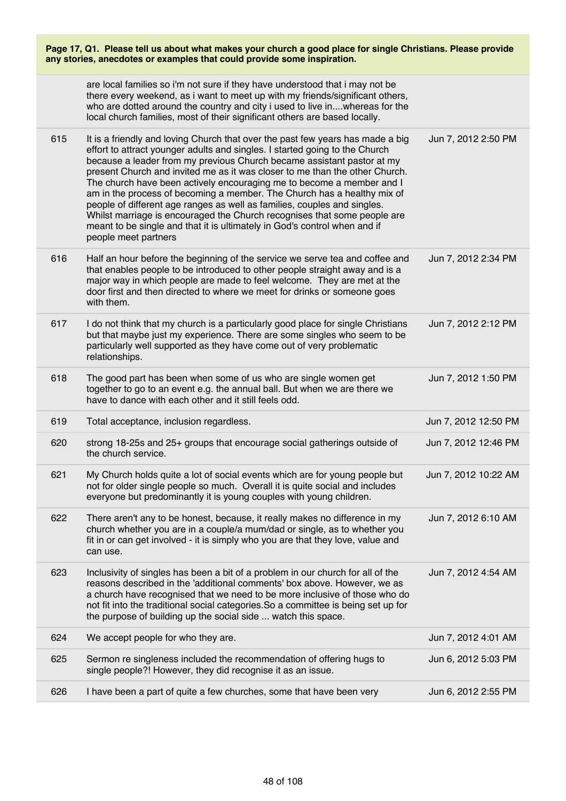| Page 17, Q1. Please tell us about what makes your church a good place for single Christians. Please provide<br>any stories, anecdotes or examples that could provide some inspiration. |                                                                                                                                                                                                                                                                                                                                                                                                                                                                                                                                                                                                                                                                                                                                         |                      |  |
|----------------------------------------------------------------------------------------------------------------------------------------------------------------------------------------|-----------------------------------------------------------------------------------------------------------------------------------------------------------------------------------------------------------------------------------------------------------------------------------------------------------------------------------------------------------------------------------------------------------------------------------------------------------------------------------------------------------------------------------------------------------------------------------------------------------------------------------------------------------------------------------------------------------------------------------------|----------------------|--|
|                                                                                                                                                                                        | are local families so i'm not sure if they have understood that i may not be<br>there every weekend, as i want to meet up with my friends/significant others,<br>who are dotted around the country and city i used to live inwhereas for the<br>local church families, most of their significant others are based locally.                                                                                                                                                                                                                                                                                                                                                                                                              |                      |  |
| 615                                                                                                                                                                                    | It is a friendly and loving Church that over the past few years has made a big<br>effort to attract younger adults and singles. I started going to the Church<br>because a leader from my previous Church became assistant pastor at my<br>present Church and invited me as it was closer to me than the other Church.<br>The church have been actively encouraging me to become a member and I<br>am in the process of becoming a member. The Church has a healthy mix of<br>people of different age ranges as well as families, couples and singles.<br>Whilst marriage is encouraged the Church recognises that some people are<br>meant to be single and that it is ultimately in God's control when and if<br>people meet partners | Jun 7, 2012 2:50 PM  |  |
| 616                                                                                                                                                                                    | Half an hour before the beginning of the service we serve tea and coffee and<br>that enables people to be introduced to other people straight away and is a<br>major way in which people are made to feel welcome. They are met at the<br>door first and then directed to where we meet for drinks or someone goes<br>with them.                                                                                                                                                                                                                                                                                                                                                                                                        | Jun 7, 2012 2:34 PM  |  |
| 617                                                                                                                                                                                    | I do not think that my church is a particularly good place for single Christians<br>but that maybe just my experience. There are some singles who seem to be<br>particularly well supported as they have come out of very problematic<br>relationships.                                                                                                                                                                                                                                                                                                                                                                                                                                                                                 | Jun 7, 2012 2:12 PM  |  |
| 618                                                                                                                                                                                    | The good part has been when some of us who are single women get<br>together to go to an event e.g. the annual ball. But when we are there we<br>have to dance with each other and it still feels odd.                                                                                                                                                                                                                                                                                                                                                                                                                                                                                                                                   | Jun 7, 2012 1:50 PM  |  |
| 619                                                                                                                                                                                    | Total acceptance, inclusion regardless.                                                                                                                                                                                                                                                                                                                                                                                                                                                                                                                                                                                                                                                                                                 | Jun 7, 2012 12:50 PM |  |
| 620                                                                                                                                                                                    | strong 18-25s and 25+ groups that encourage social gatherings outside of<br>the church service.                                                                                                                                                                                                                                                                                                                                                                                                                                                                                                                                                                                                                                         | Jun 7, 2012 12:46 PM |  |
| 621                                                                                                                                                                                    | My Church holds quite a lot of social events which are for young people but<br>not for older single people so much. Overall it is quite social and includes<br>everyone but predominantly it is young couples with young children.                                                                                                                                                                                                                                                                                                                                                                                                                                                                                                      | Jun 7, 2012 10:22 AM |  |
| 622                                                                                                                                                                                    | There aren't any to be honest, because, it really makes no difference in my<br>church whether you are in a couple/a mum/dad or single, as to whether you<br>fit in or can get involved - it is simply who you are that they love, value and<br>can use.                                                                                                                                                                                                                                                                                                                                                                                                                                                                                 | Jun 7, 2012 6:10 AM  |  |
| 623                                                                                                                                                                                    | Inclusivity of singles has been a bit of a problem in our church for all of the<br>reasons described in the 'additional comments' box above. However, we as<br>a church have recognised that we need to be more inclusive of those who do<br>not fit into the traditional social categories. So a committee is being set up for<br>the purpose of building up the social side  watch this space.                                                                                                                                                                                                                                                                                                                                        | Jun 7, 2012 4:54 AM  |  |
| 624                                                                                                                                                                                    | We accept people for who they are.                                                                                                                                                                                                                                                                                                                                                                                                                                                                                                                                                                                                                                                                                                      | Jun 7, 2012 4:01 AM  |  |
| 625                                                                                                                                                                                    | Sermon re singleness included the recommendation of offering hugs to<br>single people?! However, they did recognise it as an issue.                                                                                                                                                                                                                                                                                                                                                                                                                                                                                                                                                                                                     | Jun 6, 2012 5:03 PM  |  |
| 626                                                                                                                                                                                    | I have been a part of quite a few churches, some that have been very                                                                                                                                                                                                                                                                                                                                                                                                                                                                                                                                                                                                                                                                    | Jun 6, 2012 2:55 PM  |  |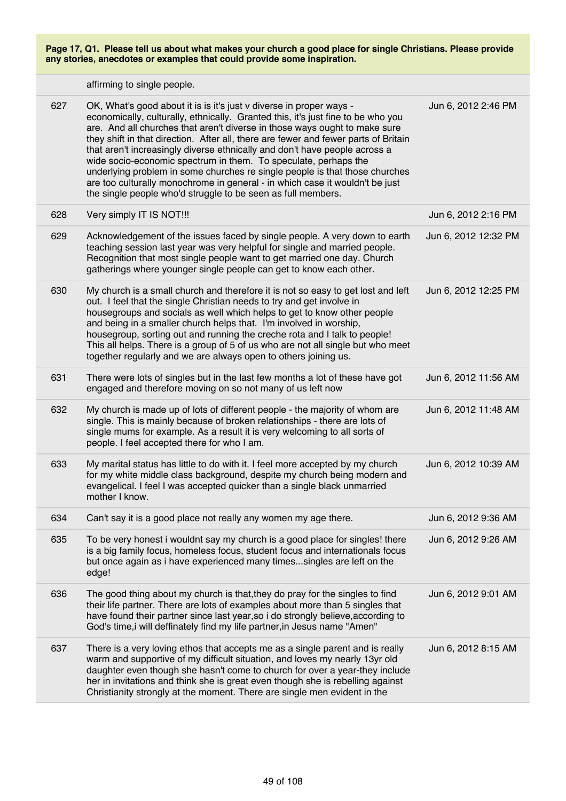affirming to single people.

| 627 | OK, What's good about it is is it's just v diverse in proper ways -<br>economically, culturally, ethnically. Granted this, it's just fine to be who you<br>are. And all churches that aren't diverse in those ways ought to make sure<br>they shift in that direction. After all, there are fewer and fewer parts of Britain<br>that aren't increasingly diverse ethnically and don't have people across a<br>wide socio-economic spectrum in them. To speculate, perhaps the<br>underlying problem in some churches re single people is that those churches<br>are too culturally monochrome in general - in which case it wouldn't be just<br>the single people who'd struggle to be seen as full members. | Jun 6, 2012 2:46 PM  |
|-----|--------------------------------------------------------------------------------------------------------------------------------------------------------------------------------------------------------------------------------------------------------------------------------------------------------------------------------------------------------------------------------------------------------------------------------------------------------------------------------------------------------------------------------------------------------------------------------------------------------------------------------------------------------------------------------------------------------------|----------------------|
| 628 | Very simply IT IS NOT !!!                                                                                                                                                                                                                                                                                                                                                                                                                                                                                                                                                                                                                                                                                    | Jun 6, 2012 2:16 PM  |
| 629 | Acknowledgement of the issues faced by single people. A very down to earth<br>teaching session last year was very helpful for single and married people.<br>Recognition that most single people want to get married one day. Church<br>gatherings where younger single people can get to know each other.                                                                                                                                                                                                                                                                                                                                                                                                    | Jun 6, 2012 12:32 PM |
| 630 | My church is a small church and therefore it is not so easy to get lost and left<br>out. I feel that the single Christian needs to try and get involve in<br>housegroups and socials as well which helps to get to know other people<br>and being in a smaller church helps that. I'm involved in worship,<br>housegroup, sorting out and running the creche rota and I talk to people!<br>This all helps. There is a group of 5 of us who are not all single but who meet<br>together regularly and we are always open to others joining us.                                                                                                                                                                | Jun 6, 2012 12:25 PM |
| 631 | There were lots of singles but in the last few months a lot of these have got<br>engaged and therefore moving on so not many of us left now                                                                                                                                                                                                                                                                                                                                                                                                                                                                                                                                                                  | Jun 6, 2012 11:56 AM |
| 632 | My church is made up of lots of different people - the majority of whom are<br>single. This is mainly because of broken relationships - there are lots of<br>single mums for example. As a result it is very welcoming to all sorts of<br>people. I feel accepted there for who I am.                                                                                                                                                                                                                                                                                                                                                                                                                        | Jun 6, 2012 11:48 AM |
| 633 | My marital status has little to do with it. I feel more accepted by my church<br>for my white middle class background, despite my church being modern and<br>evangelical. I feel I was accepted quicker than a single black unmarried<br>mother I know.                                                                                                                                                                                                                                                                                                                                                                                                                                                      | Jun 6, 2012 10:39 AM |
| 634 | Can't say it is a good place not really any women my age there.                                                                                                                                                                                                                                                                                                                                                                                                                                                                                                                                                                                                                                              | Jun 6, 2012 9:36 AM  |
| 635 | To be very honest i wouldnt say my church is a good place for singles! there<br>is a big family focus, homeless focus, student focus and internationals focus<br>but once again as i have experienced many times singles are left on the<br>edge!                                                                                                                                                                                                                                                                                                                                                                                                                                                            | Jun 6, 2012 9:26 AM  |
| 636 | The good thing about my church is that, they do pray for the singles to find<br>their life partner. There are lots of examples about more than 5 singles that<br>have found their partner since last year, so i do strongly believe, according to<br>God's time, i will deffinately find my life partner, in Jesus name "Amen"                                                                                                                                                                                                                                                                                                                                                                               | Jun 6, 2012 9:01 AM  |
| 637 | There is a very loving ethos that accepts me as a single parent and is really<br>warm and supportive of my difficult situation, and loves my nearly 13yr old<br>daughter even though she hasn't come to church for over a year-they include<br>her in invitations and think she is great even though she is rebelling against<br>Christianity strongly at the moment. There are single men evident in the                                                                                                                                                                                                                                                                                                    | Jun 6, 2012 8:15 AM  |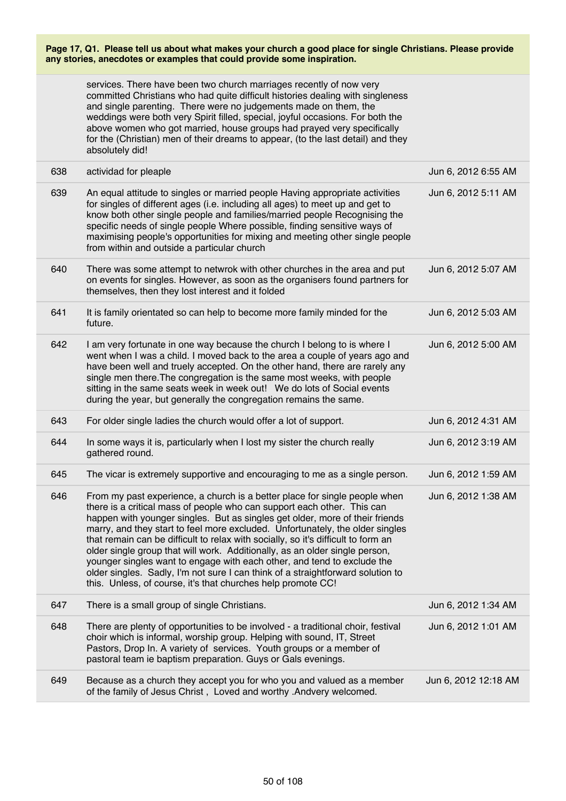services. There have been two church marriages recently of now very committed Christians who had quite difficult histories dealing with singleness and single parenting. There were no judgements made on them, the weddings were both very Spirit filled, special, joyful occasions. For both the above women who got married, house groups had prayed very specifically for the (Christian) men of their dreams to appear, (to the last detail) and they absolutely did!

| 638 | actividad for pleaple                                                                                                                                                                                                                                                                                                                                                                                                                                                                                                                                                                                                                                                                                                    | Jun 6, 2012 6:55 AM  |
|-----|--------------------------------------------------------------------------------------------------------------------------------------------------------------------------------------------------------------------------------------------------------------------------------------------------------------------------------------------------------------------------------------------------------------------------------------------------------------------------------------------------------------------------------------------------------------------------------------------------------------------------------------------------------------------------------------------------------------------------|----------------------|
| 639 | An equal attitude to singles or married people Having appropriate activities<br>for singles of different ages (i.e. including all ages) to meet up and get to<br>know both other single people and families/married people Recognising the<br>specific needs of single people Where possible, finding sensitive ways of<br>maximising people's opportunities for mixing and meeting other single people<br>from within and outside a particular church                                                                                                                                                                                                                                                                   | Jun 6, 2012 5:11 AM  |
| 640 | There was some attempt to netwrok with other churches in the area and put<br>on events for singles. However, as soon as the organisers found partners for<br>themselves, then they lost interest and it folded                                                                                                                                                                                                                                                                                                                                                                                                                                                                                                           | Jun 6, 2012 5:07 AM  |
| 641 | It is family orientated so can help to become more family minded for the<br>future.                                                                                                                                                                                                                                                                                                                                                                                                                                                                                                                                                                                                                                      | Jun 6, 2012 5:03 AM  |
| 642 | I am very fortunate in one way because the church I belong to is where I<br>went when I was a child. I moved back to the area a couple of years ago and<br>have been well and truely accepted. On the other hand, there are rarely any<br>single men there. The congregation is the same most weeks, with people<br>sitting in the same seats week in week out! We do lots of Social events<br>during the year, but generally the congregation remains the same.                                                                                                                                                                                                                                                         | Jun 6, 2012 5:00 AM  |
| 643 | For older single ladies the church would offer a lot of support.                                                                                                                                                                                                                                                                                                                                                                                                                                                                                                                                                                                                                                                         | Jun 6, 2012 4:31 AM  |
| 644 | In some ways it is, particularly when I lost my sister the church really<br>gathered round.                                                                                                                                                                                                                                                                                                                                                                                                                                                                                                                                                                                                                              | Jun 6, 2012 3:19 AM  |
| 645 | The vicar is extremely supportive and encouraging to me as a single person.                                                                                                                                                                                                                                                                                                                                                                                                                                                                                                                                                                                                                                              | Jun 6, 2012 1:59 AM  |
| 646 | From my past experience, a church is a better place for single people when<br>there is a critical mass of people who can support each other. This can<br>happen with younger singles. But as singles get older, more of their friends<br>marry, and they start to feel more excluded. Unfortunately, the older singles<br>that remain can be difficult to relax with socially, so it's difficult to form an<br>older single group that will work. Additionally, as an older single person,<br>younger singles want to engage with each other, and tend to exclude the<br>older singles. Sadly, I'm not sure I can think of a straightforward solution to<br>this. Unless, of course, it's that churches help promote CC! | Jun 6, 2012 1:38 AM  |
| 647 | There is a small group of single Christians.                                                                                                                                                                                                                                                                                                                                                                                                                                                                                                                                                                                                                                                                             | Jun 6, 2012 1:34 AM  |
| 648 | There are plenty of opportunities to be involved - a traditional choir, festival<br>choir which is informal, worship group. Helping with sound, IT, Street<br>Pastors, Drop In. A variety of services. Youth groups or a member of<br>pastoral team ie baptism preparation. Guys or Gals evenings.                                                                                                                                                                                                                                                                                                                                                                                                                       | Jun 6, 2012 1:01 AM  |
| 649 | Because as a church they accept you for who you and valued as a member<br>of the family of Jesus Christ, Loved and worthy .Andvery welcomed.                                                                                                                                                                                                                                                                                                                                                                                                                                                                                                                                                                             | Jun 6, 2012 12:18 AM |
|     |                                                                                                                                                                                                                                                                                                                                                                                                                                                                                                                                                                                                                                                                                                                          |                      |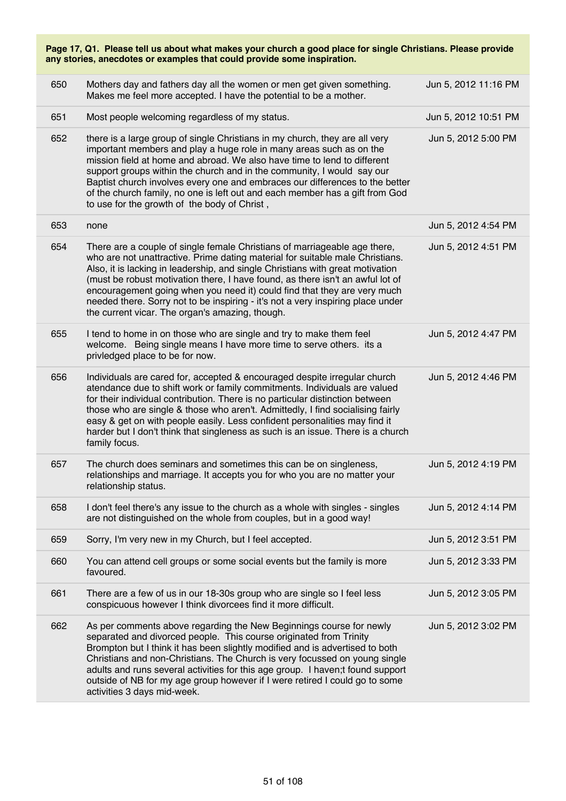| Page 17, Q1. Please tell us about what makes your church a good place for single Christians. Please provide<br>any stories, anecdotes or examples that could provide some inspiration. |                                                                                                                                                                                                                                                                                                                                                                                                                                                                                                                                                  |                      |  |
|----------------------------------------------------------------------------------------------------------------------------------------------------------------------------------------|--------------------------------------------------------------------------------------------------------------------------------------------------------------------------------------------------------------------------------------------------------------------------------------------------------------------------------------------------------------------------------------------------------------------------------------------------------------------------------------------------------------------------------------------------|----------------------|--|
| 650                                                                                                                                                                                    | Mothers day and fathers day all the women or men get given something.<br>Makes me feel more accepted. I have the potential to be a mother.                                                                                                                                                                                                                                                                                                                                                                                                       | Jun 5, 2012 11:16 PM |  |
| 651                                                                                                                                                                                    | Most people welcoming regardless of my status.                                                                                                                                                                                                                                                                                                                                                                                                                                                                                                   | Jun 5, 2012 10:51 PM |  |
| 652                                                                                                                                                                                    | there is a large group of single Christians in my church, they are all very<br>important members and play a huge role in many areas such as on the<br>mission field at home and abroad. We also have time to lend to different<br>support groups within the church and in the community, I would say our<br>Baptist church involves every one and embraces our differences to the better<br>of the church family, no one is left out and each member has a gift from God<br>to use for the growth of the body of Christ,                         | Jun 5, 2012 5:00 PM  |  |
| 653                                                                                                                                                                                    | none                                                                                                                                                                                                                                                                                                                                                                                                                                                                                                                                             | Jun 5, 2012 4:54 PM  |  |
| 654                                                                                                                                                                                    | There are a couple of single female Christians of marriageable age there,<br>who are not unattractive. Prime dating material for suitable male Christians.<br>Also, it is lacking in leadership, and single Christians with great motivation<br>(must be robust motivation there, I have found, as there isn't an awful lot of<br>encouragement going when you need it) could find that they are very much<br>needed there. Sorry not to be inspiring - it's not a very inspiring place under<br>the current vicar. The organ's amazing, though. | Jun 5, 2012 4:51 PM  |  |
| 655                                                                                                                                                                                    | I tend to home in on those who are single and try to make them feel<br>welcome. Being single means I have more time to serve others. its a<br>privledged place to be for now.                                                                                                                                                                                                                                                                                                                                                                    | Jun 5, 2012 4:47 PM  |  |
| 656                                                                                                                                                                                    | Individuals are cared for, accepted & encouraged despite irregular church<br>atendance due to shift work or family commitments. Individuals are valued<br>for their individual contribution. There is no particular distinction between<br>those who are single & those who aren't. Admittedly, I find socialising fairly<br>easy & get on with people easily. Less confident personalities may find it<br>harder but I don't think that singleness as such is an issue. There is a church<br>family focus.                                      | Jun 5, 2012 4:46 PM  |  |
| 657                                                                                                                                                                                    | The church does seminars and sometimes this can be on singleness,<br>relationships and marriage. It accepts you for who you are no matter your<br>relationship status.                                                                                                                                                                                                                                                                                                                                                                           | Jun 5, 2012 4:19 PM  |  |
| 658                                                                                                                                                                                    | I don't feel there's any issue to the church as a whole with singles - singles<br>are not distinguished on the whole from couples, but in a good way!                                                                                                                                                                                                                                                                                                                                                                                            | Jun 5, 2012 4:14 PM  |  |
| 659                                                                                                                                                                                    | Sorry, I'm very new in my Church, but I feel accepted.                                                                                                                                                                                                                                                                                                                                                                                                                                                                                           | Jun 5, 2012 3:51 PM  |  |
| 660                                                                                                                                                                                    | You can attend cell groups or some social events but the family is more<br>favoured.                                                                                                                                                                                                                                                                                                                                                                                                                                                             | Jun 5, 2012 3:33 PM  |  |
| 661                                                                                                                                                                                    | There are a few of us in our 18-30s group who are single so I feel less<br>conspicuous however I think divorcees find it more difficult.                                                                                                                                                                                                                                                                                                                                                                                                         | Jun 5, 2012 3:05 PM  |  |
| 662                                                                                                                                                                                    | As per comments above regarding the New Beginnings course for newly<br>separated and divorced people. This course originated from Trinity<br>Brompton but I think it has been slightly modified and is advertised to both<br>Christians and non-Christians. The Church is very focussed on young single<br>adults and runs several activities for this age group. I haven;t found support<br>outside of NB for my age group however if I were retired I could go to some<br>activities 3 days mid-week.                                          | Jun 5, 2012 3:02 PM  |  |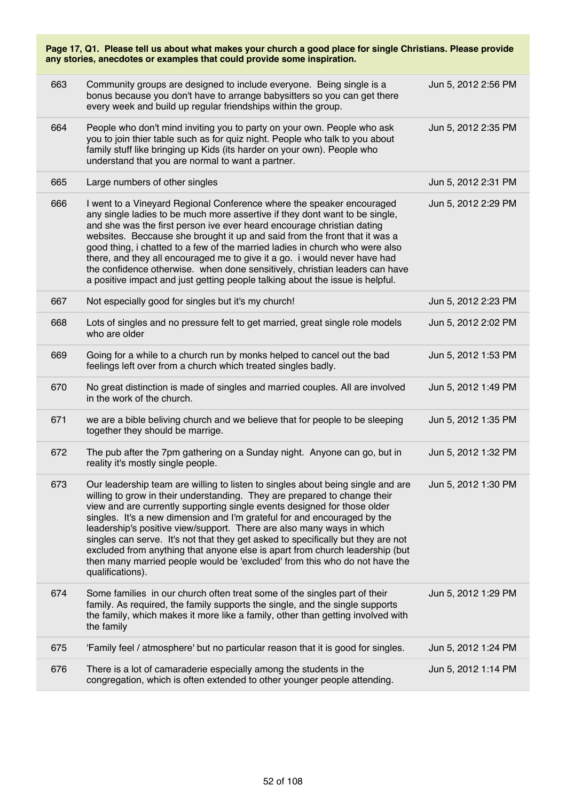| Page 17, Q1. Please tell us about what makes your church a good place for single Christians. Please provide<br>any stories, anecdotes or examples that could provide some inspiration. |                                                                                                                                                                                                                                                                                                                                                                                                                                                                                                                                                                                                                                                                     |                     |  |
|----------------------------------------------------------------------------------------------------------------------------------------------------------------------------------------|---------------------------------------------------------------------------------------------------------------------------------------------------------------------------------------------------------------------------------------------------------------------------------------------------------------------------------------------------------------------------------------------------------------------------------------------------------------------------------------------------------------------------------------------------------------------------------------------------------------------------------------------------------------------|---------------------|--|
| 663                                                                                                                                                                                    | Community groups are designed to include everyone. Being single is a<br>bonus because you don't have to arrange babysitters so you can get there<br>every week and build up regular friendships within the group.                                                                                                                                                                                                                                                                                                                                                                                                                                                   | Jun 5, 2012 2:56 PM |  |
| 664                                                                                                                                                                                    | People who don't mind inviting you to party on your own. People who ask<br>you to join thier table such as for quiz night. People who talk to you about<br>family stuff like bringing up Kids (its harder on your own). People who<br>understand that you are normal to want a partner.                                                                                                                                                                                                                                                                                                                                                                             | Jun 5, 2012 2:35 PM |  |
| 665                                                                                                                                                                                    | Large numbers of other singles                                                                                                                                                                                                                                                                                                                                                                                                                                                                                                                                                                                                                                      | Jun 5, 2012 2:31 PM |  |
| 666                                                                                                                                                                                    | I went to a Vineyard Regional Conference where the speaker encouraged<br>any single ladies to be much more assertive if they dont want to be single,<br>and she was the first person ive ever heard encourage christian dating<br>websites. Beccause she brought it up and said from the front that it was a<br>good thing, i chatted to a few of the married ladies in church who were also<br>there, and they all encouraged me to give it a go. i would never have had<br>the confidence otherwise. when done sensitively, christian leaders can have<br>a positive impact and just getting people talking about the issue is helpful.                           | Jun 5, 2012 2:29 PM |  |
| 667                                                                                                                                                                                    | Not especially good for singles but it's my church!                                                                                                                                                                                                                                                                                                                                                                                                                                                                                                                                                                                                                 | Jun 5, 2012 2:23 PM |  |
| 668                                                                                                                                                                                    | Lots of singles and no pressure felt to get married, great single role models<br>who are older                                                                                                                                                                                                                                                                                                                                                                                                                                                                                                                                                                      | Jun 5, 2012 2:02 PM |  |
| 669                                                                                                                                                                                    | Going for a while to a church run by monks helped to cancel out the bad<br>feelings left over from a church which treated singles badly.                                                                                                                                                                                                                                                                                                                                                                                                                                                                                                                            | Jun 5, 2012 1:53 PM |  |
| 670                                                                                                                                                                                    | No great distinction is made of singles and married couples. All are involved<br>in the work of the church.                                                                                                                                                                                                                                                                                                                                                                                                                                                                                                                                                         | Jun 5, 2012 1:49 PM |  |
| 671                                                                                                                                                                                    | we are a bible beliving church and we believe that for people to be sleeping<br>together they should be marrige.                                                                                                                                                                                                                                                                                                                                                                                                                                                                                                                                                    | Jun 5, 2012 1:35 PM |  |
| 672                                                                                                                                                                                    | The pub after the 7pm gathering on a Sunday night. Anyone can go, but in<br>reality it's mostly single people.                                                                                                                                                                                                                                                                                                                                                                                                                                                                                                                                                      | Jun 5, 2012 1:32 PM |  |
| 673                                                                                                                                                                                    | Our leadership team are willing to listen to singles about being single and are<br>willing to grow in their understanding. They are prepared to change their<br>view and are currently supporting single events designed for those older<br>singles. It's a new dimension and I'm grateful for and encouraged by the<br>leadership's positive view/support. There are also many ways in which<br>singles can serve. It's not that they get asked to specifically but they are not<br>excluded from anything that anyone else is apart from church leadership (but<br>then many married people would be 'excluded' from this who do not have the<br>qualifications). | Jun 5, 2012 1:30 PM |  |
| 674                                                                                                                                                                                    | Some families in our church often treat some of the singles part of their<br>family. As required, the family supports the single, and the single supports<br>the family, which makes it more like a family, other than getting involved with<br>the family                                                                                                                                                                                                                                                                                                                                                                                                          | Jun 5, 2012 1:29 PM |  |
| 675                                                                                                                                                                                    | 'Family feel / atmosphere' but no particular reason that it is good for singles.                                                                                                                                                                                                                                                                                                                                                                                                                                                                                                                                                                                    | Jun 5, 2012 1:24 PM |  |
| 676                                                                                                                                                                                    | There is a lot of camaraderie especially among the students in the<br>congregation, which is often extended to other younger people attending.                                                                                                                                                                                                                                                                                                                                                                                                                                                                                                                      | Jun 5, 2012 1:14 PM |  |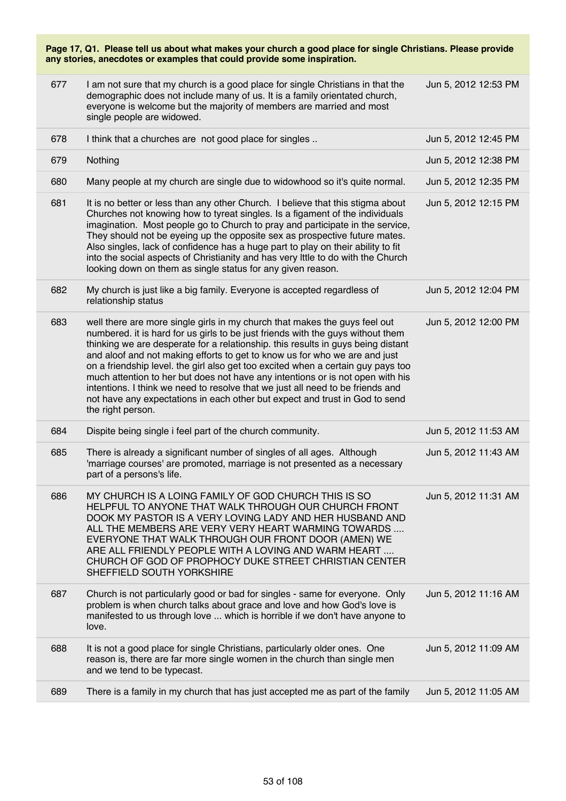| 677 | I am not sure that my church is a good place for single Christians in that the<br>demographic does not include many of us. It is a family orientated church,<br>everyone is welcome but the majority of members are married and most<br>single people are widowed.                                                                                                                                                                                                                                                                                                                                                                                                                          | Jun 5, 2012 12:53 PM |
|-----|---------------------------------------------------------------------------------------------------------------------------------------------------------------------------------------------------------------------------------------------------------------------------------------------------------------------------------------------------------------------------------------------------------------------------------------------------------------------------------------------------------------------------------------------------------------------------------------------------------------------------------------------------------------------------------------------|----------------------|
| 678 | I think that a churches are not good place for singles                                                                                                                                                                                                                                                                                                                                                                                                                                                                                                                                                                                                                                      | Jun 5, 2012 12:45 PM |
| 679 | Nothing                                                                                                                                                                                                                                                                                                                                                                                                                                                                                                                                                                                                                                                                                     | Jun 5, 2012 12:38 PM |
| 680 | Many people at my church are single due to widowhood so it's quite normal.                                                                                                                                                                                                                                                                                                                                                                                                                                                                                                                                                                                                                  | Jun 5, 2012 12:35 PM |
| 681 | It is no better or less than any other Church. I believe that this stigma about<br>Churches not knowing how to tyreat singles. Is a figament of the individuals<br>imagination. Most people go to Church to pray and participate in the service,<br>They should not be eyeing up the opposite sex as prospective future mates.<br>Also singles, lack of confidence has a huge part to play on their ability to fit<br>into the social aspects of Christianity and has very lttle to do with the Church<br>looking down on them as single status for any given reason.                                                                                                                       | Jun 5, 2012 12:15 PM |
| 682 | My church is just like a big family. Everyone is accepted regardless of<br>relationship status                                                                                                                                                                                                                                                                                                                                                                                                                                                                                                                                                                                              | Jun 5, 2012 12:04 PM |
| 683 | well there are more single girls in my church that makes the guys feel out<br>numbered. it is hard for us girls to be just friends with the guys without them<br>thinking we are desperate for a relationship. this results in guys being distant<br>and aloof and not making efforts to get to know us for who we are and just<br>on a friendship level. the girl also get too excited when a certain guy pays too<br>much attention to her but does not have any intentions or is not open with his<br>intentions. I think we need to resolve that we just all need to be friends and<br>not have any expectations in each other but expect and trust in God to send<br>the right person. | Jun 5, 2012 12:00 PM |
| 684 | Dispite being single i feel part of the church community.                                                                                                                                                                                                                                                                                                                                                                                                                                                                                                                                                                                                                                   | Jun 5, 2012 11:53 AM |
| 685 | There is already a significant number of singles of all ages. Although<br>'marriage courses' are promoted, marriage is not presented as a necessary<br>part of a persons's life.                                                                                                                                                                                                                                                                                                                                                                                                                                                                                                            | Jun 5, 2012 11:43 AM |
| 686 | MY CHURCH IS A LOING FAMILY OF GOD CHURCH THIS IS SO<br>HELPFUL TO ANYONE THAT WALK THROUGH OUR CHURCH FRONT<br>DOOK MY PASTOR IS A VERY LOVING LADY AND HER HUSBAND AND<br>ALL THE MEMBERS ARE VERY VERY HEART WARMING TOWARDS<br>EVERYONE THAT WALK THROUGH OUR FRONT DOOR (AMEN) WE<br>ARE ALL FRIENDLY PEOPLE WITH A LOVING AND WARM HEART<br>CHURCH OF GOD OF PROPHOCY DUKE STREET CHRISTIAN CENTER<br>SHEFFIELD SOUTH YORKSHIRE                                                                                                                                                                                                                                                       | Jun 5, 2012 11:31 AM |
| 687 | Church is not particularly good or bad for singles - same for everyone. Only<br>problem is when church talks about grace and love and how God's love is<br>manifested to us through love  which is horrible if we don't have anyone to<br>love.                                                                                                                                                                                                                                                                                                                                                                                                                                             | Jun 5, 2012 11:16 AM |
| 688 | It is not a good place for single Christians, particularly older ones. One<br>reason is, there are far more single women in the church than single men<br>and we tend to be typecast.                                                                                                                                                                                                                                                                                                                                                                                                                                                                                                       | Jun 5, 2012 11:09 AM |
| 689 | There is a family in my church that has just accepted me as part of the family                                                                                                                                                                                                                                                                                                                                                                                                                                                                                                                                                                                                              | Jun 5, 2012 11:05 AM |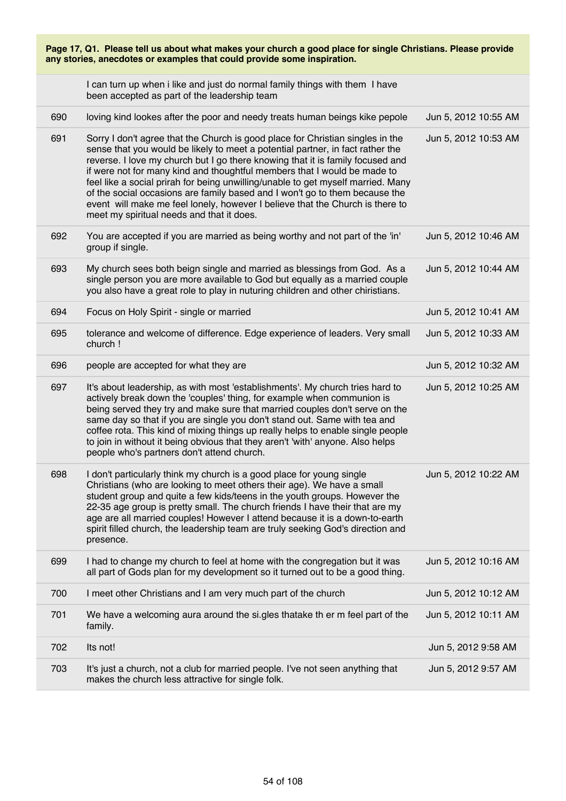| Page 17, Q1. Please tell us about what makes your church a good place for single Christians. Please provide<br>any stories, anecdotes or examples that could provide some inspiration. |                                                                                                                                                                                                                                                                                                                                                                                                                                                                                                                                                                                                                                 |                      |
|----------------------------------------------------------------------------------------------------------------------------------------------------------------------------------------|---------------------------------------------------------------------------------------------------------------------------------------------------------------------------------------------------------------------------------------------------------------------------------------------------------------------------------------------------------------------------------------------------------------------------------------------------------------------------------------------------------------------------------------------------------------------------------------------------------------------------------|----------------------|
|                                                                                                                                                                                        | I can turn up when i like and just do normal family things with them I have<br>been accepted as part of the leadership team                                                                                                                                                                                                                                                                                                                                                                                                                                                                                                     |                      |
| 690                                                                                                                                                                                    | loving kind lookes after the poor and needy treats human beings kike pepole                                                                                                                                                                                                                                                                                                                                                                                                                                                                                                                                                     | Jun 5, 2012 10:55 AM |
| 691                                                                                                                                                                                    | Sorry I don't agree that the Church is good place for Christian singles in the<br>sense that you would be likely to meet a potential partner, in fact rather the<br>reverse. I love my church but I go there knowing that it is family focused and<br>if were not for many kind and thoughtful members that I would be made to<br>feel like a social prirah for being unwilling/unable to get myself married. Many<br>of the social occasions are family based and I won't go to them because the<br>event will make me feel lonely, however I believe that the Church is there to<br>meet my spiritual needs and that it does. | Jun 5, 2012 10:53 AM |
| 692                                                                                                                                                                                    | You are accepted if you are married as being worthy and not part of the 'in'<br>group if single.                                                                                                                                                                                                                                                                                                                                                                                                                                                                                                                                | Jun 5, 2012 10:46 AM |
| 693                                                                                                                                                                                    | My church sees both beign single and married as blessings from God. As a<br>single person you are more available to God but equally as a married couple<br>you also have a great role to play in nuturing children and other chiristians.                                                                                                                                                                                                                                                                                                                                                                                       | Jun 5, 2012 10:44 AM |
| 694                                                                                                                                                                                    | Focus on Holy Spirit - single or married                                                                                                                                                                                                                                                                                                                                                                                                                                                                                                                                                                                        | Jun 5, 2012 10:41 AM |
| 695                                                                                                                                                                                    | tolerance and welcome of difference. Edge experience of leaders. Very small<br>church !                                                                                                                                                                                                                                                                                                                                                                                                                                                                                                                                         | Jun 5, 2012 10:33 AM |
| 696                                                                                                                                                                                    | people are accepted for what they are                                                                                                                                                                                                                                                                                                                                                                                                                                                                                                                                                                                           | Jun 5, 2012 10:32 AM |
| 697                                                                                                                                                                                    | It's about leadership, as with most 'establishments'. My church tries hard to<br>actively break down the 'couples' thing, for example when communion is<br>being served they try and make sure that married couples don't serve on the<br>same day so that if you are single you don't stand out. Same with tea and<br>coffee rota. This kind of mixing things up really helps to enable single people<br>to join in without it being obvious that they aren't 'with' anyone. Also helps<br>people who's partners don't attend church.                                                                                          | Jun 5, 2012 10:25 AM |
| 698                                                                                                                                                                                    | I don't particularly think my church is a good place for young single<br>Christians (who are looking to meet others their age). We have a small<br>student group and quite a few kids/teens in the youth groups. However the<br>22-35 age group is pretty small. The church friends I have their that are my<br>age are all married couples! However I attend because it is a down-to-earth<br>spirit filled church, the leadership team are truly seeking God's direction and<br>presence.                                                                                                                                     | Jun 5, 2012 10:22 AM |
| 699                                                                                                                                                                                    | I had to change my church to feel at home with the congregation but it was<br>all part of Gods plan for my development so it turned out to be a good thing.                                                                                                                                                                                                                                                                                                                                                                                                                                                                     | Jun 5, 2012 10:16 AM |
| 700                                                                                                                                                                                    | I meet other Christians and I am very much part of the church                                                                                                                                                                                                                                                                                                                                                                                                                                                                                                                                                                   | Jun 5, 2012 10:12 AM |
| 701                                                                                                                                                                                    | We have a welcoming aura around the si.gles thatake th er m feel part of the<br>family.                                                                                                                                                                                                                                                                                                                                                                                                                                                                                                                                         | Jun 5, 2012 10:11 AM |
| 702                                                                                                                                                                                    | Its not!                                                                                                                                                                                                                                                                                                                                                                                                                                                                                                                                                                                                                        | Jun 5, 2012 9:58 AM  |
| 703                                                                                                                                                                                    | It's just a church, not a club for married people. I've not seen anything that<br>makes the church less attractive for single folk.                                                                                                                                                                                                                                                                                                                                                                                                                                                                                             | Jun 5, 2012 9:57 AM  |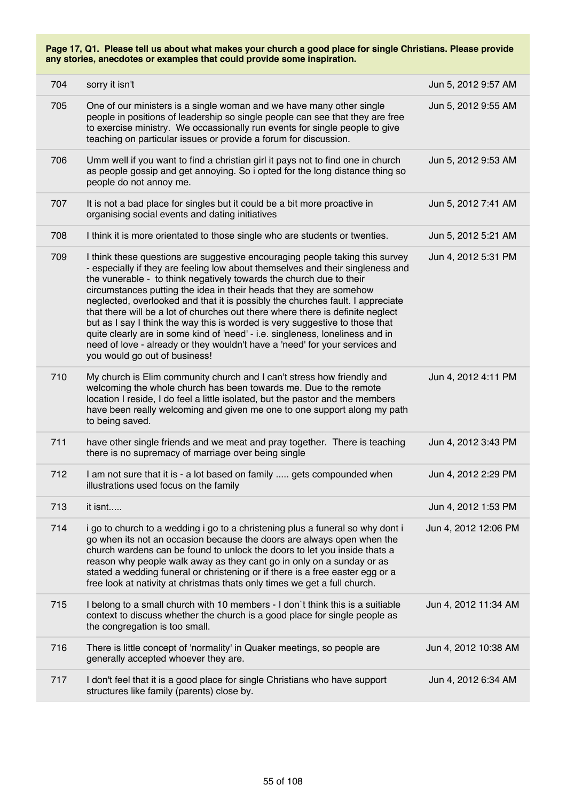| 704 | sorry it isn't                                                                                                                                                                                                                                                                                                                                                                                                                                                                                                                                                                                                                                                                                                                                                    | Jun 5, 2012 9:57 AM  |
|-----|-------------------------------------------------------------------------------------------------------------------------------------------------------------------------------------------------------------------------------------------------------------------------------------------------------------------------------------------------------------------------------------------------------------------------------------------------------------------------------------------------------------------------------------------------------------------------------------------------------------------------------------------------------------------------------------------------------------------------------------------------------------------|----------------------|
| 705 | One of our ministers is a single woman and we have many other single<br>people in positions of leadership so single people can see that they are free<br>to exercise ministry. We occassionally run events for single people to give<br>teaching on particular issues or provide a forum for discussion.                                                                                                                                                                                                                                                                                                                                                                                                                                                          | Jun 5, 2012 9:55 AM  |
| 706 | Umm well if you want to find a christian girl it pays not to find one in church<br>as people gossip and get annoying. So i opted for the long distance thing so<br>people do not annoy me.                                                                                                                                                                                                                                                                                                                                                                                                                                                                                                                                                                        | Jun 5, 2012 9:53 AM  |
| 707 | It is not a bad place for singles but it could be a bit more proactive in<br>organising social events and dating initiatives                                                                                                                                                                                                                                                                                                                                                                                                                                                                                                                                                                                                                                      | Jun 5, 2012 7:41 AM  |
| 708 | I think it is more orientated to those single who are students or twenties.                                                                                                                                                                                                                                                                                                                                                                                                                                                                                                                                                                                                                                                                                       | Jun 5, 2012 5:21 AM  |
| 709 | I think these questions are suggestive encouraging people taking this survey<br>- especially if they are feeling low about themselves and their singleness and<br>the vunerable - to think negatively towards the church due to their<br>circumstances putting the idea in their heads that they are somehow<br>neglected, overlooked and that it is possibly the churches fault. I appreciate<br>that there will be a lot of churches out there where there is definite neglect<br>but as I say I think the way this is worded is very suggestive to those that<br>quite clearly are in some kind of 'need' - i.e. singleness, loneliness and in<br>need of love - already or they wouldn't have a 'need' for your services and<br>you would go out of business! | Jun 4, 2012 5:31 PM  |
| 710 | My church is Elim community church and I can't stress how friendly and<br>welcoming the whole church has been towards me. Due to the remote<br>location I reside, I do feel a little isolated, but the pastor and the members<br>have been really welcoming and given me one to one support along my path<br>to being saved.                                                                                                                                                                                                                                                                                                                                                                                                                                      | Jun 4, 2012 4:11 PM  |
| 711 | have other single friends and we meat and pray together. There is teaching<br>there is no supremacy of marriage over being single                                                                                                                                                                                                                                                                                                                                                                                                                                                                                                                                                                                                                                 | Jun 4, 2012 3:43 PM  |
| 712 | I am not sure that it is - a lot based on family  gets compounded when<br>illustrations used focus on the family                                                                                                                                                                                                                                                                                                                                                                                                                                                                                                                                                                                                                                                  | Jun 4, 2012 2:29 PM  |
| 713 | it isnt                                                                                                                                                                                                                                                                                                                                                                                                                                                                                                                                                                                                                                                                                                                                                           | Jun 4, 2012 1:53 PM  |
| 714 | i go to church to a wedding i go to a christening plus a funeral so why dont i<br>go when its not an occasion because the doors are always open when the<br>church wardens can be found to unlock the doors to let you inside thats a<br>reason why people walk away as they cant go in only on a sunday or as<br>stated a wedding funeral or christening or if there is a free easter egg or a<br>free look at nativity at christmas thats only times we get a full church.                                                                                                                                                                                                                                                                                      | Jun 4, 2012 12:06 PM |
| 715 | I belong to a small church with 10 members - I don't think this is a suitiable<br>context to discuss whether the church is a good place for single people as<br>the congregation is too small.                                                                                                                                                                                                                                                                                                                                                                                                                                                                                                                                                                    | Jun 4, 2012 11:34 AM |
| 716 | There is little concept of 'normality' in Quaker meetings, so people are<br>generally accepted whoever they are.                                                                                                                                                                                                                                                                                                                                                                                                                                                                                                                                                                                                                                                  | Jun 4, 2012 10:38 AM |
| 717 | I don't feel that it is a good place for single Christians who have support<br>structures like family (parents) close by.                                                                                                                                                                                                                                                                                                                                                                                                                                                                                                                                                                                                                                         | Jun 4, 2012 6:34 AM  |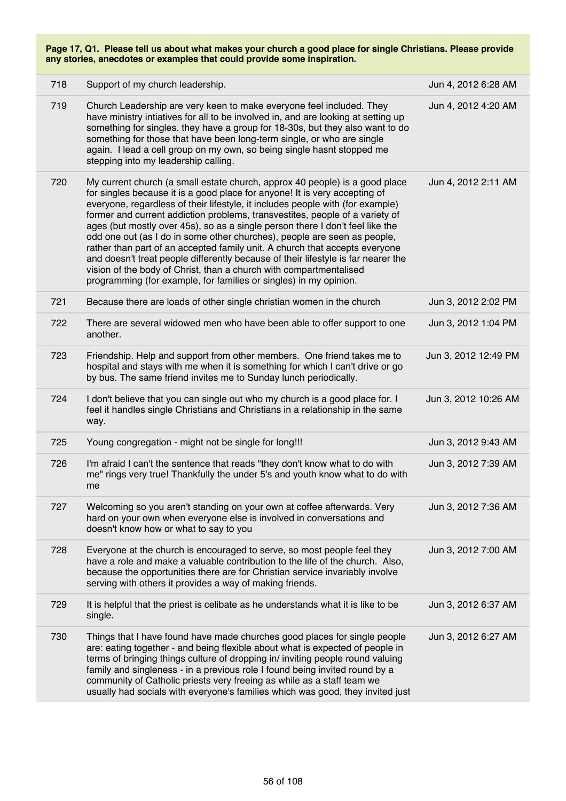| 718 | Support of my church leadership.                                                                                                                                                                                                                                                                                                                                                                                                                                                                                                                                                                                                                                                                                                                                                                        | Jun 4, 2012 6:28 AM  |
|-----|---------------------------------------------------------------------------------------------------------------------------------------------------------------------------------------------------------------------------------------------------------------------------------------------------------------------------------------------------------------------------------------------------------------------------------------------------------------------------------------------------------------------------------------------------------------------------------------------------------------------------------------------------------------------------------------------------------------------------------------------------------------------------------------------------------|----------------------|
| 719 | Church Leadership are very keen to make everyone feel included. They<br>have ministry intiatives for all to be involved in, and are looking at setting up<br>something for singles. they have a group for 18-30s, but they also want to do<br>something for those that have been long-term single, or who are single<br>again. I lead a cell group on my own, so being single hasnt stopped me<br>stepping into my leadership calling.                                                                                                                                                                                                                                                                                                                                                                  | Jun 4, 2012 4:20 AM  |
| 720 | My current church (a small estate church, approx 40 people) is a good place<br>for singles because it is a good place for anyone! It is very accepting of<br>everyone, regardless of their lifestyle, it includes people with (for example)<br>former and current addiction problems, transvestites, people of a variety of<br>ages (but mostly over 45s), so as a single person there I don't feel like the<br>odd one out (as I do in some other churches), people are seen as people,<br>rather than part of an accepted family unit. A church that accepts everyone<br>and doesn't treat people differently because of their lifestyle is far nearer the<br>vision of the body of Christ, than a church with compartmentalised<br>programming (for example, for families or singles) in my opinion. | Jun 4, 2012 2:11 AM  |
| 721 | Because there are loads of other single christian women in the church                                                                                                                                                                                                                                                                                                                                                                                                                                                                                                                                                                                                                                                                                                                                   | Jun 3, 2012 2:02 PM  |
| 722 | There are several widowed men who have been able to offer support to one<br>another.                                                                                                                                                                                                                                                                                                                                                                                                                                                                                                                                                                                                                                                                                                                    | Jun 3, 2012 1:04 PM  |
| 723 | Friendship. Help and support from other members. One friend takes me to<br>hospital and stays with me when it is something for which I can't drive or go<br>by bus. The same friend invites me to Sunday lunch periodically.                                                                                                                                                                                                                                                                                                                                                                                                                                                                                                                                                                            | Jun 3, 2012 12:49 PM |
| 724 | I don't believe that you can single out who my church is a good place for. I<br>feel it handles single Christians and Christians in a relationship in the same<br>way.                                                                                                                                                                                                                                                                                                                                                                                                                                                                                                                                                                                                                                  | Jun 3, 2012 10:26 AM |
| 725 | Young congregation - might not be single for long!!!                                                                                                                                                                                                                                                                                                                                                                                                                                                                                                                                                                                                                                                                                                                                                    | Jun 3, 2012 9:43 AM  |
| 726 | I'm afraid I can't the sentence that reads "they don't know what to do with<br>me" rings very true! Thankfully the under 5's and youth know what to do with<br>me                                                                                                                                                                                                                                                                                                                                                                                                                                                                                                                                                                                                                                       | Jun 3, 2012 7:39 AM  |
| 727 | Welcoming so you aren't standing on your own at coffee afterwards. Very<br>hard on your own when everyone else is involved in conversations and<br>doesn't know how or what to say to you                                                                                                                                                                                                                                                                                                                                                                                                                                                                                                                                                                                                               | Jun 3, 2012 7:36 AM  |
| 728 | Everyone at the church is encouraged to serve, so most people feel they<br>have a role and make a valuable contribution to the life of the church. Also,<br>because the opportunities there are for Christian service invariably involve<br>serving with others it provides a way of making friends.                                                                                                                                                                                                                                                                                                                                                                                                                                                                                                    | Jun 3, 2012 7:00 AM  |
| 729 | It is helpful that the priest is celibate as he understands what it is like to be<br>single.                                                                                                                                                                                                                                                                                                                                                                                                                                                                                                                                                                                                                                                                                                            | Jun 3, 2012 6:37 AM  |
| 730 | Things that I have found have made churches good places for single people<br>are: eating together - and being flexible about what is expected of people in<br>terms of bringing things culture of dropping in/ inviting people round valuing<br>family and singleness - in a previous role I found being invited round by a<br>community of Catholic priests very freeing as while as a staff team we<br>usually had socials with everyone's families which was good, they invited just                                                                                                                                                                                                                                                                                                                 | Jun 3, 2012 6:27 AM  |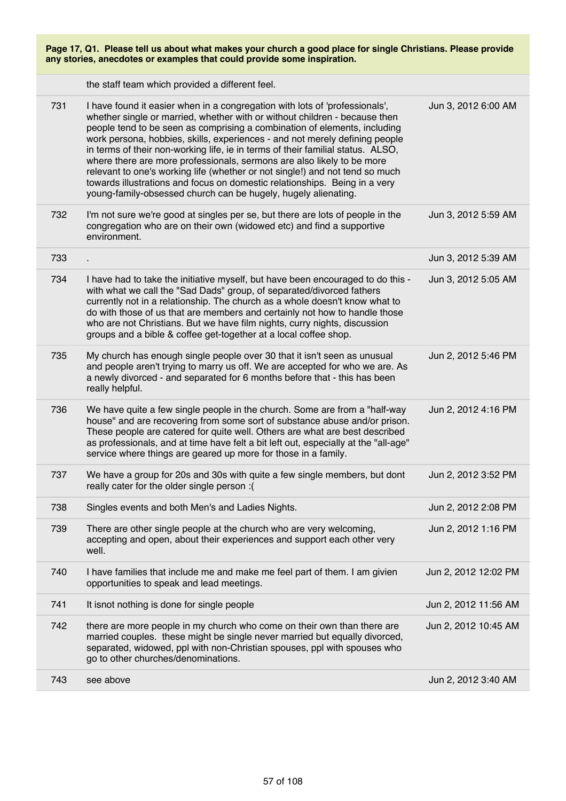| Page 17, Q1. Please tell us about what makes your church a good place for single Christians. Please provide<br>any stories, anecdotes or examples that could provide some inspiration. |                                                                                                                                                                                                                                                                                                                                                                                                                                                                                                                                                                                                                                                                                                                    |                      |  |
|----------------------------------------------------------------------------------------------------------------------------------------------------------------------------------------|--------------------------------------------------------------------------------------------------------------------------------------------------------------------------------------------------------------------------------------------------------------------------------------------------------------------------------------------------------------------------------------------------------------------------------------------------------------------------------------------------------------------------------------------------------------------------------------------------------------------------------------------------------------------------------------------------------------------|----------------------|--|
|                                                                                                                                                                                        | the staff team which provided a different feel.                                                                                                                                                                                                                                                                                                                                                                                                                                                                                                                                                                                                                                                                    |                      |  |
| 731                                                                                                                                                                                    | I have found it easier when in a congregation with lots of 'professionals',<br>whether single or married, whether with or without children - because then<br>people tend to be seen as comprising a combination of elements, including<br>work persona, hobbies, skills, experiences - and not merely defining people<br>in terms of their non-working life, ie in terms of their familial status. ALSO,<br>where there are more professionals, sermons are also likely to be more<br>relevant to one's working life (whether or not single!) and not tend so much<br>towards illustrations and focus on domestic relationships. Being in a very<br>young-family-obsessed church can be hugely, hugely alienating. | Jun 3, 2012 6:00 AM  |  |
| 732                                                                                                                                                                                    | I'm not sure we're good at singles per se, but there are lots of people in the<br>congregation who are on their own (widowed etc) and find a supportive<br>environment.                                                                                                                                                                                                                                                                                                                                                                                                                                                                                                                                            | Jun 3, 2012 5:59 AM  |  |
| 733                                                                                                                                                                                    |                                                                                                                                                                                                                                                                                                                                                                                                                                                                                                                                                                                                                                                                                                                    | Jun 3, 2012 5:39 AM  |  |
| 734                                                                                                                                                                                    | I have had to take the initiative myself, but have been encouraged to do this -<br>with what we call the "Sad Dads" group, of separated/divorced fathers<br>currently not in a relationship. The church as a whole doesn't know what to<br>do with those of us that are members and certainly not how to handle those<br>who are not Christians. But we have film nights, curry nights, discussion<br>groups and a bible & coffee get-together at a local coffee shop.                                                                                                                                                                                                                                             | Jun 3, 2012 5:05 AM  |  |
| 735                                                                                                                                                                                    | My church has enough single people over 30 that it isn't seen as unusual<br>and people aren't trying to marry us off. We are accepted for who we are. As<br>a newly divorced - and separated for 6 months before that - this has been<br>really helpful.                                                                                                                                                                                                                                                                                                                                                                                                                                                           | Jun 2, 2012 5:46 PM  |  |
| 736                                                                                                                                                                                    | We have quite a few single people in the church. Some are from a "half-way"<br>house" and are recovering from some sort of substance abuse and/or prison.<br>These people are catered for quite well. Others are what are best described<br>as professionals, and at time have felt a bit left out, especially at the "all-age"<br>service where things are geared up more for those in a family.                                                                                                                                                                                                                                                                                                                  | Jun 2, 2012 4:16 PM  |  |
| 737                                                                                                                                                                                    | We have a group for 20s and 30s with quite a few single members, but dont<br>really cater for the older single person :(                                                                                                                                                                                                                                                                                                                                                                                                                                                                                                                                                                                           | Jun 2, 2012 3:52 PM  |  |
| 738                                                                                                                                                                                    | Singles events and both Men's and Ladies Nights.                                                                                                                                                                                                                                                                                                                                                                                                                                                                                                                                                                                                                                                                   | Jun 2, 2012 2:08 PM  |  |
| 739                                                                                                                                                                                    | There are other single people at the church who are very welcoming,<br>accepting and open, about their experiences and support each other very<br>well.                                                                                                                                                                                                                                                                                                                                                                                                                                                                                                                                                            | Jun 2, 2012 1:16 PM  |  |
| 740                                                                                                                                                                                    | I have families that include me and make me feel part of them. I am givien<br>opportunities to speak and lead meetings.                                                                                                                                                                                                                                                                                                                                                                                                                                                                                                                                                                                            | Jun 2, 2012 12:02 PM |  |
| 741                                                                                                                                                                                    | It isnot nothing is done for single people                                                                                                                                                                                                                                                                                                                                                                                                                                                                                                                                                                                                                                                                         | Jun 2, 2012 11:56 AM |  |
| 742                                                                                                                                                                                    | there are more people in my church who come on their own than there are<br>married couples. these might be single never married but equally divorced,<br>separated, widowed, ppl with non-Christian spouses, ppl with spouses who<br>go to other churches/denominations.                                                                                                                                                                                                                                                                                                                                                                                                                                           | Jun 2, 2012 10:45 AM |  |
| 743                                                                                                                                                                                    | see above                                                                                                                                                                                                                                                                                                                                                                                                                                                                                                                                                                                                                                                                                                          | Jun 2, 2012 3:40 AM  |  |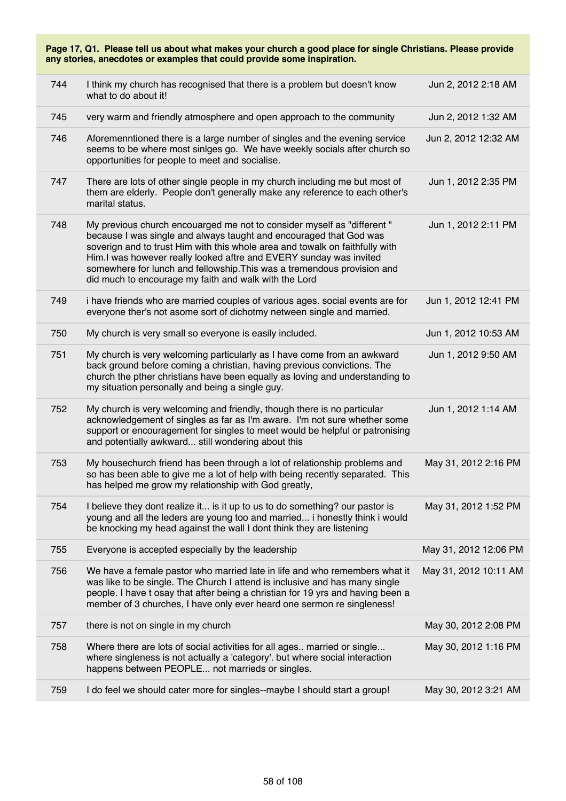**Page 17, Q1. Please tell us about what makes your church a good place for single Christians. Please provide any stories, anecdotes or examples that could provide some inspiration.** 744 I think my church has recognised that there is a problem but doesn't know what to do about it! Jun 2, 2012 2:18 AM 745 very warm and friendly atmosphere and open approach to the community Jun 2, 2012 1:32 AM 746 Aforemenntioned there is a large number of singles and the evening service seems to be where most sinlges go. We have weekly socials after church so opportunities for people to meet and socialise. Jun 2, 2012 12:32 AM 747 There are lots of other single people in my church including me but most of them are elderly. People don't generally make any reference to each other's marital status. Jun 1, 2012 2:35 PM 748 My previous church encouarged me not to consider myself as "different " because I was single and always taught and encouraged that God was soverign and to trust Him with this whole area and towalk on faithfully with Him.I was however really looked aftre and EVERY sunday was invited somewhere for lunch and fellowship.This was a tremendous provision and did much to encourage my faith and walk with the Lord Jun 1, 2012 2:11 PM 749 i have friends who are married couples of various ages. social events are for everyone ther's not asome sort of dichotmy netween single and married. Jun 1, 2012 12:41 PM 750 My church is very small so everyone is easily included. Jun 1, 2012 10:53 AM 751 My church is very welcoming particularly as I have come from an awkward back ground before coming a christian, having previous convictions. The church the pther christians have been equally as loving and understanding to my situation personally and being a single guy. Jun 1, 2012 9:50 AM 752 My church is very welcoming and friendly, though there is no particular acknowledgement of singles as far as I'm aware. I'm not sure whether some support or encouragement for singles to meet would be helpful or patronising and potentially awkward... still wondering about this Jun 1, 2012 1:14 AM 753 My housechurch friend has been through a lot of relationship problems and so has been able to give me a lot of help with being recently separated. This has helped me grow my relationship with God greatly, May 31, 2012 2:16 PM 754 I believe they dont realize it... is it up to us to do something? our pastor is young and all the leders are young too and married... i honestly think i would be knocking my head against the wall I dont think they are listening May 31, 2012 1:52 PM 755 Everyone is accepted especially by the leadership May 31, 2012 12:06 PM 756 We have a female pastor who married late in life and who remembers what it was like to be single. The Church I attend is inclusive and has many single people. I have t osay that after being a christian for 19 yrs and having been a member of 3 churches, I have only ever heard one sermon re singleness! May 31, 2012 10:11 AM 757 there is not on single in my church May 30, 2012 2:08 PM 758 Where there are lots of social activities for all ages.. married or single... where singleness is not actually a 'category'. but where social interaction happens between PEOPLE... not marrieds or singles. May 30, 2012 1:16 PM 759 I do feel we should cater more for singles--maybe I should start a group! May 30, 2012 3:21 AM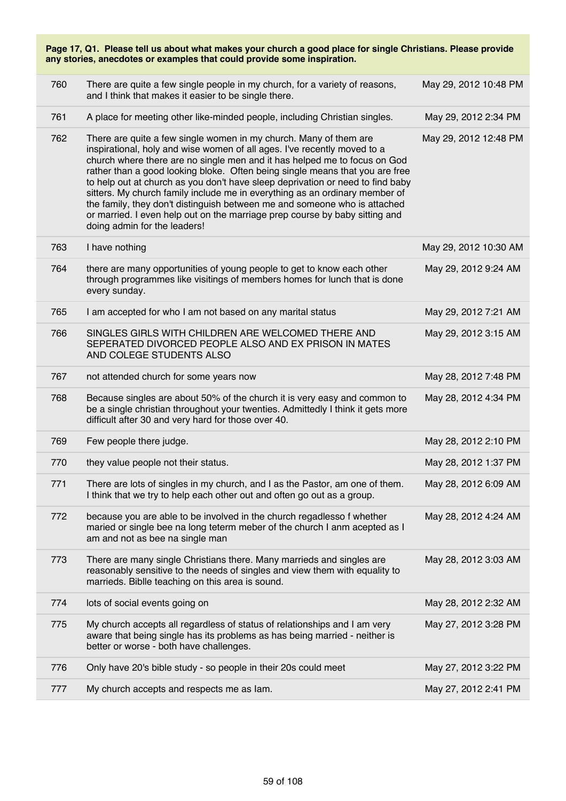| Page 17, Q1. Please tell us about what makes your church a good place for single Christians. Please provide<br>any stories, anecdotes or examples that could provide some inspiration. |                                                                                                                                                                                                                                                                                                                                                                                                                                                                                                                                                                                                                                                                         |                       |  |
|----------------------------------------------------------------------------------------------------------------------------------------------------------------------------------------|-------------------------------------------------------------------------------------------------------------------------------------------------------------------------------------------------------------------------------------------------------------------------------------------------------------------------------------------------------------------------------------------------------------------------------------------------------------------------------------------------------------------------------------------------------------------------------------------------------------------------------------------------------------------------|-----------------------|--|
| 760                                                                                                                                                                                    | There are quite a few single people in my church, for a variety of reasons,<br>and I think that makes it easier to be single there.                                                                                                                                                                                                                                                                                                                                                                                                                                                                                                                                     | May 29, 2012 10:48 PM |  |
| 761                                                                                                                                                                                    | A place for meeting other like-minded people, including Christian singles.                                                                                                                                                                                                                                                                                                                                                                                                                                                                                                                                                                                              | May 29, 2012 2:34 PM  |  |
| 762                                                                                                                                                                                    | There are quite a few single women in my church. Many of them are<br>inspirational, holy and wise women of all ages. I've recently moved to a<br>church where there are no single men and it has helped me to focus on God<br>rather than a good looking bloke. Often being single means that you are free<br>to help out at church as you don't have sleep deprivation or need to find baby<br>sitters. My church family include me in everything as an ordinary member of<br>the family, they don't distinguish between me and someone who is attached<br>or married. I even help out on the marriage prep course by baby sitting and<br>doing admin for the leaders! | May 29, 2012 12:48 PM |  |
| 763                                                                                                                                                                                    | I have nothing                                                                                                                                                                                                                                                                                                                                                                                                                                                                                                                                                                                                                                                          | May 29, 2012 10:30 AM |  |
| 764                                                                                                                                                                                    | there are many opportunities of young people to get to know each other<br>through programmes like visitings of members homes for lunch that is done<br>every sunday.                                                                                                                                                                                                                                                                                                                                                                                                                                                                                                    | May 29, 2012 9:24 AM  |  |
| 765                                                                                                                                                                                    | I am accepted for who I am not based on any marital status                                                                                                                                                                                                                                                                                                                                                                                                                                                                                                                                                                                                              | May 29, 2012 7:21 AM  |  |
| 766                                                                                                                                                                                    | SINGLES GIRLS WITH CHILDREN ARE WELCOMED THERE AND<br>SEPERATED DIVORCED PEOPLE ALSO AND EX PRISON IN MATES<br>AND COLEGE STUDENTS ALSO                                                                                                                                                                                                                                                                                                                                                                                                                                                                                                                                 | May 29, 2012 3:15 AM  |  |
| 767                                                                                                                                                                                    | not attended church for some years now                                                                                                                                                                                                                                                                                                                                                                                                                                                                                                                                                                                                                                  | May 28, 2012 7:48 PM  |  |
| 768                                                                                                                                                                                    | Because singles are about 50% of the church it is very easy and common to<br>be a single christian throughout your twenties. Admittedly I think it gets more<br>difficult after 30 and very hard for those over 40.                                                                                                                                                                                                                                                                                                                                                                                                                                                     | May 28, 2012 4:34 PM  |  |
| 769                                                                                                                                                                                    | Few people there judge.                                                                                                                                                                                                                                                                                                                                                                                                                                                                                                                                                                                                                                                 | May 28, 2012 2:10 PM  |  |
| 770                                                                                                                                                                                    | they value people not their status.                                                                                                                                                                                                                                                                                                                                                                                                                                                                                                                                                                                                                                     | May 28, 2012 1:37 PM  |  |
| 771                                                                                                                                                                                    | There are lots of singles in my church, and I as the Pastor, am one of them.<br>I think that we try to help each other out and often go out as a group.                                                                                                                                                                                                                                                                                                                                                                                                                                                                                                                 | May 28, 2012 6:09 AM  |  |
| 772                                                                                                                                                                                    | because you are able to be involved in the church regadlesso f whether<br>maried or single bee na long teterm meber of the church I anm acepted as I<br>am and not as bee na single man                                                                                                                                                                                                                                                                                                                                                                                                                                                                                 | May 28, 2012 4:24 AM  |  |
| 773                                                                                                                                                                                    | There are many single Christians there. Many marrieds and singles are<br>reasonably sensitive to the needs of singles and view them with equality to<br>marrieds. Biblle teaching on this area is sound.                                                                                                                                                                                                                                                                                                                                                                                                                                                                | May 28, 2012 3:03 AM  |  |
| 774                                                                                                                                                                                    | lots of social events going on                                                                                                                                                                                                                                                                                                                                                                                                                                                                                                                                                                                                                                          | May 28, 2012 2:32 AM  |  |
| 775                                                                                                                                                                                    | My church accepts all regardless of status of relationships and I am very<br>aware that being single has its problems as has being married - neither is<br>better or worse - both have challenges.                                                                                                                                                                                                                                                                                                                                                                                                                                                                      | May 27, 2012 3:28 PM  |  |
| 776                                                                                                                                                                                    | Only have 20's bible study - so people in their 20s could meet                                                                                                                                                                                                                                                                                                                                                                                                                                                                                                                                                                                                          | May 27, 2012 3:22 PM  |  |
| 777                                                                                                                                                                                    | My church accepts and respects me as lam.                                                                                                                                                                                                                                                                                                                                                                                                                                                                                                                                                                                                                               | May 27, 2012 2:41 PM  |  |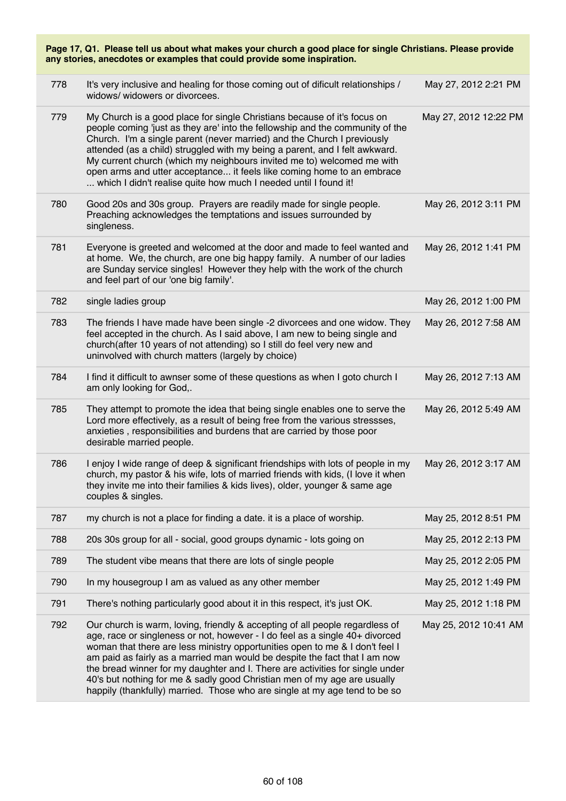| Page 17, Q1. Please tell us about what makes your church a good place for single Christians. Please provide<br>any stories, anecdotes or examples that could provide some inspiration. |                                                                                                                                                                                                                                                                                                                                                                                                                                                                                                                                                                       |                       |  |
|----------------------------------------------------------------------------------------------------------------------------------------------------------------------------------------|-----------------------------------------------------------------------------------------------------------------------------------------------------------------------------------------------------------------------------------------------------------------------------------------------------------------------------------------------------------------------------------------------------------------------------------------------------------------------------------------------------------------------------------------------------------------------|-----------------------|--|
| 778                                                                                                                                                                                    | It's very inclusive and healing for those coming out of dificult relationships /<br>widows/ widowers or divorcees.                                                                                                                                                                                                                                                                                                                                                                                                                                                    | May 27, 2012 2:21 PM  |  |
| 779                                                                                                                                                                                    | My Church is a good place for single Christians because of it's focus on<br>people coming 'just as they are' into the fellowship and the community of the<br>Church. I'm a single parent (never married) and the Church I previously<br>attended (as a child) struggled with my being a parent, and I felt awkward.<br>My current church (which my neighbours invited me to) welcomed me with<br>open arms and utter acceptance it feels like coming home to an embrace<br>which I didn't realise quite how much I needed until I found it!                           | May 27, 2012 12:22 PM |  |
| 780                                                                                                                                                                                    | Good 20s and 30s group. Prayers are readily made for single people.<br>Preaching acknowledges the temptations and issues surrounded by<br>singleness.                                                                                                                                                                                                                                                                                                                                                                                                                 | May 26, 2012 3:11 PM  |  |
| 781                                                                                                                                                                                    | Everyone is greeted and welcomed at the door and made to feel wanted and<br>at home. We, the church, are one big happy family. A number of our ladies<br>are Sunday service singles! However they help with the work of the church<br>and feel part of our 'one big family'.                                                                                                                                                                                                                                                                                          | May 26, 2012 1:41 PM  |  |
| 782                                                                                                                                                                                    | single ladies group                                                                                                                                                                                                                                                                                                                                                                                                                                                                                                                                                   | May 26, 2012 1:00 PM  |  |
| 783                                                                                                                                                                                    | The friends I have made have been single -2 divorcees and one widow. They<br>feel accepted in the church. As I said above, I am new to being single and<br>church(after 10 years of not attending) so I still do feel very new and<br>uninvolved with church matters (largely by choice)                                                                                                                                                                                                                                                                              | May 26, 2012 7:58 AM  |  |
| 784                                                                                                                                                                                    | I find it difficult to awnser some of these questions as when I goto church I<br>am only looking for God,.                                                                                                                                                                                                                                                                                                                                                                                                                                                            | May 26, 2012 7:13 AM  |  |
| 785                                                                                                                                                                                    | They attempt to promote the idea that being single enables one to serve the<br>Lord more effectively, as a result of being free from the various stressses,<br>anxieties, responsibilities and burdens that are carried by those poor<br>desirable married people.                                                                                                                                                                                                                                                                                                    | May 26, 2012 5:49 AM  |  |
| 786                                                                                                                                                                                    | I enjoy I wide range of deep & significant friendships with lots of people in my<br>church, my pastor & his wife, lots of married friends with kids, (I love it when<br>they invite me into their families & kids lives), older, younger & same age<br>couples & singles.                                                                                                                                                                                                                                                                                             | May 26, 2012 3:17 AM  |  |
| 787                                                                                                                                                                                    | my church is not a place for finding a date. it is a place of worship.                                                                                                                                                                                                                                                                                                                                                                                                                                                                                                | May 25, 2012 8:51 PM  |  |
| 788                                                                                                                                                                                    | 20s 30s group for all - social, good groups dynamic - lots going on                                                                                                                                                                                                                                                                                                                                                                                                                                                                                                   | May 25, 2012 2:13 PM  |  |
| 789                                                                                                                                                                                    | The student vibe means that there are lots of single people                                                                                                                                                                                                                                                                                                                                                                                                                                                                                                           | May 25, 2012 2:05 PM  |  |
| 790                                                                                                                                                                                    | In my housegroup I am as valued as any other member                                                                                                                                                                                                                                                                                                                                                                                                                                                                                                                   | May 25, 2012 1:49 PM  |  |
| 791                                                                                                                                                                                    | There's nothing particularly good about it in this respect, it's just OK.                                                                                                                                                                                                                                                                                                                                                                                                                                                                                             | May 25, 2012 1:18 PM  |  |
| 792                                                                                                                                                                                    | Our church is warm, loving, friendly & accepting of all people regardless of<br>age, race or singleness or not, however - I do feel as a single 40+ divorced<br>woman that there are less ministry opportunities open to me & I don't feel I<br>am paid as fairly as a married man would be despite the fact that I am now<br>the bread winner for my daughter and I. There are activities for single under<br>40's but nothing for me & sadly good Christian men of my age are usually<br>happily (thankfully) married. Those who are single at my age tend to be so | May 25, 2012 10:41 AM |  |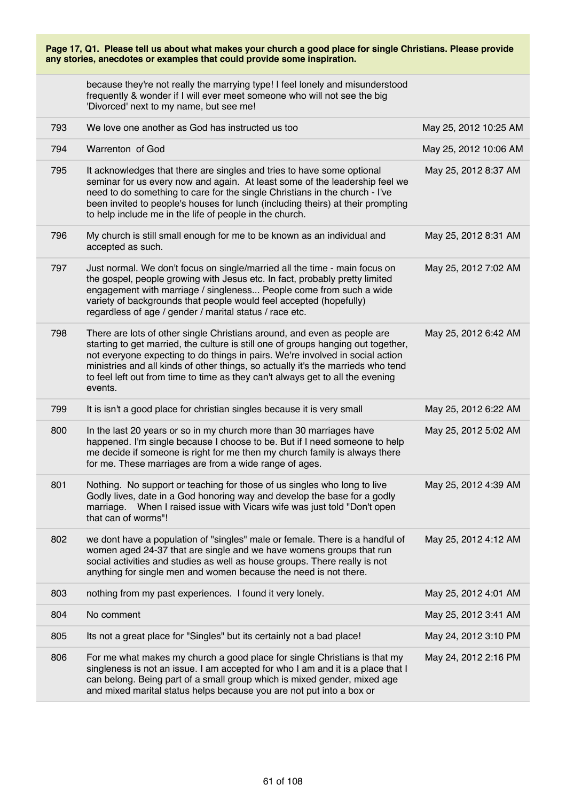| Page 17, Q1. Please tell us about what makes your church a good place for single Christians. Please provide<br>any stories, anecdotes or examples that could provide some inspiration. |                                                                                                                                                                                                                                                                                                                                                                                                                                 |                       |  |  |
|----------------------------------------------------------------------------------------------------------------------------------------------------------------------------------------|---------------------------------------------------------------------------------------------------------------------------------------------------------------------------------------------------------------------------------------------------------------------------------------------------------------------------------------------------------------------------------------------------------------------------------|-----------------------|--|--|
|                                                                                                                                                                                        | because they're not really the marrying type! I feel lonely and misunderstood<br>frequently & wonder if I will ever meet someone who will not see the big<br>'Divorced' next to my name, but see me!                                                                                                                                                                                                                            |                       |  |  |
| 793                                                                                                                                                                                    | We love one another as God has instructed us too                                                                                                                                                                                                                                                                                                                                                                                | May 25, 2012 10:25 AM |  |  |
| 794                                                                                                                                                                                    | Warrenton of God                                                                                                                                                                                                                                                                                                                                                                                                                | May 25, 2012 10:06 AM |  |  |
| 795                                                                                                                                                                                    | It acknowledges that there are singles and tries to have some optional<br>seminar for us every now and again. At least some of the leadership feel we<br>need to do something to care for the single Christians in the church - I've<br>been invited to people's houses for lunch (including theirs) at their prompting<br>to help include me in the life of people in the church.                                              | May 25, 2012 8:37 AM  |  |  |
| 796                                                                                                                                                                                    | My church is still small enough for me to be known as an individual and<br>accepted as such.                                                                                                                                                                                                                                                                                                                                    | May 25, 2012 8:31 AM  |  |  |
| 797                                                                                                                                                                                    | Just normal. We don't focus on single/married all the time - main focus on<br>the gospel, people growing with Jesus etc. In fact, probably pretty limited<br>engagement with marriage / singleness People come from such a wide<br>variety of backgrounds that people would feel accepted (hopefully)<br>regardless of age / gender / marital status / race etc.                                                                | May 25, 2012 7:02 AM  |  |  |
| 798                                                                                                                                                                                    | There are lots of other single Christians around, and even as people are<br>starting to get married, the culture is still one of groups hanging out together,<br>not everyone expecting to do things in pairs. We're involved in social action<br>ministries and all kinds of other things, so actually it's the marrieds who tend<br>to feel left out from time to time as they can't always get to all the evening<br>events. | May 25, 2012 6:42 AM  |  |  |
| 799                                                                                                                                                                                    | It is isn't a good place for christian singles because it is very small                                                                                                                                                                                                                                                                                                                                                         | May 25, 2012 6:22 AM  |  |  |
| 800                                                                                                                                                                                    | In the last 20 years or so in my church more than 30 marriages have<br>happened. I'm single because I choose to be. But if I need someone to help<br>me decide if someone is right for me then my church family is always there<br>for me. These marriages are from a wide range of ages.                                                                                                                                       | May 25, 2012 5:02 AM  |  |  |
| 801                                                                                                                                                                                    | Nothing. No support or teaching for those of us singles who long to live<br>Godly lives, date in a God honoring way and develop the base for a godly<br>marriage. When I raised issue with Vicars wife was just told "Don't open<br>that can of worms"!                                                                                                                                                                         | May 25, 2012 4:39 AM  |  |  |
| 802                                                                                                                                                                                    | we dont have a population of "singles" male or female. There is a handful of<br>women aged 24-37 that are single and we have womens groups that run<br>social activities and studies as well as house groups. There really is not<br>anything for single men and women because the need is not there.                                                                                                                           | May 25, 2012 4:12 AM  |  |  |
| 803                                                                                                                                                                                    | nothing from my past experiences. I found it very lonely.                                                                                                                                                                                                                                                                                                                                                                       | May 25, 2012 4:01 AM  |  |  |
| 804                                                                                                                                                                                    | No comment                                                                                                                                                                                                                                                                                                                                                                                                                      | May 25, 2012 3:41 AM  |  |  |
| 805                                                                                                                                                                                    | Its not a great place for "Singles" but its certainly not a bad place!                                                                                                                                                                                                                                                                                                                                                          | May 24, 2012 3:10 PM  |  |  |
| 806                                                                                                                                                                                    | For me what makes my church a good place for single Christians is that my<br>singleness is not an issue. I am accepted for who I am and it is a place that I<br>can belong. Being part of a small group which is mixed gender, mixed age<br>and mixed marital status helps because you are not put into a box or                                                                                                                | May 24, 2012 2:16 PM  |  |  |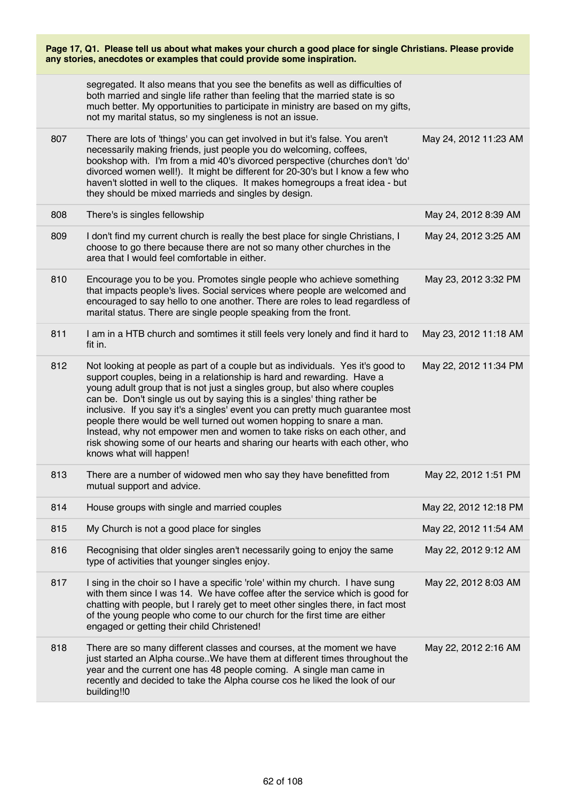| Page 17, Q1. Please tell us about what makes your church a good place for single Christians. Please provide<br>any stories, anecdotes or examples that could provide some inspiration. |                                                                                                                                                                                                                                                                                                                                                                                                                                                                                                                                                                                                                                                                  |                       |  |
|----------------------------------------------------------------------------------------------------------------------------------------------------------------------------------------|------------------------------------------------------------------------------------------------------------------------------------------------------------------------------------------------------------------------------------------------------------------------------------------------------------------------------------------------------------------------------------------------------------------------------------------------------------------------------------------------------------------------------------------------------------------------------------------------------------------------------------------------------------------|-----------------------|--|
|                                                                                                                                                                                        | segregated. It also means that you see the benefits as well as difficulties of<br>both married and single life rather than feeling that the married state is so<br>much better. My opportunities to participate in ministry are based on my gifts,<br>not my marital status, so my singleness is not an issue.                                                                                                                                                                                                                                                                                                                                                   |                       |  |
| 807                                                                                                                                                                                    | There are lots of 'things' you can get involved in but it's false. You aren't<br>necessarily making friends, just people you do welcoming, coffees,<br>bookshop with. I'm from a mid 40's divorced perspective (churches don't 'do'<br>divorced women well!). It might be different for 20-30's but I know a few who<br>haven't slotted in well to the cliques. It makes homegroups a freat idea - but<br>they should be mixed marrieds and singles by design.                                                                                                                                                                                                   | May 24, 2012 11:23 AM |  |
| 808                                                                                                                                                                                    | There's is singles fellowship                                                                                                                                                                                                                                                                                                                                                                                                                                                                                                                                                                                                                                    | May 24, 2012 8:39 AM  |  |
| 809                                                                                                                                                                                    | I don't find my current church is really the best place for single Christians, I<br>choose to go there because there are not so many other churches in the<br>area that I would feel comfortable in either.                                                                                                                                                                                                                                                                                                                                                                                                                                                      | May 24, 2012 3:25 AM  |  |
| 810                                                                                                                                                                                    | Encourage you to be you. Promotes single people who achieve something<br>that impacts people's lives. Social services where people are welcomed and<br>encouraged to say hello to one another. There are roles to lead regardless of<br>marital status. There are single people speaking from the front.                                                                                                                                                                                                                                                                                                                                                         | May 23, 2012 3:32 PM  |  |
| 811                                                                                                                                                                                    | I am in a HTB church and somtimes it still feels very lonely and find it hard to<br>fit in.                                                                                                                                                                                                                                                                                                                                                                                                                                                                                                                                                                      | May 23, 2012 11:18 AM |  |
| 812                                                                                                                                                                                    | Not looking at people as part of a couple but as individuals. Yes it's good to<br>support couples, being in a relationship is hard and rewarding. Have a<br>young adult group that is not just a singles group, but also where couples<br>can be. Don't single us out by saying this is a singles' thing rather be<br>inclusive. If you say it's a singles' event you can pretty much guarantee most<br>people there would be well turned out women hopping to snare a man.<br>Instead, why not empower men and women to take risks on each other, and<br>risk showing some of our hearts and sharing our hearts with each other, who<br>knows what will happen! | May 22, 2012 11:34 PM |  |
| 813                                                                                                                                                                                    | There are a number of widowed men who say they have benefitted from<br>mutual support and advice.                                                                                                                                                                                                                                                                                                                                                                                                                                                                                                                                                                | May 22, 2012 1:51 PM  |  |
| 814                                                                                                                                                                                    | House groups with single and married couples                                                                                                                                                                                                                                                                                                                                                                                                                                                                                                                                                                                                                     | May 22, 2012 12:18 PM |  |
| 815                                                                                                                                                                                    | My Church is not a good place for singles                                                                                                                                                                                                                                                                                                                                                                                                                                                                                                                                                                                                                        | May 22, 2012 11:54 AM |  |
| 816                                                                                                                                                                                    | Recognising that older singles aren't necessarily going to enjoy the same<br>type of activities that younger singles enjoy.                                                                                                                                                                                                                                                                                                                                                                                                                                                                                                                                      | May 22, 2012 9:12 AM  |  |
| 817                                                                                                                                                                                    | I sing in the choir so I have a specific 'role' within my church. I have sung<br>with them since I was 14. We have coffee after the service which is good for<br>chatting with people, but I rarely get to meet other singles there, in fact most<br>of the young people who come to our church for the first time are either<br>engaged or getting their child Christened!                                                                                                                                                                                                                                                                                      | May 22, 2012 8:03 AM  |  |
| 818                                                                                                                                                                                    | There are so many different classes and courses, at the moment we have<br>just started an Alpha course. We have them at different times throughout the<br>year and the current one has 48 people coming. A single man came in<br>recently and decided to take the Alpha course cos he liked the look of our<br>building!!0                                                                                                                                                                                                                                                                                                                                       | May 22, 2012 2:16 AM  |  |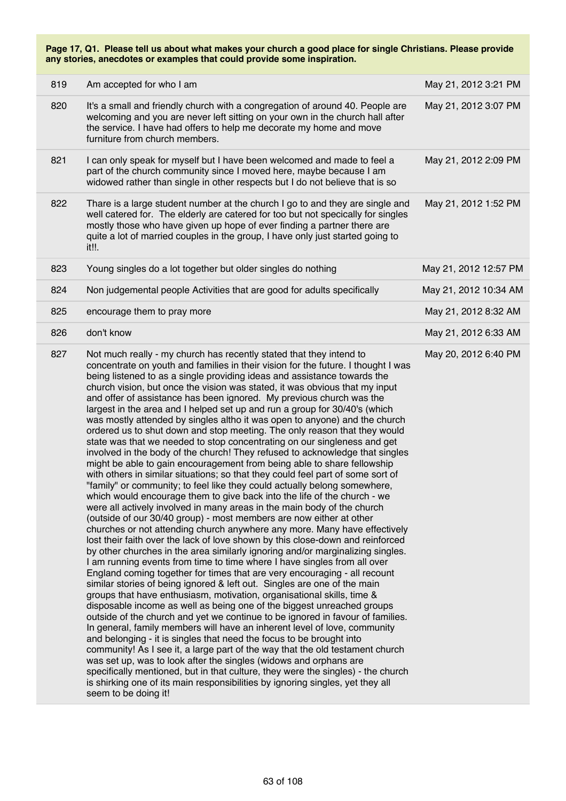| 819 | Am accepted for who I am                                                                                                                                                                                                                                                                                                                                                                                                                                                                                                                                                                                                                                                                                                                                                                                                                                                                                                                                                                                                                                                                                                                                                                                                                                                                                                                                                                                                                                                                                                                                                                                                                                                                                                                                                                                                                                                                                                                                                                                                                                                                                                                                                                                                                                                                                                                                                                                                                                                                                       | May 21, 2012 3:21 PM  |
|-----|----------------------------------------------------------------------------------------------------------------------------------------------------------------------------------------------------------------------------------------------------------------------------------------------------------------------------------------------------------------------------------------------------------------------------------------------------------------------------------------------------------------------------------------------------------------------------------------------------------------------------------------------------------------------------------------------------------------------------------------------------------------------------------------------------------------------------------------------------------------------------------------------------------------------------------------------------------------------------------------------------------------------------------------------------------------------------------------------------------------------------------------------------------------------------------------------------------------------------------------------------------------------------------------------------------------------------------------------------------------------------------------------------------------------------------------------------------------------------------------------------------------------------------------------------------------------------------------------------------------------------------------------------------------------------------------------------------------------------------------------------------------------------------------------------------------------------------------------------------------------------------------------------------------------------------------------------------------------------------------------------------------------------------------------------------------------------------------------------------------------------------------------------------------------------------------------------------------------------------------------------------------------------------------------------------------------------------------------------------------------------------------------------------------------------------------------------------------------------------------------------------------|-----------------------|
| 820 | It's a small and friendly church with a congregation of around 40. People are<br>welcoming and you are never left sitting on your own in the church hall after<br>the service. I have had offers to help me decorate my home and move<br>furniture from church members.                                                                                                                                                                                                                                                                                                                                                                                                                                                                                                                                                                                                                                                                                                                                                                                                                                                                                                                                                                                                                                                                                                                                                                                                                                                                                                                                                                                                                                                                                                                                                                                                                                                                                                                                                                                                                                                                                                                                                                                                                                                                                                                                                                                                                                        | May 21, 2012 3:07 PM  |
| 821 | I can only speak for myself but I have been welcomed and made to feel a<br>part of the church community since I moved here, maybe because I am<br>widowed rather than single in other respects but I do not believe that is so                                                                                                                                                                                                                                                                                                                                                                                                                                                                                                                                                                                                                                                                                                                                                                                                                                                                                                                                                                                                                                                                                                                                                                                                                                                                                                                                                                                                                                                                                                                                                                                                                                                                                                                                                                                                                                                                                                                                                                                                                                                                                                                                                                                                                                                                                 | May 21, 2012 2:09 PM  |
| 822 | Thare is a large student number at the church I go to and they are single and<br>well catered for. The elderly are catered for too but not specically for singles<br>mostly those who have given up hope of ever finding a partner there are<br>quite a lot of married couples in the group, I have only just started going to<br>it!!.                                                                                                                                                                                                                                                                                                                                                                                                                                                                                                                                                                                                                                                                                                                                                                                                                                                                                                                                                                                                                                                                                                                                                                                                                                                                                                                                                                                                                                                                                                                                                                                                                                                                                                                                                                                                                                                                                                                                                                                                                                                                                                                                                                        | May 21, 2012 1:52 PM  |
| 823 | Young singles do a lot together but older singles do nothing                                                                                                                                                                                                                                                                                                                                                                                                                                                                                                                                                                                                                                                                                                                                                                                                                                                                                                                                                                                                                                                                                                                                                                                                                                                                                                                                                                                                                                                                                                                                                                                                                                                                                                                                                                                                                                                                                                                                                                                                                                                                                                                                                                                                                                                                                                                                                                                                                                                   | May 21, 2012 12:57 PM |
| 824 | Non judgemental people Activities that are good for adults specifically                                                                                                                                                                                                                                                                                                                                                                                                                                                                                                                                                                                                                                                                                                                                                                                                                                                                                                                                                                                                                                                                                                                                                                                                                                                                                                                                                                                                                                                                                                                                                                                                                                                                                                                                                                                                                                                                                                                                                                                                                                                                                                                                                                                                                                                                                                                                                                                                                                        | May 21, 2012 10:34 AM |
| 825 | encourage them to pray more                                                                                                                                                                                                                                                                                                                                                                                                                                                                                                                                                                                                                                                                                                                                                                                                                                                                                                                                                                                                                                                                                                                                                                                                                                                                                                                                                                                                                                                                                                                                                                                                                                                                                                                                                                                                                                                                                                                                                                                                                                                                                                                                                                                                                                                                                                                                                                                                                                                                                    | May 21, 2012 8:32 AM  |
| 826 | don't know                                                                                                                                                                                                                                                                                                                                                                                                                                                                                                                                                                                                                                                                                                                                                                                                                                                                                                                                                                                                                                                                                                                                                                                                                                                                                                                                                                                                                                                                                                                                                                                                                                                                                                                                                                                                                                                                                                                                                                                                                                                                                                                                                                                                                                                                                                                                                                                                                                                                                                     | May 21, 2012 6:33 AM  |
| 827 | Not much really - my church has recently stated that they intend to<br>concentrate on youth and families in their vision for the future. I thought I was<br>being listened to as a single providing ideas and assistance towards the<br>church vision, but once the vision was stated, it was obvious that my input<br>and offer of assistance has been ignored. My previous church was the<br>largest in the area and I helped set up and run a group for 30/40's (which<br>was mostly attended by singles altho it was open to anyone) and the church<br>ordered us to shut down and stop meeting. The only reason that they would<br>state was that we needed to stop concentrating on our singleness and get<br>involved in the body of the church! They refused to acknowledge that singles<br>might be able to gain encouragement from being able to share fellowship<br>with others in similar situations; so that they could feel part of some sort of<br>"family" or community; to feel like they could actually belong somewhere,<br>which would encourage them to give back into the life of the church - we<br>were all actively involved in many areas in the main body of the church<br>(outside of our 30/40 group) - most members are now either at other<br>churches or not attending church anywhere any more. Many have effectively<br>lost their faith over the lack of love shown by this close-down and reinforced<br>by other churches in the area similarly ignoring and/or marginalizing singles.<br>I am running events from time to time where I have singles from all over<br>England coming together for times that are very encouraging - all recount<br>similar stories of being ignored & left out. Singles are one of the main<br>groups that have enthusiasm, motivation, organisational skills, time &<br>disposable income as well as being one of the biggest unreached groups<br>outside of the church and yet we continue to be ignored in favour of families.<br>In general, family members will have an inherent level of love, community<br>and belonging - it is singles that need the focus to be brought into<br>community! As I see it, a large part of the way that the old testament church<br>was set up, was to look after the singles (widows and orphans are<br>specifically mentioned, but in that culture, they were the singles) - the church<br>is shirking one of its main responsibilities by ignoring singles, yet they all<br>seem to be doing it! | May 20, 2012 6:40 PM  |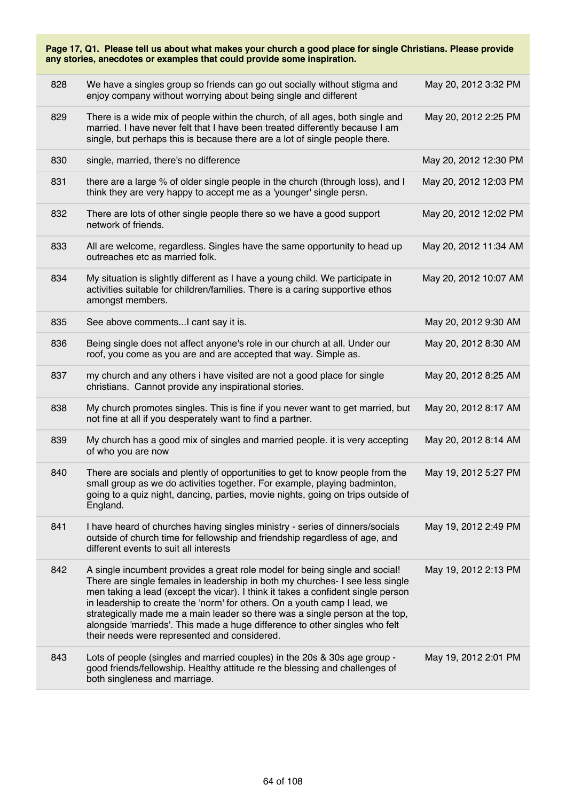| Page 17, Q1. Please tell us about what makes your church a good place for single Christians. Please provide<br>any stories, anecdotes or examples that could provide some inspiration. |                                                                                                                                                                                                                                                                                                                                                                                                                                                                                                                                              |                       |  |  |
|----------------------------------------------------------------------------------------------------------------------------------------------------------------------------------------|----------------------------------------------------------------------------------------------------------------------------------------------------------------------------------------------------------------------------------------------------------------------------------------------------------------------------------------------------------------------------------------------------------------------------------------------------------------------------------------------------------------------------------------------|-----------------------|--|--|
| 828                                                                                                                                                                                    | We have a singles group so friends can go out socially without stigma and<br>enjoy company without worrying about being single and different                                                                                                                                                                                                                                                                                                                                                                                                 | May 20, 2012 3:32 PM  |  |  |
| 829                                                                                                                                                                                    | There is a wide mix of people within the church, of all ages, both single and<br>married. I have never felt that I have been treated differently because I am<br>single, but perhaps this is because there are a lot of single people there.                                                                                                                                                                                                                                                                                                 | May 20, 2012 2:25 PM  |  |  |
| 830                                                                                                                                                                                    | single, married, there's no difference                                                                                                                                                                                                                                                                                                                                                                                                                                                                                                       | May 20, 2012 12:30 PM |  |  |
| 831                                                                                                                                                                                    | there are a large % of older single people in the church (through loss), and I<br>think they are very happy to accept me as a 'younger' single persn.                                                                                                                                                                                                                                                                                                                                                                                        | May 20, 2012 12:03 PM |  |  |
| 832                                                                                                                                                                                    | There are lots of other single people there so we have a good support<br>network of friends.                                                                                                                                                                                                                                                                                                                                                                                                                                                 | May 20, 2012 12:02 PM |  |  |
| 833                                                                                                                                                                                    | All are welcome, regardless. Singles have the same opportunity to head up<br>outreaches etc as married folk.                                                                                                                                                                                                                                                                                                                                                                                                                                 | May 20, 2012 11:34 AM |  |  |
| 834                                                                                                                                                                                    | My situation is slightly different as I have a young child. We participate in<br>activities suitable for children/families. There is a caring supportive ethos<br>amongst members.                                                                                                                                                                                                                                                                                                                                                           | May 20, 2012 10:07 AM |  |  |
| 835                                                                                                                                                                                    | See above commentsI cant say it is.                                                                                                                                                                                                                                                                                                                                                                                                                                                                                                          | May 20, 2012 9:30 AM  |  |  |
| 836                                                                                                                                                                                    | Being single does not affect anyone's role in our church at all. Under our<br>roof, you come as you are and are accepted that way. Simple as.                                                                                                                                                                                                                                                                                                                                                                                                | May 20, 2012 8:30 AM  |  |  |
| 837                                                                                                                                                                                    | my church and any others i have visited are not a good place for single<br>christians. Cannot provide any inspirational stories.                                                                                                                                                                                                                                                                                                                                                                                                             | May 20, 2012 8:25 AM  |  |  |
| 838                                                                                                                                                                                    | My church promotes singles. This is fine if you never want to get married, but<br>not fine at all if you desperately want to find a partner.                                                                                                                                                                                                                                                                                                                                                                                                 | May 20, 2012 8:17 AM  |  |  |
| 839                                                                                                                                                                                    | My church has a good mix of singles and married people. it is very accepting<br>of who you are now                                                                                                                                                                                                                                                                                                                                                                                                                                           | May 20, 2012 8:14 AM  |  |  |
| 840                                                                                                                                                                                    | There are socials and plently of opportunities to get to know people from the<br>small group as we do activities together. For example, playing badminton,<br>going to a quiz night, dancing, parties, movie nights, going on trips outside of<br>England.                                                                                                                                                                                                                                                                                   | May 19, 2012 5:27 PM  |  |  |
| 841                                                                                                                                                                                    | I have heard of churches having singles ministry - series of dinners/socials<br>outside of church time for fellowship and friendship regardless of age, and<br>different events to suit all interests                                                                                                                                                                                                                                                                                                                                        | May 19, 2012 2:49 PM  |  |  |
| 842                                                                                                                                                                                    | A single incumbent provides a great role model for being single and social!<br>There are single females in leadership in both my churches- I see less single<br>men taking a lead (except the vicar). I think it takes a confident single person<br>in leadership to create the 'norm' for others. On a youth camp I lead, we<br>strategically made me a main leader so there was a single person at the top,<br>alongside 'marrieds'. This made a huge difference to other singles who felt<br>their needs were represented and considered. | May 19, 2012 2:13 PM  |  |  |
| 843                                                                                                                                                                                    | Lots of people (singles and married couples) in the 20s & 30s age group -<br>good friends/fellowship. Healthy attitude re the blessing and challenges of<br>both singleness and marriage.                                                                                                                                                                                                                                                                                                                                                    | May 19, 2012 2:01 PM  |  |  |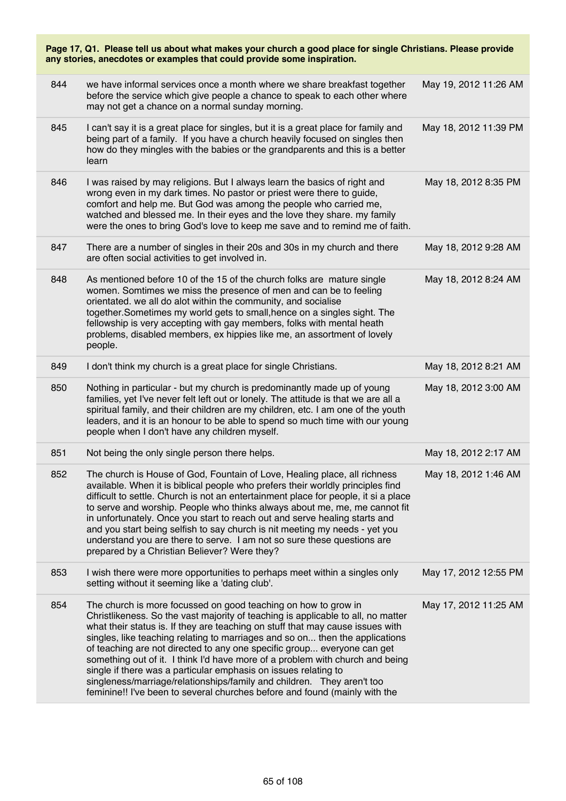| Page 17, Q1. Please tell us about what makes your church a good place for single Christians. Please provide<br>any stories, anecdotes or examples that could provide some inspiration. |                                                                                                                                                                                                                                                                                                                                                                                                                                                                                                                                                                                                                                                                                                             |                       |  |
|----------------------------------------------------------------------------------------------------------------------------------------------------------------------------------------|-------------------------------------------------------------------------------------------------------------------------------------------------------------------------------------------------------------------------------------------------------------------------------------------------------------------------------------------------------------------------------------------------------------------------------------------------------------------------------------------------------------------------------------------------------------------------------------------------------------------------------------------------------------------------------------------------------------|-----------------------|--|
| 844                                                                                                                                                                                    | we have informal services once a month where we share breakfast together<br>before the service which give people a chance to speak to each other where<br>may not get a chance on a normal sunday morning.                                                                                                                                                                                                                                                                                                                                                                                                                                                                                                  | May 19, 2012 11:26 AM |  |
| 845                                                                                                                                                                                    | I can't say it is a great place for singles, but it is a great place for family and<br>being part of a family. If you have a church heavily focused on singles then<br>how do they mingles with the babies or the grandparents and this is a better<br>learn                                                                                                                                                                                                                                                                                                                                                                                                                                                | May 18, 2012 11:39 PM |  |
| 846                                                                                                                                                                                    | I was raised by may religions. But I always learn the basics of right and<br>wrong even in my dark times. No pastor or priest were there to guide,<br>comfort and help me. But God was among the people who carried me,<br>watched and blessed me. In their eyes and the love they share. my family<br>were the ones to bring God's love to keep me save and to remind me of faith.                                                                                                                                                                                                                                                                                                                         | May 18, 2012 8:35 PM  |  |
| 847                                                                                                                                                                                    | There are a number of singles in their 20s and 30s in my church and there<br>are often social activities to get involved in.                                                                                                                                                                                                                                                                                                                                                                                                                                                                                                                                                                                | May 18, 2012 9:28 AM  |  |
| 848                                                                                                                                                                                    | As mentioned before 10 of the 15 of the church folks are mature single<br>women. Somtimes we miss the presence of men and can be to feeling<br>orientated. we all do alot within the community, and socialise<br>together. Sometimes my world gets to small, hence on a singles sight. The<br>fellowship is very accepting with gay members, folks with mental heath<br>problems, disabled members, ex hippies like me, an assortment of lovely<br>people.                                                                                                                                                                                                                                                  | May 18, 2012 8:24 AM  |  |
| 849                                                                                                                                                                                    | I don't think my church is a great place for single Christians.                                                                                                                                                                                                                                                                                                                                                                                                                                                                                                                                                                                                                                             | May 18, 2012 8:21 AM  |  |
| 850                                                                                                                                                                                    | Nothing in particular - but my church is predominantly made up of young<br>families, yet I've never felt left out or lonely. The attitude is that we are all a<br>spiritual family, and their children are my children, etc. I am one of the youth<br>leaders, and it is an honour to be able to spend so much time with our young<br>people when I don't have any children myself.                                                                                                                                                                                                                                                                                                                         | May 18, 2012 3:00 AM  |  |
| 851                                                                                                                                                                                    | Not being the only single person there helps.                                                                                                                                                                                                                                                                                                                                                                                                                                                                                                                                                                                                                                                               | May 18, 2012 2:17 AM  |  |
| 852                                                                                                                                                                                    | The church is House of God, Fountain of Love, Healing place, all richness<br>available. When it is biblical people who prefers their worldly principles find<br>difficult to settle. Church is not an entertainment place for people, it si a place<br>to serve and worship. People who thinks always about me, me, me cannot fit<br>in unfortunately. Once you start to reach out and serve healing starts and<br>and you start being selfish to say church is nit meeting my needs - yet you<br>understand you are there to serve. I am not so sure these questions are<br>prepared by a Christian Believer? Were they?                                                                                   | May 18, 2012 1:46 AM  |  |
| 853                                                                                                                                                                                    | I wish there were more opportunities to perhaps meet within a singles only<br>setting without it seeming like a 'dating club'.                                                                                                                                                                                                                                                                                                                                                                                                                                                                                                                                                                              | May 17, 2012 12:55 PM |  |
| 854                                                                                                                                                                                    | The church is more focussed on good teaching on how to grow in<br>Christlikeness. So the vast majority of teaching is applicable to all, no matter<br>what their status is. If they are teaching on stuff that may cause issues with<br>singles, like teaching relating to marriages and so on then the applications<br>of teaching are not directed to any one specific group everyone can get<br>something out of it. I think I'd have more of a problem with church and being<br>single if there was a particular emphasis on issues relating to<br>singleness/marriage/relationships/family and children. They aren't too<br>feminine!! I've been to several churches before and found (mainly with the | May 17, 2012 11:25 AM |  |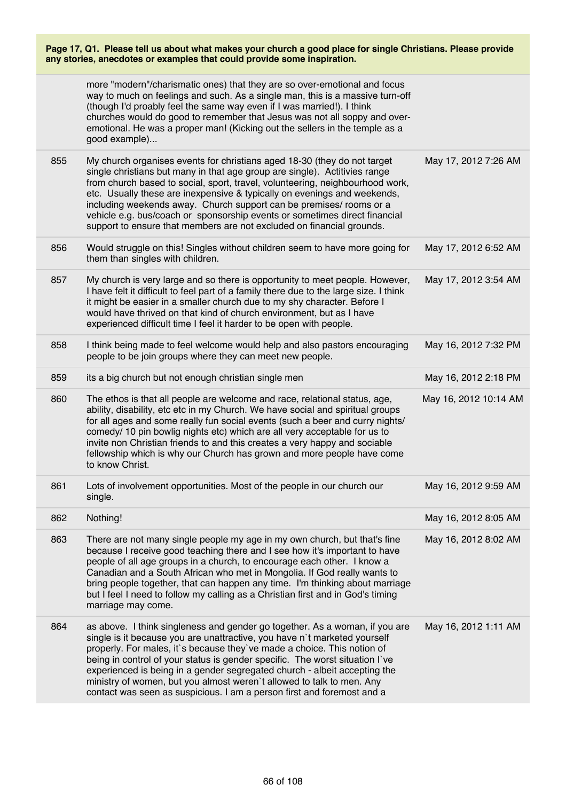| Page 17, Q1. Please tell us about what makes your church a good place for single Christians. Please provide |  |  |
|-------------------------------------------------------------------------------------------------------------|--|--|
| any stories, anecdotes or examples that could provide some inspiration.                                     |  |  |

|     | more "modern"/charismatic ones) that they are so over-emotional and focus<br>way to much on feelings and such. As a single man, this is a massive turn-off<br>(though I'd proably feel the same way even if I was married!). I think<br>churches would do good to remember that Jesus was not all soppy and over-<br>emotional. He was a proper man! (Kicking out the sellers in the temple as a<br>good example)                                                                                                                                   |                       |
|-----|-----------------------------------------------------------------------------------------------------------------------------------------------------------------------------------------------------------------------------------------------------------------------------------------------------------------------------------------------------------------------------------------------------------------------------------------------------------------------------------------------------------------------------------------------------|-----------------------|
| 855 | My church organises events for christians aged 18-30 (they do not target<br>single christians but many in that age group are single). Actitivies range<br>from church based to social, sport, travel, volunteering, neighbourhood work,<br>etc. Usually these are inexpensive & typically on evenings and weekends,<br>including weekends away. Church support can be premises/ rooms or a<br>vehicle e.g. bus/coach or sponsorship events or sometimes direct financial<br>support to ensure that members are not excluded on financial grounds.   | May 17, 2012 7:26 AM  |
| 856 | Would struggle on this! Singles without children seem to have more going for<br>them than singles with children.                                                                                                                                                                                                                                                                                                                                                                                                                                    | May 17, 2012 6:52 AM  |
| 857 | My church is very large and so there is opportunity to meet people. However,<br>I have felt it difficult to feel part of a family there due to the large size. I think<br>it might be easier in a smaller church due to my shy character. Before I<br>would have thrived on that kind of church environment, but as I have<br>experienced difficult time I feel it harder to be open with people.                                                                                                                                                   | May 17, 2012 3:54 AM  |
| 858 | I think being made to feel welcome would help and also pastors encouraging<br>people to be join groups where they can meet new people.                                                                                                                                                                                                                                                                                                                                                                                                              | May 16, 2012 7:32 PM  |
| 859 | its a big church but not enough christian single men                                                                                                                                                                                                                                                                                                                                                                                                                                                                                                | May 16, 2012 2:18 PM  |
| 860 | The ethos is that all people are welcome and race, relational status, age,<br>ability, disability, etc etc in my Church. We have social and spiritual groups<br>for all ages and some really fun social events (such a beer and curry nights/<br>comedy/ 10 pin bowlig nights etc) which are all very acceptable for us to<br>invite non Christian friends to and this creates a very happy and sociable<br>fellowship which is why our Church has grown and more people have come<br>to know Christ.                                               | May 16, 2012 10:14 AM |
| 861 | Lots of involvement opportunities. Most of the people in our church our<br>single.                                                                                                                                                                                                                                                                                                                                                                                                                                                                  | May 16, 2012 9:59 AM  |
| 862 | Nothing!                                                                                                                                                                                                                                                                                                                                                                                                                                                                                                                                            | May 16, 2012 8:05 AM  |
| 863 | There are not many single people my age in my own church, but that's fine<br>because I receive good teaching there and I see how it's important to have<br>people of all age groups in a church, to encourage each other. I know a<br>Canadian and a South African who met in Mongolia. If God really wants to<br>bring people together, that can happen any time. I'm thinking about marriage<br>but I feel I need to follow my calling as a Christian first and in God's timing<br>marriage may come.                                             | May 16, 2012 8:02 AM  |
| 864 | as above. I think singleness and gender go together. As a woman, if you are<br>single is it because you are unattractive, you have n't marketed yourself<br>properly. For males, it's because they've made a choice. This notion of<br>being in control of your status is gender specific. The worst situation I've<br>experienced is being in a gender segregated church - albeit accepting the<br>ministry of women, but you almost weren't allowed to talk to men. Any<br>contact was seen as suspicious. I am a person first and foremost and a | May 16, 2012 1:11 AM  |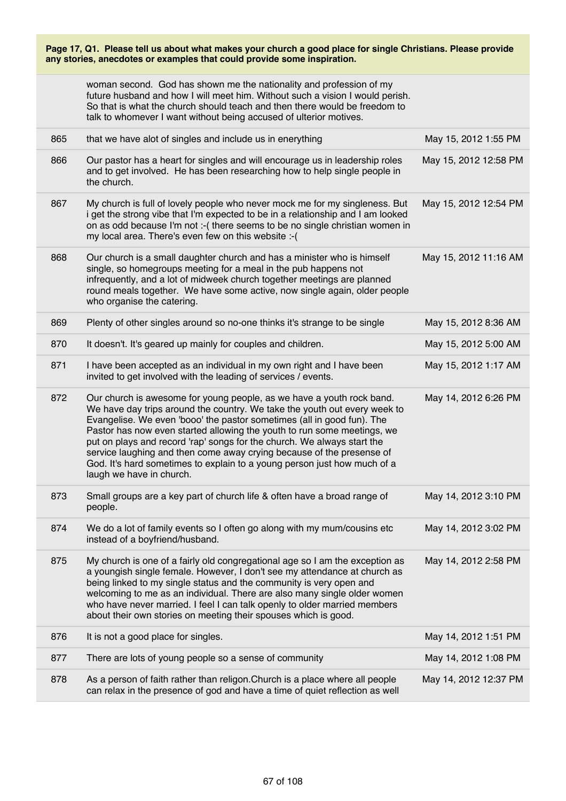| Page 17, Q1. Please tell us about what makes your church a good place for single Christians. Please provide<br>any stories, anecdotes or examples that could provide some inspiration. |                                                                                                                                                                                                                                                                                                                                                                                                                                                                                                                                                                     |                       |  |
|----------------------------------------------------------------------------------------------------------------------------------------------------------------------------------------|---------------------------------------------------------------------------------------------------------------------------------------------------------------------------------------------------------------------------------------------------------------------------------------------------------------------------------------------------------------------------------------------------------------------------------------------------------------------------------------------------------------------------------------------------------------------|-----------------------|--|
|                                                                                                                                                                                        | woman second. God has shown me the nationality and profession of my<br>future husband and how I will meet him. Without such a vision I would perish.<br>So that is what the church should teach and then there would be freedom to<br>talk to whomever I want without being accused of ulterior motives.                                                                                                                                                                                                                                                            |                       |  |
| 865                                                                                                                                                                                    | that we have alot of singles and include us in enerything                                                                                                                                                                                                                                                                                                                                                                                                                                                                                                           | May 15, 2012 1:55 PM  |  |
| 866                                                                                                                                                                                    | Our pastor has a heart for singles and will encourage us in leadership roles<br>and to get involved. He has been researching how to help single people in<br>the church.                                                                                                                                                                                                                                                                                                                                                                                            | May 15, 2012 12:58 PM |  |
| 867                                                                                                                                                                                    | My church is full of lovely people who never mock me for my singleness. But<br>i get the strong vibe that I'm expected to be in a relationship and I am looked<br>on as odd because I'm not :- (there seems to be no single christian women in<br>my local area. There's even few on this website :- (                                                                                                                                                                                                                                                              | May 15, 2012 12:54 PM |  |
| 868                                                                                                                                                                                    | Our church is a small daughter church and has a minister who is himself<br>single, so homegroups meeting for a meal in the pub happens not<br>infrequently, and a lot of midweek church together meetings are planned<br>round meals together. We have some active, now single again, older people<br>who organise the catering.                                                                                                                                                                                                                                    | May 15, 2012 11:16 AM |  |
| 869                                                                                                                                                                                    | Plenty of other singles around so no-one thinks it's strange to be single                                                                                                                                                                                                                                                                                                                                                                                                                                                                                           | May 15, 2012 8:36 AM  |  |
| 870                                                                                                                                                                                    | It doesn't. It's geared up mainly for couples and children.                                                                                                                                                                                                                                                                                                                                                                                                                                                                                                         | May 15, 2012 5:00 AM  |  |
| 871                                                                                                                                                                                    | I have been accepted as an individual in my own right and I have been<br>invited to get involved with the leading of services / events.                                                                                                                                                                                                                                                                                                                                                                                                                             | May 15, 2012 1:17 AM  |  |
| 872                                                                                                                                                                                    | Our church is awesome for young people, as we have a youth rock band.<br>We have day trips around the country. We take the youth out every week to<br>Evangelise. We even 'booo' the pastor sometimes (all in good fun). The<br>Pastor has now even started allowing the youth to run some meetings, we<br>put on plays and record 'rap' songs for the church. We always start the<br>service laughing and then come away crying because of the presense of<br>God. It's hard sometimes to explain to a young person just how much of a<br>laugh we have in church. | May 14, 2012 6:26 PM  |  |
| 873                                                                                                                                                                                    | Small groups are a key part of church life & often have a broad range of<br>people.                                                                                                                                                                                                                                                                                                                                                                                                                                                                                 | May 14, 2012 3:10 PM  |  |
| 874                                                                                                                                                                                    | We do a lot of family events so I often go along with my mum/cousins etc<br>instead of a boyfriend/husband.                                                                                                                                                                                                                                                                                                                                                                                                                                                         | May 14, 2012 3:02 PM  |  |
| 875                                                                                                                                                                                    | My church is one of a fairly old congregational age so I am the exception as<br>a youngish single female. However, I don't see my attendance at church as<br>being linked to my single status and the community is very open and<br>welcoming to me as an individual. There are also many single older women<br>who have never married. I feel I can talk openly to older married members<br>about their own stories on meeting their spouses which is good.                                                                                                        | May 14, 2012 2:58 PM  |  |
| 876                                                                                                                                                                                    | It is not a good place for singles.                                                                                                                                                                                                                                                                                                                                                                                                                                                                                                                                 | May 14, 2012 1:51 PM  |  |
| 877                                                                                                                                                                                    | There are lots of young people so a sense of community                                                                                                                                                                                                                                                                                                                                                                                                                                                                                                              | May 14, 2012 1:08 PM  |  |
| 878                                                                                                                                                                                    | As a person of faith rather than religon. Church is a place where all people<br>can relax in the presence of god and have a time of quiet reflection as well                                                                                                                                                                                                                                                                                                                                                                                                        | May 14, 2012 12:37 PM |  |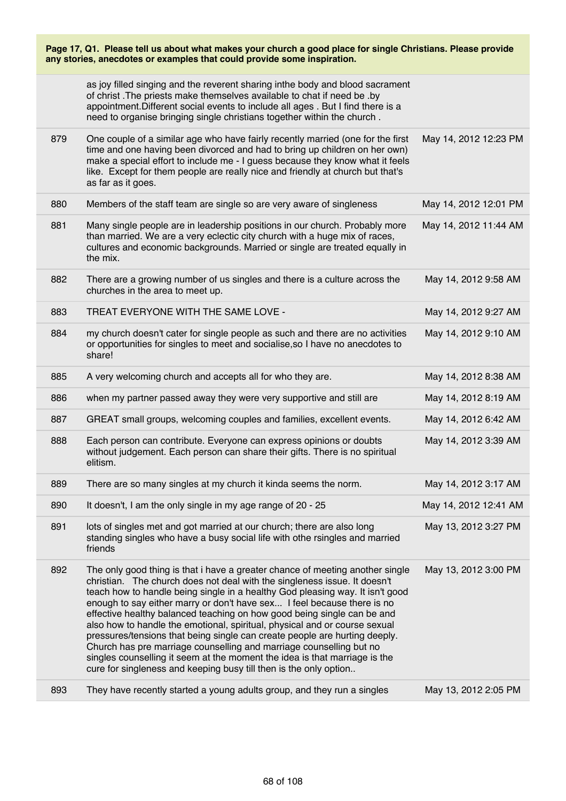| Page 17, Q1. Please tell us about what makes your church a good place for single Christians. Please provide<br>any stories, anecdotes or examples that could provide some inspiration. |                                                                                                                                                                                                                                                                                                                                                                                                                                                                                                                                                                                                                                                                                                                                                                                         |                       |  |
|----------------------------------------------------------------------------------------------------------------------------------------------------------------------------------------|-----------------------------------------------------------------------------------------------------------------------------------------------------------------------------------------------------------------------------------------------------------------------------------------------------------------------------------------------------------------------------------------------------------------------------------------------------------------------------------------------------------------------------------------------------------------------------------------------------------------------------------------------------------------------------------------------------------------------------------------------------------------------------------------|-----------------------|--|
|                                                                                                                                                                                        | as joy filled singing and the reverent sharing inthe body and blood sacrament<br>of christ. The priests make themselves available to chat if need be .by<br>appointment. Different social events to include all ages . But I find there is a<br>need to organise bringing single christians together within the church.                                                                                                                                                                                                                                                                                                                                                                                                                                                                 |                       |  |
| 879                                                                                                                                                                                    | One couple of a similar age who have fairly recently married (one for the first<br>time and one having been divorced and had to bring up children on her own)<br>make a special effort to include me - I guess because they know what it feels<br>like. Except for them people are really nice and friendly at church but that's<br>as far as it goes.                                                                                                                                                                                                                                                                                                                                                                                                                                  | May 14, 2012 12:23 PM |  |
| 880                                                                                                                                                                                    | Members of the staff team are single so are very aware of singleness                                                                                                                                                                                                                                                                                                                                                                                                                                                                                                                                                                                                                                                                                                                    | May 14, 2012 12:01 PM |  |
| 881                                                                                                                                                                                    | Many single people are in leadership positions in our church. Probably more<br>than married. We are a very eclectic city church with a huge mix of races,<br>cultures and economic backgrounds. Married or single are treated equally in<br>the mix.                                                                                                                                                                                                                                                                                                                                                                                                                                                                                                                                    | May 14, 2012 11:44 AM |  |
| 882                                                                                                                                                                                    | There are a growing number of us singles and there is a culture across the<br>churches in the area to meet up.                                                                                                                                                                                                                                                                                                                                                                                                                                                                                                                                                                                                                                                                          | May 14, 2012 9:58 AM  |  |
| 883                                                                                                                                                                                    | TREAT EVERYONE WITH THE SAME LOVE -                                                                                                                                                                                                                                                                                                                                                                                                                                                                                                                                                                                                                                                                                                                                                     | May 14, 2012 9:27 AM  |  |
| 884                                                                                                                                                                                    | my church doesn't cater for single people as such and there are no activities<br>or opportunities for singles to meet and socialise, so I have no anecdotes to<br>share!                                                                                                                                                                                                                                                                                                                                                                                                                                                                                                                                                                                                                | May 14, 2012 9:10 AM  |  |
| 885                                                                                                                                                                                    | A very welcoming church and accepts all for who they are.                                                                                                                                                                                                                                                                                                                                                                                                                                                                                                                                                                                                                                                                                                                               | May 14, 2012 8:38 AM  |  |
| 886                                                                                                                                                                                    | when my partner passed away they were very supportive and still are                                                                                                                                                                                                                                                                                                                                                                                                                                                                                                                                                                                                                                                                                                                     | May 14, 2012 8:19 AM  |  |
| 887                                                                                                                                                                                    | GREAT small groups, welcoming couples and families, excellent events.                                                                                                                                                                                                                                                                                                                                                                                                                                                                                                                                                                                                                                                                                                                   | May 14, 2012 6:42 AM  |  |
| 888                                                                                                                                                                                    | Each person can contribute. Everyone can express opinions or doubts<br>without judgement. Each person can share their gifts. There is no spiritual<br>elitism.                                                                                                                                                                                                                                                                                                                                                                                                                                                                                                                                                                                                                          | May 14, 2012 3:39 AM  |  |
| 889                                                                                                                                                                                    | There are so many singles at my church it kinda seems the norm.                                                                                                                                                                                                                                                                                                                                                                                                                                                                                                                                                                                                                                                                                                                         | May 14, 2012 3:17 AM  |  |
| 890                                                                                                                                                                                    | It doesn't, I am the only single in my age range of 20 - 25                                                                                                                                                                                                                                                                                                                                                                                                                                                                                                                                                                                                                                                                                                                             | May 14, 2012 12:41 AM |  |
| 891                                                                                                                                                                                    | lots of singles met and got married at our church; there are also long<br>standing singles who have a busy social life with othe rsingles and married<br>friends                                                                                                                                                                                                                                                                                                                                                                                                                                                                                                                                                                                                                        | May 13, 2012 3:27 PM  |  |
| 892                                                                                                                                                                                    | The only good thing is that i have a greater chance of meeting another single<br>christian. The church does not deal with the singleness issue. It doesn't<br>teach how to handle being single in a healthy God pleasing way. It isn't good<br>enough to say either marry or don't have sex I feel because there is no<br>effective healthy balanced teaching on how good being single can be and<br>also how to handle the emotional, spiritual, physical and or course sexual<br>pressures/tensions that being single can create people are hurting deeply.<br>Church has pre marriage counselling and marriage counselling but no<br>singles counselling it seem at the moment the idea is that marriage is the<br>cure for singleness and keeping busy till then is the only option | May 13, 2012 3:00 PM  |  |
| 893                                                                                                                                                                                    | They have recently started a young adults group, and they run a singles                                                                                                                                                                                                                                                                                                                                                                                                                                                                                                                                                                                                                                                                                                                 | May 13, 2012 2:05 PM  |  |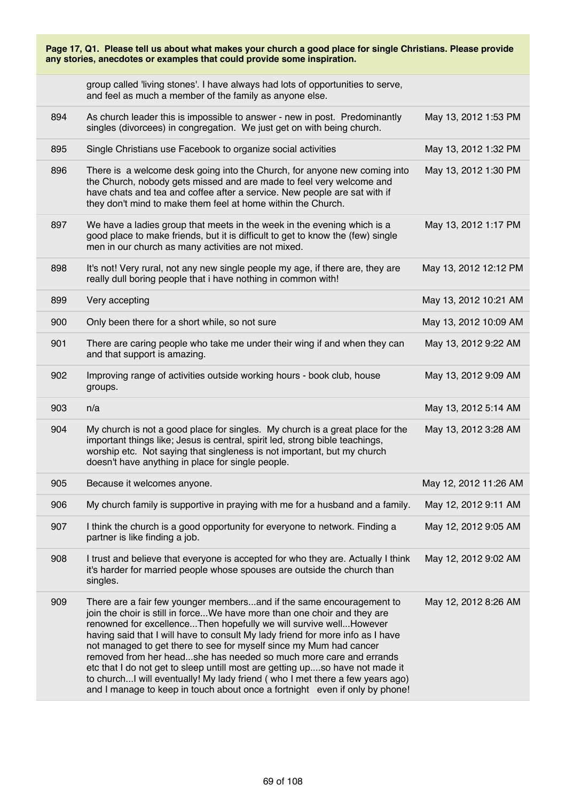| Page 17, Q1. Please tell us about what makes your church a good place for single Christians. Please provide<br>any stories, anecdotes or examples that could provide some inspiration. |                                                                                                                                                                                                                                                                                                                                                                                                                                                                                                                                                                                                                                                                                                    |                       |  |
|----------------------------------------------------------------------------------------------------------------------------------------------------------------------------------------|----------------------------------------------------------------------------------------------------------------------------------------------------------------------------------------------------------------------------------------------------------------------------------------------------------------------------------------------------------------------------------------------------------------------------------------------------------------------------------------------------------------------------------------------------------------------------------------------------------------------------------------------------------------------------------------------------|-----------------------|--|
|                                                                                                                                                                                        | group called 'living stones'. I have always had lots of opportunities to serve,<br>and feel as much a member of the family as anyone else.                                                                                                                                                                                                                                                                                                                                                                                                                                                                                                                                                         |                       |  |
| 894                                                                                                                                                                                    | As church leader this is impossible to answer - new in post. Predominantly<br>singles (divorcees) in congregation. We just get on with being church.                                                                                                                                                                                                                                                                                                                                                                                                                                                                                                                                               | May 13, 2012 1:53 PM  |  |
| 895                                                                                                                                                                                    | Single Christians use Facebook to organize social activities                                                                                                                                                                                                                                                                                                                                                                                                                                                                                                                                                                                                                                       | May 13, 2012 1:32 PM  |  |
| 896                                                                                                                                                                                    | There is a welcome desk going into the Church, for anyone new coming into<br>the Church, nobody gets missed and are made to feel very welcome and<br>have chats and tea and coffee after a service. New people are sat with if<br>they don't mind to make them feel at home within the Church.                                                                                                                                                                                                                                                                                                                                                                                                     | May 13, 2012 1:30 PM  |  |
| 897                                                                                                                                                                                    | We have a ladies group that meets in the week in the evening which is a<br>good place to make friends, but it is difficult to get to know the (few) single<br>men in our church as many activities are not mixed.                                                                                                                                                                                                                                                                                                                                                                                                                                                                                  | May 13, 2012 1:17 PM  |  |
| 898                                                                                                                                                                                    | It's not! Very rural, not any new single people my age, if there are, they are<br>really dull boring people that i have nothing in common with!                                                                                                                                                                                                                                                                                                                                                                                                                                                                                                                                                    | May 13, 2012 12:12 PM |  |
| 899                                                                                                                                                                                    | Very accepting                                                                                                                                                                                                                                                                                                                                                                                                                                                                                                                                                                                                                                                                                     | May 13, 2012 10:21 AM |  |
| 900                                                                                                                                                                                    | Only been there for a short while, so not sure                                                                                                                                                                                                                                                                                                                                                                                                                                                                                                                                                                                                                                                     | May 13, 2012 10:09 AM |  |
| 901                                                                                                                                                                                    | There are caring people who take me under their wing if and when they can<br>and that support is amazing.                                                                                                                                                                                                                                                                                                                                                                                                                                                                                                                                                                                          | May 13, 2012 9:22 AM  |  |
| 902                                                                                                                                                                                    | Improving range of activities outside working hours - book club, house<br>groups.                                                                                                                                                                                                                                                                                                                                                                                                                                                                                                                                                                                                                  | May 13, 2012 9:09 AM  |  |
| 903                                                                                                                                                                                    | n/a                                                                                                                                                                                                                                                                                                                                                                                                                                                                                                                                                                                                                                                                                                | May 13, 2012 5:14 AM  |  |
| 904                                                                                                                                                                                    | My church is not a good place for singles. My church is a great place for the<br>important things like; Jesus is central, spirit led, strong bible teachings,<br>worship etc. Not saying that singleness is not important, but my church<br>doesn't have anything in place for single people.                                                                                                                                                                                                                                                                                                                                                                                                      | May 13, 2012 3:28 AM  |  |
| 905                                                                                                                                                                                    | Because it welcomes anyone.                                                                                                                                                                                                                                                                                                                                                                                                                                                                                                                                                                                                                                                                        | May 12, 2012 11:26 AM |  |
| 906                                                                                                                                                                                    | My church family is supportive in praying with me for a husband and a family.                                                                                                                                                                                                                                                                                                                                                                                                                                                                                                                                                                                                                      | May 12, 2012 9:11 AM  |  |
| 907                                                                                                                                                                                    | I think the church is a good opportunity for everyone to network. Finding a<br>partner is like finding a job.                                                                                                                                                                                                                                                                                                                                                                                                                                                                                                                                                                                      | May 12, 2012 9:05 AM  |  |
| 908                                                                                                                                                                                    | I trust and believe that everyone is accepted for who they are. Actually I think<br>it's harder for married people whose spouses are outside the church than<br>singles.                                                                                                                                                                                                                                                                                                                                                                                                                                                                                                                           | May 12, 2012 9:02 AM  |  |
| 909                                                                                                                                                                                    | There are a fair few younger membersand if the same encouragement to<br>join the choir is still in forceWe have more than one choir and they are<br>renowned for excellenceThen hopefully we will survive wellHowever<br>having said that I will have to consult My lady friend for more info as I have<br>not managed to get there to see for myself since my Mum had cancer<br>removed from her headshe has needed so much more care and errands<br>etc that I do not get to sleep untill most are getting upso have not made it<br>to church I will eventually! My lady friend (who I met there a few years ago)<br>and I manage to keep in touch about once a fortnight even if only by phone! | May 12, 2012 8:26 AM  |  |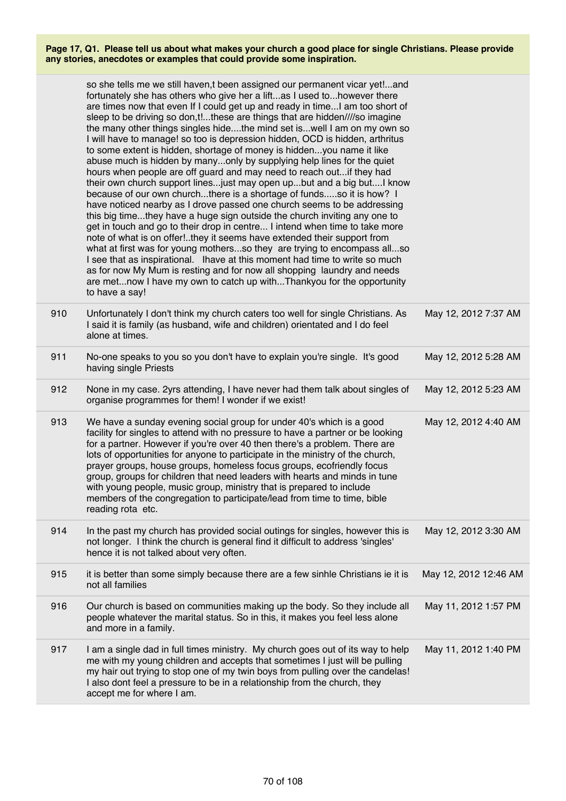|     | so she tells me we still haven,t been assigned our permanent vicar yet!and<br>fortunately she has others who give her a liftas I used tohowever there<br>are times now that even If I could get up and ready in time I am too short of<br>sleep to be driving so don,t!these are things that are hidden////so imagine<br>the many other things singles hidethe mind set iswell I am on my own so<br>I will have to manage! so too is depression hidden, OCD is hidden, arthritus<br>to some extent is hidden, shortage of money is hiddenyou name it like<br>abuse much is hidden by manyonly by supplying help lines for the quiet<br>hours when people are off guard and may need to reach out if they had<br>their own church support linesjust may open upbut and a big but I know<br>because of our own churchthere is a shortage of fundsso it is how? I<br>have noticed nearby as I drove passed one church seems to be addressing<br>this big timethey have a huge sign outside the church inviting any one to<br>get in touch and go to their drop in centre I intend when time to take more<br>note of what is on offer!they it seems have extended their support from<br>what at first was for young mothersso they are trying to encompass allso<br>I see that as inspirational. Ihave at this moment had time to write so much<br>as for now My Mum is resting and for now all shopping laundry and needs<br>are metnow I have my own to catch up withThankyou for the opportunity<br>to have a say! |                       |
|-----|-------------------------------------------------------------------------------------------------------------------------------------------------------------------------------------------------------------------------------------------------------------------------------------------------------------------------------------------------------------------------------------------------------------------------------------------------------------------------------------------------------------------------------------------------------------------------------------------------------------------------------------------------------------------------------------------------------------------------------------------------------------------------------------------------------------------------------------------------------------------------------------------------------------------------------------------------------------------------------------------------------------------------------------------------------------------------------------------------------------------------------------------------------------------------------------------------------------------------------------------------------------------------------------------------------------------------------------------------------------------------------------------------------------------------------------------------------------------------------------------------------------------|-----------------------|
| 910 | Unfortunately I don't think my church caters too well for single Christians. As<br>I said it is family (as husband, wife and children) orientated and I do feel<br>alone at times.                                                                                                                                                                                                                                                                                                                                                                                                                                                                                                                                                                                                                                                                                                                                                                                                                                                                                                                                                                                                                                                                                                                                                                                                                                                                                                                                | May 12, 2012 7:37 AM  |
| 911 | No-one speaks to you so you don't have to explain you're single. It's good<br>having single Priests                                                                                                                                                                                                                                                                                                                                                                                                                                                                                                                                                                                                                                                                                                                                                                                                                                                                                                                                                                                                                                                                                                                                                                                                                                                                                                                                                                                                               | May 12, 2012 5:28 AM  |
| 912 | None in my case. 2yrs attending, I have never had them talk about singles of<br>organise programmes for them! I wonder if we exist!                                                                                                                                                                                                                                                                                                                                                                                                                                                                                                                                                                                                                                                                                                                                                                                                                                                                                                                                                                                                                                                                                                                                                                                                                                                                                                                                                                               | May 12, 2012 5:23 AM  |
| 913 | We have a sunday evening social group for under 40's which is a good<br>facility for singles to attend with no pressure to have a partner or be looking<br>for a partner. However if you're over 40 then there's a problem. There are<br>lots of opportunities for anyone to participate in the ministry of the church,<br>prayer groups, house groups, homeless focus groups, ecofriendly focus<br>group, groups for children that need leaders with hearts and minds in tune<br>with young people, music group, ministry that is prepared to include<br>members of the congregation to participate/lead from time to time, bible<br>reading rota etc.                                                                                                                                                                                                                                                                                                                                                                                                                                                                                                                                                                                                                                                                                                                                                                                                                                                           | May 12, 2012 4:40 AM  |
| 914 | In the past my church has provided social outings for singles, however this is<br>not longer. I think the church is general find it difficult to address 'singles'<br>hence it is not talked about very often.                                                                                                                                                                                                                                                                                                                                                                                                                                                                                                                                                                                                                                                                                                                                                                                                                                                                                                                                                                                                                                                                                                                                                                                                                                                                                                    | May 12, 2012 3:30 AM  |
| 915 | it is better than some simply because there are a few sinhle Christians ie it is<br>not all families                                                                                                                                                                                                                                                                                                                                                                                                                                                                                                                                                                                                                                                                                                                                                                                                                                                                                                                                                                                                                                                                                                                                                                                                                                                                                                                                                                                                              | May 12, 2012 12:46 AM |
| 916 | Our church is based on communities making up the body. So they include all<br>people whatever the marital status. So in this, it makes you feel less alone<br>and more in a family.                                                                                                                                                                                                                                                                                                                                                                                                                                                                                                                                                                                                                                                                                                                                                                                                                                                                                                                                                                                                                                                                                                                                                                                                                                                                                                                               | May 11, 2012 1:57 PM  |
| 917 | I am a single dad in full times ministry. My church goes out of its way to help<br>me with my young children and accepts that sometimes I just will be pulling<br>my hair out trying to stop one of my twin boys from pulling over the candelas!<br>I also dont feel a pressure to be in a relationship from the church, they<br>accept me for where I am.                                                                                                                                                                                                                                                                                                                                                                                                                                                                                                                                                                                                                                                                                                                                                                                                                                                                                                                                                                                                                                                                                                                                                        | May 11, 2012 1:40 PM  |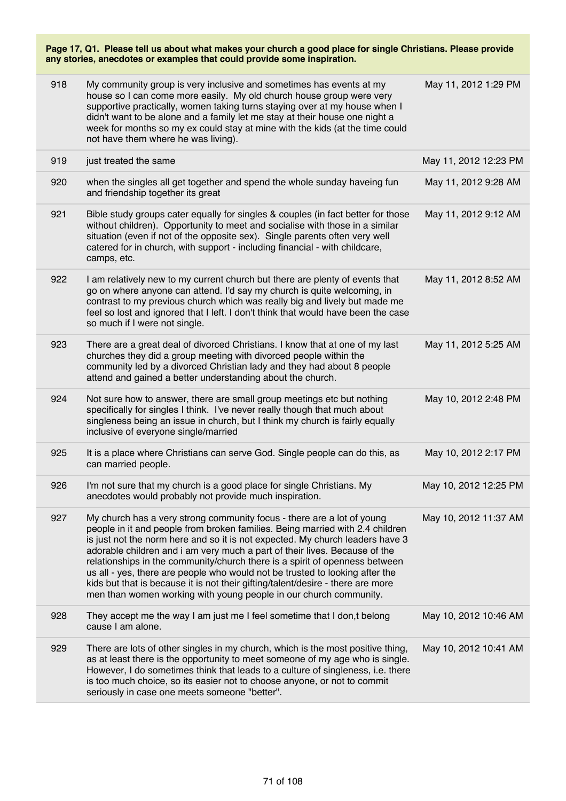| 918 | My community group is very inclusive and sometimes has events at my<br>house so I can come more easily. My old church house group were very<br>supportive practically, women taking turns staying over at my house when I<br>didn't want to be alone and a family let me stay at their house one night a<br>week for months so my ex could stay at mine with the kids (at the time could<br>not have them where he was living).                                                                                                                                                                                                               | May 11, 2012 1:29 PM  |
|-----|-----------------------------------------------------------------------------------------------------------------------------------------------------------------------------------------------------------------------------------------------------------------------------------------------------------------------------------------------------------------------------------------------------------------------------------------------------------------------------------------------------------------------------------------------------------------------------------------------------------------------------------------------|-----------------------|
| 919 | just treated the same                                                                                                                                                                                                                                                                                                                                                                                                                                                                                                                                                                                                                         | May 11, 2012 12:23 PM |
| 920 | when the singles all get together and spend the whole sunday haveing fun<br>and friendship together its great                                                                                                                                                                                                                                                                                                                                                                                                                                                                                                                                 | May 11, 2012 9:28 AM  |
| 921 | Bible study groups cater equally for singles & couples (in fact better for those<br>without children). Opportunity to meet and socialise with those in a similar<br>situation (even if not of the opposite sex). Single parents often very well<br>catered for in church, with support - including financial - with childcare,<br>camps, etc.                                                                                                                                                                                                                                                                                                 | May 11, 2012 9:12 AM  |
| 922 | I am relatively new to my current church but there are plenty of events that<br>go on where anyone can attend. I'd say my church is quite welcoming, in<br>contrast to my previous church which was really big and lively but made me<br>feel so lost and ignored that I left. I don't think that would have been the case<br>so much if I were not single.                                                                                                                                                                                                                                                                                   | May 11, 2012 8:52 AM  |
| 923 | There are a great deal of divorced Christians. I know that at one of my last<br>churches they did a group meeting with divorced people within the<br>community led by a divorced Christian lady and they had about 8 people<br>attend and gained a better understanding about the church.                                                                                                                                                                                                                                                                                                                                                     | May 11, 2012 5:25 AM  |
| 924 | Not sure how to answer, there are small group meetings etc but nothing<br>specifically for singles I think. I've never really though that much about<br>singleness being an issue in church, but I think my church is fairly equally<br>inclusive of everyone single/married                                                                                                                                                                                                                                                                                                                                                                  | May 10, 2012 2:48 PM  |
| 925 | It is a place where Christians can serve God. Single people can do this, as<br>can married people.                                                                                                                                                                                                                                                                                                                                                                                                                                                                                                                                            | May 10, 2012 2:17 PM  |
| 926 | I'm not sure that my church is a good place for single Christians. My<br>anecdotes would probably not provide much inspiration.                                                                                                                                                                                                                                                                                                                                                                                                                                                                                                               | May 10, 2012 12:25 PM |
| 927 | My church has a very strong community focus - there are a lot of young<br>people in it and people from broken families. Being married with 2.4 children<br>is just not the norm here and so it is not expected. My church leaders have 3<br>adorable children and i am very much a part of their lives. Because of the<br>relationships in the community/church there is a spirit of openness between<br>us all - yes, there are people who would not be trusted to looking after the<br>kids but that is because it is not their gifting/talent/desire - there are more<br>men than women working with young people in our church community. | May 10, 2012 11:37 AM |
| 928 | They accept me the way I am just me I feel sometime that I don, t belong<br>cause I am alone.                                                                                                                                                                                                                                                                                                                                                                                                                                                                                                                                                 | May 10, 2012 10:46 AM |
| 929 | There are lots of other singles in my church, which is the most positive thing,<br>as at least there is the opportunity to meet someone of my age who is single.<br>However, I do sometimes think that leads to a culture of singleness, i.e. there<br>is too much choice, so its easier not to choose anyone, or not to commit<br>seriously in case one meets someone "better".                                                                                                                                                                                                                                                              | May 10, 2012 10:41 AM |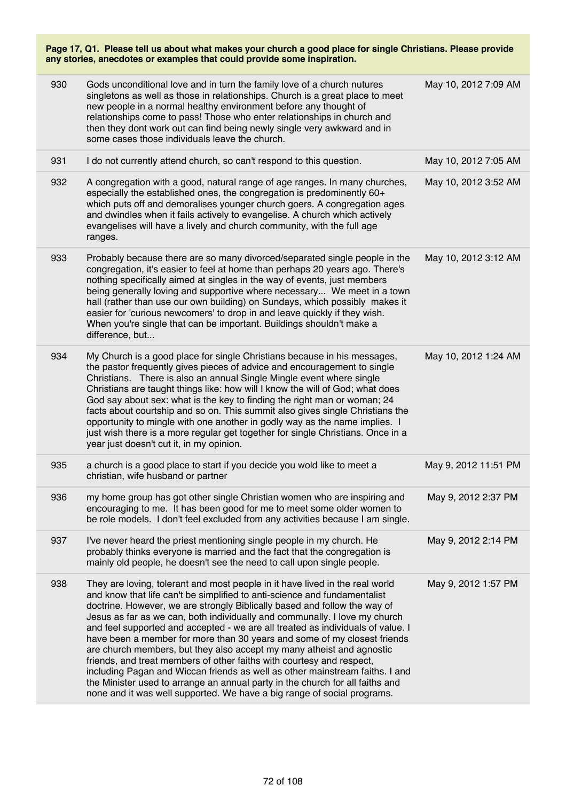| any stories, anecdotes or examples that could provide some inspiration. |                                                                                                                                                                                                                                                                                                                                                                                                                                                                                                                                                                                                                                                                                                                       |                      |
|-------------------------------------------------------------------------|-----------------------------------------------------------------------------------------------------------------------------------------------------------------------------------------------------------------------------------------------------------------------------------------------------------------------------------------------------------------------------------------------------------------------------------------------------------------------------------------------------------------------------------------------------------------------------------------------------------------------------------------------------------------------------------------------------------------------|----------------------|
| 930                                                                     | Gods unconditional love and in turn the family love of a church nutures<br>singletons as well as those in relationships. Church is a great place to meet<br>new people in a normal healthy environment before any thought of<br>relationships come to pass! Those who enter relationships in church and<br>then they dont work out can find being newly single very awkward and in<br>some cases those individuals leave the church.                                                                                                                                                                                                                                                                                  | May 10, 2012 7:09 AM |
| 931                                                                     | I do not currently attend church, so can't respond to this question.                                                                                                                                                                                                                                                                                                                                                                                                                                                                                                                                                                                                                                                  | May 10, 2012 7:05 AM |
| 932                                                                     | A congregation with a good, natural range of age ranges. In many churches,<br>especially the established ones, the congregation is predominently 60+<br>which puts off and demoralises younger church goers. A congregation ages<br>and dwindles when it fails actively to evangelise. A church which actively<br>evangelises will have a lively and church community, with the full age<br>ranges.                                                                                                                                                                                                                                                                                                                   | May 10, 2012 3:52 AM |
| 933                                                                     | Probably because there are so many divorced/separated single people in the<br>congregation, it's easier to feel at home than perhaps 20 years ago. There's<br>nothing specifically aimed at singles in the way of events, just members<br>being generally loving and supportive where necessary We meet in a town<br>hall (rather than use our own building) on Sundays, which possibly makes it<br>easier for 'curious newcomers' to drop in and leave quickly if they wish.<br>When you're single that can be important. Buildings shouldn't make a<br>difference, but                                                                                                                                              | May 10, 2012 3:12 AM |
| 934                                                                     | My Church is a good place for single Christians because in his messages,<br>the pastor frequently gives pieces of advice and encouragement to single<br>Christians. There is also an annual Single Mingle event where single<br>Christians are taught things like: how will I know the will of God; what does<br>God say about sex: what is the key to finding the right man or woman; 24<br>facts about courtship and so on. This summit also gives single Christians the<br>opportunity to mingle with one another in godly way as the name implies. I<br>just wish there is a more regular get together for single Christians. Once in a<br>year just doesn't cut it, in my opinion.                               | May 10, 2012 1:24 AM |
| 935                                                                     | a church is a good place to start if you decide you wold like to meet a<br>christian, wife husband or partner                                                                                                                                                                                                                                                                                                                                                                                                                                                                                                                                                                                                         | May 9, 2012 11:51 PM |
| 936                                                                     | my home group has got other single Christian women who are inspiring and<br>encouraging to me. It has been good for me to meet some older women to<br>be role models. I don't feel excluded from any activities because I am single.                                                                                                                                                                                                                                                                                                                                                                                                                                                                                  | May 9, 2012 2:37 PM  |
| 937                                                                     | I've never heard the priest mentioning single people in my church. He<br>probably thinks everyone is married and the fact that the congregation is<br>mainly old people, he doesn't see the need to call upon single people.                                                                                                                                                                                                                                                                                                                                                                                                                                                                                          | May 9, 2012 2:14 PM  |
| 938                                                                     | They are loving, tolerant and most people in it have lived in the real world<br>and know that life can't be simplified to anti-science and fundamentalist<br>doctrine. However, we are strongly Biblically based and follow the way of<br>Jesus as far as we can, both individually and communally. I love my church<br>and feel supported and accepted - we are all treated as individuals of value. I<br>have been a member for more than 30 years and some of my closest friends<br>are church members, but they also accept my many atheist and agnostic<br>friends, and treat members of other faiths with courtesy and respect,<br>including Pagan and Wiccan friends as well as other mainstream faiths. I and | May 9, 2012 1:57 PM  |

**Page 17, Q1. Please tell us about what makes your church a good place for single Christians. Please provide**

the Minister used to arrange an annual party in the church for all faiths and none and it was well supported. We have a big range of social programs.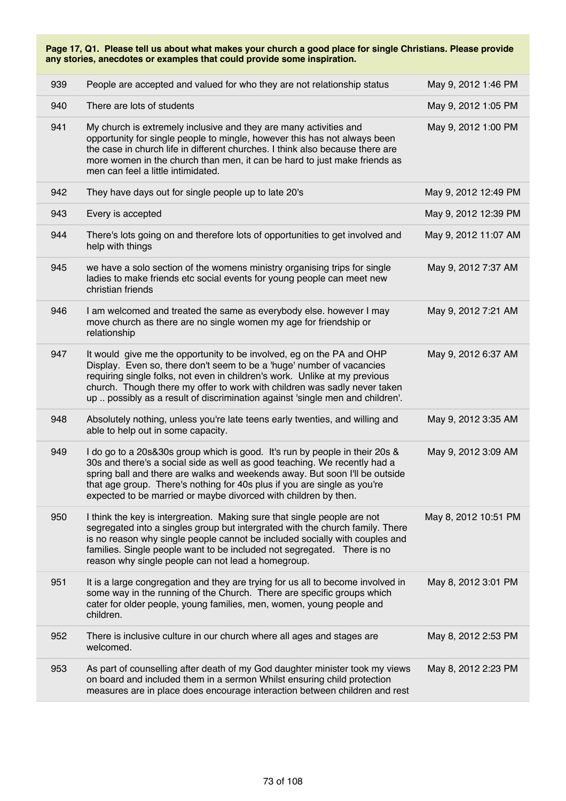| 939 | People are accepted and valued for who they are not relationship status                                                                                                                                                                                                                                                                                                                    | May 9, 2012 1:46 PM  |
|-----|--------------------------------------------------------------------------------------------------------------------------------------------------------------------------------------------------------------------------------------------------------------------------------------------------------------------------------------------------------------------------------------------|----------------------|
| 940 | There are lots of students                                                                                                                                                                                                                                                                                                                                                                 | May 9, 2012 1:05 PM  |
| 941 | My church is extremely inclusive and they are many activities and<br>opportunity for single people to mingle, however this has not always been<br>the case in church life in different churches. I think also because there are<br>more women in the church than men, it can be hard to just make friends as<br>men can feel a little intimidated.                                         | May 9, 2012 1:00 PM  |
| 942 | They have days out for single people up to late 20's                                                                                                                                                                                                                                                                                                                                       | May 9, 2012 12:49 PM |
| 943 | Every is accepted                                                                                                                                                                                                                                                                                                                                                                          | May 9, 2012 12:39 PM |
| 944 | There's lots going on and therefore lots of opportunities to get involved and<br>help with things                                                                                                                                                                                                                                                                                          | May 9, 2012 11:07 AM |
| 945 | we have a solo section of the womens ministry organising trips for single<br>ladies to make friends etc social events for young people can meet new<br>christian friends                                                                                                                                                                                                                   | May 9, 2012 7:37 AM  |
| 946 | I am welcomed and treated the same as everybody else. however I may<br>move church as there are no single women my age for friendship or<br>relationship                                                                                                                                                                                                                                   | May 9, 2012 7:21 AM  |
| 947 | It would give me the opportunity to be involved, eg on the PA and OHP<br>Display. Even so, there don't seem to be a 'huge' number of vacancies<br>requiring single folks, not even in children's work. Unlike at my previous<br>church. Though there my offer to work with children was sadly never taken<br>up  possibly as a result of discrimination against 'single men and children'. | May 9, 2012 6:37 AM  |
| 948 | Absolutely nothing, unless you're late teens early twenties, and willing and<br>able to help out in some capacity.                                                                                                                                                                                                                                                                         | May 9, 2012 3:35 AM  |
| 949 | I do go to a 20s&30s group which is good. It's run by people in their 20s &<br>30s and there's a social side as well as good teaching. We recently had a<br>spring ball and there are walks and weekends away. But soon I'll be outside<br>that age group. There's nothing for 40s plus if you are single as you're<br>expected to be married or maybe divorced with children by then.     | May 9, 2012 3:09 AM  |
| 950 | I think the key is intergreation. Making sure that single people are not<br>segregated into a singles group but intergrated with the church family. There<br>is no reason why single people cannot be included socially with couples and<br>families. Single people want to be included not segregated. There is no<br>reason why single people can not lead a homegroup.                  | May 8, 2012 10:51 PM |
| 951 | It is a large congregation and they are trying for us all to become involved in<br>some way in the running of the Church. There are specific groups which<br>cater for older people, young families, men, women, young people and<br>children.                                                                                                                                             | May 8, 2012 3:01 PM  |
| 952 | There is inclusive culture in our church where all ages and stages are<br>welcomed.                                                                                                                                                                                                                                                                                                        | May 8, 2012 2:53 PM  |
| 953 | As part of counselling after death of my God daughter minister took my views<br>on board and included them in a sermon Whilst ensuring child protection<br>measures are in place does encourage interaction between children and rest                                                                                                                                                      | May 8, 2012 2:23 PM  |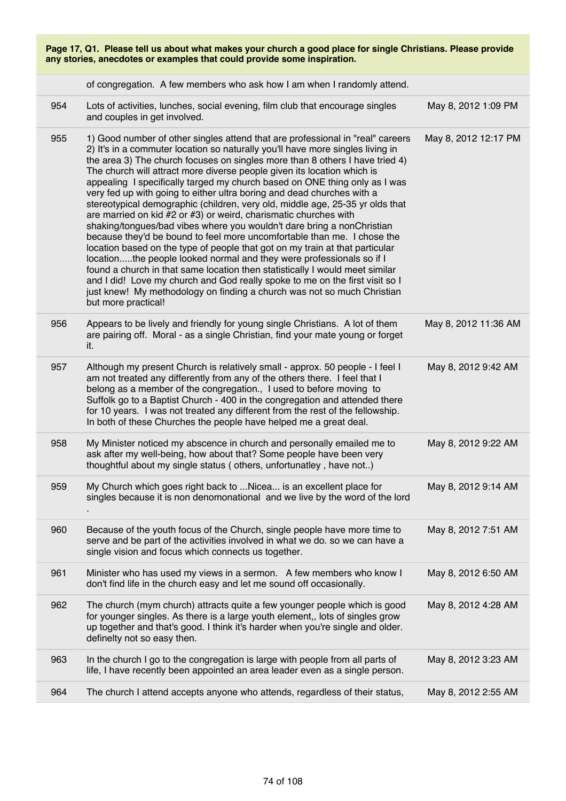| Page 17, Q1. Please tell us about what makes your church a good place for single Christians. Please provide<br>any stories, anecdotes or examples that could provide some inspiration. |                                                                                                                                                                                                                                                                                                                                                                                                                                                                                                                                                                                                                                                                                                                                                                                                                                                                                                                                                                                                                                                                                                                                                                                                                         |                      |
|----------------------------------------------------------------------------------------------------------------------------------------------------------------------------------------|-------------------------------------------------------------------------------------------------------------------------------------------------------------------------------------------------------------------------------------------------------------------------------------------------------------------------------------------------------------------------------------------------------------------------------------------------------------------------------------------------------------------------------------------------------------------------------------------------------------------------------------------------------------------------------------------------------------------------------------------------------------------------------------------------------------------------------------------------------------------------------------------------------------------------------------------------------------------------------------------------------------------------------------------------------------------------------------------------------------------------------------------------------------------------------------------------------------------------|----------------------|
|                                                                                                                                                                                        | of congregation. A few members who ask how I am when I randomly attend.                                                                                                                                                                                                                                                                                                                                                                                                                                                                                                                                                                                                                                                                                                                                                                                                                                                                                                                                                                                                                                                                                                                                                 |                      |
| 954                                                                                                                                                                                    | Lots of activities, lunches, social evening, film club that encourage singles<br>and couples in get involved.                                                                                                                                                                                                                                                                                                                                                                                                                                                                                                                                                                                                                                                                                                                                                                                                                                                                                                                                                                                                                                                                                                           | May 8, 2012 1:09 PM  |
| 955                                                                                                                                                                                    | 1) Good number of other singles attend that are professional in "real" careers<br>2) It's in a commuter location so naturally you'll have more singles living in<br>the area 3) The church focuses on singles more than 8 others I have tried 4)<br>The church will attract more diverse people given its location which is<br>appealing I specifically targed my church based on ONE thing only as I was<br>very fed up with going to either ultra boring and dead churches with a<br>stereotypical demographic (children, very old, middle age, 25-35 yr olds that<br>are married on kid #2 or #3) or weird, charismatic churches with<br>shaking/tongues/bad vibes where you wouldn't dare bring a nonChristian<br>because they'd be bound to feel more uncomfortable than me. I chose the<br>location based on the type of people that got on my train at that particular<br>locationthe people looked normal and they were professionals so if I<br>found a church in that same location then statistically I would meet similar<br>and I did! Love my church and God really spoke to me on the first visit so I<br>just knew! My methodology on finding a church was not so much Christian<br>but more practical! | May 8, 2012 12:17 PM |
| 956                                                                                                                                                                                    | Appears to be lively and friendly for young single Christians. A lot of them<br>are pairing off. Moral - as a single Christian, find your mate young or forget<br>it.                                                                                                                                                                                                                                                                                                                                                                                                                                                                                                                                                                                                                                                                                                                                                                                                                                                                                                                                                                                                                                                   | May 8, 2012 11:36 AM |
| 957                                                                                                                                                                                    | Although my present Church is relatively small - approx. 50 people - I feel I<br>am not treated any differently from any of the others there. I feel that I<br>belong as a member of the congregation., I used to before moving to<br>Suffolk go to a Baptist Church - 400 in the congregation and attended there<br>for 10 years. I was not treated any different from the rest of the fellowship.<br>In both of these Churches the people have helped me a great deal.                                                                                                                                                                                                                                                                                                                                                                                                                                                                                                                                                                                                                                                                                                                                                | May 8, 2012 9:42 AM  |
| 958                                                                                                                                                                                    | My Minister noticed my abscence in church and personally emailed me to<br>ask after my well-being, how about that? Some people have been very<br>thoughtful about my single status (others, unfortunatley, have not)                                                                                                                                                                                                                                                                                                                                                                                                                                                                                                                                                                                                                                                                                                                                                                                                                                                                                                                                                                                                    | May 8, 2012 9:22 AM  |
| 959                                                                                                                                                                                    | My Church which goes right back to  Nicea is an excellent place for<br>singles because it is non denomonational and we live by the word of the lord                                                                                                                                                                                                                                                                                                                                                                                                                                                                                                                                                                                                                                                                                                                                                                                                                                                                                                                                                                                                                                                                     | May 8, 2012 9:14 AM  |
| 960                                                                                                                                                                                    | Because of the youth focus of the Church, single people have more time to<br>serve and be part of the activities involved in what we do. so we can have a<br>single vision and focus which connects us together.                                                                                                                                                                                                                                                                                                                                                                                                                                                                                                                                                                                                                                                                                                                                                                                                                                                                                                                                                                                                        | May 8, 2012 7:51 AM  |
| 961                                                                                                                                                                                    | Minister who has used my views in a sermon. A few members who know I<br>don't find life in the church easy and let me sound off occasionally.                                                                                                                                                                                                                                                                                                                                                                                                                                                                                                                                                                                                                                                                                                                                                                                                                                                                                                                                                                                                                                                                           | May 8, 2012 6:50 AM  |
| 962                                                                                                                                                                                    | The church (mym church) attracts quite a few younger people which is good<br>for younger singles. As there is a large youth element,, lots of singles grow<br>up together and that's good. I think it's harder when you're single and older.<br>definelty not so easy then.                                                                                                                                                                                                                                                                                                                                                                                                                                                                                                                                                                                                                                                                                                                                                                                                                                                                                                                                             | May 8, 2012 4:28 AM  |
| 963                                                                                                                                                                                    | In the church I go to the congregation is large with people from all parts of<br>life, I have recently been appointed an area leader even as a single person.                                                                                                                                                                                                                                                                                                                                                                                                                                                                                                                                                                                                                                                                                                                                                                                                                                                                                                                                                                                                                                                           | May 8, 2012 3:23 AM  |
| 964                                                                                                                                                                                    | The church I attend accepts anyone who attends, regardless of their status,                                                                                                                                                                                                                                                                                                                                                                                                                                                                                                                                                                                                                                                                                                                                                                                                                                                                                                                                                                                                                                                                                                                                             | May 8, 2012 2:55 AM  |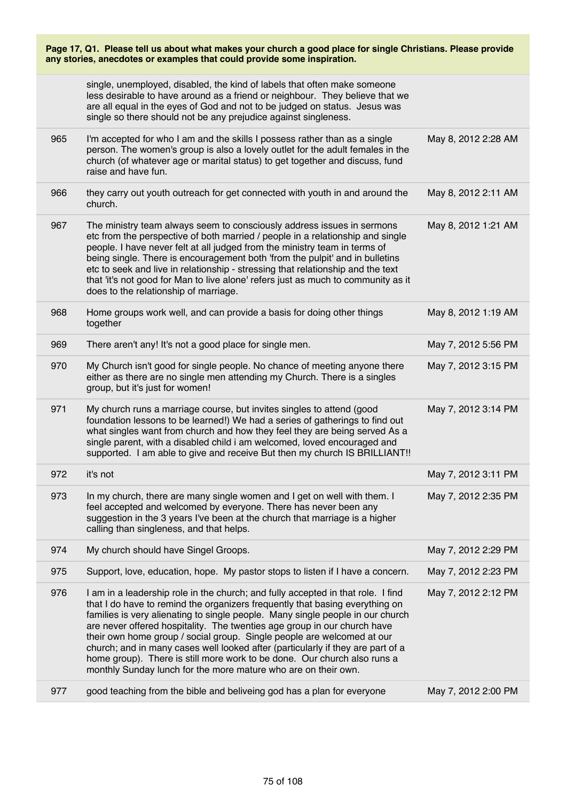| Page 17, Q1. Please tell us about what makes your church a good place for single Christians. Please provide<br>any stories, anecdotes or examples that could provide some inspiration. |                                                                                                                                                                                                                                                                                                                                                                                                                                                                                                                                                                                                                                           |                     |
|----------------------------------------------------------------------------------------------------------------------------------------------------------------------------------------|-------------------------------------------------------------------------------------------------------------------------------------------------------------------------------------------------------------------------------------------------------------------------------------------------------------------------------------------------------------------------------------------------------------------------------------------------------------------------------------------------------------------------------------------------------------------------------------------------------------------------------------------|---------------------|
|                                                                                                                                                                                        | single, unemployed, disabled, the kind of labels that often make someone<br>less desirable to have around as a friend or neighbour. They believe that we<br>are all equal in the eyes of God and not to be judged on status. Jesus was<br>single so there should not be any prejudice against singleness.                                                                                                                                                                                                                                                                                                                                 |                     |
| 965                                                                                                                                                                                    | I'm accepted for who I am and the skills I possess rather than as a single<br>person. The women's group is also a lovely outlet for the adult females in the<br>church (of whatever age or marital status) to get together and discuss, fund<br>raise and have fun.                                                                                                                                                                                                                                                                                                                                                                       | May 8, 2012 2:28 AM |
| 966                                                                                                                                                                                    | they carry out youth outreach for get connected with youth in and around the<br>church.                                                                                                                                                                                                                                                                                                                                                                                                                                                                                                                                                   | May 8, 2012 2:11 AM |
| 967                                                                                                                                                                                    | The ministry team always seem to consciously address issues in sermons<br>etc from the perspective of both married / people in a relationship and single<br>people. I have never felt at all judged from the ministry team in terms of<br>being single. There is encouragement both 'from the pulpit' and in bulletins<br>etc to seek and live in relationship - stressing that relationship and the text<br>that 'it's not good for Man to live alone' refers just as much to community as it<br>does to the relationship of marriage.                                                                                                   | May 8, 2012 1:21 AM |
| 968                                                                                                                                                                                    | Home groups work well, and can provide a basis for doing other things<br>together                                                                                                                                                                                                                                                                                                                                                                                                                                                                                                                                                         | May 8, 2012 1:19 AM |
| 969                                                                                                                                                                                    | There aren't any! It's not a good place for single men.                                                                                                                                                                                                                                                                                                                                                                                                                                                                                                                                                                                   | May 7, 2012 5:56 PM |
| 970                                                                                                                                                                                    | My Church isn't good for single people. No chance of meeting anyone there<br>either as there are no single men attending my Church. There is a singles<br>group, but it's just for women!                                                                                                                                                                                                                                                                                                                                                                                                                                                 | May 7, 2012 3:15 PM |
| 971                                                                                                                                                                                    | My church runs a marriage course, but invites singles to attend (good<br>foundation lessons to be learned!) We had a series of gatherings to find out<br>what singles want from church and how they feel they are being served As a<br>single parent, with a disabled child i am welcomed, loved encouraged and<br>supported. I am able to give and receive But then my church IS BRILLIANT!!                                                                                                                                                                                                                                             | May 7, 2012 3:14 PM |
| 972                                                                                                                                                                                    | it's not                                                                                                                                                                                                                                                                                                                                                                                                                                                                                                                                                                                                                                  | May 7, 2012 3:11 PM |
| 973                                                                                                                                                                                    | In my church, there are many single women and I get on well with them. I<br>feel accepted and welcomed by everyone. There has never been any<br>suggestion in the 3 years I've been at the church that marriage is a higher<br>calling than singleness, and that helps.                                                                                                                                                                                                                                                                                                                                                                   | May 7, 2012 2:35 PM |
| 974                                                                                                                                                                                    | My church should have Singel Groops.                                                                                                                                                                                                                                                                                                                                                                                                                                                                                                                                                                                                      | May 7, 2012 2:29 PM |
| 975                                                                                                                                                                                    | Support, love, education, hope. My pastor stops to listen if I have a concern.                                                                                                                                                                                                                                                                                                                                                                                                                                                                                                                                                            | May 7, 2012 2:23 PM |
| 976                                                                                                                                                                                    | I am in a leadership role in the church; and fully accepted in that role. I find<br>that I do have to remind the organizers frequently that basing everything on<br>families is very alienating to single people. Many single people in our church<br>are never offered hospitality. The twenties age group in our church have<br>their own home group / social group. Single people are welcomed at our<br>church; and in many cases well looked after (particularly if they are part of a<br>home group). There is still more work to be done. Our church also runs a<br>monthly Sunday lunch for the more mature who are on their own. | May 7, 2012 2:12 PM |
| 977                                                                                                                                                                                    | good teaching from the bible and beliveing god has a plan for everyone                                                                                                                                                                                                                                                                                                                                                                                                                                                                                                                                                                    | May 7, 2012 2:00 PM |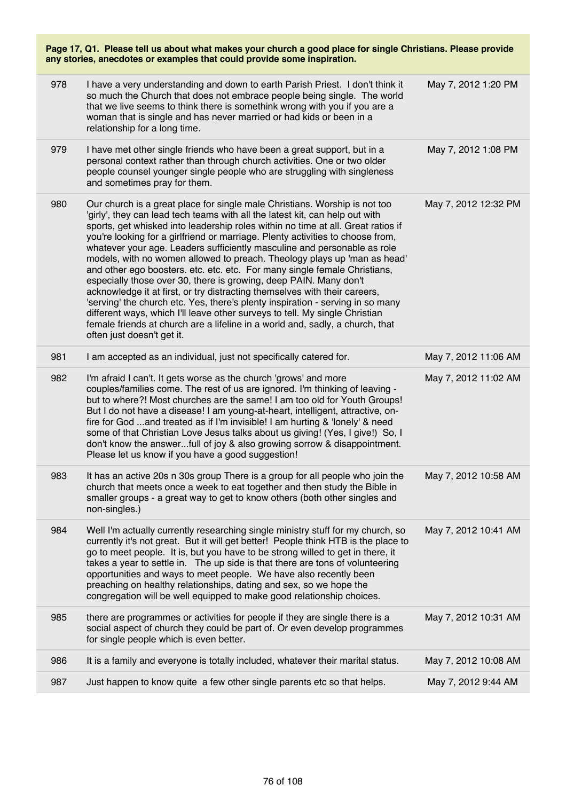| Page 17, Q1. Please tell us about what makes your church a good place for single Christians. Please provide<br>any stories, anecdotes or examples that could provide some inspiration. |                                                                                                                                                                                                                                                                                                                                                                                                                                                                                                                                                                                                                                                                                                                                                                                                                                                                                                                                                                                                          |                      |  |
|----------------------------------------------------------------------------------------------------------------------------------------------------------------------------------------|----------------------------------------------------------------------------------------------------------------------------------------------------------------------------------------------------------------------------------------------------------------------------------------------------------------------------------------------------------------------------------------------------------------------------------------------------------------------------------------------------------------------------------------------------------------------------------------------------------------------------------------------------------------------------------------------------------------------------------------------------------------------------------------------------------------------------------------------------------------------------------------------------------------------------------------------------------------------------------------------------------|----------------------|--|
| 978                                                                                                                                                                                    | I have a very understanding and down to earth Parish Priest. I don't think it<br>so much the Church that does not embrace people being single. The world<br>that we live seems to think there is somethink wrong with you if you are a<br>woman that is single and has never married or had kids or been in a<br>relationship for a long time.                                                                                                                                                                                                                                                                                                                                                                                                                                                                                                                                                                                                                                                           | May 7, 2012 1:20 PM  |  |
| 979                                                                                                                                                                                    | I have met other single friends who have been a great support, but in a<br>personal context rather than through church activities. One or two older<br>people counsel younger single people who are struggling with singleness<br>and sometimes pray for them.                                                                                                                                                                                                                                                                                                                                                                                                                                                                                                                                                                                                                                                                                                                                           | May 7, 2012 1:08 PM  |  |
| 980                                                                                                                                                                                    | Our church is a great place for single male Christians. Worship is not too<br>'girly', they can lead tech teams with all the latest kit, can help out with<br>sports, get whisked into leadership roles within no time at all. Great ratios if<br>you're looking for a girlfriend or marriage. Plenty activities to choose from,<br>whatever your age. Leaders sufficiently masculine and personable as role<br>models, with no women allowed to preach. Theology plays up 'man as head'<br>and other ego boosters. etc. etc. etc. For many single female Christians,<br>especially those over 30, there is growing, deep PAIN. Many don't<br>acknowledge it at first, or try distracting themselves with their careers,<br>'serving' the church etc. Yes, there's plenty inspiration - serving in so many<br>different ways, which I'll leave other surveys to tell. My single Christian<br>female friends at church are a lifeline in a world and, sadly, a church, that<br>often just doesn't get it. | May 7, 2012 12:32 PM |  |
| 981                                                                                                                                                                                    | I am accepted as an individual, just not specifically catered for.                                                                                                                                                                                                                                                                                                                                                                                                                                                                                                                                                                                                                                                                                                                                                                                                                                                                                                                                       | May 7, 2012 11:06 AM |  |
| 982                                                                                                                                                                                    | I'm afraid I can't. It gets worse as the church 'grows' and more<br>couples/families come. The rest of us are ignored. I'm thinking of leaving -<br>but to where?! Most churches are the same! I am too old for Youth Groups!<br>But I do not have a disease! I am young-at-heart, intelligent, attractive, on-<br>fire for God and treated as if I'm invisible! I am hurting & 'lonely' & need<br>some of that Christian Love Jesus talks about us giving! (Yes, I give!) So, I<br>don't know the answerfull of joy & also growing sorrow & disappointment.<br>Please let us know if you have a good suggestion!                                                                                                                                                                                                                                                                                                                                                                                        | May 7, 2012 11:02 AM |  |
| 983                                                                                                                                                                                    | It has an active 20s n 30s group There is a group for all people who join the<br>church that meets once a week to eat together and then study the Bible in<br>smaller groups - a great way to get to know others (both other singles and<br>non-singles.)                                                                                                                                                                                                                                                                                                                                                                                                                                                                                                                                                                                                                                                                                                                                                | May 7, 2012 10:58 AM |  |
| 984                                                                                                                                                                                    | Well I'm actually currently researching single ministry stuff for my church, so<br>currently it's not great. But it will get better! People think HTB is the place to<br>go to meet people. It is, but you have to be strong willed to get in there, it<br>takes a year to settle in. The up side is that there are tons of volunteering<br>opportunities and ways to meet people. We have also recently been<br>preaching on healthy relationships, dating and sex, so we hope the<br>congregation will be well equipped to make good relationship choices.                                                                                                                                                                                                                                                                                                                                                                                                                                             | May 7, 2012 10:41 AM |  |
| 985                                                                                                                                                                                    | there are programmes or activities for people if they are single there is a<br>social aspect of church they could be part of. Or even develop programmes<br>for single people which is even better.                                                                                                                                                                                                                                                                                                                                                                                                                                                                                                                                                                                                                                                                                                                                                                                                      | May 7, 2012 10:31 AM |  |
| 986                                                                                                                                                                                    | It is a family and everyone is totally included, whatever their marital status.                                                                                                                                                                                                                                                                                                                                                                                                                                                                                                                                                                                                                                                                                                                                                                                                                                                                                                                          | May 7, 2012 10:08 AM |  |
| 987                                                                                                                                                                                    | Just happen to know quite a few other single parents etc so that helps.                                                                                                                                                                                                                                                                                                                                                                                                                                                                                                                                                                                                                                                                                                                                                                                                                                                                                                                                  | May 7, 2012 9:44 AM  |  |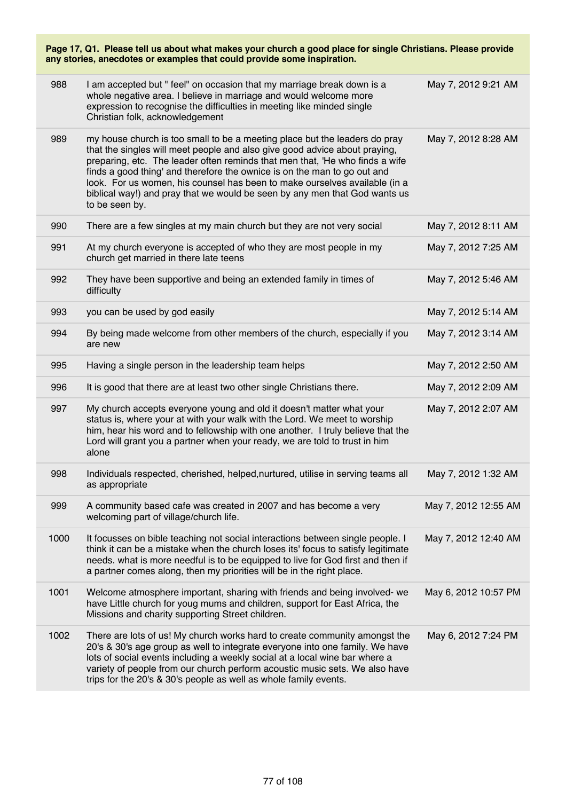| Page 17, Q1. Please tell us about what makes your church a good place for single Christians. Please provide<br>any stories, anecdotes or examples that could provide some inspiration. |                                                                                                                                                                                                                                                                                                                                                                                                                                                                                                    |                      |
|----------------------------------------------------------------------------------------------------------------------------------------------------------------------------------------|----------------------------------------------------------------------------------------------------------------------------------------------------------------------------------------------------------------------------------------------------------------------------------------------------------------------------------------------------------------------------------------------------------------------------------------------------------------------------------------------------|----------------------|
| 988                                                                                                                                                                                    | I am accepted but " feel" on occasion that my marriage break down is a<br>whole negative area. I believe in marriage and would welcome more<br>expression to recognise the difficulties in meeting like minded single<br>Christian folk, acknowledgement                                                                                                                                                                                                                                           | May 7, 2012 9:21 AM  |
| 989                                                                                                                                                                                    | my house church is too small to be a meeting place but the leaders do pray<br>that the singles will meet people and also give good advice about praying,<br>preparing, etc. The leader often reminds that men that, 'He who finds a wife<br>finds a good thing' and therefore the ownice is on the man to go out and<br>look. For us women, his counsel has been to make ourselves available (in a<br>biblical way!) and pray that we would be seen by any men that God wants us<br>to be seen by. | May 7, 2012 8:28 AM  |
| 990                                                                                                                                                                                    | There are a few singles at my main church but they are not very social                                                                                                                                                                                                                                                                                                                                                                                                                             | May 7, 2012 8:11 AM  |
| 991                                                                                                                                                                                    | At my church everyone is accepted of who they are most people in my<br>church get married in there late teens                                                                                                                                                                                                                                                                                                                                                                                      | May 7, 2012 7:25 AM  |
| 992                                                                                                                                                                                    | They have been supportive and being an extended family in times of<br>difficulty                                                                                                                                                                                                                                                                                                                                                                                                                   | May 7, 2012 5:46 AM  |
| 993                                                                                                                                                                                    | you can be used by god easily                                                                                                                                                                                                                                                                                                                                                                                                                                                                      | May 7, 2012 5:14 AM  |
| 994                                                                                                                                                                                    | By being made welcome from other members of the church, especially if you<br>are new                                                                                                                                                                                                                                                                                                                                                                                                               | May 7, 2012 3:14 AM  |
| 995                                                                                                                                                                                    | Having a single person in the leadership team helps                                                                                                                                                                                                                                                                                                                                                                                                                                                | May 7, 2012 2:50 AM  |
| 996                                                                                                                                                                                    | It is good that there are at least two other single Christians there.                                                                                                                                                                                                                                                                                                                                                                                                                              | May 7, 2012 2:09 AM  |
| 997                                                                                                                                                                                    | My church accepts everyone young and old it doesn't matter what your<br>status is, where your at with your walk with the Lord. We meet to worship<br>him, hear his word and to fellowship with one another. I truly believe that the<br>Lord will grant you a partner when your ready, we are told to trust in him<br>alone                                                                                                                                                                        | May 7, 2012 2:07 AM  |
| 998                                                                                                                                                                                    | Individuals respected, cherished, helped, nurtured, utilise in serving teams all<br>as appropriate                                                                                                                                                                                                                                                                                                                                                                                                 | May 7, 2012 1:32 AM  |
| 999                                                                                                                                                                                    | A community based cafe was created in 2007 and has become a very<br>welcoming part of village/church life.                                                                                                                                                                                                                                                                                                                                                                                         | May 7, 2012 12:55 AM |
| 1000                                                                                                                                                                                   | It focusses on bible teaching not social interactions between single people. I<br>think it can be a mistake when the church loses its' focus to satisfy legitimate<br>needs. what is more needful is to be equipped to live for God first and then if<br>a partner comes along, then my priorities will be in the right place.                                                                                                                                                                     | May 7, 2012 12:40 AM |
| 1001                                                                                                                                                                                   | Welcome atmosphere important, sharing with friends and being involved- we<br>have Little church for youg mums and children, support for East Africa, the<br>Missions and charity supporting Street children.                                                                                                                                                                                                                                                                                       | May 6, 2012 10:57 PM |
| 1002                                                                                                                                                                                   | There are lots of us! My church works hard to create community amongst the<br>20's & 30's age group as well to integrate everyone into one family. We have<br>lots of social events including a weekly social at a local wine bar where a<br>variety of people from our church perform acoustic music sets. We also have<br>trips for the 20's & 30's people as well as whole family events.                                                                                                       | May 6, 2012 7:24 PM  |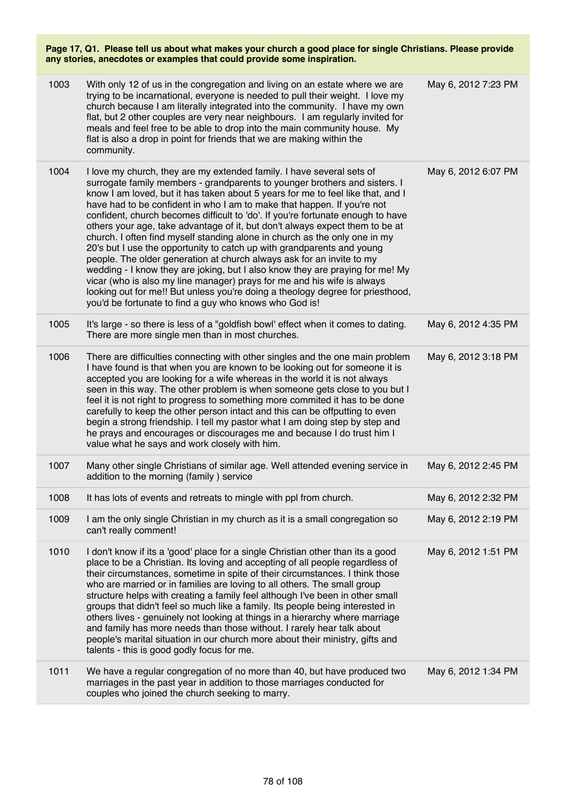| 1003 | With only 12 of us in the congregation and living on an estate where we are<br>trying to be incarnational, everyone is needed to pull their weight. I love my<br>church because I am literally integrated into the community. I have my own<br>flat, but 2 other couples are very near neighbours. I am regularly invited for<br>meals and feel free to be able to drop into the main community house. My<br>flat is also a drop in point for friends that we are making within the<br>community.                                                                                                                                                                                                                                                                                                                                                                                                                                                                                                                             | May 6, 2012 7:23 PM |
|------|-------------------------------------------------------------------------------------------------------------------------------------------------------------------------------------------------------------------------------------------------------------------------------------------------------------------------------------------------------------------------------------------------------------------------------------------------------------------------------------------------------------------------------------------------------------------------------------------------------------------------------------------------------------------------------------------------------------------------------------------------------------------------------------------------------------------------------------------------------------------------------------------------------------------------------------------------------------------------------------------------------------------------------|---------------------|
| 1004 | I love my church, they are my extended family. I have several sets of<br>surrogate family members - grandparents to younger brothers and sisters. I<br>know I am loved, but it has taken about 5 years for me to feel like that, and I<br>have had to be confident in who I am to make that happen. If you're not<br>confident, church becomes difficult to 'do'. If you're fortunate enough to have<br>others your age, take advantage of it, but don't always expect them to be at<br>church. I often find myself standing alone in church as the only one in my<br>20's but I use the opportunity to catch up with grandparents and young<br>people. The older generation at church always ask for an invite to my<br>wedding - I know they are joking, but I also know they are praying for me! My<br>vicar (who is also my line manager) prays for me and his wife is always<br>looking out for me!! But unless you're doing a theology degree for priesthood,<br>you'd be fortunate to find a guy who knows who God is! | May 6, 2012 6:07 PM |
| 1005 | It's large - so there is less of a "goldfish bowl' effect when it comes to dating.<br>There are more single men than in most churches.                                                                                                                                                                                                                                                                                                                                                                                                                                                                                                                                                                                                                                                                                                                                                                                                                                                                                        | May 6, 2012 4:35 PM |
| 1006 | There are difficulties connecting with other singles and the one main problem<br>I have found is that when you are known to be looking out for someone it is<br>accepted you are looking for a wife whereas in the world it is not always<br>seen in this way. The other problem is when someone gets close to you but I<br>feel it is not right to progress to something more commited it has to be done<br>carefully to keep the other person intact and this can be offputting to even<br>begin a strong friendship. I tell my pastor what I am doing step by step and<br>he prays and encourages or discourages me and because I do trust him I<br>value what he says and work closely with him.                                                                                                                                                                                                                                                                                                                          | May 6, 2012 3:18 PM |
| 1007 | Many other single Christians of similar age. Well attended evening service in<br>addition to the morning (family) service                                                                                                                                                                                                                                                                                                                                                                                                                                                                                                                                                                                                                                                                                                                                                                                                                                                                                                     | May 6, 2012 2:45 PM |
| 1008 | It has lots of events and retreats to mingle with ppl from church.                                                                                                                                                                                                                                                                                                                                                                                                                                                                                                                                                                                                                                                                                                                                                                                                                                                                                                                                                            | May 6, 2012 2:32 PM |
| 1009 | I am the only single Christian in my church as it is a small congregation so<br>can't really comment!                                                                                                                                                                                                                                                                                                                                                                                                                                                                                                                                                                                                                                                                                                                                                                                                                                                                                                                         | May 6, 2012 2:19 PM |
| 1010 | I don't know if its a 'good' place for a single Christian other than its a good<br>place to be a Christian. Its loving and accepting of all people regardless of<br>their circumstances, sometime in spite of their circumstances. I think those<br>who are married or in families are loving to all others. The small group<br>structure helps with creating a family feel although I've been in other small<br>groups that didn't feel so much like a family. Its people being interested in<br>others lives - genuinely not looking at things in a hierarchy where marriage<br>and family has more needs than those without. I rarely hear talk about<br>people's marital situation in our church more about their ministry, gifts and<br>talents - this is good godly focus for me.                                                                                                                                                                                                                                       | May 6, 2012 1:51 PM |
| 1011 | We have a regular congregation of no more than 40, but have produced two<br>marriages in the past year in addition to those marriages conducted for<br>couples who joined the church seeking to marry.                                                                                                                                                                                                                                                                                                                                                                                                                                                                                                                                                                                                                                                                                                                                                                                                                        | May 6, 2012 1:34 PM |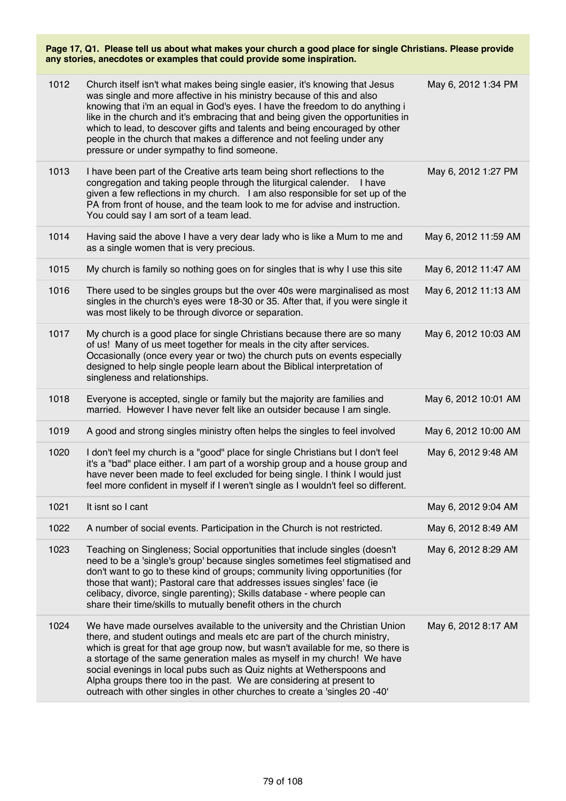| 1012 | Church itself isn't what makes being single easier, it's knowing that Jesus<br>was single and more affective in his ministry because of this and also<br>knowing that i'm an equal in God's eyes. I have the freedom to do anything i<br>like in the church and it's embracing that and being given the opportunities in<br>which to lead, to descover gifts and talents and being encouraged by other<br>people in the church that makes a difference and not feeling under any<br>pressure or under sympathy to find someone.                      | May 6, 2012 1:34 PM  |
|------|------------------------------------------------------------------------------------------------------------------------------------------------------------------------------------------------------------------------------------------------------------------------------------------------------------------------------------------------------------------------------------------------------------------------------------------------------------------------------------------------------------------------------------------------------|----------------------|
| 1013 | I have been part of the Creative arts team being short reflections to the<br>congregation and taking people through the liturgical calender. I have<br>given a few reflections in my church. I am also responsible for set up of the<br>PA from front of house, and the team look to me for advise and instruction.<br>You could say I am sort of a team lead.                                                                                                                                                                                       | May 6, 2012 1:27 PM  |
| 1014 | Having said the above I have a very dear lady who is like a Mum to me and<br>as a single women that is very precious.                                                                                                                                                                                                                                                                                                                                                                                                                                | May 6, 2012 11:59 AM |
| 1015 | My church is family so nothing goes on for singles that is why I use this site                                                                                                                                                                                                                                                                                                                                                                                                                                                                       | May 6, 2012 11:47 AM |
| 1016 | There used to be singles groups but the over 40s were marginalised as most<br>singles in the church's eyes were 18-30 or 35. After that, if you were single it<br>was most likely to be through divorce or separation.                                                                                                                                                                                                                                                                                                                               | May 6, 2012 11:13 AM |
| 1017 | My church is a good place for single Christians because there are so many<br>of us! Many of us meet together for meals in the city after services.<br>Occasionally (once every year or two) the church puts on events especially<br>designed to help single people learn about the Biblical interpretation of<br>singleness and relationships.                                                                                                                                                                                                       | May 6, 2012 10:03 AM |
| 1018 | Everyone is accepted, single or family but the majority are families and<br>married. However I have never felt like an outsider because I am single.                                                                                                                                                                                                                                                                                                                                                                                                 | May 6, 2012 10:01 AM |
| 1019 | A good and strong singles ministry often helps the singles to feel involved                                                                                                                                                                                                                                                                                                                                                                                                                                                                          | May 6, 2012 10:00 AM |
| 1020 | I don't feel my church is a "good" place for single Christians but I don't feel<br>it's a "bad" place either. I am part of a worship group and a house group and<br>have never been made to feel excluded for being single. I think I would just<br>feel more confident in myself if I weren't single as I wouldn't feel so different.                                                                                                                                                                                                               | May 6, 2012 9:48 AM  |
| 1021 | It isnt so I cant                                                                                                                                                                                                                                                                                                                                                                                                                                                                                                                                    | May 6, 2012 9:04 AM  |
| 1022 | A number of social events. Participation in the Church is not restricted.                                                                                                                                                                                                                                                                                                                                                                                                                                                                            | May 6, 2012 8:49 AM  |
| 1023 | Teaching on Singleness; Social opportunities that include singles (doesn't<br>need to be a 'single's group' because singles sometimes feel stigmatised and<br>don't want to go to these kind of groups; community living opportunities (for<br>those that want); Pastoral care that addresses issues singles' face (ie<br>celibacy, divorce, single parenting); Skills database - where people can<br>share their time/skills to mutually benefit others in the church                                                                               | May 6, 2012 8:29 AM  |
| 1024 | We have made ourselves available to the university and the Christian Union<br>there, and student outings and meals etc are part of the church ministry,<br>which is great for that age group now, but wasn't available for me, so there is<br>a stortage of the same generation males as myself in my church! We have<br>social evenings in local pubs such as Quiz nights at Wetherspoons and<br>Alpha groups there too in the past. We are considering at present to<br>outreach with other singles in other churches to create a 'singles 20 -40' | May 6, 2012 8:17 AM  |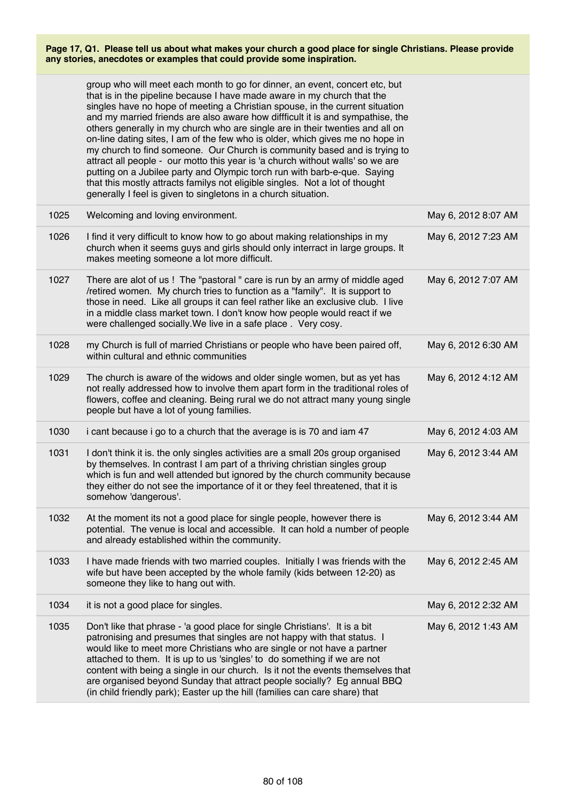|      | group who will meet each month to go for dinner, an event, concert etc, but<br>that is in the pipeline because I have made aware in my church that the<br>singles have no hope of meeting a Christian spouse, in the current situation<br>and my married friends are also aware how diffficult it is and sympathise, the<br>others generally in my church who are single are in their twenties and all on<br>on-line dating sites, I am of the few who is older, which gives me no hope in<br>my church to find someone. Our Church is community based and is trying to<br>attract all people - our motto this year is 'a church without walls' so we are<br>putting on a Jubilee party and Olympic torch run with barb-e-que. Saying<br>that this mostly attracts familys not eligible singles. Not a lot of thought<br>generally I feel is given to singletons in a church situation. |                     |
|------|-----------------------------------------------------------------------------------------------------------------------------------------------------------------------------------------------------------------------------------------------------------------------------------------------------------------------------------------------------------------------------------------------------------------------------------------------------------------------------------------------------------------------------------------------------------------------------------------------------------------------------------------------------------------------------------------------------------------------------------------------------------------------------------------------------------------------------------------------------------------------------------------|---------------------|
| 1025 | Welcoming and loving environment.                                                                                                                                                                                                                                                                                                                                                                                                                                                                                                                                                                                                                                                                                                                                                                                                                                                       | May 6, 2012 8:07 AM |
| 1026 | I find it very difficult to know how to go about making relationships in my<br>church when it seems guys and girls should only interract in large groups. It<br>makes meeting someone a lot more difficult.                                                                                                                                                                                                                                                                                                                                                                                                                                                                                                                                                                                                                                                                             | May 6, 2012 7:23 AM |
| 1027 | There are alot of us ! The "pastoral " care is run by an army of middle aged<br>/retired women. My church tries to function as a "family". It is support to<br>those in need. Like all groups it can feel rather like an exclusive club. I live<br>in a middle class market town. I don't know how people would react if we<br>were challenged socially. We live in a safe place . Very cosy.                                                                                                                                                                                                                                                                                                                                                                                                                                                                                           | May 6, 2012 7:07 AM |
| 1028 | my Church is full of married Christians or people who have been paired off,<br>within cultural and ethnic communities                                                                                                                                                                                                                                                                                                                                                                                                                                                                                                                                                                                                                                                                                                                                                                   | May 6, 2012 6:30 AM |
| 1029 | The church is aware of the widows and older single women, but as yet has<br>not really addressed how to involve them apart form in the traditional roles of<br>flowers, coffee and cleaning. Being rural we do not attract many young single<br>people but have a lot of young families.                                                                                                                                                                                                                                                                                                                                                                                                                                                                                                                                                                                                | May 6, 2012 4:12 AM |
| 1030 | i cant because i go to a church that the average is is 70 and iam 47                                                                                                                                                                                                                                                                                                                                                                                                                                                                                                                                                                                                                                                                                                                                                                                                                    | May 6, 2012 4:03 AM |
| 1031 | I don't think it is. the only singles activities are a small 20s group organised<br>by themselves. In contrast I am part of a thriving christian singles group<br>which is fun and well attended but ignored by the church community because<br>they either do not see the importance of it or they feel threatened, that it is<br>somehow 'dangerous'.                                                                                                                                                                                                                                                                                                                                                                                                                                                                                                                                 | May 6, 2012 3:44 AM |
| 1032 | At the moment its not a good place for single people, however there is<br>potential. The venue is local and accessible. It can hold a number of people<br>and already established within the community.                                                                                                                                                                                                                                                                                                                                                                                                                                                                                                                                                                                                                                                                                 | May 6, 2012 3:44 AM |
| 1033 | I have made friends with two married couples. Initially I was friends with the<br>wife but have been accepted by the whole family (kids between 12-20) as<br>someone they like to hang out with.                                                                                                                                                                                                                                                                                                                                                                                                                                                                                                                                                                                                                                                                                        | May 6, 2012 2:45 AM |
| 1034 | it is not a good place for singles.                                                                                                                                                                                                                                                                                                                                                                                                                                                                                                                                                                                                                                                                                                                                                                                                                                                     | May 6, 2012 2:32 AM |
| 1035 | Don't like that phrase - 'a good place for single Christians'. It is a bit<br>patronising and presumes that singles are not happy with that status. I<br>would like to meet more Christians who are single or not have a partner<br>attached to them. It is up to us 'singles' to do something if we are not<br>content with being a single in our church. Is it not the events themselves that<br>are organised beyond Sunday that attract people socially? Eg annual BBQ<br>(in child friendly park); Easter up the hill (families can care share) that                                                                                                                                                                                                                                                                                                                               | May 6, 2012 1:43 AM |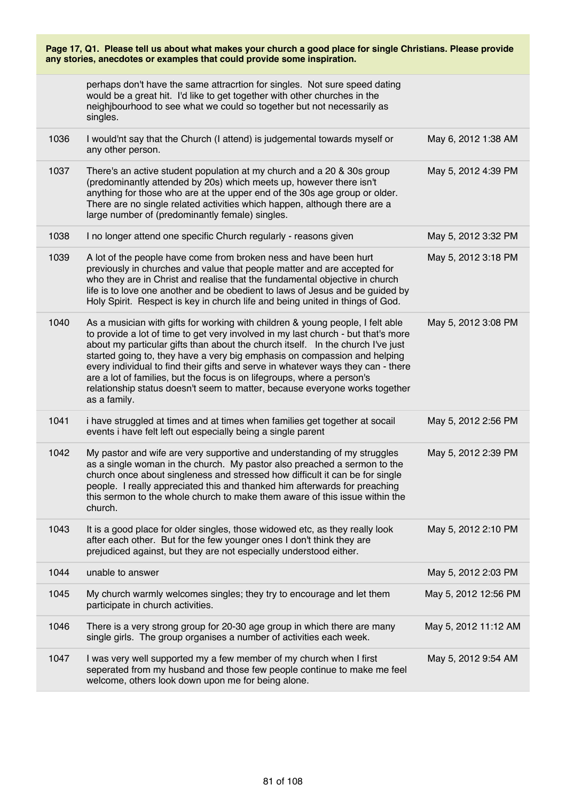| Page 17, Q1. Please tell us about what makes your church a good place for single Christians. Please provide<br>any stories, anecdotes or examples that could provide some inspiration. |                                                                                                                                                                                                                                                                                                                                                                                                                                                                                                                                                                                                   |                      |
|----------------------------------------------------------------------------------------------------------------------------------------------------------------------------------------|---------------------------------------------------------------------------------------------------------------------------------------------------------------------------------------------------------------------------------------------------------------------------------------------------------------------------------------------------------------------------------------------------------------------------------------------------------------------------------------------------------------------------------------------------------------------------------------------------|----------------------|
|                                                                                                                                                                                        | perhaps don't have the same attracrtion for singles. Not sure speed dating<br>would be a great hit. I'd like to get together with other churches in the<br>neighjbourhood to see what we could so together but not necessarily as<br>singles.                                                                                                                                                                                                                                                                                                                                                     |                      |
| 1036                                                                                                                                                                                   | I would'nt say that the Church (I attend) is judgemental towards myself or<br>any other person.                                                                                                                                                                                                                                                                                                                                                                                                                                                                                                   | May 6, 2012 1:38 AM  |
| 1037                                                                                                                                                                                   | There's an active student population at my church and a 20 & 30s group<br>(predominantly attended by 20s) which meets up, however there isn't<br>anything for those who are at the upper end of the 30s age group or older.<br>There are no single related activities which happen, although there are a<br>large number of (predominantly female) singles.                                                                                                                                                                                                                                       | May 5, 2012 4:39 PM  |
| 1038                                                                                                                                                                                   | I no longer attend one specific Church regularly - reasons given                                                                                                                                                                                                                                                                                                                                                                                                                                                                                                                                  | May 5, 2012 3:32 PM  |
| 1039                                                                                                                                                                                   | A lot of the people have come from broken ness and have been hurt<br>previously in churches and value that people matter and are accepted for<br>who they are in Christ and realise that the fundamental objective in church<br>life is to love one another and be obedient to laws of Jesus and be guided by<br>Holy Spirit. Respect is key in church life and being united in things of God.                                                                                                                                                                                                    | May 5, 2012 3:18 PM  |
| 1040                                                                                                                                                                                   | As a musician with gifts for working with children & young people, I felt able<br>to provide a lot of time to get very involved in my last church - but that's more<br>about my particular gifts than about the church itself. In the church I've just<br>started going to, they have a very big emphasis on compassion and helping<br>every individual to find their gifts and serve in whatever ways they can - there<br>are a lot of families, but the focus is on lifegroups, where a person's<br>relationship status doesn't seem to matter, because everyone works together<br>as a family. | May 5, 2012 3:08 PM  |
| 1041                                                                                                                                                                                   | i have struggled at times and at times when families get together at socail<br>events i have felt left out especially being a single parent                                                                                                                                                                                                                                                                                                                                                                                                                                                       | May 5, 2012 2:56 PM  |
| 1042                                                                                                                                                                                   | My pastor and wife are very supportive and understanding of my struggles<br>as a single woman in the church. My pastor also preached a sermon to the<br>church once about singleness and stressed how difficult it can be for single<br>people. I really appreciated this and thanked him afterwards for preaching<br>this sermon to the whole church to make them aware of this issue within the<br>church.                                                                                                                                                                                      | May 5, 2012 2:39 PM  |
| 1043                                                                                                                                                                                   | It is a good place for older singles, those widowed etc, as they really look<br>after each other. But for the few younger ones I don't think they are<br>prejudiced against, but they are not especially understood either.                                                                                                                                                                                                                                                                                                                                                                       | May 5, 2012 2:10 PM  |
| 1044                                                                                                                                                                                   | unable to answer                                                                                                                                                                                                                                                                                                                                                                                                                                                                                                                                                                                  | May 5, 2012 2:03 PM  |
| 1045                                                                                                                                                                                   | My church warmly welcomes singles; they try to encourage and let them<br>participate in church activities.                                                                                                                                                                                                                                                                                                                                                                                                                                                                                        | May 5, 2012 12:56 PM |
| 1046                                                                                                                                                                                   | There is a very strong group for 20-30 age group in which there are many<br>single girls. The group organises a number of activities each week.                                                                                                                                                                                                                                                                                                                                                                                                                                                   | May 5, 2012 11:12 AM |
| 1047                                                                                                                                                                                   | I was very well supported my a few member of my church when I first<br>seperated from my husband and those few people continue to make me feel<br>welcome, others look down upon me for being alone.                                                                                                                                                                                                                                                                                                                                                                                              | May 5, 2012 9:54 AM  |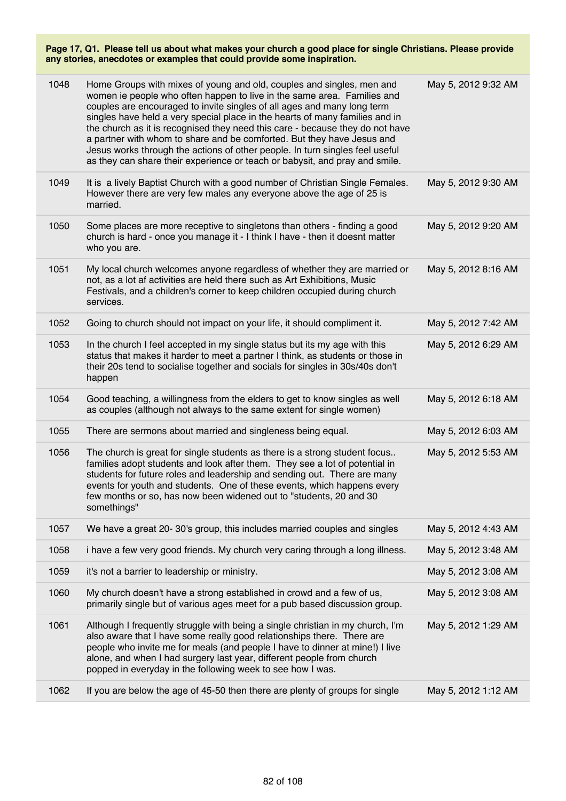| 1048 | Home Groups with mixes of young and old, couples and singles, men and<br>women ie people who often happen to live in the same area. Families and<br>couples are encouraged to invite singles of all ages and many long term<br>singles have held a very special place in the hearts of many families and in<br>the church as it is recognised they need this care - because they do not have<br>a partner with whom to share and be comforted. But they have Jesus and<br>Jesus works through the actions of other people. In turn singles feel useful<br>as they can share their experience or teach or babysit, and pray and smile. | May 5, 2012 9:32 AM |
|------|---------------------------------------------------------------------------------------------------------------------------------------------------------------------------------------------------------------------------------------------------------------------------------------------------------------------------------------------------------------------------------------------------------------------------------------------------------------------------------------------------------------------------------------------------------------------------------------------------------------------------------------|---------------------|
| 1049 | It is a lively Baptist Church with a good number of Christian Single Females.<br>However there are very few males any everyone above the age of 25 is<br>married.                                                                                                                                                                                                                                                                                                                                                                                                                                                                     | May 5, 2012 9:30 AM |
| 1050 | Some places are more receptive to singletons than others - finding a good<br>church is hard - once you manage it - I think I have - then it doesnt matter<br>who you are.                                                                                                                                                                                                                                                                                                                                                                                                                                                             | May 5, 2012 9:20 AM |
| 1051 | My local church welcomes anyone regardless of whether they are married or<br>not, as a lot af activities are held there such as Art Exhibitions, Music<br>Festivals, and a children's corner to keep children occupied during church<br>services.                                                                                                                                                                                                                                                                                                                                                                                     | May 5, 2012 8:16 AM |
| 1052 | Going to church should not impact on your life, it should compliment it.                                                                                                                                                                                                                                                                                                                                                                                                                                                                                                                                                              | May 5, 2012 7:42 AM |
| 1053 | In the church I feel accepted in my single status but its my age with this<br>status that makes it harder to meet a partner I think, as students or those in<br>their 20s tend to socialise together and socials for singles in 30s/40s don't<br>happen                                                                                                                                                                                                                                                                                                                                                                               | May 5, 2012 6:29 AM |
| 1054 | Good teaching, a willingness from the elders to get to know singles as well<br>as couples (although not always to the same extent for single women)                                                                                                                                                                                                                                                                                                                                                                                                                                                                                   | May 5, 2012 6:18 AM |
| 1055 | There are sermons about married and singleness being equal.                                                                                                                                                                                                                                                                                                                                                                                                                                                                                                                                                                           | May 5, 2012 6:03 AM |
| 1056 | The church is great for single students as there is a strong student focus<br>families adopt students and look after them. They see a lot of potential in<br>students for future roles and leadership and sending out. There are many<br>events for youth and students. One of these events, which happens every<br>few months or so, has now been widened out to "students, 20 and 30<br>somethings"                                                                                                                                                                                                                                 | May 5, 2012 5:53 AM |
| 1057 | We have a great 20-30's group, this includes married couples and singles                                                                                                                                                                                                                                                                                                                                                                                                                                                                                                                                                              | May 5, 2012 4:43 AM |
| 1058 | i have a few very good friends. My church very caring through a long illness.                                                                                                                                                                                                                                                                                                                                                                                                                                                                                                                                                         | May 5, 2012 3:48 AM |
| 1059 | it's not a barrier to leadership or ministry.                                                                                                                                                                                                                                                                                                                                                                                                                                                                                                                                                                                         | May 5, 2012 3:08 AM |
| 1060 | My church doesn't have a strong established in crowd and a few of us,<br>primarily single but of various ages meet for a pub based discussion group.                                                                                                                                                                                                                                                                                                                                                                                                                                                                                  | May 5, 2012 3:08 AM |
| 1061 | Although I frequently struggle with being a single christian in my church, I'm<br>also aware that I have some really good relationships there. There are<br>people who invite me for meals (and people I have to dinner at mine!) I live<br>alone, and when I had surgery last year, different people from church<br>popped in everyday in the following week to see how I was.                                                                                                                                                                                                                                                       | May 5, 2012 1:29 AM |
| 1062 | If you are below the age of 45-50 then there are plenty of groups for single                                                                                                                                                                                                                                                                                                                                                                                                                                                                                                                                                          | May 5, 2012 1:12 AM |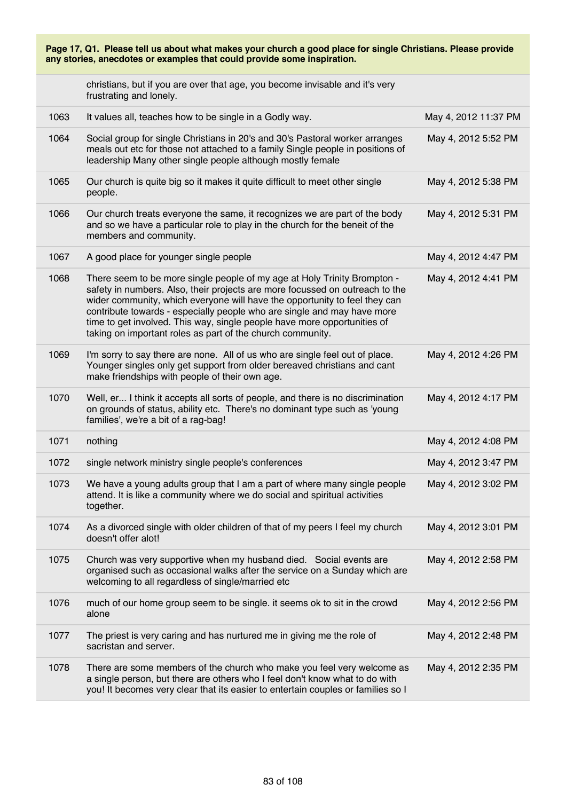| Page 17, Q1. Please tell us about what makes your church a good place for single Christians. Please provide<br>any stories, anecdotes or examples that could provide some inspiration. |                                                                                                                                                                                                                                                                                                                                                                                                                                                             |                      |
|----------------------------------------------------------------------------------------------------------------------------------------------------------------------------------------|-------------------------------------------------------------------------------------------------------------------------------------------------------------------------------------------------------------------------------------------------------------------------------------------------------------------------------------------------------------------------------------------------------------------------------------------------------------|----------------------|
|                                                                                                                                                                                        | christians, but if you are over that age, you become invisable and it's very<br>frustrating and lonely.                                                                                                                                                                                                                                                                                                                                                     |                      |
| 1063                                                                                                                                                                                   | It values all, teaches how to be single in a Godly way.                                                                                                                                                                                                                                                                                                                                                                                                     | May 4, 2012 11:37 PM |
| 1064                                                                                                                                                                                   | Social group for single Christians in 20's and 30's Pastoral worker arranges<br>meals out etc for those not attached to a family Single people in positions of<br>leadership Many other single people although mostly female                                                                                                                                                                                                                                | May 4, 2012 5:52 PM  |
| 1065                                                                                                                                                                                   | Our church is quite big so it makes it quite difficult to meet other single<br>people.                                                                                                                                                                                                                                                                                                                                                                      | May 4, 2012 5:38 PM  |
| 1066                                                                                                                                                                                   | Our church treats everyone the same, it recognizes we are part of the body<br>and so we have a particular role to play in the church for the beneit of the<br>members and community.                                                                                                                                                                                                                                                                        | May 4, 2012 5:31 PM  |
| 1067                                                                                                                                                                                   | A good place for younger single people                                                                                                                                                                                                                                                                                                                                                                                                                      | May 4, 2012 4:47 PM  |
| 1068                                                                                                                                                                                   | There seem to be more single people of my age at Holy Trinity Brompton -<br>safety in numbers. Also, their projects are more focussed on outreach to the<br>wider community, which everyone will have the opportunity to feel they can<br>contribute towards - especially people who are single and may have more<br>time to get involved. This way, single people have more opportunities of<br>taking on important roles as part of the church community. | May 4, 2012 4:41 PM  |
| 1069                                                                                                                                                                                   | I'm sorry to say there are none. All of us who are single feel out of place.<br>Younger singles only get support from older bereaved christians and cant<br>make friendships with people of their own age.                                                                                                                                                                                                                                                  | May 4, 2012 4:26 PM  |
| 1070                                                                                                                                                                                   | Well, er I think it accepts all sorts of people, and there is no discrimination<br>on grounds of status, ability etc. There's no dominant type such as 'young<br>families', we're a bit of a rag-bag!                                                                                                                                                                                                                                                       | May 4, 2012 4:17 PM  |
| 1071                                                                                                                                                                                   | nothing                                                                                                                                                                                                                                                                                                                                                                                                                                                     | May 4, 2012 4:08 PM  |
| 1072                                                                                                                                                                                   | single network ministry single people's conferences                                                                                                                                                                                                                                                                                                                                                                                                         | May 4, 2012 3:47 PM  |
| 1073                                                                                                                                                                                   | We have a young adults group that I am a part of where many single people<br>attend. It is like a community where we do social and spiritual activities<br>together.                                                                                                                                                                                                                                                                                        | May 4, 2012 3:02 PM  |
| 1074                                                                                                                                                                                   | As a divorced single with older children of that of my peers I feel my church<br>doesn't offer alot!                                                                                                                                                                                                                                                                                                                                                        | May 4, 2012 3:01 PM  |
| 1075                                                                                                                                                                                   | Church was very supportive when my husband died. Social events are<br>organised such as occasional walks after the service on a Sunday which are<br>welcoming to all regardless of single/married etc                                                                                                                                                                                                                                                       | May 4, 2012 2:58 PM  |
| 1076                                                                                                                                                                                   | much of our home group seem to be single. it seems ok to sit in the crowd<br>alone                                                                                                                                                                                                                                                                                                                                                                          | May 4, 2012 2:56 PM  |
| 1077                                                                                                                                                                                   | The priest is very caring and has nurtured me in giving me the role of<br>sacristan and server.                                                                                                                                                                                                                                                                                                                                                             | May 4, 2012 2:48 PM  |
| 1078                                                                                                                                                                                   | There are some members of the church who make you feel very welcome as<br>a single person, but there are others who I feel don't know what to do with<br>you! It becomes very clear that its easier to entertain couples or families so I                                                                                                                                                                                                                   | May 4, 2012 2:35 PM  |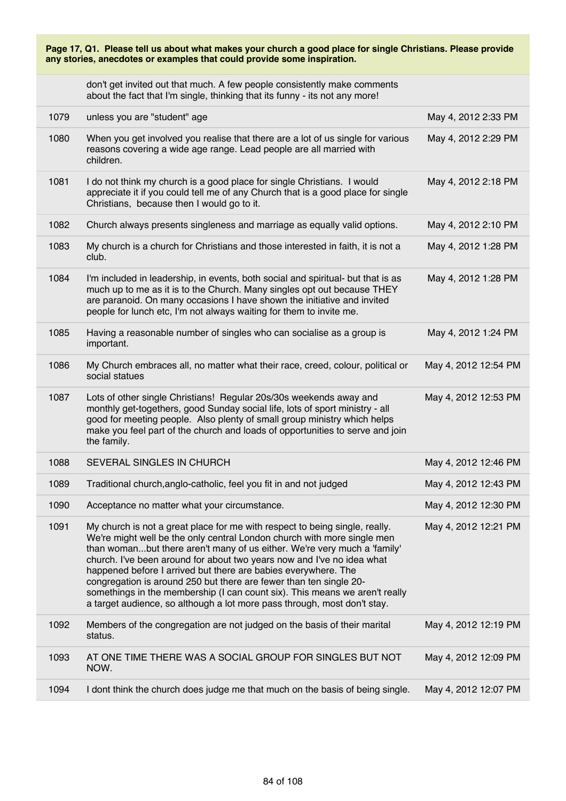| don't get invited out that much. A few people consistently make comments    |  |
|-----------------------------------------------------------------------------|--|
| about the fact that I'm single, thinking that its funny - its not any more! |  |

| 1079 | unless you are "student" age                                                                                                                                                                                                                                                                                                                                                                                                                                                                                                                                                                                    | May 4, 2012 2:33 PM  |
|------|-----------------------------------------------------------------------------------------------------------------------------------------------------------------------------------------------------------------------------------------------------------------------------------------------------------------------------------------------------------------------------------------------------------------------------------------------------------------------------------------------------------------------------------------------------------------------------------------------------------------|----------------------|
| 1080 | When you get involved you realise that there are a lot of us single for various<br>reasons covering a wide age range. Lead people are all married with<br>children.                                                                                                                                                                                                                                                                                                                                                                                                                                             | May 4, 2012 2:29 PM  |
| 1081 | I do not think my church is a good place for single Christians. I would<br>appreciate it if you could tell me of any Church that is a good place for single<br>Christians, because then I would go to it.                                                                                                                                                                                                                                                                                                                                                                                                       | May 4, 2012 2:18 PM  |
| 1082 | Church always presents singleness and marriage as equally valid options.                                                                                                                                                                                                                                                                                                                                                                                                                                                                                                                                        | May 4, 2012 2:10 PM  |
| 1083 | My church is a church for Christians and those interested in faith, it is not a<br>club.                                                                                                                                                                                                                                                                                                                                                                                                                                                                                                                        | May 4, 2012 1:28 PM  |
| 1084 | I'm included in leadership, in events, both social and spiritual- but that is as<br>much up to me as it is to the Church. Many singles opt out because THEY<br>are paranoid. On many occasions I have shown the initiative and invited<br>people for lunch etc, I'm not always waiting for them to invite me.                                                                                                                                                                                                                                                                                                   | May 4, 2012 1:28 PM  |
| 1085 | Having a reasonable number of singles who can socialise as a group is<br>important.                                                                                                                                                                                                                                                                                                                                                                                                                                                                                                                             | May 4, 2012 1:24 PM  |
| 1086 | My Church embraces all, no matter what their race, creed, colour, political or<br>social statues                                                                                                                                                                                                                                                                                                                                                                                                                                                                                                                | May 4, 2012 12:54 PM |
| 1087 | Lots of other single Christians! Regular 20s/30s weekends away and<br>monthly get-togethers, good Sunday social life, lots of sport ministry - all<br>good for meeting people. Also plenty of small group ministry which helps<br>make you feel part of the church and loads of opportunities to serve and join<br>the family.                                                                                                                                                                                                                                                                                  | May 4, 2012 12:53 PM |
| 1088 | SEVERAL SINGLES IN CHURCH                                                                                                                                                                                                                                                                                                                                                                                                                                                                                                                                                                                       | May 4, 2012 12:46 PM |
| 1089 | Traditional church, anglo-catholic, feel you fit in and not judged                                                                                                                                                                                                                                                                                                                                                                                                                                                                                                                                              | May 4, 2012 12:43 PM |
| 1090 | Acceptance no matter what your circumstance.                                                                                                                                                                                                                                                                                                                                                                                                                                                                                                                                                                    | May 4, 2012 12:30 PM |
| 1091 | My church is not a great place for me with respect to being single, really.<br>We're might well be the only central London church with more single men<br>than womanbut there aren't many of us either. We're very much a 'family'<br>church. I've been around for about two years now and I've no idea what<br>happened before I arrived but there are babies everywhere. The<br>congregation is around 250 but there are fewer than ten single 20-<br>somethings in the membership (I can count six). This means we aren't really<br>a target audience, so although a lot more pass through, most don't stay. | May 4, 2012 12:21 PM |
| 1092 | Members of the congregation are not judged on the basis of their marital<br>status.                                                                                                                                                                                                                                                                                                                                                                                                                                                                                                                             | May 4, 2012 12:19 PM |
| 1093 | AT ONE TIME THERE WAS A SOCIAL GROUP FOR SINGLES BUT NOT<br>NOW.                                                                                                                                                                                                                                                                                                                                                                                                                                                                                                                                                | May 4, 2012 12:09 PM |
| 1094 | I dont think the church does judge me that much on the basis of being single.                                                                                                                                                                                                                                                                                                                                                                                                                                                                                                                                   | May 4, 2012 12:07 PM |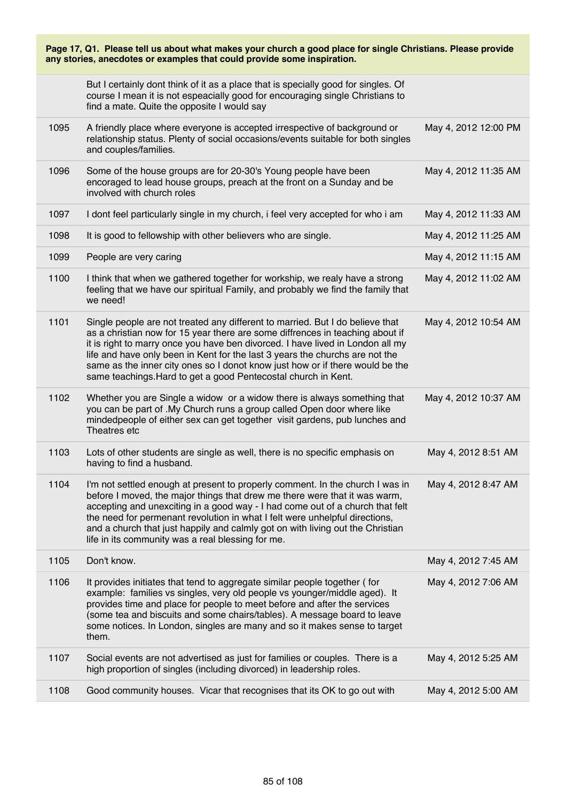| Page 17, Q1. Please tell us about what makes your church a good place for single Christians. Please provide<br>any stories, anecdotes or examples that could provide some inspiration. |                                                                                                                                                                                                                                                                                                                                                                                                                                                                                     |                      |
|----------------------------------------------------------------------------------------------------------------------------------------------------------------------------------------|-------------------------------------------------------------------------------------------------------------------------------------------------------------------------------------------------------------------------------------------------------------------------------------------------------------------------------------------------------------------------------------------------------------------------------------------------------------------------------------|----------------------|
|                                                                                                                                                                                        | But I certainly dont think of it as a place that is specially good for singles. Of<br>course I mean it is not espeacially good for encouraging single Christians to<br>find a mate. Quite the opposite I would say                                                                                                                                                                                                                                                                  |                      |
| 1095                                                                                                                                                                                   | A friendly place where everyone is accepted irrespective of background or<br>relationship status. Plenty of social occasions/events suitable for both singles<br>and couples/families.                                                                                                                                                                                                                                                                                              | May 4, 2012 12:00 PM |
| 1096                                                                                                                                                                                   | Some of the house groups are for 20-30's Young people have been<br>encoraged to lead house groups, preach at the front on a Sunday and be<br>involved with church roles                                                                                                                                                                                                                                                                                                             | May 4, 2012 11:35 AM |
| 1097                                                                                                                                                                                   | I dont feel particularly single in my church, i feel very accepted for who i am                                                                                                                                                                                                                                                                                                                                                                                                     | May 4, 2012 11:33 AM |
| 1098                                                                                                                                                                                   | It is good to fellowship with other believers who are single.                                                                                                                                                                                                                                                                                                                                                                                                                       | May 4, 2012 11:25 AM |
| 1099                                                                                                                                                                                   | People are very caring                                                                                                                                                                                                                                                                                                                                                                                                                                                              | May 4, 2012 11:15 AM |
| 1100                                                                                                                                                                                   | I think that when we gathered together for workship, we realy have a strong<br>feeling that we have our spiritual Family, and probably we find the family that<br>we need!                                                                                                                                                                                                                                                                                                          | May 4, 2012 11:02 AM |
| 1101                                                                                                                                                                                   | Single people are not treated any different to married. But I do believe that<br>as a christian now for 15 year there are some diffrences in teaching about if<br>it is right to marry once you have ben divorced. I have lived in London all my<br>life and have only been in Kent for the last 3 years the churchs are not the<br>same as the inner city ones so I donot know just how or if there would be the<br>same teachings. Hard to get a good Pentecostal church in Kent. | May 4, 2012 10:54 AM |
| 1102                                                                                                                                                                                   | Whether you are Single a widow or a widow there is always something that<br>you can be part of . My Church runs a group called Open door where like<br>mindedpeople of either sex can get together visit gardens, pub lunches and<br>Theatres etc                                                                                                                                                                                                                                   | May 4, 2012 10:37 AM |
| 1103                                                                                                                                                                                   | Lots of other students are single as well, there is no specific emphasis on<br>having to find a husband.                                                                                                                                                                                                                                                                                                                                                                            | May 4, 2012 8:51 AM  |
| 1104                                                                                                                                                                                   | I'm not settled enough at present to properly comment. In the church I was in<br>before I moved, the major things that drew me there were that it was warm,<br>accepting and unexciting in a good way - I had come out of a church that felt<br>the need for permenant revolution in what I felt were unhelpful directions,<br>and a church that just happily and calmly got on with living out the Christian<br>life in its community was a real blessing for me.                  | May 4, 2012 8:47 AM  |
| 1105                                                                                                                                                                                   | Don't know.                                                                                                                                                                                                                                                                                                                                                                                                                                                                         | May 4, 2012 7:45 AM  |
| 1106                                                                                                                                                                                   | It provides initiates that tend to aggregate similar people together (for<br>example: families vs singles, very old people vs younger/middle aged). It<br>provides time and place for people to meet before and after the services<br>(some tea and biscuits and some chairs/tables). A message board to leave<br>some notices. In London, singles are many and so it makes sense to target<br>them.                                                                                | May 4, 2012 7:06 AM  |
| 1107                                                                                                                                                                                   | Social events are not advertised as just for families or couples. There is a<br>high proportion of singles (including divorced) in leadership roles.                                                                                                                                                                                                                                                                                                                                | May 4, 2012 5:25 AM  |
| 1108                                                                                                                                                                                   | Good community houses. Vicar that recognises that its OK to go out with                                                                                                                                                                                                                                                                                                                                                                                                             | May 4, 2012 5:00 AM  |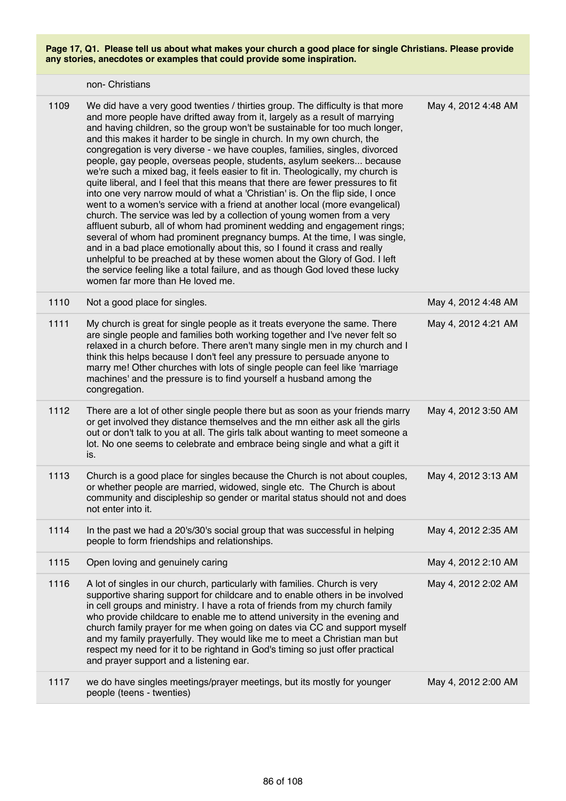|      | non- Christians                                                                                                                                                                                                                                                                                                                                                                                                                                                                                                                                                                                                                                                                                                                                                                                                                                                                                                                                                                                                                                                                                                                                                                                                                                                                                                                      |                     |
|------|--------------------------------------------------------------------------------------------------------------------------------------------------------------------------------------------------------------------------------------------------------------------------------------------------------------------------------------------------------------------------------------------------------------------------------------------------------------------------------------------------------------------------------------------------------------------------------------------------------------------------------------------------------------------------------------------------------------------------------------------------------------------------------------------------------------------------------------------------------------------------------------------------------------------------------------------------------------------------------------------------------------------------------------------------------------------------------------------------------------------------------------------------------------------------------------------------------------------------------------------------------------------------------------------------------------------------------------|---------------------|
| 1109 | We did have a very good twenties / thirties group. The difficulty is that more<br>and more people have drifted away from it, largely as a result of marrying<br>and having children, so the group won't be sustainable for too much longer,<br>and this makes it harder to be single in church. In my own church, the<br>congregation is very diverse - we have couples, families, singles, divorced<br>people, gay people, overseas people, students, asylum seekers because<br>we're such a mixed bag, it feels easier to fit in. Theologically, my church is<br>quite liberal, and I feel that this means that there are fewer pressures to fit<br>into one very narrow mould of what a 'Christian' is. On the flip side, I once<br>went to a women's service with a friend at another local (more evangelical)<br>church. The service was led by a collection of young women from a very<br>affluent suburb, all of whom had prominent wedding and engagement rings;<br>several of whom had prominent pregnancy bumps. At the time, I was single,<br>and in a bad place emotionally about this, so I found it crass and really<br>unhelpful to be preached at by these women about the Glory of God. I left<br>the service feeling like a total failure, and as though God loved these lucky<br>women far more than He loved me. | May 4, 2012 4:48 AM |
| 1110 | Not a good place for singles.                                                                                                                                                                                                                                                                                                                                                                                                                                                                                                                                                                                                                                                                                                                                                                                                                                                                                                                                                                                                                                                                                                                                                                                                                                                                                                        | May 4, 2012 4:48 AM |
| 1111 | My church is great for single people as it treats everyone the same. There<br>are single people and families both working together and I've never felt so<br>relaxed in a church before. There aren't many single men in my church and I<br>think this helps because I don't feel any pressure to persuade anyone to<br>marry me! Other churches with lots of single people can feel like 'marriage<br>machines' and the pressure is to find yourself a husband among the<br>congregation.                                                                                                                                                                                                                                                                                                                                                                                                                                                                                                                                                                                                                                                                                                                                                                                                                                           | May 4, 2012 4:21 AM |
| 1112 | There are a lot of other single people there but as soon as your friends marry<br>or get involved they distance themselves and the mn either ask all the girls<br>out or don't talk to you at all. The girls talk about wanting to meet someone a<br>lot. No one seems to celebrate and embrace being single and what a gift it<br>is.                                                                                                                                                                                                                                                                                                                                                                                                                                                                                                                                                                                                                                                                                                                                                                                                                                                                                                                                                                                               | May 4, 2012 3:50 AM |
| 1113 | Church is a good place for singles because the Church is not about couples,<br>or whether people are married, widowed, single etc. The Church is about<br>community and discipleship so gender or marital status should not and does<br>not enter into it.                                                                                                                                                                                                                                                                                                                                                                                                                                                                                                                                                                                                                                                                                                                                                                                                                                                                                                                                                                                                                                                                           | May 4, 2012 3:13 AM |
| 1114 | In the past we had a 20's/30's social group that was successful in helping<br>people to form friendships and relationships.                                                                                                                                                                                                                                                                                                                                                                                                                                                                                                                                                                                                                                                                                                                                                                                                                                                                                                                                                                                                                                                                                                                                                                                                          | May 4, 2012 2:35 AM |
| 1115 | Open loving and genuinely caring                                                                                                                                                                                                                                                                                                                                                                                                                                                                                                                                                                                                                                                                                                                                                                                                                                                                                                                                                                                                                                                                                                                                                                                                                                                                                                     | May 4, 2012 2:10 AM |
| 1116 | A lot of singles in our church, particularly with families. Church is very<br>supportive sharing support for childcare and to enable others in be involved<br>in cell groups and ministry. I have a rota of friends from my church family<br>who provide childcare to enable me to attend university in the evening and<br>church family prayer for me when going on dates via CC and support myself<br>and my family prayerfully. They would like me to meet a Christian man but<br>respect my need for it to be rightand in God's timing so just offer practical<br>and prayer support and a listening ear.                                                                                                                                                                                                                                                                                                                                                                                                                                                                                                                                                                                                                                                                                                                        | May 4, 2012 2:02 AM |
| 1117 | we do have singles meetings/prayer meetings, but its mostly for younger<br>people (teens - twenties)                                                                                                                                                                                                                                                                                                                                                                                                                                                                                                                                                                                                                                                                                                                                                                                                                                                                                                                                                                                                                                                                                                                                                                                                                                 | May 4, 2012 2:00 AM |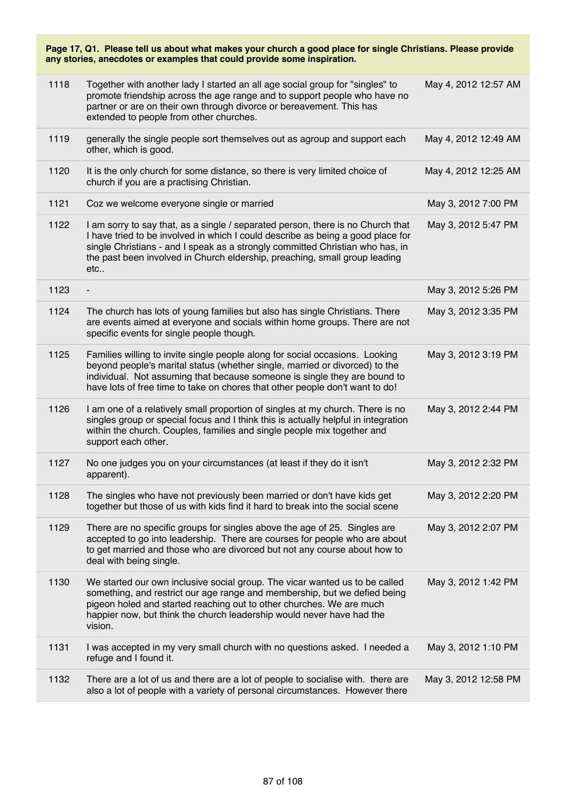| 1118 | Together with another lady I started an all age social group for "singles" to<br>promote friendship across the age range and to support people who have no<br>partner or are on their own through divorce or bereavement. This has<br>extended to people from other churches.                                                            | May 4, 2012 12:57 AM |
|------|------------------------------------------------------------------------------------------------------------------------------------------------------------------------------------------------------------------------------------------------------------------------------------------------------------------------------------------|----------------------|
| 1119 | generally the single people sort themselves out as agroup and support each<br>other, which is good.                                                                                                                                                                                                                                      | May 4, 2012 12:49 AM |
| 1120 | It is the only church for some distance, so there is very limited choice of<br>church if you are a practising Christian.                                                                                                                                                                                                                 | May 4, 2012 12:25 AM |
| 1121 | Coz we welcome everyone single or married                                                                                                                                                                                                                                                                                                | May 3, 2012 7:00 PM  |
| 1122 | I am sorry to say that, as a single / separated person, there is no Church that<br>I have tried to be involved in which I could describe as being a good place for<br>single Christians - and I speak as a strongly committed Christian who has, in<br>the past been involved in Church eldership, preaching, small group leading<br>etc | May 3, 2012 5:47 PM  |
| 1123 |                                                                                                                                                                                                                                                                                                                                          | May 3, 2012 5:26 PM  |
| 1124 | The church has lots of young families but also has single Christians. There<br>are events aimed at everyone and socials within home groups. There are not<br>specific events for single people though.                                                                                                                                   | May 3, 2012 3:35 PM  |
| 1125 | Families willing to invite single people along for social occasions. Looking<br>beyond people's marital status (whether single, married or divorced) to the<br>individual. Not assuming that because someone is single they are bound to<br>have lots of free time to take on chores that other people don't want to do!                 | May 3, 2012 3:19 PM  |
| 1126 | I am one of a relatively small proportion of singles at my church. There is no<br>singles group or special focus and I think this is actually helpful in integration<br>within the church. Couples, families and single people mix together and<br>support each other.                                                                   | May 3, 2012 2:44 PM  |
| 1127 | No one judges you on your circumstances (at least if they do it isn't<br>apparent).                                                                                                                                                                                                                                                      | May 3, 2012 2:32 PM  |
| 1128 | The singles who have not previously been married or don't have kids get<br>together but those of us with kids find it hard to break into the social scene                                                                                                                                                                                | May 3, 2012 2:20 PM  |
| 1129 | There are no specific groups for singles above the age of 25. Singles are<br>accepted to go into leadership. There are courses for people who are about<br>to get married and those who are divorced but not any course about how to<br>deal with being single.                                                                          | May 3, 2012 2:07 PM  |
| 1130 | We started our own inclusive social group. The vicar wanted us to be called<br>something, and restrict our age range and membership, but we defied being<br>pigeon holed and started reaching out to other churches. We are much<br>happier now, but think the church leadership would never have had the<br>vision.                     | May 3, 2012 1:42 PM  |
| 1131 | I was accepted in my very small church with no questions asked. I needed a<br>refuge and I found it.                                                                                                                                                                                                                                     | May 3, 2012 1:10 PM  |
| 1132 | There are a lot of us and there are a lot of people to socialise with. there are<br>also a lot of people with a variety of personal circumstances. However there                                                                                                                                                                         | May 3, 2012 12:58 PM |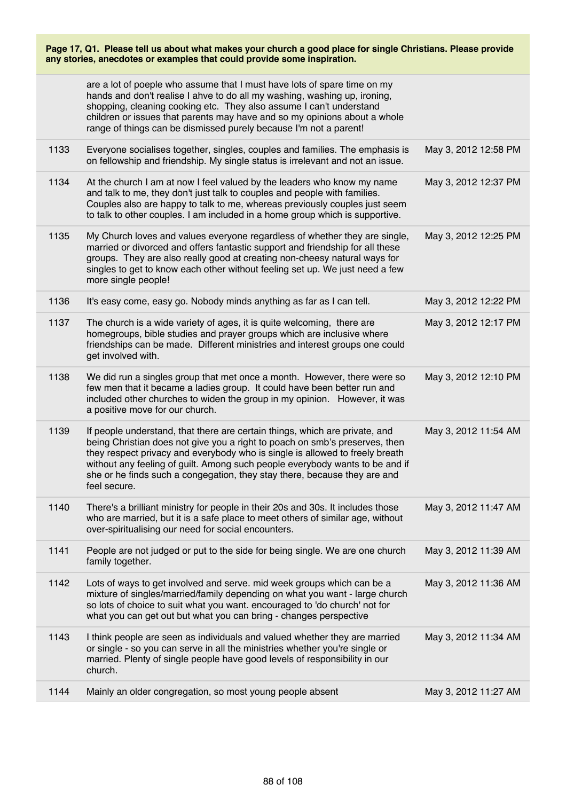|      | are a lot of poeple who assume that I must have lots of spare time on my<br>hands and don't realise I ahve to do all my washing, washing up, ironing,<br>shopping, cleaning cooking etc. They also assume I can't understand<br>children or issues that parents may have and so my opinions about a whole<br>range of things can be dismissed purely because I'm not a parent!                                          |                      |
|------|-------------------------------------------------------------------------------------------------------------------------------------------------------------------------------------------------------------------------------------------------------------------------------------------------------------------------------------------------------------------------------------------------------------------------|----------------------|
| 1133 | Everyone socialises together, singles, couples and families. The emphasis is<br>on fellowship and friendship. My single status is irrelevant and not an issue.                                                                                                                                                                                                                                                          | May 3, 2012 12:58 PM |
| 1134 | At the church I am at now I feel valued by the leaders who know my name<br>and talk to me, they don't just talk to couples and people with families.<br>Couples also are happy to talk to me, whereas previously couples just seem<br>to talk to other couples. I am included in a home group which is supportive.                                                                                                      | May 3, 2012 12:37 PM |
| 1135 | My Church loves and values everyone regardless of whether they are single,<br>married or divorced and offers fantastic support and friendship for all these<br>groups. They are also really good at creating non-cheesy natural ways for<br>singles to get to know each other without feeling set up. We just need a few<br>more single people!                                                                         | May 3, 2012 12:25 PM |
| 1136 | It's easy come, easy go. Nobody minds anything as far as I can tell.                                                                                                                                                                                                                                                                                                                                                    | May 3, 2012 12:22 PM |
| 1137 | The church is a wide variety of ages, it is quite welcoming, there are<br>homegroups, bible studies and prayer groups which are inclusive where<br>friendships can be made. Different ministries and interest groups one could<br>get involved with.                                                                                                                                                                    | May 3, 2012 12:17 PM |
| 1138 | We did run a singles group that met once a month. However, there were so<br>few men that it became a ladies group. It could have been better run and<br>included other churches to widen the group in my opinion. However, it was<br>a positive move for our church.                                                                                                                                                    | May 3, 2012 12:10 PM |
| 1139 | If people understand, that there are certain things, which are private, and<br>being Christian does not give you a right to poach on smb's preserves, then<br>they respect privacy and everybody who is single is allowed to freely breath<br>without any feeling of guilt. Among such people everybody wants to be and if<br>she or he finds such a congegation, they stay there, because they are and<br>feel secure. | May 3, 2012 11:54 AM |
| 1140 | There's a brilliant ministry for people in their 20s and 30s. It includes those<br>who are married, but it is a safe place to meet others of similar age, without<br>over-spiritualising our need for social encounters.                                                                                                                                                                                                | May 3, 2012 11:47 AM |
| 1141 | People are not judged or put to the side for being single. We are one church<br>family together.                                                                                                                                                                                                                                                                                                                        | May 3, 2012 11:39 AM |
| 1142 | Lots of ways to get involved and serve. mid week groups which can be a<br>mixture of singles/married/family depending on what you want - large church<br>so lots of choice to suit what you want. encouraged to 'do church' not for<br>what you can get out but what you can bring - changes perspective                                                                                                                | May 3, 2012 11:36 AM |
| 1143 | I think people are seen as individuals and valued whether they are married<br>or single - so you can serve in all the ministries whether you're single or<br>married. Plenty of single people have good levels of responsibility in our<br>church.                                                                                                                                                                      | May 3, 2012 11:34 AM |
| 1144 | Mainly an older congregation, so most young people absent                                                                                                                                                                                                                                                                                                                                                               | May 3, 2012 11:27 AM |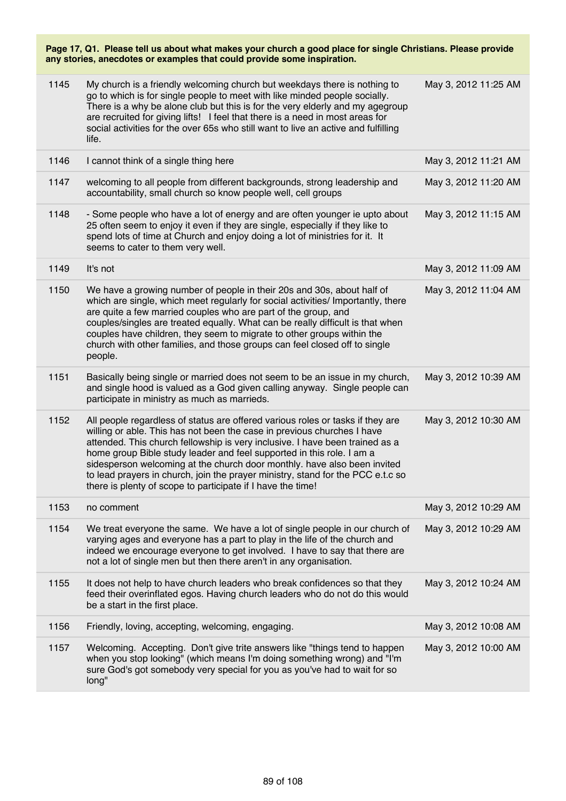| 1145 | My church is a friendly welcoming church but weekdays there is nothing to<br>go to which is for single people to meet with like minded people socially.<br>There is a why be alone club but this is for the very elderly and my agegroup<br>are recruited for giving lifts! I feel that there is a need in most areas for<br>social activities for the over 65s who still want to live an active and fulfilling<br>life.                                                                                                                         | May 3, 2012 11:25 AM |
|------|--------------------------------------------------------------------------------------------------------------------------------------------------------------------------------------------------------------------------------------------------------------------------------------------------------------------------------------------------------------------------------------------------------------------------------------------------------------------------------------------------------------------------------------------------|----------------------|
| 1146 | I cannot think of a single thing here                                                                                                                                                                                                                                                                                                                                                                                                                                                                                                            | May 3, 2012 11:21 AM |
| 1147 | welcoming to all people from different backgrounds, strong leadership and<br>accountability, small church so know people well, cell groups                                                                                                                                                                                                                                                                                                                                                                                                       | May 3, 2012 11:20 AM |
| 1148 | - Some people who have a lot of energy and are often younger ie upto about<br>25 often seem to enjoy it even if they are single, especially if they like to<br>spend lots of time at Church and enjoy doing a lot of ministries for it. It<br>seems to cater to them very well.                                                                                                                                                                                                                                                                  | May 3, 2012 11:15 AM |
| 1149 | It's not                                                                                                                                                                                                                                                                                                                                                                                                                                                                                                                                         | May 3, 2012 11:09 AM |
| 1150 | We have a growing number of people in their 20s and 30s, about half of<br>which are single, which meet regularly for social activities/ Importantly, there<br>are quite a few married couples who are part of the group, and<br>couples/singles are treated equally. What can be really difficult is that when<br>couples have children, they seem to migrate to other groups within the<br>church with other families, and those groups can feel closed off to single<br>people.                                                                | May 3, 2012 11:04 AM |
| 1151 | Basically being single or married does not seem to be an issue in my church,<br>and single hood is valued as a God given calling anyway. Single people can<br>participate in ministry as much as marrieds.                                                                                                                                                                                                                                                                                                                                       | May 3, 2012 10:39 AM |
| 1152 | All people regardless of status are offered various roles or tasks if they are<br>willing or able. This has not been the case in previous churches I have<br>attended. This church fellowship is very inclusive. I have been trained as a<br>home group Bible study leader and feel supported in this role. I am a<br>sidesperson welcoming at the church door monthly. have also been invited<br>to lead prayers in church, join the prayer ministry, stand for the PCC e.t.c so<br>there is plenty of scope to participate if I have the time! | May 3, 2012 10:30 AM |
| 1153 | no comment                                                                                                                                                                                                                                                                                                                                                                                                                                                                                                                                       | May 3, 2012 10:29 AM |
| 1154 | We treat everyone the same. We have a lot of single people in our church of<br>varying ages and everyone has a part to play in the life of the church and<br>indeed we encourage everyone to get involved. I have to say that there are<br>not a lot of single men but then there aren't in any organisation.                                                                                                                                                                                                                                    | May 3, 2012 10:29 AM |
| 1155 | It does not help to have church leaders who break confidences so that they<br>feed their overinflated egos. Having church leaders who do not do this would<br>be a start in the first place.                                                                                                                                                                                                                                                                                                                                                     | May 3, 2012 10:24 AM |
| 1156 | Friendly, loving, accepting, welcoming, engaging.                                                                                                                                                                                                                                                                                                                                                                                                                                                                                                | May 3, 2012 10:08 AM |
| 1157 | Welcoming. Accepting. Don't give trite answers like "things tend to happen<br>when you stop looking" (which means I'm doing something wrong) and "I'm<br>sure God's got somebody very special for you as you've had to wait for so<br>long"                                                                                                                                                                                                                                                                                                      | May 3, 2012 10:00 AM |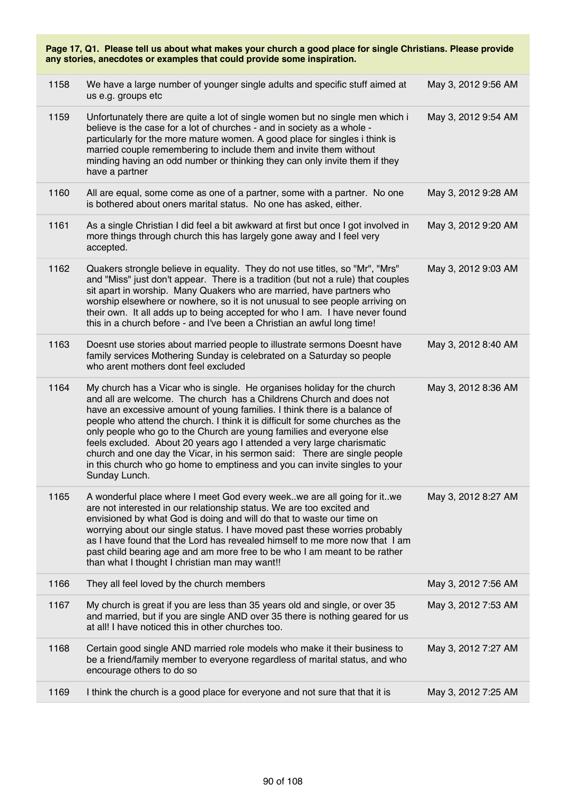| Page 17, Q1. Please tell us about what makes your church a good place for single Christians. Please provide<br>any stories, anecdotes or examples that could provide some inspiration. |                                                                                                                                                                                                                                                                                                                                                                                                                                                                                                                                                                                                                                               |                     |  |
|----------------------------------------------------------------------------------------------------------------------------------------------------------------------------------------|-----------------------------------------------------------------------------------------------------------------------------------------------------------------------------------------------------------------------------------------------------------------------------------------------------------------------------------------------------------------------------------------------------------------------------------------------------------------------------------------------------------------------------------------------------------------------------------------------------------------------------------------------|---------------------|--|
| 1158                                                                                                                                                                                   | We have a large number of younger single adults and specific stuff aimed at<br>us e.g. groups etc                                                                                                                                                                                                                                                                                                                                                                                                                                                                                                                                             | May 3, 2012 9:56 AM |  |
| 1159                                                                                                                                                                                   | Unfortunately there are quite a lot of single women but no single men which i<br>believe is the case for a lot of churches - and in society as a whole -<br>particularly for the more mature women. A good place for singles i think is<br>married couple remembering to include them and invite them without<br>minding having an odd number or thinking they can only invite them if they<br>have a partner                                                                                                                                                                                                                                 | May 3, 2012 9:54 AM |  |
| 1160                                                                                                                                                                                   | All are equal, some come as one of a partner, some with a partner. No one<br>is bothered about oners marital status. No one has asked, either.                                                                                                                                                                                                                                                                                                                                                                                                                                                                                                | May 3, 2012 9:28 AM |  |
| 1161                                                                                                                                                                                   | As a single Christian I did feel a bit awkward at first but once I got involved in<br>more things through church this has largely gone away and I feel very<br>accepted.                                                                                                                                                                                                                                                                                                                                                                                                                                                                      | May 3, 2012 9:20 AM |  |
| 1162                                                                                                                                                                                   | Quakers strongle believe in equality. They do not use titles, so "Mr", "Mrs"<br>and "Miss" just don't appear. There is a tradition (but not a rule) that couples<br>sit apart in worship. Many Quakers who are married, have partners who<br>worship elsewhere or nowhere, so it is not unusual to see people arriving on<br>their own. It all adds up to being accepted for who I am. I have never found<br>this in a church before - and I've been a Christian an awful long time!                                                                                                                                                          | May 3, 2012 9:03 AM |  |
| 1163                                                                                                                                                                                   | Doesnt use stories about married people to illustrate sermons Doesnt have<br>family services Mothering Sunday is celebrated on a Saturday so people<br>who arent mothers dont feel excluded                                                                                                                                                                                                                                                                                                                                                                                                                                                   | May 3, 2012 8:40 AM |  |
| 1164                                                                                                                                                                                   | My church has a Vicar who is single. He organises holiday for the church<br>and all are welcome. The church has a Childrens Church and does not<br>have an excessive amount of young families. I think there is a balance of<br>people who attend the church. I think it is difficult for some churches as the<br>only people who go to the Church are young families and everyone else<br>feels excluded. About 20 years ago I attended a very large charismatic<br>church and one day the Vicar, in his sermon said: There are single people<br>in this church who go home to emptiness and you can invite singles to your<br>Sunday Lunch. | May 3, 2012 8:36 AM |  |
| 1165                                                                                                                                                                                   | A wonderful place where I meet God every week. we are all going for it. . we<br>are not interested in our relationship status. We are too excited and<br>envisioned by what God is doing and will do that to waste our time on<br>worrying about our single status. I have moved past these worries probably<br>as I have found that the Lord has revealed himself to me more now that I am<br>past child bearing age and am more free to be who I am meant to be rather<br>than what I thought I christian man may want!!                                                                                                                    | May 3, 2012 8:27 AM |  |
| 1166                                                                                                                                                                                   | They all feel loved by the church members                                                                                                                                                                                                                                                                                                                                                                                                                                                                                                                                                                                                     | May 3, 2012 7:56 AM |  |
| 1167                                                                                                                                                                                   | My church is great if you are less than 35 years old and single, or over 35<br>and married, but if you are single AND over 35 there is nothing geared for us<br>at all! I have noticed this in other churches too.                                                                                                                                                                                                                                                                                                                                                                                                                            | May 3, 2012 7:53 AM |  |
| 1168                                                                                                                                                                                   | Certain good single AND married role models who make it their business to<br>be a friend/family member to everyone regardless of marital status, and who<br>encourage others to do so                                                                                                                                                                                                                                                                                                                                                                                                                                                         | May 3, 2012 7:27 AM |  |
| 1169                                                                                                                                                                                   | I think the church is a good place for everyone and not sure that that it is                                                                                                                                                                                                                                                                                                                                                                                                                                                                                                                                                                  | May 3, 2012 7:25 AM |  |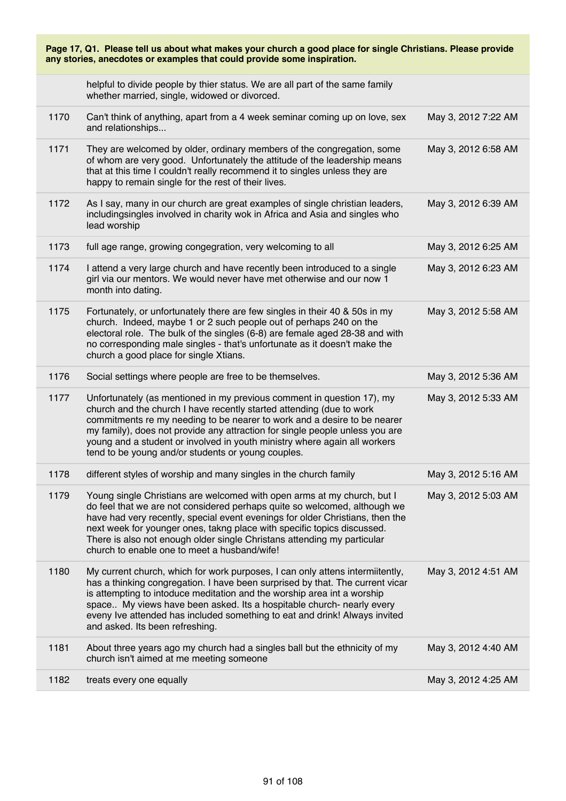| Page 17, Q1. Please tell us about what makes your church a good place for single Christians. Please provide<br>any stories, anecdotes or examples that could provide some inspiration. |                                                                                                                                                                                                                                                                                                                                                                                                                                               |                     |
|----------------------------------------------------------------------------------------------------------------------------------------------------------------------------------------|-----------------------------------------------------------------------------------------------------------------------------------------------------------------------------------------------------------------------------------------------------------------------------------------------------------------------------------------------------------------------------------------------------------------------------------------------|---------------------|
|                                                                                                                                                                                        | helpful to divide people by thier status. We are all part of the same family<br>whether married, single, widowed or divorced.                                                                                                                                                                                                                                                                                                                 |                     |
| 1170                                                                                                                                                                                   | Can't think of anything, apart from a 4 week seminar coming up on love, sex<br>and relationships                                                                                                                                                                                                                                                                                                                                              | May 3, 2012 7:22 AM |
| 1171                                                                                                                                                                                   | They are welcomed by older, ordinary members of the congregation, some<br>of whom are very good. Unfortunately the attitude of the leadership means<br>that at this time I couldn't really recommend it to singles unless they are<br>happy to remain single for the rest of their lives.                                                                                                                                                     | May 3, 2012 6:58 AM |
| 1172                                                                                                                                                                                   | As I say, many in our church are great examples of single christian leaders,<br>includingsingles involved in charity wok in Africa and Asia and singles who<br>lead worship                                                                                                                                                                                                                                                                   | May 3, 2012 6:39 AM |
| 1173                                                                                                                                                                                   | full age range, growing congegration, very welcoming to all                                                                                                                                                                                                                                                                                                                                                                                   | May 3, 2012 6:25 AM |
| 1174                                                                                                                                                                                   | I attend a very large church and have recently been introduced to a single<br>girl via our mentors. We would never have met otherwise and our now 1<br>month into dating.                                                                                                                                                                                                                                                                     | May 3, 2012 6:23 AM |
| 1175                                                                                                                                                                                   | Fortunately, or unfortunately there are few singles in their 40 & 50s in my<br>church. Indeed, maybe 1 or 2 such people out of perhaps 240 on the<br>electoral role. The bulk of the singles (6-8) are female aged 28-38 and with<br>no corresponding male singles - that's unfortunate as it doesn't make the<br>church a good place for single Xtians.                                                                                      | May 3, 2012 5:58 AM |
| 1176                                                                                                                                                                                   | Social settings where people are free to be themselves.                                                                                                                                                                                                                                                                                                                                                                                       | May 3, 2012 5:36 AM |
| 1177                                                                                                                                                                                   | Unfortunately (as mentioned in my previous comment in question 17), my<br>church and the church I have recently started attending (due to work<br>commitments re my needing to be nearer to work and a desire to be nearer<br>my family), does not provide any attraction for single people unless you are<br>young and a student or involved in youth ministry where again all workers<br>tend to be young and/or students or young couples. | May 3, 2012 5:33 AM |
| 1178                                                                                                                                                                                   | different styles of worship and many singles in the church family                                                                                                                                                                                                                                                                                                                                                                             | May 3, 2012 5:16 AM |
| 1179                                                                                                                                                                                   | Young single Christians are welcomed with open arms at my church, but I<br>do feel that we are not considered perhaps quite so welcomed, although we<br>have had very recently, special event evenings for older Christians, then the<br>next week for younger ones, takng place with specific topics discussed.<br>There is also not enough older single Christans attending my particular<br>church to enable one to meet a husband/wife!   | May 3, 2012 5:03 AM |
| 1180                                                                                                                                                                                   | My current church, which for work purposes, I can only attens intermiitently,<br>has a thinking congregation. I have been surprised by that. The current vicar<br>is attempting to intoduce meditation and the worship area int a worship<br>space My views have been asked. Its a hospitable church- nearly every<br>eveny Ive attended has included something to eat and drink! Always invited<br>and asked. Its been refreshing.           | May 3, 2012 4:51 AM |
| 1181                                                                                                                                                                                   | About three years ago my church had a singles ball but the ethnicity of my<br>church isn't aimed at me meeting someone                                                                                                                                                                                                                                                                                                                        | May 3, 2012 4:40 AM |
| 1182                                                                                                                                                                                   | treats every one equally                                                                                                                                                                                                                                                                                                                                                                                                                      | May 3, 2012 4:25 AM |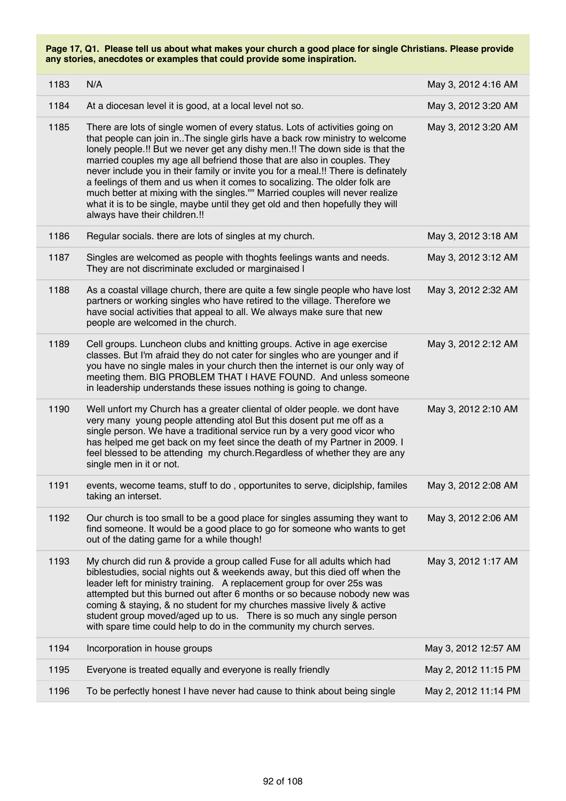| 1183 | N/A                                                                                                                                                                                                                                                                                                                                                                                                                                                                                                                                                                                                                                                                                           | May 3, 2012 4:16 AM  |
|------|-----------------------------------------------------------------------------------------------------------------------------------------------------------------------------------------------------------------------------------------------------------------------------------------------------------------------------------------------------------------------------------------------------------------------------------------------------------------------------------------------------------------------------------------------------------------------------------------------------------------------------------------------------------------------------------------------|----------------------|
| 1184 | At a diocesan level it is good, at a local level not so.                                                                                                                                                                                                                                                                                                                                                                                                                                                                                                                                                                                                                                      | May 3, 2012 3:20 AM  |
| 1185 | There are lots of single women of every status. Lots of activities going on<br>that people can join in. The single girls have a back row ministry to welcome<br>lonely people.!! But we never get any dishy men.!! The down side is that the<br>married couples my age all befriend those that are also in couples. They<br>never include you in their family or invite you for a meal.!! There is definately<br>a feelings of them and us when it comes to socalizing. The older folk are<br>much better at mixing with the singles."" Married couples will never realize<br>what it is to be single, maybe until they get old and then hopefully they will<br>always have their children.!! | May 3, 2012 3:20 AM  |
| 1186 | Regular socials. there are lots of singles at my church.                                                                                                                                                                                                                                                                                                                                                                                                                                                                                                                                                                                                                                      | May 3, 2012 3:18 AM  |
| 1187 | Singles are welcomed as people with thoghts feelings wants and needs.<br>They are not discriminate excluded or marginaised I                                                                                                                                                                                                                                                                                                                                                                                                                                                                                                                                                                  | May 3, 2012 3:12 AM  |
| 1188 | As a coastal village church, there are quite a few single people who have lost<br>partners or working singles who have retired to the village. Therefore we<br>have social activities that appeal to all. We always make sure that new<br>people are welcomed in the church.                                                                                                                                                                                                                                                                                                                                                                                                                  | May 3, 2012 2:32 AM  |
| 1189 | Cell groups. Luncheon clubs and knitting groups. Active in age exercise<br>classes. But I'm afraid they do not cater for singles who are younger and if<br>you have no single males in your church then the internet is our only way of<br>meeting them. BIG PROBLEM THAT I HAVE FOUND. And unless someone<br>in leadership understands these issues nothing is going to change.                                                                                                                                                                                                                                                                                                              | May 3, 2012 2:12 AM  |
| 1190 | Well unfort my Church has a greater cliental of older people. we dont have<br>very many young people attending atol But this dosent put me off as a<br>single person. We have a traditional service run by a very good vicor who<br>has helped me get back on my feet since the death of my Partner in 2009. I<br>feel blessed to be attending my church. Regardless of whether they are any<br>single men in it or not.                                                                                                                                                                                                                                                                      | May 3, 2012 2:10 AM  |
| 1191 | events, wecome teams, stuff to do, opportunites to serve, diciplship, familes<br>taking an interset.                                                                                                                                                                                                                                                                                                                                                                                                                                                                                                                                                                                          | May 3, 2012 2:08 AM  |
| 1192 | Our church is too small to be a good place for singles assuming they want to<br>find someone. It would be a good place to go for someone who wants to get<br>out of the dating game for a while though!                                                                                                                                                                                                                                                                                                                                                                                                                                                                                       | May 3, 2012 2:06 AM  |
| 1193 | My church did run & provide a group called Fuse for all adults which had<br>biblestudies, social nights out & weekends away, but this died off when the<br>leader left for ministry training. A replacement group for over 25s was<br>attempted but this burned out after 6 months or so because nobody new was<br>coming & staying, & no student for my churches massive lively & active<br>student group moved/aged up to us.  There is so much any single person<br>with spare time could help to do in the community my church serves.                                                                                                                                                    | May 3, 2012 1:17 AM  |
| 1194 | Incorporation in house groups                                                                                                                                                                                                                                                                                                                                                                                                                                                                                                                                                                                                                                                                 | May 3, 2012 12:57 AM |
| 1195 | Everyone is treated equally and everyone is really friendly                                                                                                                                                                                                                                                                                                                                                                                                                                                                                                                                                                                                                                   | May 2, 2012 11:15 PM |
| 1196 | To be perfectly honest I have never had cause to think about being single                                                                                                                                                                                                                                                                                                                                                                                                                                                                                                                                                                                                                     | May 2, 2012 11:14 PM |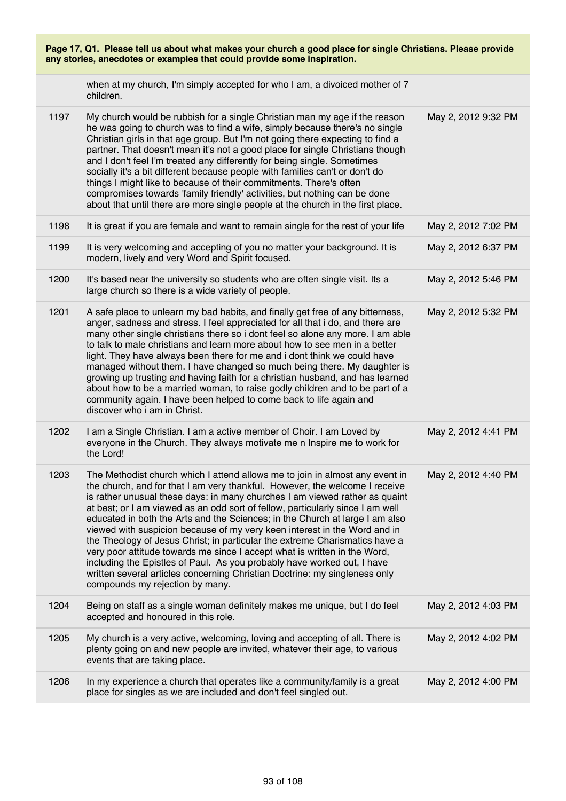| Page 17, Q1. Please tell us about what makes your church a good place for single Christians. Please provide<br>any stories, anecdotes or examples that could provide some inspiration. |                                                                                                                                                                                                                                                                                                                                                                                                                                                                                                                                                                                                                                                                                                                                                                                                                                                   |                     |  |
|----------------------------------------------------------------------------------------------------------------------------------------------------------------------------------------|---------------------------------------------------------------------------------------------------------------------------------------------------------------------------------------------------------------------------------------------------------------------------------------------------------------------------------------------------------------------------------------------------------------------------------------------------------------------------------------------------------------------------------------------------------------------------------------------------------------------------------------------------------------------------------------------------------------------------------------------------------------------------------------------------------------------------------------------------|---------------------|--|
|                                                                                                                                                                                        | when at my church, I'm simply accepted for who I am, a divoiced mother of 7<br>children.                                                                                                                                                                                                                                                                                                                                                                                                                                                                                                                                                                                                                                                                                                                                                          |                     |  |
| 1197                                                                                                                                                                                   | My church would be rubbish for a single Christian man my age if the reason<br>he was going to church was to find a wife, simply because there's no single<br>Christian girls in that age group. But I'm not going there expecting to find a<br>partner. That doesn't mean it's not a good place for single Christians though<br>and I don't feel I'm treated any differently for being single. Sometimes<br>socially it's a bit different because people with families can't or don't do<br>things I might like to because of their commitments. There's often<br>compromises towards 'family friendly' activities, but nothing can be done<br>about that until there are more single people at the church in the first place.                                                                                                                    | May 2, 2012 9:32 PM |  |
| 1198                                                                                                                                                                                   | It is great if you are female and want to remain single for the rest of your life                                                                                                                                                                                                                                                                                                                                                                                                                                                                                                                                                                                                                                                                                                                                                                 | May 2, 2012 7:02 PM |  |
| 1199                                                                                                                                                                                   | It is very welcoming and accepting of you no matter your background. It is<br>modern, lively and very Word and Spirit focused.                                                                                                                                                                                                                                                                                                                                                                                                                                                                                                                                                                                                                                                                                                                    | May 2, 2012 6:37 PM |  |
| 1200                                                                                                                                                                                   | It's based near the university so students who are often single visit. Its a<br>large church so there is a wide variety of people.                                                                                                                                                                                                                                                                                                                                                                                                                                                                                                                                                                                                                                                                                                                | May 2, 2012 5:46 PM |  |
| 1201                                                                                                                                                                                   | A safe place to unlearn my bad habits, and finally get free of any bitterness,<br>anger, sadness and stress. I feel appreciated for all that i do, and there are<br>many other single christians there so i dont feel so alone any more. I am able<br>to talk to male christians and learn more about how to see men in a better<br>light. They have always been there for me and i dont think we could have<br>managed without them. I have changed so much being there. My daughter is<br>growing up trusting and having faith for a christian husband, and has learned<br>about how to be a married woman, to raise godly children and to be part of a<br>community again. I have been helped to come back to life again and<br>discover who i am in Christ.                                                                                   | May 2, 2012 5:32 PM |  |
| 1202                                                                                                                                                                                   | I am a Single Christian. I am a active member of Choir. I am Loved by<br>everyone in the Church. They always motivate me n Inspire me to work for<br>the Lord!                                                                                                                                                                                                                                                                                                                                                                                                                                                                                                                                                                                                                                                                                    | May 2, 2012 4:41 PM |  |
| 1203                                                                                                                                                                                   | The Methodist church which I attend allows me to join in almost any event in<br>the church, and for that I am very thankful. However, the welcome I receive<br>is rather unusual these days: in many churches I am viewed rather as quaint<br>at best; or I am viewed as an odd sort of fellow, particularly since I am well<br>educated in both the Arts and the Sciences; in the Church at large I am also<br>viewed with suspicion because of my very keen interest in the Word and in<br>the Theology of Jesus Christ; in particular the extreme Charismatics have a<br>very poor attitude towards me since I accept what is written in the Word,<br>including the Epistles of Paul. As you probably have worked out, I have<br>written several articles concerning Christian Doctrine: my singleness only<br>compounds my rejection by many. | May 2, 2012 4:40 PM |  |
| 1204                                                                                                                                                                                   | Being on staff as a single woman definitely makes me unique, but I do feel<br>accepted and honoured in this role.                                                                                                                                                                                                                                                                                                                                                                                                                                                                                                                                                                                                                                                                                                                                 | May 2, 2012 4:03 PM |  |
| 1205                                                                                                                                                                                   | My church is a very active, welcoming, loving and accepting of all. There is<br>plenty going on and new people are invited, whatever their age, to various<br>events that are taking place.                                                                                                                                                                                                                                                                                                                                                                                                                                                                                                                                                                                                                                                       | May 2, 2012 4:02 PM |  |
| 1206                                                                                                                                                                                   | In my experience a church that operates like a community/family is a great<br>place for singles as we are included and don't feel singled out.                                                                                                                                                                                                                                                                                                                                                                                                                                                                                                                                                                                                                                                                                                    | May 2, 2012 4:00 PM |  |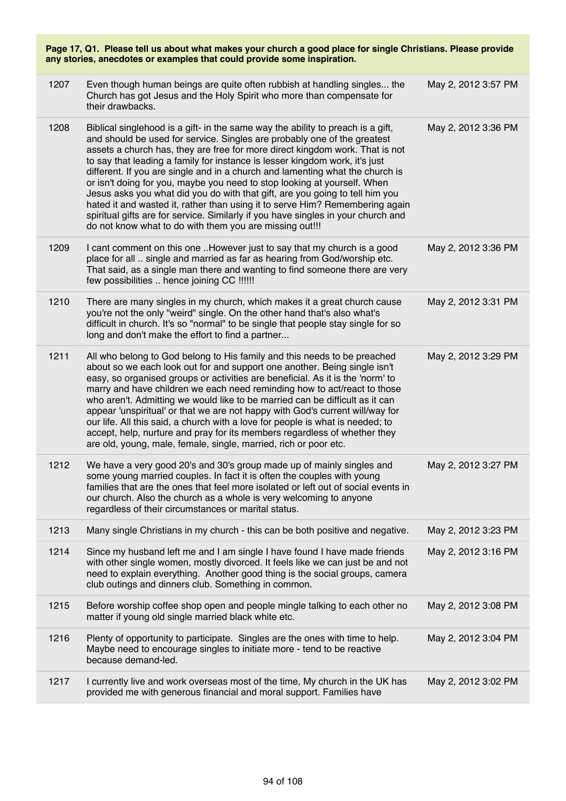| Page 17, Q1. Please tell us about what makes your church a good place for single Christians. Please provide<br>any stories, anecdotes or examples that could provide some inspiration. |                                                                                                                                                                                                                                                                                                                                                                                                                                                                                                                                                                                                                                                                                                                                                                                                         |                     |  |
|----------------------------------------------------------------------------------------------------------------------------------------------------------------------------------------|---------------------------------------------------------------------------------------------------------------------------------------------------------------------------------------------------------------------------------------------------------------------------------------------------------------------------------------------------------------------------------------------------------------------------------------------------------------------------------------------------------------------------------------------------------------------------------------------------------------------------------------------------------------------------------------------------------------------------------------------------------------------------------------------------------|---------------------|--|
| 1207                                                                                                                                                                                   | Even though human beings are quite often rubbish at handling singles the<br>Church has got Jesus and the Holy Spirit who more than compensate for<br>their drawbacks.                                                                                                                                                                                                                                                                                                                                                                                                                                                                                                                                                                                                                                   | May 2, 2012 3:57 PM |  |
| 1208                                                                                                                                                                                   | Biblical singlehood is a gift- in the same way the ability to preach is a gift,<br>and should be used for service. Singles are probably one of the greatest<br>assets a church has, they are free for more direct kingdom work. That is not<br>to say that leading a family for instance is lesser kingdom work, it's just<br>different. If you are single and in a church and lamenting what the church is<br>or isn't doing for you, maybe you need to stop looking at yourself. When<br>Jesus asks you what did you do with that gift, are you going to tell him you<br>hated it and wasted it, rather than using it to serve Him? Remembering again<br>spiritual gifts are for service. Similarly if you have singles in your church and<br>do not know what to do with them you are missing out!!! | May 2, 2012 3:36 PM |  |
| 1209                                                                                                                                                                                   | I cant comment on this one However just to say that my church is a good<br>place for all  single and married as far as hearing from God/worship etc.<br>That said, as a single man there and wanting to find someone there are very<br>few possibilities  hence joining CC !!!!!!                                                                                                                                                                                                                                                                                                                                                                                                                                                                                                                       | May 2, 2012 3:36 PM |  |
| 1210                                                                                                                                                                                   | There are many singles in my church, which makes it a great church cause<br>you're not the only "weird" single. On the other hand that's also what's<br>difficult in church. It's so "normal" to be single that people stay single for so<br>long and don't make the effort to find a partner                                                                                                                                                                                                                                                                                                                                                                                                                                                                                                           | May 2, 2012 3:31 PM |  |
| 1211                                                                                                                                                                                   | All who belong to God belong to His family and this needs to be preached<br>about so we each look out for and support one another. Being single isn't<br>easy, so organised groups or activities are beneficial. As it is the 'norm' to<br>marry and have children we each need reminding how to act/react to those<br>who aren't. Admitting we would like to be married can be difficult as it can<br>appear 'unspiritual' or that we are not happy with God's current will/way for<br>our life. All this said, a church with a love for people is what is needed; to<br>accept, help, nurture and pray for its members regardless of whether they<br>are old, young, male, female, single, married, rich or poor etc.                                                                                 | May 2, 2012 3:29 PM |  |
| 1212                                                                                                                                                                                   | We have a very good 20's and 30's group made up of mainly singles and<br>some young married couples. In fact it is often the couples with young<br>families that are the ones that feel more isolated or left out of social events in<br>our church. Also the church as a whole is very welcoming to anyone<br>regardless of their circumstances or marital status.                                                                                                                                                                                                                                                                                                                                                                                                                                     | May 2, 2012 3:27 PM |  |
| 1213                                                                                                                                                                                   | Many single Christians in my church - this can be both positive and negative.                                                                                                                                                                                                                                                                                                                                                                                                                                                                                                                                                                                                                                                                                                                           | May 2, 2012 3:23 PM |  |
| 1214                                                                                                                                                                                   | Since my husband left me and I am single I have found I have made friends<br>with other single women, mostly divorced. It feels like we can just be and not<br>need to explain everything. Another good thing is the social groups, camera<br>club outings and dinners club. Something in common.                                                                                                                                                                                                                                                                                                                                                                                                                                                                                                       | May 2, 2012 3:16 PM |  |
| 1215                                                                                                                                                                                   | Before worship coffee shop open and people mingle talking to each other no<br>matter if young old single married black white etc.                                                                                                                                                                                                                                                                                                                                                                                                                                                                                                                                                                                                                                                                       | May 2, 2012 3:08 PM |  |
| 1216                                                                                                                                                                                   | Plenty of opportunity to participate. Singles are the ones with time to help.<br>Maybe need to encourage singles to initiate more - tend to be reactive<br>because demand-led.                                                                                                                                                                                                                                                                                                                                                                                                                                                                                                                                                                                                                          | May 2, 2012 3:04 PM |  |
| 1217                                                                                                                                                                                   | I currently live and work overseas most of the time, My church in the UK has<br>provided me with generous financial and moral support. Families have                                                                                                                                                                                                                                                                                                                                                                                                                                                                                                                                                                                                                                                    | May 2, 2012 3:02 PM |  |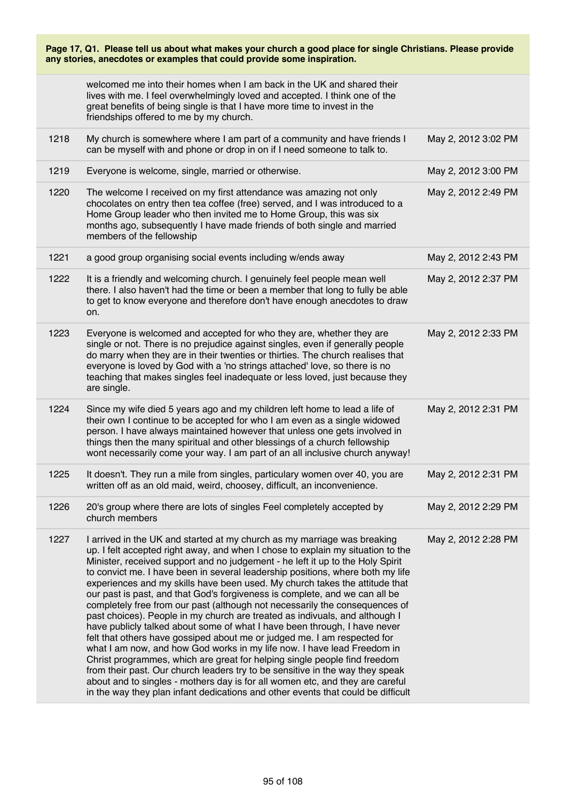|      | welcomed me into their homes when I am back in the UK and shared their<br>lives with me. I feel overwhelmingly loved and accepted. I think one of the<br>great benefits of being single is that I have more time to invest in the<br>friendships offered to me by my church.                                                                                                                                                                                                                                                                                                                                                                                                                                                                                                                                                                                                                                                                                                                                                                                                                                                                                                                                                       |                     |
|------|------------------------------------------------------------------------------------------------------------------------------------------------------------------------------------------------------------------------------------------------------------------------------------------------------------------------------------------------------------------------------------------------------------------------------------------------------------------------------------------------------------------------------------------------------------------------------------------------------------------------------------------------------------------------------------------------------------------------------------------------------------------------------------------------------------------------------------------------------------------------------------------------------------------------------------------------------------------------------------------------------------------------------------------------------------------------------------------------------------------------------------------------------------------------------------------------------------------------------------|---------------------|
| 1218 | My church is somewhere where I am part of a community and have friends I<br>can be myself with and phone or drop in on if I need someone to talk to.                                                                                                                                                                                                                                                                                                                                                                                                                                                                                                                                                                                                                                                                                                                                                                                                                                                                                                                                                                                                                                                                               | May 2, 2012 3:02 PM |
| 1219 | Everyone is welcome, single, married or otherwise.                                                                                                                                                                                                                                                                                                                                                                                                                                                                                                                                                                                                                                                                                                                                                                                                                                                                                                                                                                                                                                                                                                                                                                                 | May 2, 2012 3:00 PM |
| 1220 | The welcome I received on my first attendance was amazing not only<br>chocolates on entry then tea coffee (free) served, and I was introduced to a<br>Home Group leader who then invited me to Home Group, this was six<br>months ago, subsequently I have made friends of both single and married<br>members of the fellowship                                                                                                                                                                                                                                                                                                                                                                                                                                                                                                                                                                                                                                                                                                                                                                                                                                                                                                    | May 2, 2012 2:49 PM |
| 1221 | a good group organising social events including w/ends away                                                                                                                                                                                                                                                                                                                                                                                                                                                                                                                                                                                                                                                                                                                                                                                                                                                                                                                                                                                                                                                                                                                                                                        | May 2, 2012 2:43 PM |
| 1222 | It is a friendly and welcoming church. I genuinely feel people mean well<br>there. I also haven't had the time or been a member that long to fully be able<br>to get to know everyone and therefore don't have enough anecdotes to draw<br>on.                                                                                                                                                                                                                                                                                                                                                                                                                                                                                                                                                                                                                                                                                                                                                                                                                                                                                                                                                                                     | May 2, 2012 2:37 PM |
| 1223 | Everyone is welcomed and accepted for who they are, whether they are<br>single or not. There is no prejudice against singles, even if generally people<br>do marry when they are in their twenties or thirties. The church realises that<br>everyone is loved by God with a 'no strings attached' love, so there is no<br>teaching that makes singles feel inadequate or less loved, just because they<br>are single.                                                                                                                                                                                                                                                                                                                                                                                                                                                                                                                                                                                                                                                                                                                                                                                                              | May 2, 2012 2:33 PM |
| 1224 | Since my wife died 5 years ago and my children left home to lead a life of<br>their own I continue to be accepted for who I am even as a single widowed<br>person. I have always maintained however that unless one gets involved in<br>things then the many spiritual and other blessings of a church fellowship<br>wont necessarily come your way. I am part of an all inclusive church anyway!                                                                                                                                                                                                                                                                                                                                                                                                                                                                                                                                                                                                                                                                                                                                                                                                                                  | May 2, 2012 2:31 PM |
| 1225 | It doesn't. They run a mile from singles, particulary women over 40, you are<br>written off as an old maid, weird, choosey, difficult, an inconvenience.                                                                                                                                                                                                                                                                                                                                                                                                                                                                                                                                                                                                                                                                                                                                                                                                                                                                                                                                                                                                                                                                           | May 2, 2012 2:31 PM |
| 1226 | 20's group where there are lots of singles Feel completely accepted by<br>church members                                                                                                                                                                                                                                                                                                                                                                                                                                                                                                                                                                                                                                                                                                                                                                                                                                                                                                                                                                                                                                                                                                                                           | May 2, 2012 2:29 PM |
| 1227 | I arrived in the UK and started at my church as my marriage was breaking<br>up. I felt accepted right away, and when I chose to explain my situation to the<br>Minister, received support and no judgement - he left it up to the Holy Spirit<br>to convict me. I have been in several leadership positions, where both my life<br>experiences and my skills have been used. My church takes the attitude that<br>our past is past, and that God's forgiveness is complete, and we can all be<br>completely free from our past (although not necessarily the consequences of<br>past choices). People in my church are treated as indivuals, and although I<br>have publicly talked about some of what I have been through, I have never<br>felt that others have gossiped about me or judged me. I am respected for<br>what I am now, and how God works in my life now. I have lead Freedom in<br>Christ programmes, which are great for helping single people find freedom<br>from their past. Our church leaders try to be sensitive in the way they speak<br>about and to singles - mothers day is for all women etc, and they are careful<br>in the way they plan infant dedications and other events that could be difficult | May 2, 2012 2:28 PM |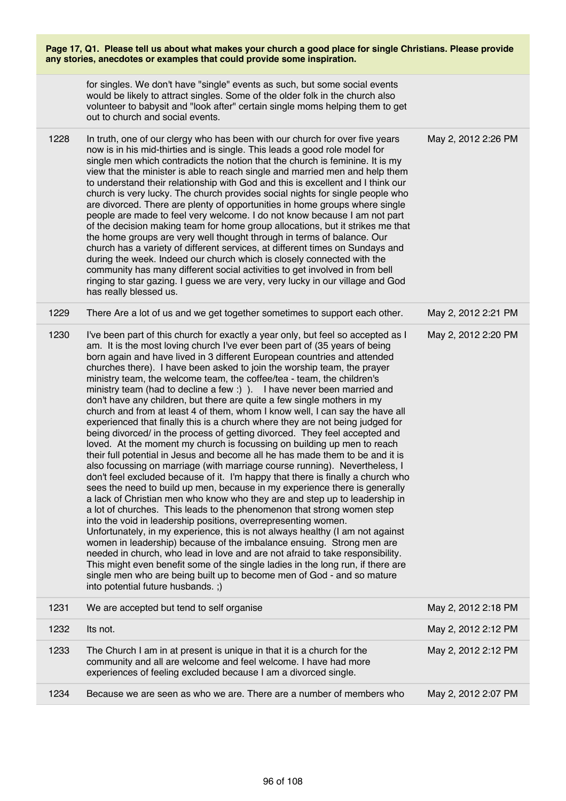|      | for singles. We don't have "single" events as such, but some social events<br>would be likely to attract singles. Some of the older folk in the church also<br>volunteer to babysit and "look after" certain single moms helping them to get<br>out to church and social events.                                                                                                                                                                                                                                                                                                                                                                                                                                                                                                                                                                                                                                                                                                                                                                                                                                                                                                                                                                                                                                                                                                                                                                                                                                                                                                                                                                                                                                                                                                                                                                                                       |                     |
|------|----------------------------------------------------------------------------------------------------------------------------------------------------------------------------------------------------------------------------------------------------------------------------------------------------------------------------------------------------------------------------------------------------------------------------------------------------------------------------------------------------------------------------------------------------------------------------------------------------------------------------------------------------------------------------------------------------------------------------------------------------------------------------------------------------------------------------------------------------------------------------------------------------------------------------------------------------------------------------------------------------------------------------------------------------------------------------------------------------------------------------------------------------------------------------------------------------------------------------------------------------------------------------------------------------------------------------------------------------------------------------------------------------------------------------------------------------------------------------------------------------------------------------------------------------------------------------------------------------------------------------------------------------------------------------------------------------------------------------------------------------------------------------------------------------------------------------------------------------------------------------------------|---------------------|
| 1228 | In truth, one of our clergy who has been with our church for over five years<br>now is in his mid-thirties and is single. This leads a good role model for<br>single men which contradicts the notion that the church is feminine. It is my<br>view that the minister is able to reach single and married men and help them<br>to understand their relationship with God and this is excellent and I think our<br>church is very lucky. The church provides social nights for single people who<br>are divorced. There are plenty of opportunities in home groups where single<br>people are made to feel very welcome. I do not know because I am not part<br>of the decision making team for home group allocations, but it strikes me that<br>the home groups are very well thought through in terms of balance. Our<br>church has a variety of different services, at different times on Sundays and<br>during the week. Indeed our church which is closely connected with the<br>community has many different social activities to get involved in from bell<br>ringing to star gazing. I guess we are very, very lucky in our village and God<br>has really blessed us.                                                                                                                                                                                                                                                                                                                                                                                                                                                                                                                                                                                                                                                                                                          | May 2, 2012 2:26 PM |
| 1229 | There Are a lot of us and we get together sometimes to support each other.                                                                                                                                                                                                                                                                                                                                                                                                                                                                                                                                                                                                                                                                                                                                                                                                                                                                                                                                                                                                                                                                                                                                                                                                                                                                                                                                                                                                                                                                                                                                                                                                                                                                                                                                                                                                             | May 2, 2012 2:21 PM |
| 1230 | I've been part of this church for exactly a year only, but feel so accepted as I<br>am. It is the most loving church I've ever been part of (35 years of being<br>born again and have lived in 3 different European countries and attended<br>churches there). I have been asked to join the worship team, the prayer<br>ministry team, the welcome team, the coffee/tea - team, the children's<br>ministry team (had to decline a few :) ). I have never been married and<br>don't have any children, but there are quite a few single mothers in my<br>church and from at least 4 of them, whom I know well, I can say the have all<br>experienced that finally this is a church where they are not being judged for<br>being divorced/ in the process of getting divorced. They feel accepted and<br>loved. At the moment my church is focussing on building up men to reach<br>their full potential in Jesus and become all he has made them to be and it is<br>also focussing on marriage (with marriage course running). Nevertheless, I<br>don't feel excluded because of it. I'm happy that there is finally a church who<br>sees the need to build up men, because in my experience there is generally<br>a lack of Christian men who know who they are and step up to leadership in<br>a lot of churches. This leads to the phenomenon that strong women step<br>into the void in leadership positions, overrepresenting women.<br>Unfortunately, in my experience, this is not always healthy (I am not against<br>women in leadership) because of the imbalance ensuing. Strong men are<br>needed in church, who lead in love and are not afraid to take responsibility.<br>This might even benefit some of the single ladies in the long run, if there are<br>single men who are being built up to become men of God - and so mature<br>into potential future husbands.;) | May 2, 2012 2:20 PM |
| 1231 | We are accepted but tend to self organise                                                                                                                                                                                                                                                                                                                                                                                                                                                                                                                                                                                                                                                                                                                                                                                                                                                                                                                                                                                                                                                                                                                                                                                                                                                                                                                                                                                                                                                                                                                                                                                                                                                                                                                                                                                                                                              | May 2, 2012 2:18 PM |
| 1232 | Its not.                                                                                                                                                                                                                                                                                                                                                                                                                                                                                                                                                                                                                                                                                                                                                                                                                                                                                                                                                                                                                                                                                                                                                                                                                                                                                                                                                                                                                                                                                                                                                                                                                                                                                                                                                                                                                                                                               | May 2, 2012 2:12 PM |
| 1233 | The Church I am in at present is unique in that it is a church for the<br>community and all are welcome and feel welcome. I have had more<br>experiences of feeling excluded because I am a divorced single.                                                                                                                                                                                                                                                                                                                                                                                                                                                                                                                                                                                                                                                                                                                                                                                                                                                                                                                                                                                                                                                                                                                                                                                                                                                                                                                                                                                                                                                                                                                                                                                                                                                                           | May 2, 2012 2:12 PM |
| 1234 | Because we are seen as who we are. There are a number of members who                                                                                                                                                                                                                                                                                                                                                                                                                                                                                                                                                                                                                                                                                                                                                                                                                                                                                                                                                                                                                                                                                                                                                                                                                                                                                                                                                                                                                                                                                                                                                                                                                                                                                                                                                                                                                   | May 2, 2012 2:07 PM |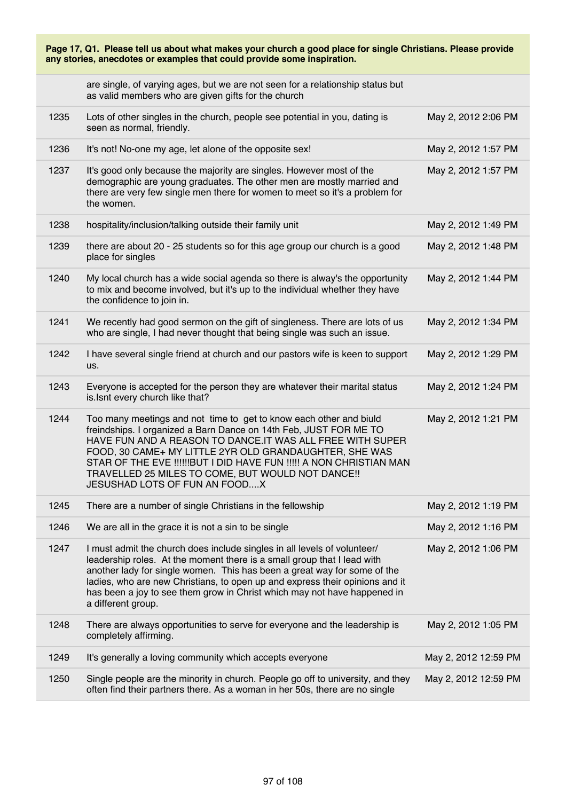|      | Page 17, Q1. Please tell us about what makes your church a good place for single Christians. Please provide<br>any stories, anecdotes or examples that could provide some inspiration.                                                                                                                                                                                                                                     |                      |
|------|----------------------------------------------------------------------------------------------------------------------------------------------------------------------------------------------------------------------------------------------------------------------------------------------------------------------------------------------------------------------------------------------------------------------------|----------------------|
|      | are single, of varying ages, but we are not seen for a relationship status but<br>as valid members who are given gifts for the church                                                                                                                                                                                                                                                                                      |                      |
| 1235 | Lots of other singles in the church, people see potential in you, dating is<br>seen as normal, friendly.                                                                                                                                                                                                                                                                                                                   | May 2, 2012 2:06 PM  |
| 1236 | It's not! No-one my age, let alone of the opposite sex!                                                                                                                                                                                                                                                                                                                                                                    | May 2, 2012 1:57 PM  |
| 1237 | It's good only because the majority are singles. However most of the<br>demographic are young graduates. The other men are mostly married and<br>there are very few single men there for women to meet so it's a problem for<br>the women.                                                                                                                                                                                 | May 2, 2012 1:57 PM  |
| 1238 | hospitality/inclusion/talking outside their family unit                                                                                                                                                                                                                                                                                                                                                                    | May 2, 2012 1:49 PM  |
| 1239 | there are about 20 - 25 students so for this age group our church is a good<br>place for singles                                                                                                                                                                                                                                                                                                                           | May 2, 2012 1:48 PM  |
| 1240 | My local church has a wide social agenda so there is alway's the opportunity<br>to mix and become involved, but it's up to the individual whether they have<br>the confidence to join in.                                                                                                                                                                                                                                  | May 2, 2012 1:44 PM  |
| 1241 | We recently had good sermon on the gift of singleness. There are lots of us<br>who are single, I had never thought that being single was such an issue.                                                                                                                                                                                                                                                                    | May 2, 2012 1:34 PM  |
| 1242 | I have several single friend at church and our pastors wife is keen to support<br>us.                                                                                                                                                                                                                                                                                                                                      | May 2, 2012 1:29 PM  |
| 1243 | Everyone is accepted for the person they are whatever their marital status<br>is. Isnt every church like that?                                                                                                                                                                                                                                                                                                             | May 2, 2012 1:24 PM  |
| 1244 | Too many meetings and not time to get to know each other and biuld<br>freindships. I organized a Barn Dance on 14th Feb, JUST FOR ME TO<br>HAVE FUN AND A REASON TO DANCE.IT WAS ALL FREE WITH SUPER<br>FOOD, 30 CAME+ MY LITTLE 2YR OLD GRANDAUGHTER, SHE WAS<br>STAR OF THE EVE !!!!!!BUT I DID HAVE FUN !!!!! A NON CHRISTIAN MAN<br>TRAVELLED 25 MILES TO COME, BUT WOULD NOT DANCE!!<br>JESUSHAD LOTS OF FUN AN FOODX | May 2, 2012 1:21 PM  |
| 1245 | There are a number of single Christians in the fellowship                                                                                                                                                                                                                                                                                                                                                                  | May 2, 2012 1:19 PM  |
| 1246 | We are all in the grace it is not a sin to be single                                                                                                                                                                                                                                                                                                                                                                       | May 2, 2012 1:16 PM  |
| 1247 | I must admit the church does include singles in all levels of volunteer/<br>leadership roles. At the moment there is a small group that I lead with<br>another lady for single women. This has been a great way for some of the<br>ladies, who are new Christians, to open up and express their opinions and it<br>has been a joy to see them grow in Christ which may not have happened in<br>a different group.          | May 2, 2012 1:06 PM  |
| 1248 | There are always opportunities to serve for everyone and the leadership is<br>completely affirming.                                                                                                                                                                                                                                                                                                                        | May 2, 2012 1:05 PM  |
| 1249 | It's generally a loving community which accepts everyone                                                                                                                                                                                                                                                                                                                                                                   | May 2, 2012 12:59 PM |
| 1250 | Single people are the minority in church. People go off to university, and they<br>often find their partners there. As a woman in her 50s, there are no single                                                                                                                                                                                                                                                             | May 2, 2012 12:59 PM |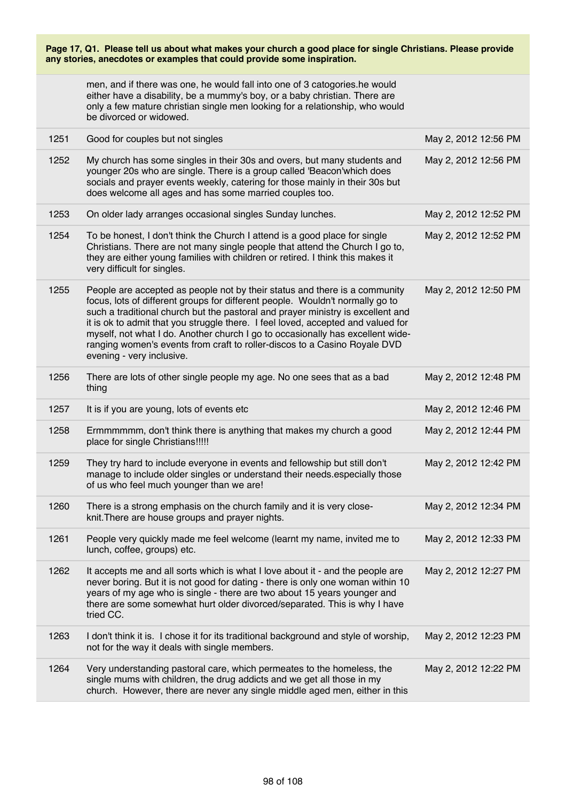|      | Page 17, Q1. Please tell us about what makes your church a good place for single Christians. Please provide<br>any stories, anecdotes or examples that could provide some inspiration.                                                                                                                                                                                                                                                                                                                                         |                      |
|------|--------------------------------------------------------------------------------------------------------------------------------------------------------------------------------------------------------------------------------------------------------------------------------------------------------------------------------------------------------------------------------------------------------------------------------------------------------------------------------------------------------------------------------|----------------------|
|      | men, and if there was one, he would fall into one of 3 catogories.he would<br>either have a disability, be a mummy's boy, or a baby christian. There are<br>only a few mature christian single men looking for a relationship, who would<br>be divorced or widowed.                                                                                                                                                                                                                                                            |                      |
| 1251 | Good for couples but not singles                                                                                                                                                                                                                                                                                                                                                                                                                                                                                               | May 2, 2012 12:56 PM |
| 1252 | My church has some singles in their 30s and overs, but many students and<br>younger 20s who are single. There is a group called 'Beacon'which does<br>socials and prayer events weekly, catering for those mainly in their 30s but<br>does welcome all ages and has some married couples too.                                                                                                                                                                                                                                  | May 2, 2012 12:56 PM |
| 1253 | On older lady arranges occasional singles Sunday lunches.                                                                                                                                                                                                                                                                                                                                                                                                                                                                      | May 2, 2012 12:52 PM |
| 1254 | To be honest, I don't think the Church I attend is a good place for single<br>Christians. There are not many single people that attend the Church I go to,<br>they are either young families with children or retired. I think this makes it<br>very difficult for singles.                                                                                                                                                                                                                                                    | May 2, 2012 12:52 PM |
| 1255 | People are accepted as people not by their status and there is a community<br>focus, lots of different groups for different people. Wouldn't normally go to<br>such a traditional church but the pastoral and prayer ministry is excellent and<br>it is ok to admit that you struggle there. I feel loved, accepted and valued for<br>myself, not what I do. Another church I go to occasionally has excellent wide-<br>ranging women's events from craft to roller-discos to a Casino Royale DVD<br>evening - very inclusive. | May 2, 2012 12:50 PM |
| 1256 | There are lots of other single people my age. No one sees that as a bad<br>thing                                                                                                                                                                                                                                                                                                                                                                                                                                               | May 2, 2012 12:48 PM |
| 1257 | It is if you are young, lots of events etc                                                                                                                                                                                                                                                                                                                                                                                                                                                                                     | May 2, 2012 12:46 PM |
| 1258 | Ermmmmmm, don't think there is anything that makes my church a good<br>place for single Christians!!!!!                                                                                                                                                                                                                                                                                                                                                                                                                        | May 2, 2012 12:44 PM |
| 1259 | They try hard to include everyone in events and fellowship but still don't<br>manage to include older singles or understand their needs especially those<br>of us who feel much younger than we are!                                                                                                                                                                                                                                                                                                                           | May 2, 2012 12:42 PM |
| 1260 | There is a strong emphasis on the church family and it is very close-<br>knit. There are house groups and prayer nights.                                                                                                                                                                                                                                                                                                                                                                                                       | May 2, 2012 12:34 PM |
| 1261 | People very quickly made me feel welcome (learnt my name, invited me to<br>lunch, coffee, groups) etc.                                                                                                                                                                                                                                                                                                                                                                                                                         | May 2, 2012 12:33 PM |
| 1262 | It accepts me and all sorts which is what I love about it - and the people are<br>never boring. But it is not good for dating - there is only one woman within 10<br>years of my age who is single - there are two about 15 years younger and<br>there are some somewhat hurt older divorced/separated. This is why I have<br>tried CC.                                                                                                                                                                                        | May 2, 2012 12:27 PM |
| 1263 | I don't think it is. I chose it for its traditional background and style of worship,<br>not for the way it deals with single members.                                                                                                                                                                                                                                                                                                                                                                                          | May 2, 2012 12:23 PM |
| 1264 | Very understanding pastoral care, which permeates to the homeless, the<br>single mums with children, the drug addicts and we get all those in my<br>church. However, there are never any single middle aged men, either in this                                                                                                                                                                                                                                                                                                | May 2, 2012 12:22 PM |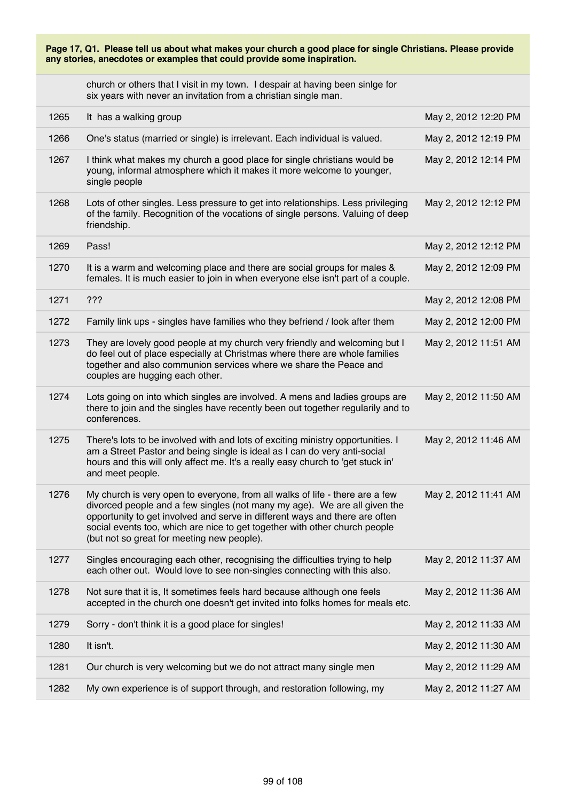|      | Page 17, Q1. Please tell us about what makes your church a good place for single Christians. Please provide<br>any stories, anecdotes or examples that could provide some inspiration.                                                                                                                                                                               |                      |
|------|----------------------------------------------------------------------------------------------------------------------------------------------------------------------------------------------------------------------------------------------------------------------------------------------------------------------------------------------------------------------|----------------------|
|      | church or others that I visit in my town. I despair at having been sinlge for<br>six years with never an invitation from a christian single man.                                                                                                                                                                                                                     |                      |
| 1265 | It has a walking group                                                                                                                                                                                                                                                                                                                                               | May 2, 2012 12:20 PM |
| 1266 | One's status (married or single) is irrelevant. Each individual is valued.                                                                                                                                                                                                                                                                                           | May 2, 2012 12:19 PM |
| 1267 | I think what makes my church a good place for single christians would be<br>young, informal atmosphere which it makes it more welcome to younger,<br>single people                                                                                                                                                                                                   | May 2, 2012 12:14 PM |
| 1268 | Lots of other singles. Less pressure to get into relationships. Less privileging<br>of the family. Recognition of the vocations of single persons. Valuing of deep<br>friendship.                                                                                                                                                                                    | May 2, 2012 12:12 PM |
| 1269 | Pass!                                                                                                                                                                                                                                                                                                                                                                | May 2, 2012 12:12 PM |
| 1270 | It is a warm and welcoming place and there are social groups for males &<br>females. It is much easier to join in when everyone else isn't part of a couple.                                                                                                                                                                                                         | May 2, 2012 12:09 PM |
| 1271 | 222                                                                                                                                                                                                                                                                                                                                                                  | May 2, 2012 12:08 PM |
| 1272 | Family link ups - singles have families who they befriend / look after them                                                                                                                                                                                                                                                                                          | May 2, 2012 12:00 PM |
| 1273 | They are lovely good people at my church very friendly and welcoming but I<br>do feel out of place especially at Christmas where there are whole families<br>together and also communion services where we share the Peace and<br>couples are hugging each other.                                                                                                    | May 2, 2012 11:51 AM |
| 1274 | Lots going on into which singles are involved. A mens and ladies groups are<br>there to join and the singles have recently been out together regularily and to<br>conferences.                                                                                                                                                                                       | May 2, 2012 11:50 AM |
| 1275 | There's lots to be involved with and lots of exciting ministry opportunities. I<br>am a Street Pastor and being single is ideal as I can do very anti-social<br>hours and this will only affect me. It's a really easy church to 'get stuck in'<br>and meet people.                                                                                                  | May 2, 2012 11:46 AM |
| 1276 | My church is very open to everyone, from all walks of life - there are a few<br>divorced people and a few singles (not many my age). We are all given the<br>opportunity to get involved and serve in different ways and there are often<br>social events too, which are nice to get together with other church people<br>(but not so great for meeting new people). | May 2, 2012 11:41 AM |
| 1277 | Singles encouraging each other, recognising the difficulties trying to help<br>each other out. Would love to see non-singles connecting with this also.                                                                                                                                                                                                              | May 2, 2012 11:37 AM |
| 1278 | Not sure that it is, It sometimes feels hard because although one feels<br>accepted in the church one doesn't get invited into folks homes for meals etc.                                                                                                                                                                                                            | May 2, 2012 11:36 AM |
| 1279 | Sorry - don't think it is a good place for singles!                                                                                                                                                                                                                                                                                                                  | May 2, 2012 11:33 AM |
| 1280 | It isn't.                                                                                                                                                                                                                                                                                                                                                            | May 2, 2012 11:30 AM |
| 1281 | Our church is very welcoming but we do not attract many single men                                                                                                                                                                                                                                                                                                   | May 2, 2012 11:29 AM |
| 1282 | My own experience is of support through, and restoration following, my                                                                                                                                                                                                                                                                                               | May 2, 2012 11:27 AM |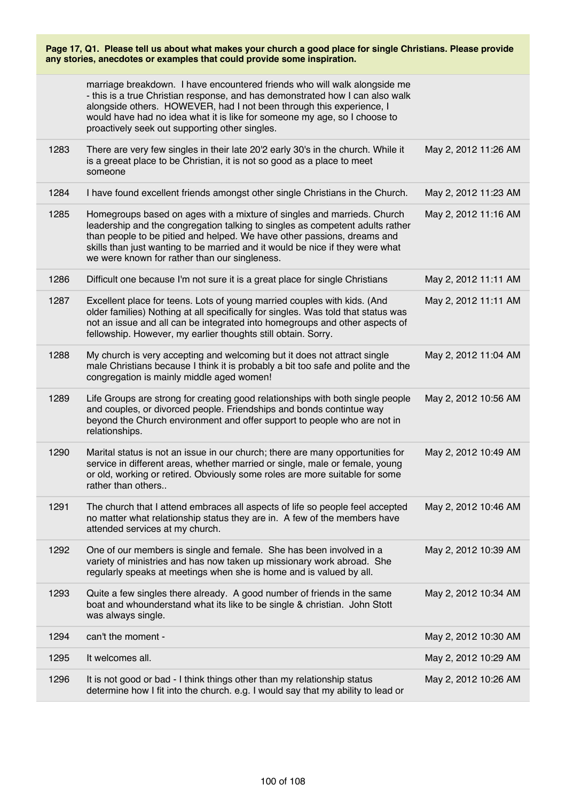|      | marriage breakdown. I have encountered friends who will walk alongside me<br>- this is a true Christian response, and has demonstrated how I can also walk<br>alongside others. HOWEVER, had I not been through this experience, I<br>would have had no idea what it is like for someone my age, so I choose to<br>proactively seek out supporting other singles.     |                      |
|------|-----------------------------------------------------------------------------------------------------------------------------------------------------------------------------------------------------------------------------------------------------------------------------------------------------------------------------------------------------------------------|----------------------|
| 1283 | There are very few singles in their late 20'2 early 30's in the church. While it<br>is a greeat place to be Christian, it is not so good as a place to meet<br>someone                                                                                                                                                                                                | May 2, 2012 11:26 AM |
| 1284 | I have found excellent friends amongst other single Christians in the Church.                                                                                                                                                                                                                                                                                         | May 2, 2012 11:23 AM |
| 1285 | Homegroups based on ages with a mixture of singles and marrieds. Church<br>leadership and the congregation talking to singles as competent adults rather<br>than people to be pitied and helped. We have other passions, dreams and<br>skills than just wanting to be married and it would be nice if they were what<br>we were known for rather than our singleness. | May 2, 2012 11:16 AM |
| 1286 | Difficult one because I'm not sure it is a great place for single Christians                                                                                                                                                                                                                                                                                          | May 2, 2012 11:11 AM |
| 1287 | Excellent place for teens. Lots of young married couples with kids. (And<br>older families) Nothing at all specifically for singles. Was told that status was<br>not an issue and all can be integrated into homegroups and other aspects of<br>fellowship. However, my earlier thoughts still obtain. Sorry.                                                         | May 2, 2012 11:11 AM |
| 1288 | My church is very accepting and welcoming but it does not attract single<br>male Christians because I think it is probably a bit too safe and polite and the<br>congregation is mainly middle aged women!                                                                                                                                                             | May 2, 2012 11:04 AM |
| 1289 | Life Groups are strong for creating good relationships with both single people<br>and couples, or divorced people. Friendships and bonds contintue way<br>beyond the Church environment and offer support to people who are not in<br>relationships.                                                                                                                  | May 2, 2012 10:56 AM |
| 1290 | Marital status is not an issue in our church; there are many opportunities for<br>service in different areas, whether married or single, male or female, young<br>or old, working or retired. Obviously some roles are more suitable for some<br>rather than others                                                                                                   | May 2, 2012 10:49 AM |
| 1291 | The church that I attend embraces all aspects of life so people feel accepted<br>no matter what relationship status they are in. A few of the members have<br>attended services at my church.                                                                                                                                                                         | May 2, 2012 10:46 AM |
| 1292 | One of our members is single and female. She has been involved in a<br>variety of ministries and has now taken up missionary work abroad. She<br>regularly speaks at meetings when she is home and is valued by all.                                                                                                                                                  | May 2, 2012 10:39 AM |
| 1293 | Quite a few singles there already. A good number of friends in the same<br>boat and whounderstand what its like to be single & christian. John Stott<br>was always single.                                                                                                                                                                                            | May 2, 2012 10:34 AM |
| 1294 | can't the moment -                                                                                                                                                                                                                                                                                                                                                    | May 2, 2012 10:30 AM |
| 1295 | It welcomes all.                                                                                                                                                                                                                                                                                                                                                      | May 2, 2012 10:29 AM |
| 1296 | It is not good or bad - I think things other than my relationship status<br>determine how I fit into the church. e.g. I would say that my ability to lead or                                                                                                                                                                                                          | May 2, 2012 10:26 AM |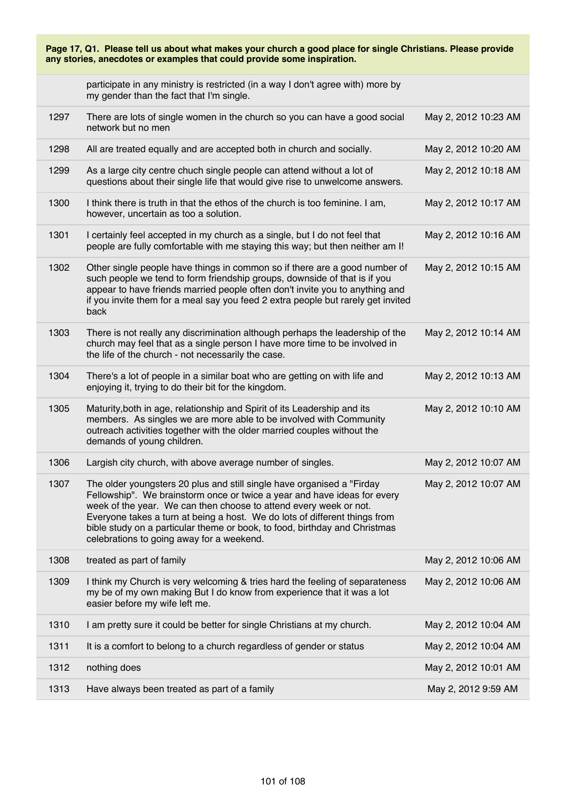|      | Page 17, Q1. Please tell us about what makes your church a good place for single Christians. Please provide<br>any stories, anecdotes or examples that could provide some inspiration.                                                                                                                                                                                                                                            |                      |
|------|-----------------------------------------------------------------------------------------------------------------------------------------------------------------------------------------------------------------------------------------------------------------------------------------------------------------------------------------------------------------------------------------------------------------------------------|----------------------|
|      | participate in any ministry is restricted (in a way I don't agree with) more by<br>my gender than the fact that I'm single.                                                                                                                                                                                                                                                                                                       |                      |
| 1297 | There are lots of single women in the church so you can have a good social<br>network but no men                                                                                                                                                                                                                                                                                                                                  | May 2, 2012 10:23 AM |
| 1298 | All are treated equally and are accepted both in church and socially.                                                                                                                                                                                                                                                                                                                                                             | May 2, 2012 10:20 AM |
| 1299 | As a large city centre chuch single people can attend without a lot of<br>questions about their single life that would give rise to unwelcome answers.                                                                                                                                                                                                                                                                            | May 2, 2012 10:18 AM |
| 1300 | I think there is truth in that the ethos of the church is too feminine. I am,<br>however, uncertain as too a solution.                                                                                                                                                                                                                                                                                                            | May 2, 2012 10:17 AM |
| 1301 | I certainly feel accepted in my church as a single, but I do not feel that<br>people are fully comfortable with me staying this way; but then neither am I!                                                                                                                                                                                                                                                                       | May 2, 2012 10:16 AM |
| 1302 | Other single people have things in common so if there are a good number of<br>such people we tend to form friendship groups, downside of that is if you<br>appear to have friends married people often don't invite you to anything and<br>if you invite them for a meal say you feed 2 extra people but rarely get invited<br>back                                                                                               | May 2, 2012 10:15 AM |
| 1303 | There is not really any discrimination although perhaps the leadership of the<br>church may feel that as a single person I have more time to be involved in<br>the life of the church - not necessarily the case.                                                                                                                                                                                                                 | May 2, 2012 10:14 AM |
| 1304 | There's a lot of people in a similar boat who are getting on with life and<br>enjoying it, trying to do their bit for the kingdom.                                                                                                                                                                                                                                                                                                | May 2, 2012 10:13 AM |
| 1305 | Maturity, both in age, relationship and Spirit of its Leadership and its<br>members. As singles we are more able to be involved with Community<br>outreach activities together with the older married couples without the<br>demands of young children.                                                                                                                                                                           | May 2, 2012 10:10 AM |
| 1306 | Largish city church, with above average number of singles.                                                                                                                                                                                                                                                                                                                                                                        | May 2, 2012 10:07 AM |
| 1307 | The older youngsters 20 plus and still single have organised a "Firday"<br>Fellowship". We brainstorm once or twice a year and have ideas for every<br>week of the year. We can then choose to attend every week or not.<br>Everyone takes a turn at being a host. We do lots of different things from<br>bible study on a particular theme or book, to food, birthday and Christmas<br>celebrations to going away for a weekend. | May 2, 2012 10:07 AM |
| 1308 | treated as part of family                                                                                                                                                                                                                                                                                                                                                                                                         | May 2, 2012 10:06 AM |
| 1309 | I think my Church is very welcoming & tries hard the feeling of separateness<br>my be of my own making But I do know from experience that it was a lot<br>easier before my wife left me.                                                                                                                                                                                                                                          | May 2, 2012 10:06 AM |
| 1310 | I am pretty sure it could be better for single Christians at my church.                                                                                                                                                                                                                                                                                                                                                           | May 2, 2012 10:04 AM |
| 1311 | It is a comfort to belong to a church regardless of gender or status                                                                                                                                                                                                                                                                                                                                                              | May 2, 2012 10:04 AM |
| 1312 | nothing does                                                                                                                                                                                                                                                                                                                                                                                                                      | May 2, 2012 10:01 AM |
| 1313 | Have always been treated as part of a family                                                                                                                                                                                                                                                                                                                                                                                      | May 2, 2012 9:59 AM  |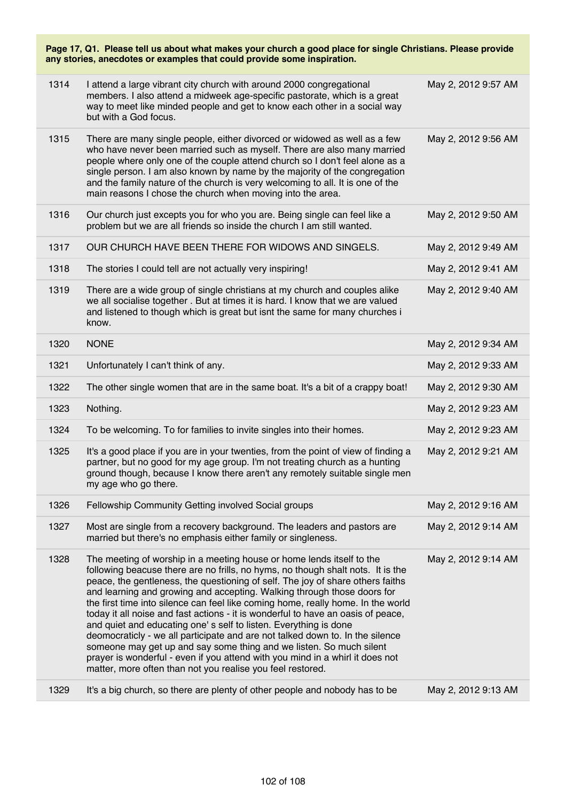|      | Page 17, Q1. Please tell us about what makes your church a good place for single Christians. Please provide<br>any stories, anecdotes or examples that could provide some inspiration.                                                                                                                                                                                                                                                                                                                                                                                                                                                                                                                                                                                                                                                                                   |                     |
|------|--------------------------------------------------------------------------------------------------------------------------------------------------------------------------------------------------------------------------------------------------------------------------------------------------------------------------------------------------------------------------------------------------------------------------------------------------------------------------------------------------------------------------------------------------------------------------------------------------------------------------------------------------------------------------------------------------------------------------------------------------------------------------------------------------------------------------------------------------------------------------|---------------------|
| 1314 | I attend a large vibrant city church with around 2000 congregational<br>members. I also attend a midweek age-specific pastorate, which is a great<br>way to meet like minded people and get to know each other in a social way<br>but with a God focus.                                                                                                                                                                                                                                                                                                                                                                                                                                                                                                                                                                                                                  | May 2, 2012 9:57 AM |
| 1315 | There are many single people, either divorced or widowed as well as a few<br>who have never been married such as myself. There are also many married<br>people where only one of the couple attend church so I don't feel alone as a<br>single person. I am also known by name by the majority of the congregation<br>and the family nature of the church is very welcoming to all. It is one of the<br>main reasons I chose the church when moving into the area.                                                                                                                                                                                                                                                                                                                                                                                                       | May 2, 2012 9:56 AM |
| 1316 | Our church just excepts you for who you are. Being single can feel like a<br>problem but we are all friends so inside the church I am still wanted.                                                                                                                                                                                                                                                                                                                                                                                                                                                                                                                                                                                                                                                                                                                      | May 2, 2012 9:50 AM |
| 1317 | OUR CHURCH HAVE BEEN THERE FOR WIDOWS AND SINGELS.                                                                                                                                                                                                                                                                                                                                                                                                                                                                                                                                                                                                                                                                                                                                                                                                                       | May 2, 2012 9:49 AM |
| 1318 | The stories I could tell are not actually very inspiring!                                                                                                                                                                                                                                                                                                                                                                                                                                                                                                                                                                                                                                                                                                                                                                                                                | May 2, 2012 9:41 AM |
| 1319 | There are a wide group of single christians at my church and couples alike<br>we all socialise together. But at times it is hard. I know that we are valued<br>and listened to though which is great but isnt the same for many churches i<br>know.                                                                                                                                                                                                                                                                                                                                                                                                                                                                                                                                                                                                                      | May 2, 2012 9:40 AM |
| 1320 | <b>NONE</b>                                                                                                                                                                                                                                                                                                                                                                                                                                                                                                                                                                                                                                                                                                                                                                                                                                                              | May 2, 2012 9:34 AM |
| 1321 | Unfortunately I can't think of any.                                                                                                                                                                                                                                                                                                                                                                                                                                                                                                                                                                                                                                                                                                                                                                                                                                      | May 2, 2012 9:33 AM |
| 1322 | The other single women that are in the same boat. It's a bit of a crappy boat!                                                                                                                                                                                                                                                                                                                                                                                                                                                                                                                                                                                                                                                                                                                                                                                           | May 2, 2012 9:30 AM |
| 1323 | Nothing.                                                                                                                                                                                                                                                                                                                                                                                                                                                                                                                                                                                                                                                                                                                                                                                                                                                                 | May 2, 2012 9:23 AM |
| 1324 | To be welcoming. To for families to invite singles into their homes.                                                                                                                                                                                                                                                                                                                                                                                                                                                                                                                                                                                                                                                                                                                                                                                                     | May 2, 2012 9:23 AM |
| 1325 | It's a good place if you are in your twenties, from the point of view of finding a<br>partner, but no good for my age group. I'm not treating church as a hunting<br>ground though, because I know there aren't any remotely suitable single men<br>my age who go there.                                                                                                                                                                                                                                                                                                                                                                                                                                                                                                                                                                                                 | May 2, 2012 9:21 AM |
| 1326 | Fellowship Community Getting involved Social groups                                                                                                                                                                                                                                                                                                                                                                                                                                                                                                                                                                                                                                                                                                                                                                                                                      | May 2, 2012 9:16 AM |
| 1327 | Most are single from a recovery background. The leaders and pastors are<br>married but there's no emphasis either family or singleness.                                                                                                                                                                                                                                                                                                                                                                                                                                                                                                                                                                                                                                                                                                                                  | May 2, 2012 9:14 AM |
| 1328 | The meeting of worship in a meeting house or home lends itself to the<br>following beacuse there are no frills, no hyms, no though shalt nots. It is the<br>peace, the gentleness, the questioning of self. The joy of share others faiths<br>and learning and growing and accepting. Walking through those doors for<br>the first time into silence can feel like coming home, really home. In the world<br>today it all noise and fast actions - it is wonderful to have an oasis of peace,<br>and quiet and educating one's self to listen. Everything is done<br>deomocraticly - we all participate and are not talked down to. In the silence<br>someone may get up and say some thing and we listen. So much silent<br>prayer is wonderful - even if you attend with you mind in a whirl it does not<br>matter, more often than not you realise you feel restored. | May 2, 2012 9:14 AM |
| 1329 | It's a big church, so there are plenty of other people and nobody has to be                                                                                                                                                                                                                                                                                                                                                                                                                                                                                                                                                                                                                                                                                                                                                                                              | May 2, 2012 9:13 AM |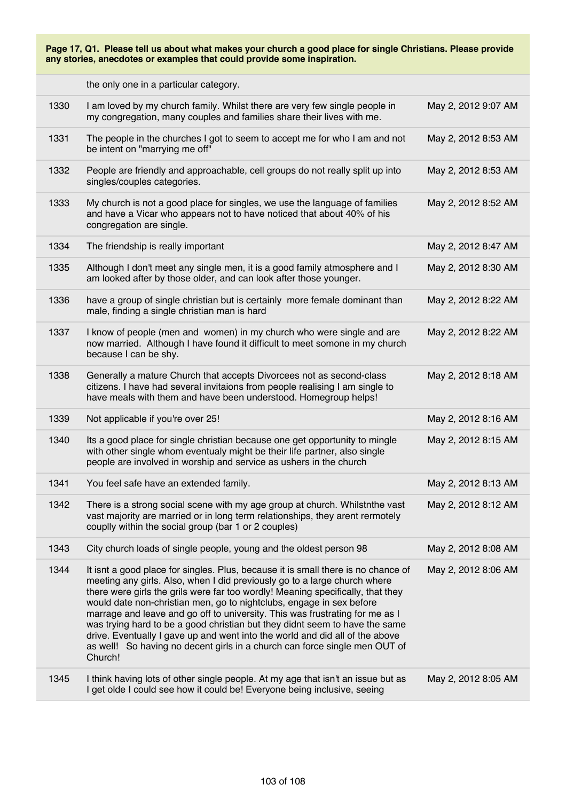the only one in a particular category.

| 1330 | I am loved by my church family. Whilst there are very few single people in<br>my congregation, many couples and families share their lives with me.                                                                                                                                                                                                                                                                                                                                                                                                                                                                                                               | May 2, 2012 9:07 AM |
|------|-------------------------------------------------------------------------------------------------------------------------------------------------------------------------------------------------------------------------------------------------------------------------------------------------------------------------------------------------------------------------------------------------------------------------------------------------------------------------------------------------------------------------------------------------------------------------------------------------------------------------------------------------------------------|---------------------|
| 1331 | The people in the churches I got to seem to accept me for who I am and not<br>be intent on "marrying me off"                                                                                                                                                                                                                                                                                                                                                                                                                                                                                                                                                      | May 2, 2012 8:53 AM |
| 1332 | People are friendly and approachable, cell groups do not really split up into<br>singles/couples categories.                                                                                                                                                                                                                                                                                                                                                                                                                                                                                                                                                      | May 2, 2012 8:53 AM |
| 1333 | My church is not a good place for singles, we use the language of families<br>and have a Vicar who appears not to have noticed that about 40% of his<br>congregation are single.                                                                                                                                                                                                                                                                                                                                                                                                                                                                                  | May 2, 2012 8:52 AM |
| 1334 | The friendship is really important                                                                                                                                                                                                                                                                                                                                                                                                                                                                                                                                                                                                                                | May 2, 2012 8:47 AM |
| 1335 | Although I don't meet any single men, it is a good family atmosphere and I<br>am looked after by those older, and can look after those younger.                                                                                                                                                                                                                                                                                                                                                                                                                                                                                                                   | May 2, 2012 8:30 AM |
| 1336 | have a group of single christian but is certainly more female dominant than<br>male, finding a single christian man is hard                                                                                                                                                                                                                                                                                                                                                                                                                                                                                                                                       | May 2, 2012 8:22 AM |
| 1337 | I know of people (men and women) in my church who were single and are<br>now married. Although I have found it difficult to meet somone in my church<br>because I can be shy.                                                                                                                                                                                                                                                                                                                                                                                                                                                                                     | May 2, 2012 8:22 AM |
| 1338 | Generally a mature Church that accepts Divorcees not as second-class<br>citizens. I have had several invitaions from people realising I am single to<br>have meals with them and have been understood. Homegroup helps!                                                                                                                                                                                                                                                                                                                                                                                                                                           | May 2, 2012 8:18 AM |
| 1339 | Not applicable if you're over 25!                                                                                                                                                                                                                                                                                                                                                                                                                                                                                                                                                                                                                                 | May 2, 2012 8:16 AM |
| 1340 | Its a good place for single christian because one get opportunity to mingle<br>with other single whom eventualy might be their life partner, also single<br>people are involved in worship and service as ushers in the church                                                                                                                                                                                                                                                                                                                                                                                                                                    | May 2, 2012 8:15 AM |
| 1341 | You feel safe have an extended family.                                                                                                                                                                                                                                                                                                                                                                                                                                                                                                                                                                                                                            | May 2, 2012 8:13 AM |
| 1342 | There is a strong social scene with my age group at church. Whilstnthe vast<br>vast majority are married or in long term relationships, they arent rermotely<br>couplly within the social group (bar 1 or 2 couples)                                                                                                                                                                                                                                                                                                                                                                                                                                              | May 2, 2012 8:12 AM |
| 1343 | City church loads of single people, young and the oldest person 98                                                                                                                                                                                                                                                                                                                                                                                                                                                                                                                                                                                                | May 2, 2012 8:08 AM |
| 1344 | It isnt a good place for singles. Plus, because it is small there is no chance of<br>meeting any girls. Also, when I did previously go to a large church where<br>there were girls the grils were far too wordly! Meaning specifically, that they<br>would date non-christian men, go to nightclubs, engage in sex before<br>marrage and leave and go off to university. This was frustrating for me as I<br>was trying hard to be a good christian but they didnt seem to have the same<br>drive. Eventually I gave up and went into the world and did all of the above<br>as well! So having no decent girls in a church can force single men OUT of<br>Church! | May 2, 2012 8:06 AM |
| 1345 | I think having lots of other single people. At my age that isn't an issue but as<br>I get olde I could see how it could be! Everyone being inclusive, seeing                                                                                                                                                                                                                                                                                                                                                                                                                                                                                                      | May 2, 2012 8:05 AM |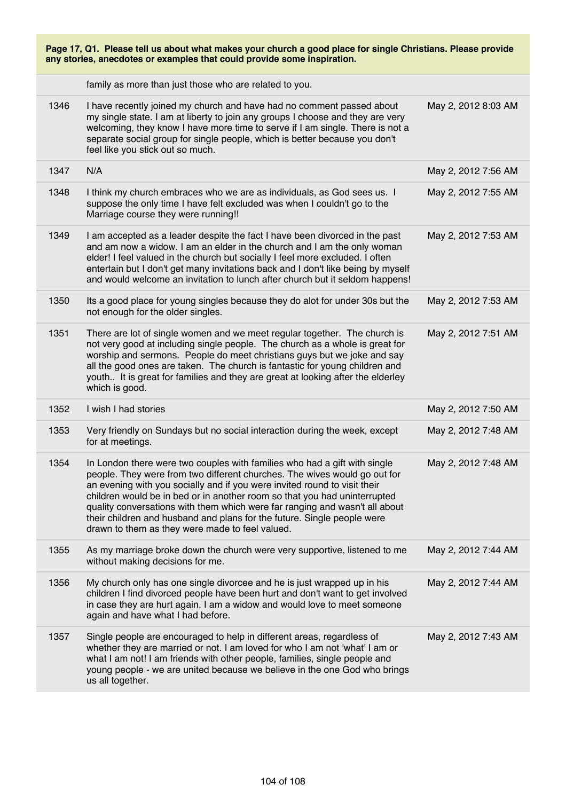| Page 17, Q1. Please tell us about what makes your church a good place for single Christians. Please provide<br>any stories, anecdotes or examples that could provide some inspiration. |                                                                                                                                                                                                                                                                                                                                                                                                                                                                                                                               |                     |
|----------------------------------------------------------------------------------------------------------------------------------------------------------------------------------------|-------------------------------------------------------------------------------------------------------------------------------------------------------------------------------------------------------------------------------------------------------------------------------------------------------------------------------------------------------------------------------------------------------------------------------------------------------------------------------------------------------------------------------|---------------------|
|                                                                                                                                                                                        | family as more than just those who are related to you.                                                                                                                                                                                                                                                                                                                                                                                                                                                                        |                     |
| 1346                                                                                                                                                                                   | I have recently joined my church and have had no comment passed about<br>my single state. I am at liberty to join any groups I choose and they are very<br>welcoming, they know I have more time to serve if I am single. There is not a<br>separate social group for single people, which is better because you don't<br>feel like you stick out so much.                                                                                                                                                                    | May 2, 2012 8:03 AM |
| 1347                                                                                                                                                                                   | N/A                                                                                                                                                                                                                                                                                                                                                                                                                                                                                                                           | May 2, 2012 7:56 AM |
| 1348                                                                                                                                                                                   | I think my church embraces who we are as individuals, as God sees us. I<br>suppose the only time I have felt excluded was when I couldn't go to the<br>Marriage course they were running!!                                                                                                                                                                                                                                                                                                                                    | May 2, 2012 7:55 AM |
| 1349                                                                                                                                                                                   | I am accepted as a leader despite the fact I have been divorced in the past<br>and am now a widow. I am an elder in the church and I am the only woman<br>elder! I feel valued in the church but socially I feel more excluded. I often<br>entertain but I don't get many invitations back and I don't like being by myself<br>and would welcome an invitation to lunch after church but it seldom happens!                                                                                                                   | May 2, 2012 7:53 AM |
| 1350                                                                                                                                                                                   | Its a good place for young singles because they do alot for under 30s but the<br>not enough for the older singles.                                                                                                                                                                                                                                                                                                                                                                                                            | May 2, 2012 7:53 AM |
| 1351                                                                                                                                                                                   | There are lot of single women and we meet regular together. The church is<br>not very good at including single people. The church as a whole is great for<br>worship and sermons. People do meet christians guys but we joke and say<br>all the good ones are taken. The church is fantastic for young children and<br>youth It is great for families and they are great at looking after the elderley<br>which is good.                                                                                                      | May 2, 2012 7:51 AM |
| 1352                                                                                                                                                                                   | I wish I had stories                                                                                                                                                                                                                                                                                                                                                                                                                                                                                                          | May 2, 2012 7:50 AM |
| 1353                                                                                                                                                                                   | Very friendly on Sundays but no social interaction during the week, except<br>for at meetings.                                                                                                                                                                                                                                                                                                                                                                                                                                | May 2, 2012 7:48 AM |
| 1354                                                                                                                                                                                   | In London there were two couples with families who had a gift with single<br>people. They were from two different churches. The wives would go out for<br>an evening with you socially and if you were invited round to visit their<br>children would be in bed or in another room so that you had uninterrupted<br>quality conversations with them which were far ranging and wasn't all about<br>their children and husband and plans for the future. Single people were<br>drawn to them as they were made to feel valued. | May 2, 2012 7:48 AM |
| 1355                                                                                                                                                                                   | As my marriage broke down the church were very supportive, listened to me<br>without making decisions for me.                                                                                                                                                                                                                                                                                                                                                                                                                 | May 2, 2012 7:44 AM |
| 1356                                                                                                                                                                                   | My church only has one single divorcee and he is just wrapped up in his<br>children I find divorced people have been hurt and don't want to get involved<br>in case they are hurt again. I am a widow and would love to meet someone<br>again and have what I had before.                                                                                                                                                                                                                                                     | May 2, 2012 7:44 AM |
| 1357                                                                                                                                                                                   | Single people are encouraged to help in different areas, regardless of<br>whether they are married or not. I am loved for who I am not 'what' I am or<br>what I am not! I am friends with other people, families, single people and<br>young people - we are united because we believe in the one God who brings<br>us all together.                                                                                                                                                                                          | May 2, 2012 7:43 AM |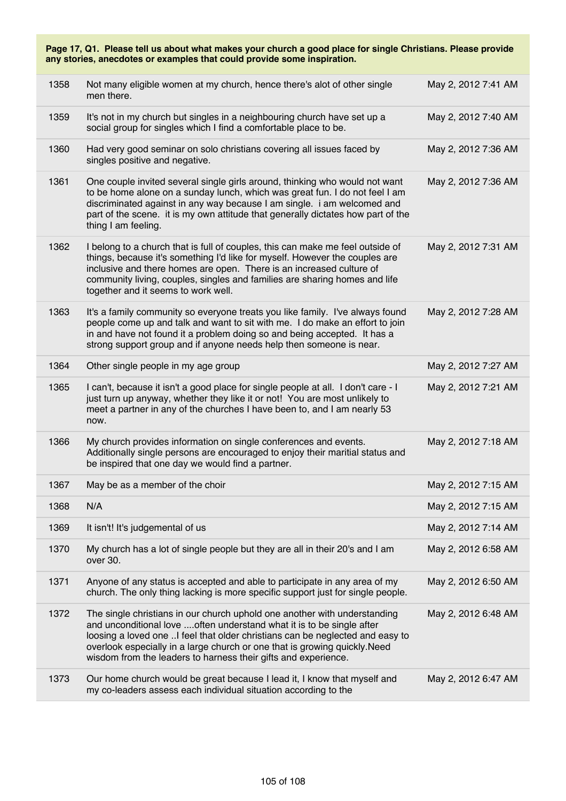|      | Page 17, Q1. Please tell us about what makes your church a good place for single Christians. Please provide<br>any stories, anecdotes or examples that could provide some inspiration.                                                                                                                                                                                               |                     |
|------|--------------------------------------------------------------------------------------------------------------------------------------------------------------------------------------------------------------------------------------------------------------------------------------------------------------------------------------------------------------------------------------|---------------------|
| 1358 | Not many eligible women at my church, hence there's alot of other single<br>men there.                                                                                                                                                                                                                                                                                               | May 2, 2012 7:41 AM |
| 1359 | It's not in my church but singles in a neighbouring church have set up a<br>social group for singles which I find a comfortable place to be.                                                                                                                                                                                                                                         | May 2, 2012 7:40 AM |
| 1360 | Had very good seminar on solo christians covering all issues faced by<br>singles positive and negative.                                                                                                                                                                                                                                                                              | May 2, 2012 7:36 AM |
| 1361 | One couple invited several single girls around, thinking who would not want<br>to be home alone on a sunday lunch, which was great fun. I do not feel I am<br>discriminated against in any way because I am single. i am welcomed and<br>part of the scene. it is my own attitude that generally dictates how part of the<br>thing I am feeling.                                     | May 2, 2012 7:36 AM |
| 1362 | I belong to a church that is full of couples, this can make me feel outside of<br>things, because it's something I'd like for myself. However the couples are<br>inclusive and there homes are open. There is an increased culture of<br>community living, couples, singles and families are sharing homes and life<br>together and it seems to work well.                           | May 2, 2012 7:31 AM |
| 1363 | It's a family community so everyone treats you like family. I've always found<br>people come up and talk and want to sit with me. I do make an effort to join<br>in and have not found it a problem doing so and being accepted. It has a<br>strong support group and if anyone needs help then someone is near.                                                                     | May 2, 2012 7:28 AM |
| 1364 | Other single people in my age group                                                                                                                                                                                                                                                                                                                                                  | May 2, 2012 7:27 AM |
| 1365 | I can't, because it isn't a good place for single people at all. I don't care - I<br>just turn up anyway, whether they like it or not! You are most unlikely to<br>meet a partner in any of the churches I have been to, and I am nearly 53<br>now.                                                                                                                                  | May 2, 2012 7:21 AM |
| 1366 | My church provides information on single conferences and events.<br>Additionally single persons are encouraged to enjoy their maritial status and<br>be inspired that one day we would find a partner.                                                                                                                                                                               | May 2, 2012 7:18 AM |
| 1367 | May be as a member of the choir                                                                                                                                                                                                                                                                                                                                                      | May 2, 2012 7:15 AM |
| 1368 | N/A                                                                                                                                                                                                                                                                                                                                                                                  | May 2, 2012 7:15 AM |
| 1369 | It isn't! It's judgemental of us                                                                                                                                                                                                                                                                                                                                                     | May 2, 2012 7:14 AM |
| 1370 | My church has a lot of single people but they are all in their 20's and I am<br>over 30.                                                                                                                                                                                                                                                                                             | May 2, 2012 6:58 AM |
| 1371 | Anyone of any status is accepted and able to participate in any area of my<br>church. The only thing lacking is more specific support just for single people.                                                                                                                                                                                                                        | May 2, 2012 6:50 AM |
| 1372 | The single christians in our church uphold one another with understanding<br>and unconditional love  often understand what it is to be single after<br>loosing a loved one I feel that older christians can be neglected and easy to<br>overlook especially in a large church or one that is growing quickly. Need<br>wisdom from the leaders to harness their gifts and experience. | May 2, 2012 6:48 AM |
| 1373 | Our home church would be great because I lead it, I know that myself and<br>my co-leaders assess each individual situation according to the                                                                                                                                                                                                                                          | May 2, 2012 6:47 AM |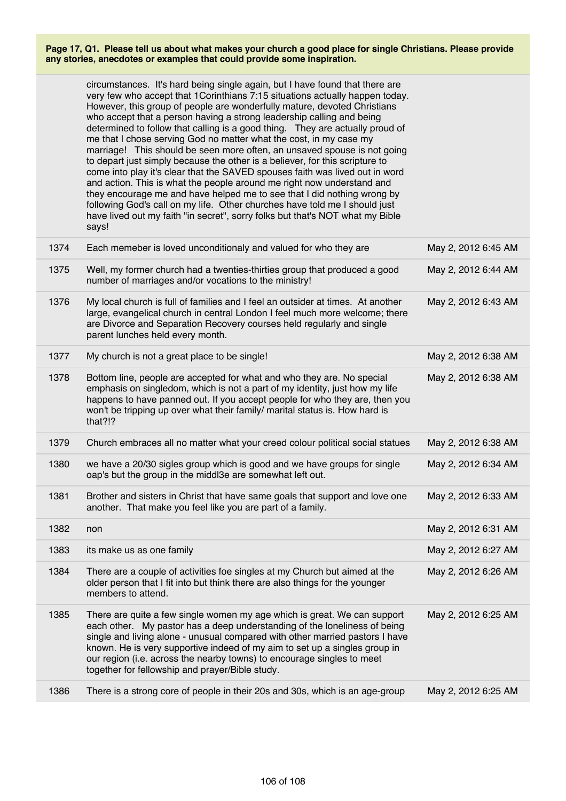|      | circumstances. It's hard being single again, but I have found that there are<br>very few who accept that 1 Corinthians 7:15 situations actually happen today.<br>However, this group of people are wonderfully mature, devoted Christians<br>who accept that a person having a strong leadership calling and being<br>determined to follow that calling is a good thing.  They are actually proud of<br>me that I chose serving God no matter what the cost, in my case my<br>marriage! This should be seen more often, an unsaved spouse is not going<br>to depart just simply because the other is a believer, for this scripture to<br>come into play it's clear that the SAVED spouses faith was lived out in word<br>and action. This is what the people around me right now understand and<br>they encourage me and have helped me to see that I did nothing wrong by<br>following God's call on my life. Other churches have told me I should just<br>have lived out my faith "in secret", sorry folks but that's NOT what my Bible<br>says! |                     |
|------|-----------------------------------------------------------------------------------------------------------------------------------------------------------------------------------------------------------------------------------------------------------------------------------------------------------------------------------------------------------------------------------------------------------------------------------------------------------------------------------------------------------------------------------------------------------------------------------------------------------------------------------------------------------------------------------------------------------------------------------------------------------------------------------------------------------------------------------------------------------------------------------------------------------------------------------------------------------------------------------------------------------------------------------------------------|---------------------|
| 1374 | Each memeber is loved unconditionaly and valued for who they are                                                                                                                                                                                                                                                                                                                                                                                                                                                                                                                                                                                                                                                                                                                                                                                                                                                                                                                                                                                    | May 2, 2012 6:45 AM |
| 1375 | Well, my former church had a twenties-thirties group that produced a good<br>number of marriages and/or vocations to the ministry!                                                                                                                                                                                                                                                                                                                                                                                                                                                                                                                                                                                                                                                                                                                                                                                                                                                                                                                  | May 2, 2012 6:44 AM |
| 1376 | My local church is full of families and I feel an outsider at times. At another<br>large, evangelical church in central London I feel much more welcome; there<br>are Divorce and Separation Recovery courses held regularly and single<br>parent lunches held every month.                                                                                                                                                                                                                                                                                                                                                                                                                                                                                                                                                                                                                                                                                                                                                                         | May 2, 2012 6:43 AM |
| 1377 | My church is not a great place to be single!                                                                                                                                                                                                                                                                                                                                                                                                                                                                                                                                                                                                                                                                                                                                                                                                                                                                                                                                                                                                        | May 2, 2012 6:38 AM |
| 1378 | Bottom line, people are accepted for what and who they are. No special<br>emphasis on singledom, which is not a part of my identity, just how my life<br>happens to have panned out. If you accept people for who they are, then you<br>won't be tripping up over what their family/ marital status is. How hard is<br>that?!?                                                                                                                                                                                                                                                                                                                                                                                                                                                                                                                                                                                                                                                                                                                      | May 2, 2012 6:38 AM |
| 1379 | Church embraces all no matter what your creed colour political social statues                                                                                                                                                                                                                                                                                                                                                                                                                                                                                                                                                                                                                                                                                                                                                                                                                                                                                                                                                                       | May 2, 2012 6:38 AM |
| 1380 | we have a 20/30 sigles group which is good and we have groups for single<br>oap's but the group in the middl3e are somewhat left out.                                                                                                                                                                                                                                                                                                                                                                                                                                                                                                                                                                                                                                                                                                                                                                                                                                                                                                               | May 2, 2012 6:34 AM |
| 1381 | Brother and sisters in Christ that have same goals that support and love one<br>another. That make you feel like you are part of a family.                                                                                                                                                                                                                                                                                                                                                                                                                                                                                                                                                                                                                                                                                                                                                                                                                                                                                                          | May 2, 2012 6:33 AM |
| 1382 | non                                                                                                                                                                                                                                                                                                                                                                                                                                                                                                                                                                                                                                                                                                                                                                                                                                                                                                                                                                                                                                                 | May 2, 2012 6:31 AM |
| 1383 | its make us as one family                                                                                                                                                                                                                                                                                                                                                                                                                                                                                                                                                                                                                                                                                                                                                                                                                                                                                                                                                                                                                           | May 2, 2012 6:27 AM |
| 1384 | There are a couple of activities foe singles at my Church but aimed at the<br>older person that I fit into but think there are also things for the younger<br>members to attend.                                                                                                                                                                                                                                                                                                                                                                                                                                                                                                                                                                                                                                                                                                                                                                                                                                                                    | May 2, 2012 6:26 AM |
| 1385 | There are quite a few single women my age which is great. We can support<br>each other. My pastor has a deep understanding of the loneliness of being<br>single and living alone - unusual compared with other married pastors I have<br>known. He is very supportive indeed of my aim to set up a singles group in<br>our region (i.e. across the nearby towns) to encourage singles to meet<br>together for fellowship and prayer/Bible study.                                                                                                                                                                                                                                                                                                                                                                                                                                                                                                                                                                                                    | May 2, 2012 6:25 AM |
| 1386 | There is a strong core of people in their 20s and 30s, which is an age-group                                                                                                                                                                                                                                                                                                                                                                                                                                                                                                                                                                                                                                                                                                                                                                                                                                                                                                                                                                        | May 2, 2012 6:25 AM |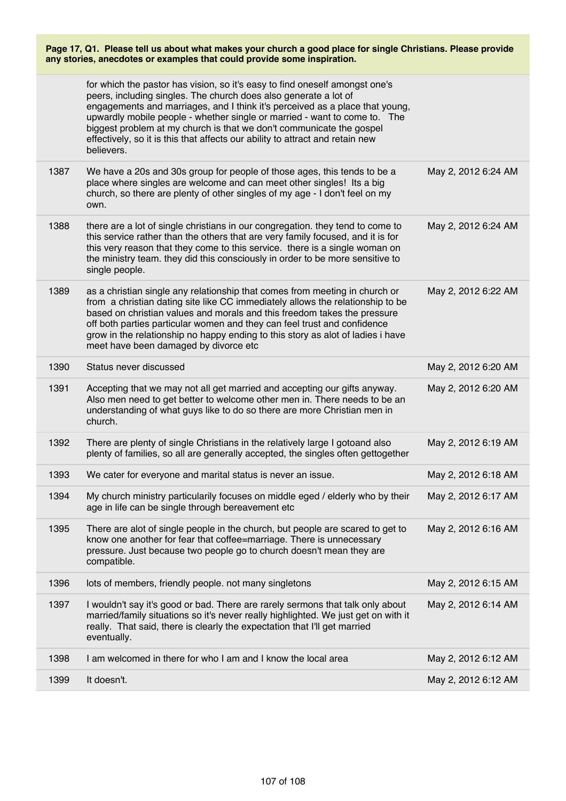|      | for which the pastor has vision, so it's easy to find oneself amongst one's<br>peers, including singles. The church does also generate a lot of<br>engagements and marriages, and I think it's perceived as a place that young,<br>upwardly mobile people - whether single or married - want to come to. The<br>biggest problem at my church is that we don't communicate the gospel<br>effectively, so it is this that affects our ability to attract and retain new<br>believers. |                     |
|------|-------------------------------------------------------------------------------------------------------------------------------------------------------------------------------------------------------------------------------------------------------------------------------------------------------------------------------------------------------------------------------------------------------------------------------------------------------------------------------------|---------------------|
| 1387 | We have a 20s and 30s group for people of those ages, this tends to be a<br>place where singles are welcome and can meet other singles! Its a big<br>church, so there are plenty of other singles of my age - I don't feel on my<br>own.                                                                                                                                                                                                                                            | May 2, 2012 6:24 AM |
| 1388 | there are a lot of single christians in our congregation. they tend to come to<br>this service rather than the others that are very family focused, and it is for<br>this very reason that they come to this service. there is a single woman on<br>the ministry team. they did this consciously in order to be more sensitive to<br>single people.                                                                                                                                 | May 2, 2012 6:24 AM |
| 1389 | as a christian single any relationship that comes from meeting in church or<br>from a christian dating site like CC immediately allows the relationship to be<br>based on christian values and morals and this freedom takes the pressure<br>off both parties particular women and they can feel trust and confidence<br>grow in the relationship no happy ending to this story as alot of ladies i have<br>meet have been damaged by divorce etc                                   | May 2, 2012 6:22 AM |
| 1390 | Status never discussed                                                                                                                                                                                                                                                                                                                                                                                                                                                              | May 2, 2012 6:20 AM |
| 1391 | Accepting that we may not all get married and accepting our gifts anyway.<br>Also men need to get better to welcome other men in. There needs to be an<br>understanding of what guys like to do so there are more Christian men in<br>church.                                                                                                                                                                                                                                       | May 2, 2012 6:20 AM |
|      |                                                                                                                                                                                                                                                                                                                                                                                                                                                                                     |                     |
| 1392 | There are plenty of single Christians in the relatively large I gotoand also<br>plenty of families, so all are generally accepted, the singles often gettogether                                                                                                                                                                                                                                                                                                                    | May 2, 2012 6:19 AM |
| 1393 | We cater for everyone and marital status is never an issue.                                                                                                                                                                                                                                                                                                                                                                                                                         | May 2, 2012 6:18 AM |
| 1394 | My church ministry particularily focuses on middle eged / elderly who by their<br>age in life can be single through bereavement etc                                                                                                                                                                                                                                                                                                                                                 | May 2, 2012 6:17 AM |
| 1395 | There are alot of single people in the church, but people are scared to get to<br>know one another for fear that coffee=marriage. There is unnecessary<br>pressure. Just because two people go to church doesn't mean they are<br>compatible.                                                                                                                                                                                                                                       | May 2, 2012 6:16 AM |
| 1396 | lots of members, friendly people. not many singletons                                                                                                                                                                                                                                                                                                                                                                                                                               | May 2, 2012 6:15 AM |
| 1397 | I wouldn't say it's good or bad. There are rarely sermons that talk only about<br>married/family situations so it's never really highlighted. We just get on with it<br>really. That said, there is clearly the expectation that I'll get married<br>eventually.                                                                                                                                                                                                                    | May 2, 2012 6:14 AM |
| 1398 | I am welcomed in there for who I am and I know the local area                                                                                                                                                                                                                                                                                                                                                                                                                       | May 2, 2012 6:12 AM |